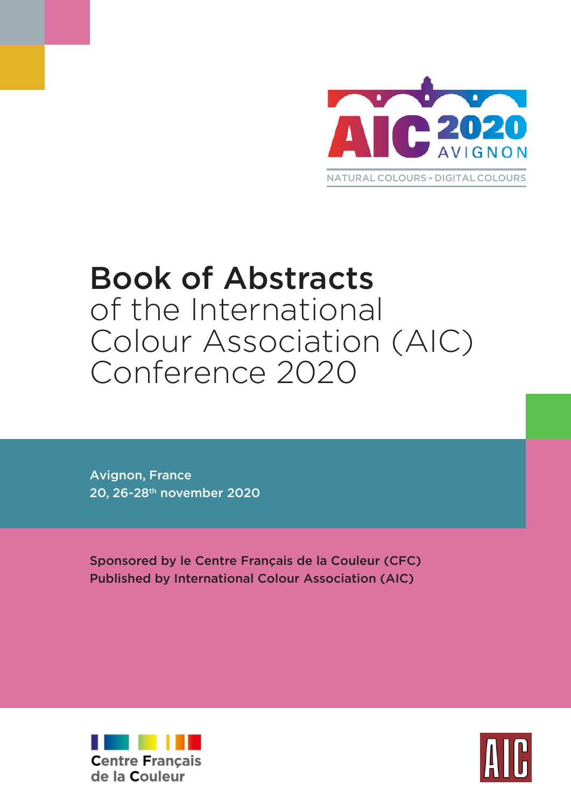

# Book of Abstracts of the International Colour Association (AIC) Conference 2020

Avignon, France 20, 26-28th november 2020

Sponsored by le Centre Français de la Couleur (CFC) Published by International Colour Association (AIC)



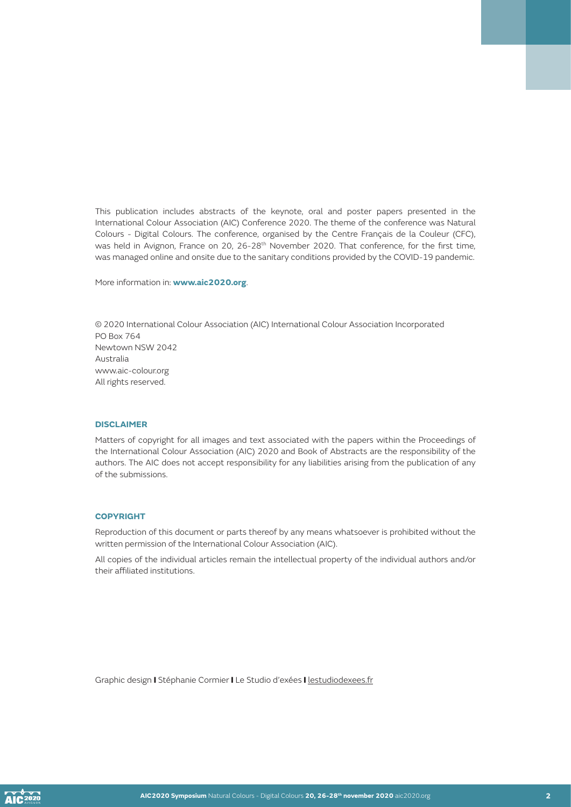This publication includes abstracts of the keynote, oral and poster papers presented in the International Colour Association (AIC) Conference 2020. The theme of the conference was Natural Colours - Digital Colours. The conference, organised by the Centre Français de la Couleur (CFC), was held in Avignon, France on 20, 26-28<sup>th</sup> November 2020. That conference, for the first time, was managed online and onsite due to the sanitary conditions provided by the COVID-19 pandemic.

More information in: **www.aic2020.org**.

© 2020 International Colour Association (AIC) International Colour Association Incorporated PO Box 764 Newtown NSW 2042 Australia www.aic-colour.org All rights reserved.

#### **DISCLAIMER**

Matters of copyright for all images and text associated with the papers within the Proceedings of the International Colour Association (AIC) 2020 and Book of Abstracts are the responsibility of the authors. The AIC does not accept responsibility for any liabilities arising from the publication of any of the submissions.

#### **COPYRIGHT**

Reproduction of this document or parts thereof by any means whatsoever is prohibited without the written permission of the International Colour Association (AIC).

All copies of the individual articles remain the intellectual property of the individual authors and/or their affiliated institutions.

Graphic design I Stéphanie Cormier I Le Studio d'exées I [lestudiodexees.fr](http://lestudiodexees.fr)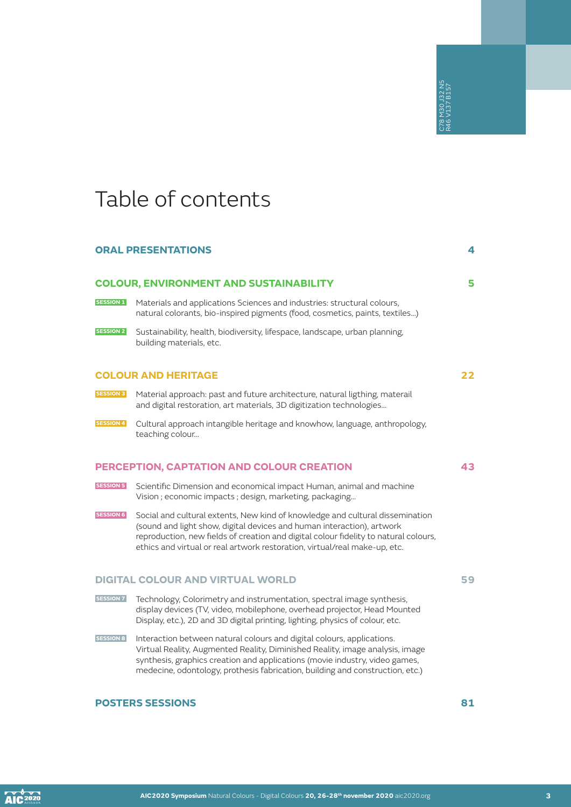## Table of contents

#### **ORAL PRESENTATIONS 4**

## **COLOUR, ENVIRONMENT AND SUSTAINABILITY 5**

- **SESSION 1** Materials and applications Sciences and industries: structural colours, natural colorants, bio-inspired pigments (food, cosmetics, paints, textiles…)
- **SESSION 2** Sustainability, health, biodiversity, lifespace, landscape, urban planning, building materials, etc.

#### **COLOUR AND HERITAGE 22**

- **SESSION 3** Material approach: past and future architecture, natural ligthing, materail and digital restoration, art materials, 3D digitization technologies…
- **SESSION 4** Cultural approach intangible heritage and knowhow, language, anthropology, teaching colour…

#### **PERCEPTION, CAPTATION AND COLOUR CREATION 43**

- **SESSION 5** Scientific Dimension and economical impact Human, animal and machine Vision ; economic impacts ; design, marketing, packaging…
- **SESSION 6** Social and cultural extents, New kind of knowledge and cultural dissemination (sound and light show, digital devices and human interaction), artwork reproduction, new fields of creation and digital colour fidelity to natural colours, ethics and virtual or real artwork restoration, virtual/real make-up, etc. **POSTERS SESSIONS**<br> **POSTERS SESSIONS**<br> **POSTERS SESSIONS**<br> **POSTERS SESSIONS**<br> **POSTERS SESSIONS**<br> **POSTERS SESSIONS**<br> **POSTERS SESSIONS**<br> **POSTERS SESSIONS**<br> **POSTERS SESSIONS**<br> **POSTERS SESSIONS**<br> **POSTERS SESSIONS**<br> **P**

#### **DIGITAL COLOUR AND VIRTUAL WORLD 59**

- **SESSION 7** Technology, Colorimetry and instrumentation, spectral image synthesis, display devices (TV, video, mobilephone, overhead projector, Head Mounted Display, etc.), 2D and 3D digital printing, lighting, physics of colour, etc.
- **SESSION 8** Interaction between natural colours and digital colours, applications. Virtual Reality, Augmented Reality, Diminished Reality, image analysis, image synthesis, graphics creation and applications (movie industry, video games, medecine, odontology, prothesis fabrication, building and construction, etc.)

**AIC**<sup>2020</sup>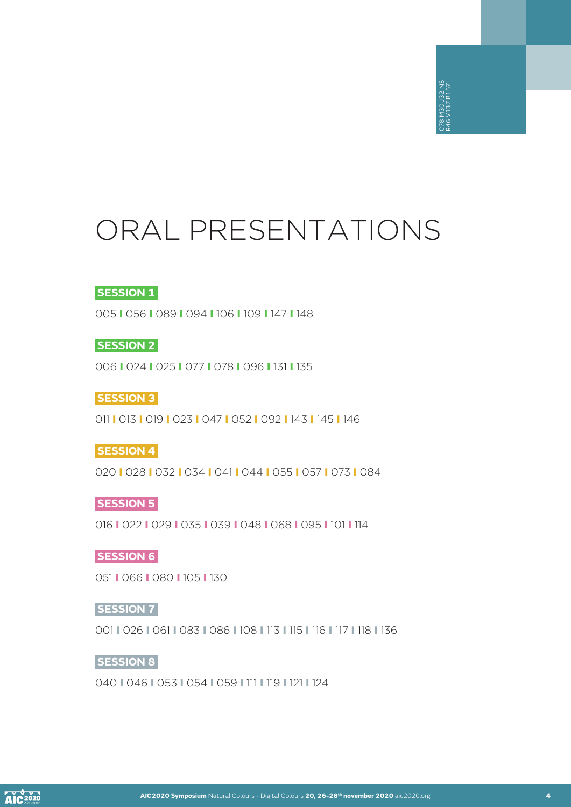# ORAL PRESENTATIONS

8 M30 J32 N5<br>6 V137 B157 C78 M30 J32 N5 R46 V137 B157

#### **SESSION 1**

005 I 056 I 089 I 094 I 106 I 109 I 147 I 148

**SESSION 2**

006 I 024 I 025 I 077 I 078 I 096 I 131 I 135

**SESSION 3**

011 I 013 I 019 I 023 I 047 I 052 I 092 I 143 I 145 I 146

#### **SESSION 4**

020 I 028 I 032 I 034 I 041 I 044 I 055 I 057 I 073 I 084

#### **SESSION 5**

016 I 022 I 029 I 035 I 039 I 048 I 068 I 095 I 101 I 114

#### **SESSION 6**

051 I 066 I 080 I 105 I 130

#### **SESSION 7**

001 I 026 I 061 I 083 I 086 I 108 I 113 I 115 I 116 I 117 I 118 I 136

#### **SESSION 8**

040 I 046 I 053 I 054 I 059 I 111 I 119 I 121 I 124

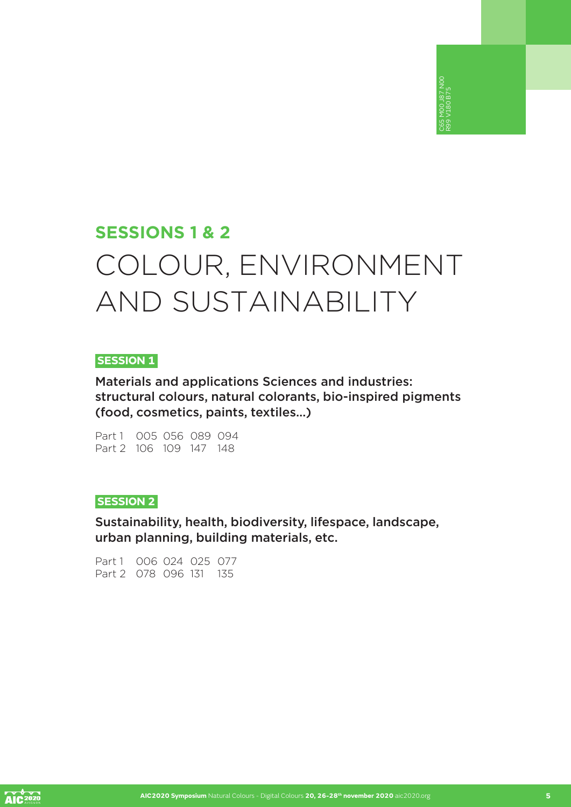## **SESSIONS 1 & 2** COLOUR, ENVIRONMENT AND SUSTAINABILITY

C65 M00 J87 N00 R99 V180 B75

#### **SESSION 1**

Materials and applications Sciences and industries: structural colours, natural colorants, bio-inspired pigments (food, cosmetics, paints, textiles…)

Part 1 005 056 089 094 Part 2 106 109 147 148

#### **SESSION 2**

Sustainability, health, biodiversity, lifespace, landscape, urban planning, building materials, etc.

Part 1 006 024 025 077 Part 2 078 096 131 135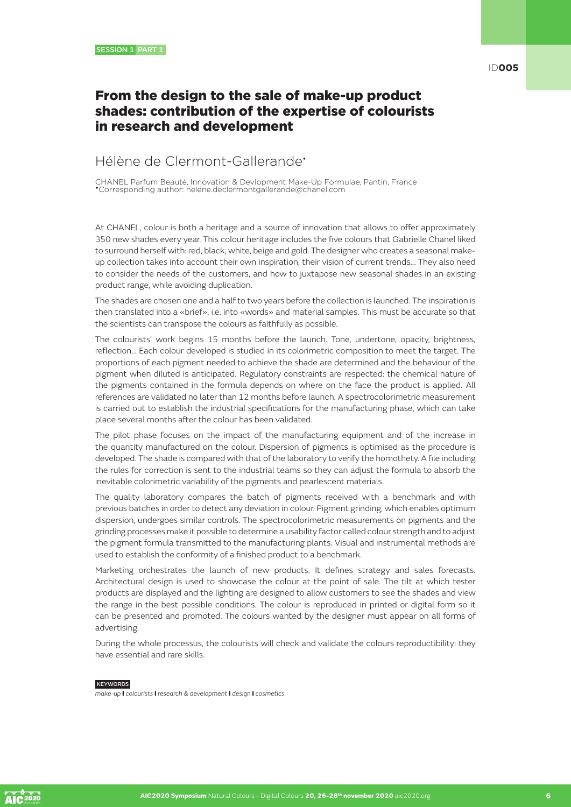## From the design to the sale of make-up product shades: contribution of the expertise of colourists in research and development

#### Hélène de Clermont-Gallerande•

CHANEL Parfum Beauté, Innovation & Devlopment Make-Up Formulae, Pantin, France •Corresponding author: helene.declermontgallerande@chanel.com

At CHANEL, colour is both a heritage and a source of innovation that allows to offer approximately 350 new shades every year. This colour heritage includes the five colours that Gabrielle Chanel liked to surround herself with: red, black, white, beige and gold. The designer who creates a seasonal makeup collection takes into account their own inspiration, their vision of current trends... They also need to consider the needs of the customers, and how to juxtapose new seasonal shades in an existing product range, while avoiding duplication.

The shades are chosen one and a half to two years before the collection is launched. The inspiration is then translated into a «brief», i.e. into «words» and material samples. This must be accurate so that the scientists can transpose the colours as faithfully as possible.

The colourists' work begins 15 months before the launch. Tone, undertone, opacity, brightness, reflection… Each colour developed is studied in its colorimetric composition to meet the target. The proportions of each pigment needed to achieve the shade are determined and the behaviour of the pigment when diluted is anticipated. Regulatory constraints are respected: the chemical nature of the pigments contained in the formula depends on where on the face the product is applied. All references are validated no later than 12 months before launch. A spectrocolorimetric measurement is carried out to establish the industrial specifications for the manufacturing phase, which can take place several months after the colour has been validated.

The pilot phase focuses on the impact of the manufacturing equipment and of the increase in the quantity manufactured on the colour. Dispersion of pigments is optimised as the procedure is developed. The shade is compared with that of the laboratory to verify the homothety. A file including the rules for correction is sent to the industrial teams so they can adjust the formula to absorb the inevitable colorimetric variability of the pigments and pearlescent materials.

The quality laboratory compares the batch of pigments received with a benchmark and with previous batches in order to detect any deviation in colour. Pigment grinding, which enables optimum dispersion, undergoes similar controls. The spectrocolorimetric measurements on pigments and the grinding processes make it possible to determine a usability factor called colour strength and to adjust the pigment formula transmitted to the manufacturing plants. Visual and instrumental methods are used to establish the conformity of a finished product to a benchmark.

Marketing orchestrates the launch of new products. It defines strategy and sales forecasts. Architectural design is used to showcase the colour at the point of sale. The tilt at which tester products are displayed and the lighting are designed to allow customers to see the shades and view the range in the best possible conditions. The colour is reproduced in printed or digital form so it can be presented and promoted. The colours wanted by the designer must appear on all forms of advertising.

During the whole processus, the colourists will check and validate the colours reproductibility: they have essential and rare skills.

#### KEYWORDS

*make-up* I *colourists* I *research & development* I *design* I *cosmetics*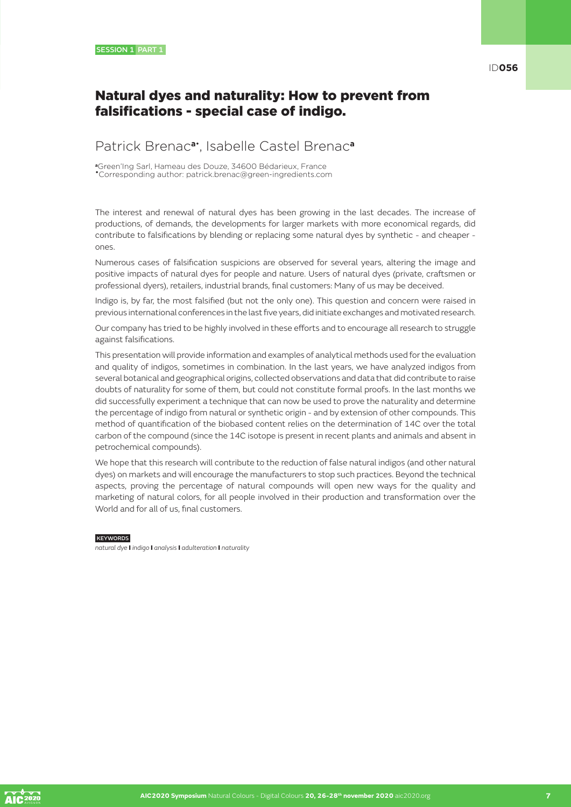### Natural dyes and naturality: How to prevent from falsifications - special case of indigo.

### Patrick Brenac**a**• , Isabelle Castel Brenac**<sup>a</sup>**

**<sup>a</sup>**Green'Ing Sarl, Hameau des Douze, 34600 Bédarieux, France •Corresponding author: patrick.brenac@green-ingredients.com

The interest and renewal of natural dyes has been growing in the last decades. The increase of productions, of demands, the developments for larger markets with more economical regards, did contribute to falsifications by blending or replacing some natural dyes by synthetic - and cheaper ones.

Numerous cases of falsification suspicions are observed for several years, altering the image and positive impacts of natural dyes for people and nature. Users of natural dyes (private, craftsmen or professional dyers), retailers, industrial brands, final customers: Many of us may be deceived.

Indigo is, by far, the most falsified (but not the only one). This question and concern were raised in previous international conferences in the last five years, did initiate exchanges and motivated research.

Our company has tried to be highly involved in these efforts and to encourage all research to struggle against falsifications.

This presentation will provide information and examples of analytical methods used for the evaluation and quality of indigos, sometimes in combination. In the last years, we have analyzed indigos from several botanical and geographical origins, collected observations and data that did contribute to raise doubts of naturality for some of them, but could not constitute formal proofs. In the last months we did successfully experiment a technique that can now be used to prove the naturality and determine the percentage of indigo from natural or synthetic origin - and by extension of other compounds. This method of quantification of the biobased content relies on the determination of 14C over the total carbon of the compound (since the 14C isotope is present in recent plants and animals and absent in petrochemical compounds).

We hope that this research will contribute to the reduction of false natural indigos (and other natural dyes) on markets and will encourage the manufacturers to stop such practices. Beyond the technical aspects, proving the percentage of natural compounds will open new ways for the quality and marketing of natural colors, for all people involved in their production and transformation over the World and for all of us, final customers.

**KEYWORDS** 

*natural dye* I *indigo* I *analysis* I *adulteration* I *naturality*

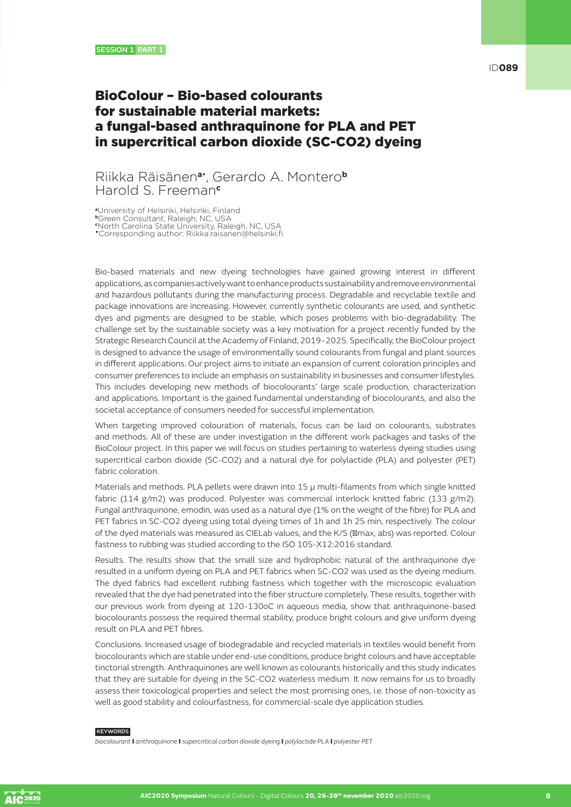## BioColour – Bio-based colourants for sustainable material markets: a fungal-based anthraquinone for PLA and PET in supercritical carbon dioxide (SC-CO2) dyeing

#### Riikka Räisänen**a**• , Gerardo A. Montero**<sup>b</sup>** Harold S. Freeman**<sup>c</sup>**

**<sup>a</sup>**University of Helsinki, Helsinki, Finland

**<sup>b</sup>**Green Consultant, Raleigh, NC, USA **c** North Carolina State University, Raleigh, NC, USA

•Corresponding author: Riikka.raisanen@helsinki.fi

Bio-based materials and new dyeing technologies have gained growing interest in different applications, as companies actively want to enhance products sustainability and remove environmental and hazardous pollutants during the manufacturing process. Degradable and recyclable textile and package innovations are increasing. However, currently synthetic colourants are used, and synthetic dyes and pigments are designed to be stable, which poses problems with bio-degradability. The challenge set by the sustainable society was a key motivation for a project recently funded by the Strategic Research Council at the Academy of Finland, 2019−2025. Specifically, the BioColour project is designed to advance the usage of environmentally sound colourants from fungal and plant sources in different applications. Our project aims to initiate an expansion of current coloration principles and consumer preferences to include an emphasis on sustainability in businesses and consumer lifestyles. This includes developing new methods of biocolourants' large scale production, characterization and applications. Important is the gained fundamental understanding of biocolourants, and also the societal acceptance of consumers needed for successful implementation.

When targeting improved colouration of materials, focus can be laid on colourants, substrates and methods. All of these are under investigation in the different work packages and tasks of the BioColour project. In this paper we will focus on studies pertaining to waterless dyeing studies using supercritical carbon dioxide (SC-CO2) and a natural dye for polylactide (PLA) and polyester (PET) fabric coloration.

Materials and methods. PLA pellets were drawn into 15 μ multi-filaments from which single knitted fabric (114 g/m2) was produced. Polyester was commercial interlock knitted fabric (133 g/m2). Fungal anthraquinone, emodin, was used as a natural dye (1% on the weight of the fibre) for PLA and PET fabrics in SC-CO2 dyeing using total dyeing times of 1h and 1h 25 min, respectively. The colour of the dyed materials was measured as CIELab values, and the K/S ( max, abs) was reported. Colour fastness to rubbing was studied according to the ISO 105-X12:2016 standard.

Results. The results show that the small size and hydrophobic natural of the anthraquinone dye resulted in a uniform dyeing on PLA and PET fabrics when SC-CO2 was used as the dyeing medium. The dyed fabrics had excellent rubbing fastness which together with the microscopic evaluation revealed that the dye had penetrated into the fiber structure completely. These results, together with our previous work from dyeing at 120-130oC in aqueous media, show that anthraquinone-based biocolourants possess the required thermal stability, produce bright colours and give uniform dyeing result on PLA and PET fibres.

Conclusions. Increased usage of biodegradable and recycled materials in textiles would benefit from biocolourants which are stable under end-use conditions, produce bright colours and have acceptable tinctorial strength. Anthraquinones are well known as colourants historically and this study indicates that they are suitable for dyeing in the SC-CO2 waterless medium. It now remains for us to broadly assess their toxicological properties and select the most promising ones, i.e. those of non-toxicity as well as good stability and colourfastness, for commercial-scale dye application studies.

#### **KEYWORDS**

*biocolourant* I *anthraquinone* I *supercritical carbon dioxide dyeing* I *polylactide PLA* I *polyester PET*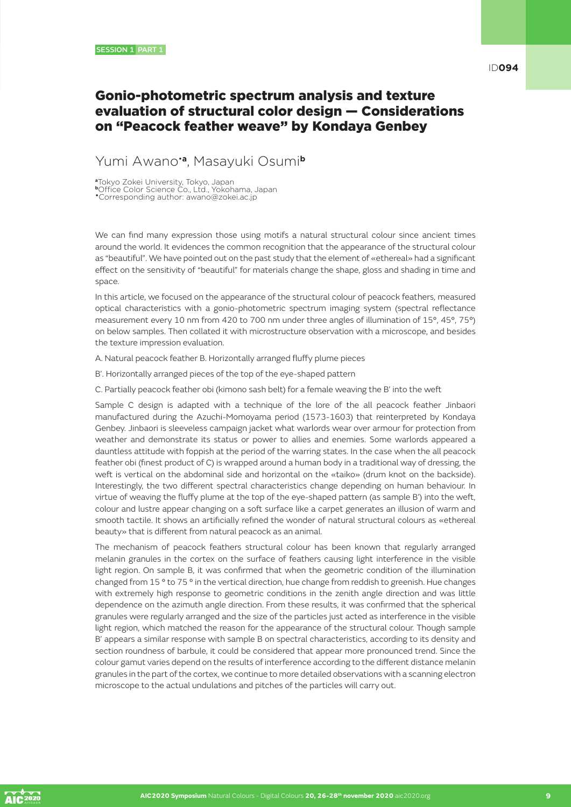### Gonio-photometric spectrum analysis and texture evaluation of structural color design — Considerations on "Peacock feather weave" by Kondaya Genbey

#### Yumi Awano•**a**, Masayuki Osumi**<sup>b</sup>**

**<sup>a</sup>**Tokyo Zokei University, Tokyo, Japan **<sup>b</sup>**Office Color Science Co., Ltd., Yokohama, Japan •Corresponding author: awano@zokei.ac.jp

We can find many expression those using motifs a natural structural colour since ancient times around the world. It evidences the common recognition that the appearance of the structural colour as "beautiful". We have pointed out on the past study that the element of «ethereal» had a significant effect on the sensitivity of "beautiful" for materials change the shape, gloss and shading in time and space.

In this article, we focused on the appearance of the structural colour of peacock feathers, measured optical characteristics with a gonio-photometric spectrum imaging system (spectral reflectance measurement every 10 nm from 420 to 700 nm under three angles of illumination of 15°, 45°, 75°) on below samples. Then collated it with microstructure observation with a microscope, and besides the texture impression evaluation.

A. Natural peacock feather B. Horizontally arranged fluffy plume pieces

- B'. Horizontally arranged pieces of the top of the eye-shaped pattern
- C. Partially peacock feather obi (kimono sash belt) for a female weaving the B' into the weft

Sample C design is adapted with a technique of the lore of the all peacock feather Jinbaori manufactured during the Azuchi-Momoyama period (1573-1603) that reinterpreted by Kondaya Genbey. Jinbaori is sleeveless campaign jacket what warlords wear over armour for protection from weather and demonstrate its status or power to allies and enemies. Some warlords appeared a dauntless attitude with foppish at the period of the warring states. In the case when the all peacock feather obi (finest product of C) is wrapped around a human body in a traditional way of dressing, the weft is vertical on the abdominal side and horizontal on the «taiko» (drum knot on the backside). Interestingly, the two different spectral characteristics change depending on human behaviour. In virtue of weaving the fluffy plume at the top of the eye-shaped pattern (as sample B') into the weft, colour and lustre appear changing on a soft surface like a carpet generates an illusion of warm and smooth tactile. It shows an artificially refined the wonder of natural structural colours as «ethereal beauty» that is different from natural peacock as an animal.

The mechanism of peacock feathers structural colour has been known that regularly arranged melanin granules in the cortex on the surface of feathers causing light interference in the visible light region. On sample B, it was confirmed that when the geometric condition of the illumination changed from 15 ° to 75 ° in the vertical direction, hue change from reddish to greenish. Hue changes with extremely high response to geometric conditions in the zenith angle direction and was little dependence on the azimuth angle direction. From these results, it was confirmed that the spherical granules were regularly arranged and the size of the particles just acted as interference in the visible light region, which matched the reason for the appearance of the structural colour. Though sample B' appears a similar response with sample B on spectral characteristics, according to its density and section roundness of barbule, it could be considered that appear more pronounced trend. Since the colour gamut varies depend on the results of interference according to the different distance melanin granules in the part of the cortex, we continue to more detailed observations with a scanning electron microscope to the actual undulations and pitches of the particles will carry out.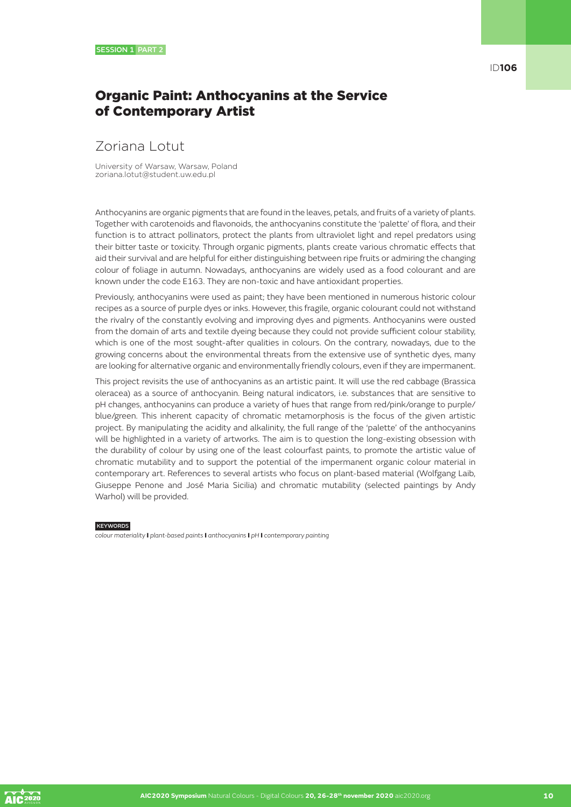## Organic Paint: Anthocyanins at the Service of Contemporary Artist

## Zoriana Lotut

University of Warsaw, Warsaw, Poland zoriana.lotut@student.uw.edu.pl

Anthocyanins are organic pigments that are found in the leaves, petals, and fruits of a variety of plants. Together with carotenoids and flavonoids, the anthocyanins constitute the 'palette' of flora, and their function is to attract pollinators, protect the plants from ultraviolet light and repel predators using their bitter taste or toxicity. Through organic pigments, plants create various chromatic effects that aid their survival and are helpful for either distinguishing between ripe fruits or admiring the changing colour of foliage in autumn. Nowadays, anthocyanins are widely used as a food colourant and are known under the code E163. They are non-toxic and have antioxidant properties.

Previously, anthocyanins were used as paint; they have been mentioned in numerous historic colour recipes as a source of purple dyes or inks. However, this fragile, organic colourant could not withstand the rivalry of the constantly evolving and improving dyes and pigments. Anthocyanins were ousted from the domain of arts and textile dyeing because they could not provide sufficient colour stability, which is one of the most sought-after qualities in colours. On the contrary, nowadays, due to the growing concerns about the environmental threats from the extensive use of synthetic dyes, many are looking for alternative organic and environmentally friendly colours, even if they are impermanent.

This project revisits the use of anthocyanins as an artistic paint. It will use the red cabbage (Brassica oleracea) as a source of anthocyanin. Being natural indicators, i.e. substances that are sensitive to pH changes, anthocyanins can produce a variety of hues that range from red/pink/orange to purple/ blue/green. This inherent capacity of chromatic metamorphosis is the focus of the given artistic project. By manipulating the acidity and alkalinity, the full range of the 'palette' of the anthocyanins will be highlighted in a variety of artworks. The aim is to question the long-existing obsession with the durability of colour by using one of the least colourfast paints, to promote the artistic value of chromatic mutability and to support the potential of the impermanent organic colour material in contemporary art. References to several artists who focus on plant-based material (Wolfgang Laib, Giuseppe Penone and José Maria Sicilia) and chromatic mutability (selected paintings by Andy Warhol) will be provided.

#### **KEYWORDS**

*colour materiality* I *plant-based paints* I *anthocyanins* I *pH* I *contemporary painting* 

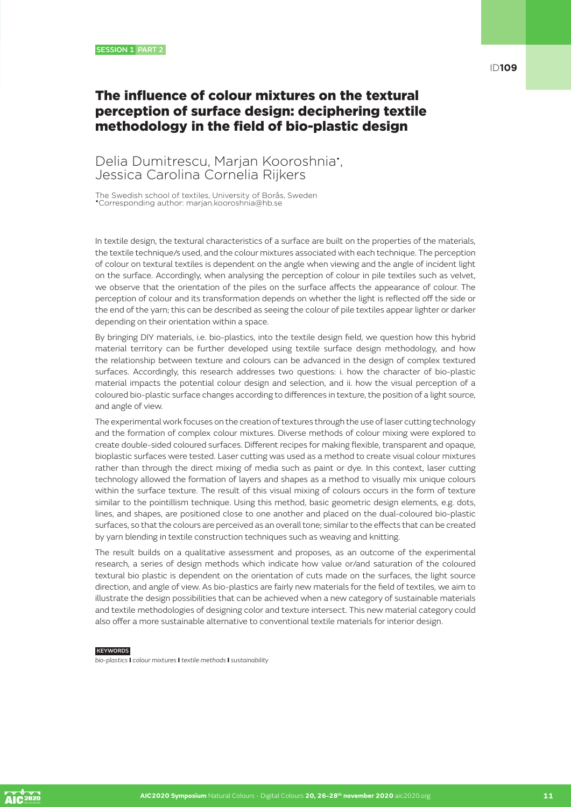## The influence of colour mixtures on the textural perception of surface design: deciphering textile methodology in the field of bio-plastic design

#### Delia Dumitrescu, Marjan Kooroshnia<sup>•</sup>, Jessica Carolina Cornelia Rijkers

The Swedish school of textiles, University of Borås, Sweden •Corresponding author: marjan.kooroshnia@hb.se

In textile design, the textural characteristics of a surface are built on the properties of the materials, the textile technique/s used, and the colour mixtures associated with each technique. The perception of colour on textural textiles is dependent on the angle when viewing and the angle of incident light on the surface. Accordingly, when analysing the perception of colour in pile textiles such as velvet, we observe that the orientation of the piles on the surface affects the appearance of colour. The perception of colour and its transformation depends on whether the light is reflected off the side or the end of the yarn; this can be described as seeing the colour of pile textiles appear lighter or darker depending on their orientation within a space.

By bringing DIY materials, i.e. bio-plastics, into the textile design field, we question how this hybrid material territory can be further developed using textile surface design methodology, and how the relationship between texture and colours can be advanced in the design of complex textured surfaces. Accordingly, this research addresses two questions: i. how the character of bio-plastic material impacts the potential colour design and selection, and ii. how the visual perception of a coloured bio-plastic surface changes according to differences in texture, the position of a light source, and angle of view.

The experimental work focuses on the creation of textures through the use of laser cutting technology and the formation of complex colour mixtures. Diverse methods of colour mixing were explored to create double-sided coloured surfaces. Different recipes for making flexible, transparent and opaque, bioplastic surfaces were tested. Laser cutting was used as a method to create visual colour mixtures rather than through the direct mixing of media such as paint or dye. In this context, laser cutting technology allowed the formation of layers and shapes as a method to visually mix unique colours within the surface texture. The result of this visual mixing of colours occurs in the form of texture similar to the pointillism technique. Using this method, basic geometric design elements, e.g. dots, lines, and shapes, are positioned close to one another and placed on the dual-coloured bio-plastic surfaces, so that the colours are perceived as an overall tone; similar to the effects that can be created by yarn blending in textile construction techniques such as weaving and knitting.

The result builds on a qualitative assessment and proposes, as an outcome of the experimental research, a series of design methods which indicate how value or/and saturation of the coloured textural bio plastic is dependent on the orientation of cuts made on the surfaces, the light source direction, and angle of view. As bio-plastics are fairly new materials for the field of textiles, we aim to illustrate the design possibilities that can be achieved when a new category of sustainable materials and textile methodologies of designing color and texture intersect. This new material category could also offer a more sustainable alternative to conventional textile materials for interior design.

#### **KEYWORDS**

*bio-plastics* I *colour mixtures* I *textile methods* I *sustainability*

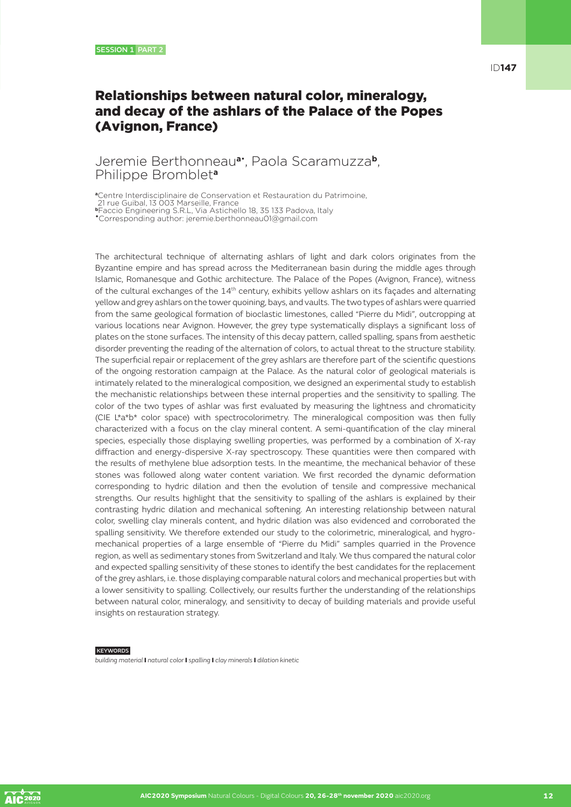## Relationships between natural color, mineralogy, and decay of the ashlars of the Palace of the Popes (Avignon, France)

#### Jeremie Berthonneau**a**• , Paola Scaramuzza**b**, Philippe Bromblet**<sup>a</sup>**

**<sup>a</sup>**Centre Interdisciplinaire de Conservation et Restauration du Patrimoine,

21 rue Guibal, 13 003 Marseille, France

**<sup>b</sup>**Faccio Engineering S.R.L, Via Astichello 18, 35 133 Padova, Italy •Corresponding author: jeremie.berthonneau01@gmail.com

The architectural technique of alternating ashlars of light and dark colors originates from the Byzantine empire and has spread across the Mediterranean basin during the middle ages through Islamic, Romanesque and Gothic architecture. The Palace of the Popes (Avignon, France), witness of the cultural exchanges of the 14<sup>th</sup> century, exhibits yellow ashlars on its façades and alternating yellow and grey ashlars on the tower quoining, bays, and vaults. The two types of ashlars were quarried from the same geological formation of bioclastic limestones, called "Pierre du Midi", outcropping at various locations near Avignon. However, the grey type systematically displays a significant loss of plates on the stone surfaces. The intensity of this decay pattern, called spalling, spans from aesthetic disorder preventing the reading of the alternation of colors, to actual threat to the structure stability. The superficial repair or replacement of the grey ashlars are therefore part of the scientific questions of the ongoing restoration campaign at the Palace. As the natural color of geological materials is intimately related to the mineralogical composition, we designed an experimental study to establish the mechanistic relationships between these internal properties and the sensitivity to spalling. The color of the two types of ashlar was first evaluated by measuring the lightness and chromaticity (CIE L\*a\*b\* color space) with spectrocolorimetry. The mineralogical composition was then fully characterized with a focus on the clay mineral content. A semi-quantification of the clay mineral species, especially those displaying swelling properties, was performed by a combination of X-ray diffraction and energy-dispersive X-ray spectroscopy. These quantities were then compared with the results of methylene blue adsorption tests. In the meantime, the mechanical behavior of these stones was followed along water content variation. We first recorded the dynamic deformation corresponding to hydric dilation and then the evolution of tensile and compressive mechanical strengths. Our results highlight that the sensitivity to spalling of the ashlars is explained by their contrasting hydric dilation and mechanical softening. An interesting relationship between natural color, swelling clay minerals content, and hydric dilation was also evidenced and corroborated the spalling sensitivity. We therefore extended our study to the colorimetric, mineralogical, and hygromechanical properties of a large ensemble of "Pierre du Midi" samples quarried in the Provence region, as well as sedimentary stones from Switzerland and Italy. We thus compared the natural color and expected spalling sensitivity of these stones to identify the best candidates for the replacement of the grey ashlars, i.e. those displaying comparable natural colors and mechanical properties but with a lower sensitivity to spalling. Collectively, our results further the understanding of the relationships between natural color, mineralogy, and sensitivity to decay of building materials and provide useful insights on restauration strategy.

#### **KEYWORDS**

*building material* I *natural color* I *spalling* I *clay minerals* I *dilation kinetic*

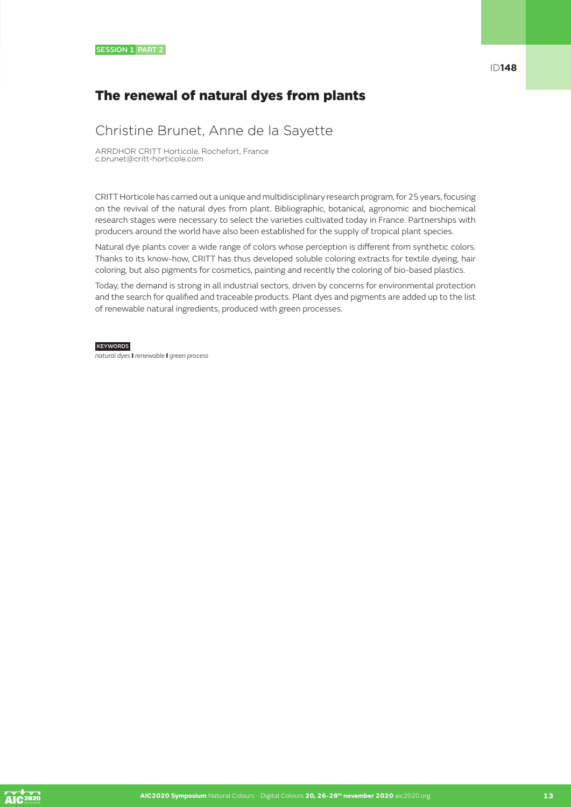## The renewal of natural dyes from plants

### Christine Brunet, Anne de la Sayette

ARRDHOR CRITT Horticole, Rochefort, France c.brunet@critt-horticole.com

CRITT Horticole has carried out a unique and multidisciplinary research program, for 25 years, focusing on the revival of the natural dyes from plant. Bibliographic, botanical, agronomic and biochemical research stages were necessary to select the varieties cultivated today in France. Partnerships with producers around the world have also been established for the supply of tropical plant species.

Natural dye plants cover a wide range of colors whose perception is different from synthetic colors. Thanks to its know-how, CRITT has thus developed soluble coloring extracts for textile dyeing, hair coloring, but also pigments for cosmetics, painting and recently the coloring of bio-based plastics.

Today, the demand is strong in all industrial sectors, driven by concerns for environmental protection and the search for qualified and traceable products. Plant dyes and pigments are added up to the list of renewable natural ingredients, produced with green processes.

#### **KEYWORDS**

*natural dyes* I *renewable* I *green process*

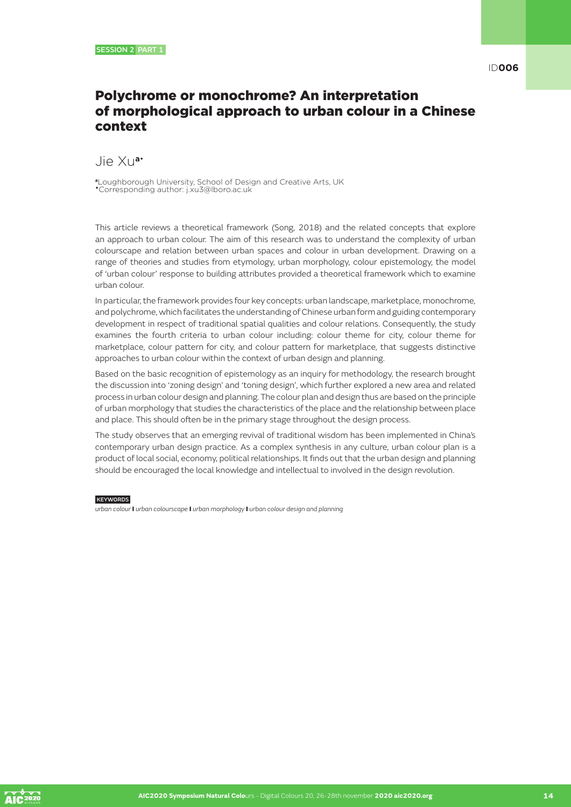### Polychrome or monochrome? An interpretation of morphological approach to urban colour in a Chinese context

Jie Xu**a**•

**<sup>a</sup>**Loughborough University, School of Design and Creative Arts, UK •Corresponding author: j.xu3@lboro.ac.uk

This article reviews a theoretical framework (Song, 2018) and the related concepts that explore an approach to urban colour. The aim of this research was to understand the complexity of urban colourscape and relation between urban spaces and colour in urban development. Drawing on a range of theories and studies from etymology, urban morphology, colour epistemology, the model of 'urban colour' response to building attributes provided a theoretical framework which to examine urban colour.

In particular, the framework provides four key concepts: urban landscape, marketplace, monochrome, and polychrome, which facilitates the understanding of Chinese urban form and guiding contemporary development in respect of traditional spatial qualities and colour relations. Consequently, the study examines the fourth criteria to urban colour including: colour theme for city, colour theme for marketplace, colour pattern for city, and colour pattern for marketplace, that suggests distinctive approaches to urban colour within the context of urban design and planning.

Based on the basic recognition of epistemology as an inquiry for methodology, the research brought the discussion into 'zoning design' and 'toning design', which further explored a new area and related process in urban colour design and planning. The colour plan and design thus are based on the principle of urban morphology that studies the characteristics of the place and the relationship between place and place. This should often be in the primary stage throughout the design process.

The study observes that an emerging revival of traditional wisdom has been implemented in China's contemporary urban design practice. As a complex synthesis in any culture, urban colour plan is a product of local social, economy, political relationships. It finds out that the urban design and planning should be encouraged the local knowledge and intellectual to involved in the design revolution.

**KEYWORDS** 

*urban colour* I *urban colourscape* I *urban morphology* I *urban colour design and planning*

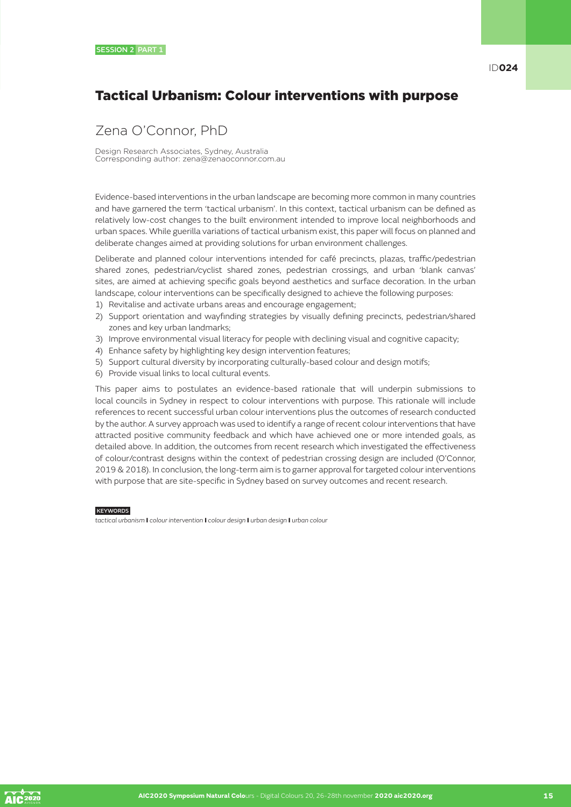## Tactical Urbanism: Colour interventions with purpose

## Zena O'Connor, PhD

Design Research Associates, Sydney, Australia Corresponding author: zena@zenaoconnor.com.au

Evidence-based interventions in the urban landscape are becoming more common in many countries and have garnered the term 'tactical urbanism'. In this context, tactical urbanism can be defined as relatively low-cost changes to the built environment intended to improve local neighborhoods and urban spaces. While guerilla variations of tactical urbanism exist, this paper will focus on planned and deliberate changes aimed at providing solutions for urban environment challenges.

Deliberate and planned colour interventions intended for café precincts, plazas, traffic/pedestrian shared zones, pedestrian/cyclist shared zones, pedestrian crossings, and urban 'blank canvas' sites, are aimed at achieving specific goals beyond aesthetics and surface decoration. In the urban landscape, colour interventions can be specifically designed to achieve the following purposes:

- 1) Revitalise and activate urbans areas and encourage engagement;
- 2) Support orientation and wayfinding strategies by visually defining precincts, pedestrian/shared zones and key urban landmarks;
- 3) Improve environmental visual literacy for people with declining visual and cognitive capacity;
- 4) Enhance safety by highlighting key design intervention features;
- 5) Support cultural diversity by incorporating culturally-based colour and design motifs;
- 6) Provide visual links to local cultural events.

This paper aims to postulates an evidence-based rationale that will underpin submissions to local councils in Sydney in respect to colour interventions with purpose. This rationale will include references to recent successful urban colour interventions plus the outcomes of research conducted by the author. A survey approach was used to identify a range of recent colour interventions that have attracted positive community feedback and which have achieved one or more intended goals, as detailed above. In addition, the outcomes from recent research which investigated the effectiveness of colour/contrast designs within the context of pedestrian crossing design are included (O'Connor, 2019 & 2018). In conclusion, the long-term aim is to garner approval for targeted colour interventions with purpose that are site-specific in Sydney based on survey outcomes and recent research.

#### **KEYWORDS**

*tactical urbanism* I *colour intervention* I *colour design* I *urban design* I *urban colour*

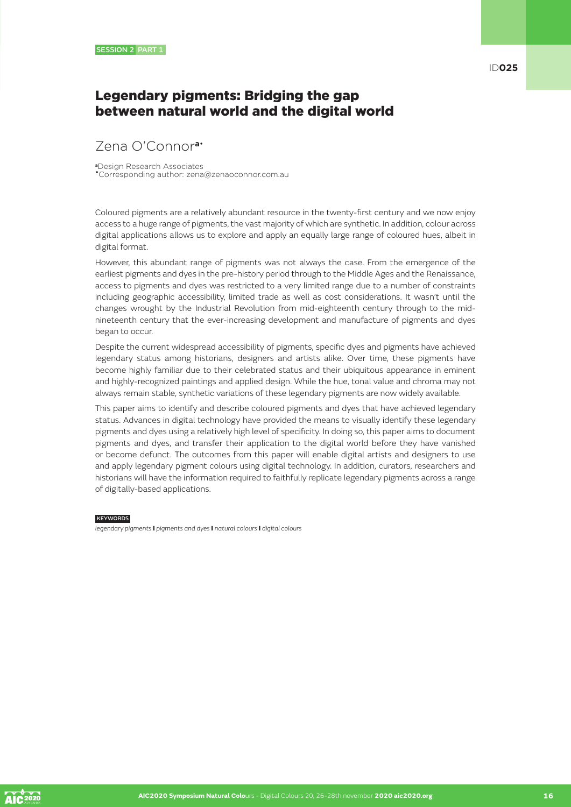### Legendary pigments: Bridging the gap between natural world and the digital world

## Zena O'Connor**a**•

**<sup>a</sup>**Design Research Associates •Corresponding author: zena@zenaoconnor.com.au

Coloured pigments are a relatively abundant resource in the twenty-first century and we now enjoy access to a huge range of pigments, the vast majority of which are synthetic. In addition, colour across digital applications allows us to explore and apply an equally large range of coloured hues, albeit in digital format.

However, this abundant range of pigments was not always the case. From the emergence of the earliest pigments and dyes in the pre-history period through to the Middle Ages and the Renaissance, access to pigments and dyes was restricted to a very limited range due to a number of constraints including geographic accessibility, limited trade as well as cost considerations. It wasn't until the changes wrought by the Industrial Revolution from mid-eighteenth century through to the midnineteenth century that the ever-increasing development and manufacture of pigments and dyes began to occur.

Despite the current widespread accessibility of pigments, specific dyes and pigments have achieved legendary status among historians, designers and artists alike. Over time, these pigments have become highly familiar due to their celebrated status and their ubiquitous appearance in eminent and highly-recognized paintings and applied design. While the hue, tonal value and chroma may not always remain stable, synthetic variations of these legendary pigments are now widely available.

This paper aims to identify and describe coloured pigments and dyes that have achieved legendary status. Advances in digital technology have provided the means to visually identify these legendary pigments and dyes using a relatively high level of specificity. In doing so, this paper aims to document pigments and dyes, and transfer their application to the digital world before they have vanished or become defunct. The outcomes from this paper will enable digital artists and designers to use and apply legendary pigment colours using digital technology. In addition, curators, researchers and historians will have the information required to faithfully replicate legendary pigments across a range of digitally-based applications.

#### **KEYWORDS**

*legendary pigments* I *pigments and dyes* I *natural colours* I *digital colours*

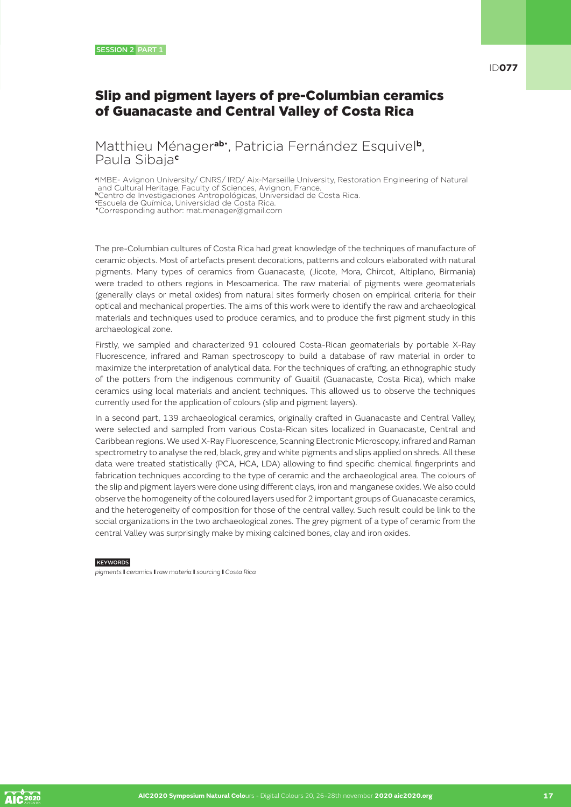### Slip and pigment layers of pre-Columbian ceramics of Guanacaste and Central Valley of Costa Rica

Matthieu Ménager**ab**• , Patricia Fernández Esquivel**b**, Paula Sibaja**<sup>c</sup>**

**<sup>a</sup>**IMBE- Avignon University/ CNRS/ IRD/ Aix-Marseille University, Restoration Engineering of Natural and Cultural Heritage, Faculty of Sciences, Avignon, France.

**<sup>b</sup>**Centro de Investigaciones Antropológicas, Universidad de Costa Rica. **c** Escuela de Química, Universidad de Costa Rica.

•Corresponding author: mat.menager@gmail.com

The pre-Columbian cultures of Costa Rica had great knowledge of the techniques of manufacture of ceramic objects. Most of artefacts present decorations, patterns and colours elaborated with natural pigments. Many types of ceramics from Guanacaste, (Jicote, Mora, Chircot, Altiplano, Birmania) were traded to others regions in Mesoamerica. The raw material of pigments were geomaterials (generally clays or metal oxides) from natural sites formerly chosen on empirical criteria for their optical and mechanical properties. The aims of this work were to identify the raw and archaeological materials and techniques used to produce ceramics, and to produce the first pigment study in this archaeological zone.

Firstly, we sampled and characterized 91 coloured Costa-Rican geomaterials by portable X-Ray Fluorescence, infrared and Raman spectroscopy to build a database of raw material in order to maximize the interpretation of analytical data. For the techniques of crafting, an ethnographic study of the potters from the indigenous community of Guaitil (Guanacaste, Costa Rica), which make ceramics using local materials and ancient techniques. This allowed us to observe the techniques currently used for the application of colours (slip and pigment layers).

In a second part, 139 archaeological ceramics, originally crafted in Guanacaste and Central Valley, were selected and sampled from various Costa-Rican sites localized in Guanacaste, Central and Caribbean regions. We used X-Ray Fluorescence, Scanning Electronic Microscopy, infrared and Raman spectrometry to analyse the red, black, grey and white pigments and slips applied on shreds. All these data were treated statistically (PCA, HCA, LDA) allowing to find specific chemical fingerprints and fabrication techniques according to the type of ceramic and the archaeological area. The colours of the slip and pigment layers were done using different clays, iron and manganese oxides. We also could observe the homogeneity of the coloured layers used for 2 important groups of Guanacaste ceramics, and the heterogeneity of composition for those of the central valley. Such result could be link to the social organizations in the two archaeological zones. The grey pigment of a type of ceramic from the central Valley was surprisingly make by mixing calcined bones, clay and iron oxides.

#### **KEYWORDS**

*pigments* I *ceramics* I *raw materia* I *sourcing* I *Costa Rica*

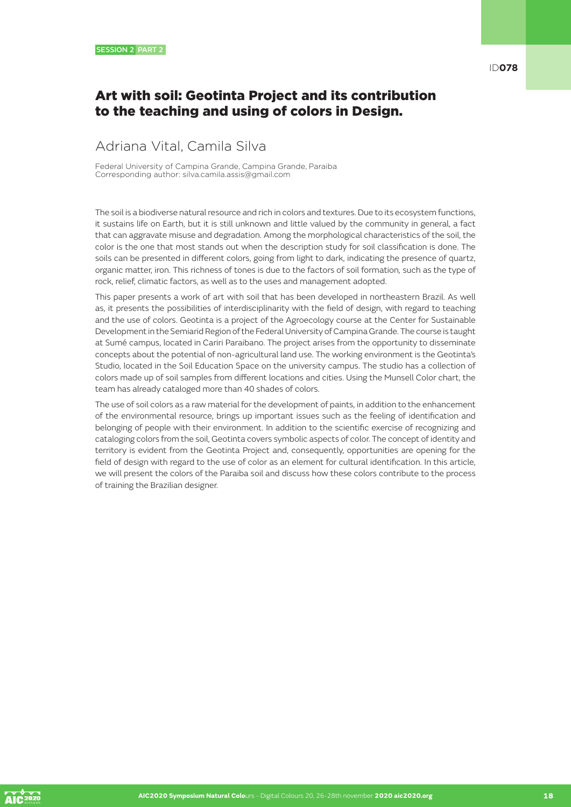#### Art with soil: Geotinta Project and its contribution to the teaching and using of colors in Design.

## Adriana Vital, Camila Silva

Federal University of Campina Grande, Campina Grande, Paraiba Corresponding author: silva.camila.assis@gmail.com

The soil is a biodiverse natural resource and rich in colors and textures. Due to its ecosystem functions, it sustains life on Earth, but it is still unknown and little valued by the community in general, a fact that can aggravate misuse and degradation. Among the morphological characteristics of the soil, the color is the one that most stands out when the description study for soil classification is done. The soils can be presented in different colors, going from light to dark, indicating the presence of quartz, organic matter, iron. This richness of tones is due to the factors of soil formation, such as the type of rock, relief, climatic factors, as well as to the uses and management adopted.

This paper presents a work of art with soil that has been developed in northeastern Brazil. As well as, it presents the possibilities of interdisciplinarity with the field of design, with regard to teaching and the use of colors. Geotinta is a project of the Agroecology course at the Center for Sustainable Development in the Semiarid Region of the Federal University of Campina Grande. The course is taught at Sumé campus, located in Cariri Paraibano. The project arises from the opportunity to disseminate concepts about the potential of non-agricultural land use. The working environment is the Geotinta's Studio, located in the Soil Education Space on the university campus. The studio has a collection of colors made up of soil samples from different locations and cities. Using the Munsell Color chart, the team has already cataloged more than 40 shades of colors.

The use of soil colors as a raw material for the development of paints, in addition to the enhancement of the environmental resource, brings up important issues such as the feeling of identification and belonging of people with their environment. In addition to the scientific exercise of recognizing and cataloging colors from the soil, Geotinta covers symbolic aspects of color. The concept of identity and territory is evident from the Geotinta Project and, consequently, opportunities are opening for the field of design with regard to the use of color as an element for cultural identification. In this article, we will present the colors of the Paraiba soil and discuss how these colors contribute to the process of training the Brazilian designer.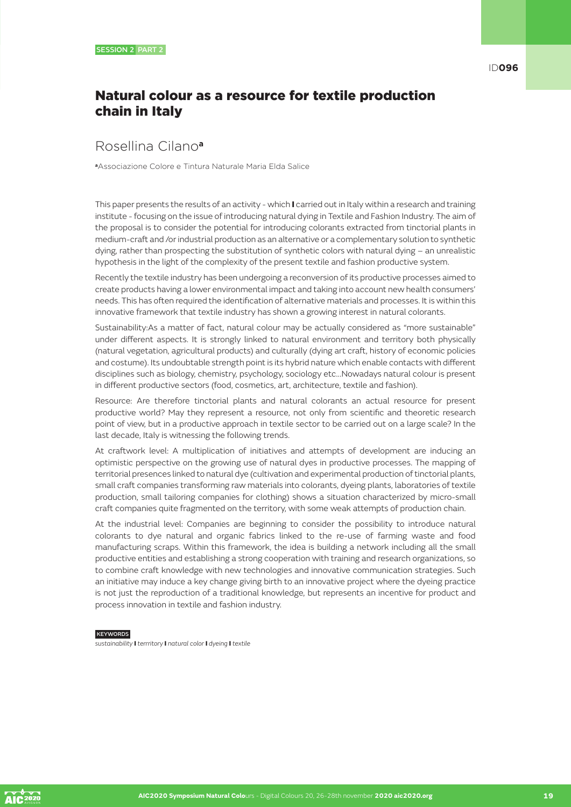## Natural colour as a resource for textile production chain in Italy

### Rosellina Cilano**<sup>a</sup>**

**<sup>a</sup>**Associazione Colore e Tintura Naturale Maria Elda Salice

This paper presents the results of an activity - which I carried out in Italy within a research and training institute - focusing on the issue of introducing natural dying in Textile and Fashion Industry. The aim of the proposal is to consider the potential for introducing colorants extracted from tinctorial plants in medium-craft and /or industrial production as an alternative or a complementary solution to synthetic dying, rather than prospecting the substitution of synthetic colors with natural dying – an unrealistic hypothesis in the light of the complexity of the present textile and fashion productive system.

Recently the textile industry has been undergoing a reconversion of its productive processes aimed to create products having a lower environmental impact and taking into account new health consumers' needs. This has often required the identification of alternative materials and processes. It is within this innovative framework that textile industry has shown a growing interest in natural colorants.

Sustainability:As a matter of fact, natural colour may be actually considered as "more sustainable" under different aspects. It is strongly linked to natural environment and territory both physically (natural vegetation, agricultural products) and culturally (dying art craft, history of economic policies and costume). Its undoubtable strength point is its hybrid nature which enable contacts with different disciplines such as biology, chemistry, psychology, sociology etc...Nowadays natural colour is present in different productive sectors (food, cosmetics, art, architecture, textile and fashion).

Resource: Are therefore tinctorial plants and natural colorants an actual resource for present productive world? May they represent a resource, not only from scientific and theoretic research point of view, but in a productive approach in textile sector to be carried out on a large scale? In the last decade, Italy is witnessing the following trends.

At craftwork level: A multiplication of initiatives and attempts of development are inducing an optimistic perspective on the growing use of natural dyes in productive processes. The mapping of territorial presences linked to natural dye (cultivation and experimental production of tinctorial plants, small craft companies transforming raw materials into colorants, dyeing plants, laboratories of textile production, small tailoring companies for clothing) shows a situation characterized by micro-small craft companies quite fragmented on the territory, with some weak attempts of production chain.

At the industrial level: Companies are beginning to consider the possibility to introduce natural colorants to dye natural and organic fabrics linked to the re-use of farming waste and food manufacturing scraps. Within this framework, the idea is building a network including all the small productive entities and establishing a strong cooperation with training and research organizations, so to combine craft knowledge with new technologies and innovative communication strategies. Such an initiative may induce a key change giving birth to an innovative project where the dyeing practice is not just the reproduction of a traditional knowledge, but represents an incentive for product and process innovation in textile and fashion industry.

**KEYWORDS** 

*sustainability* I *terrritory* I *natural color* I *dyeing* I *textile*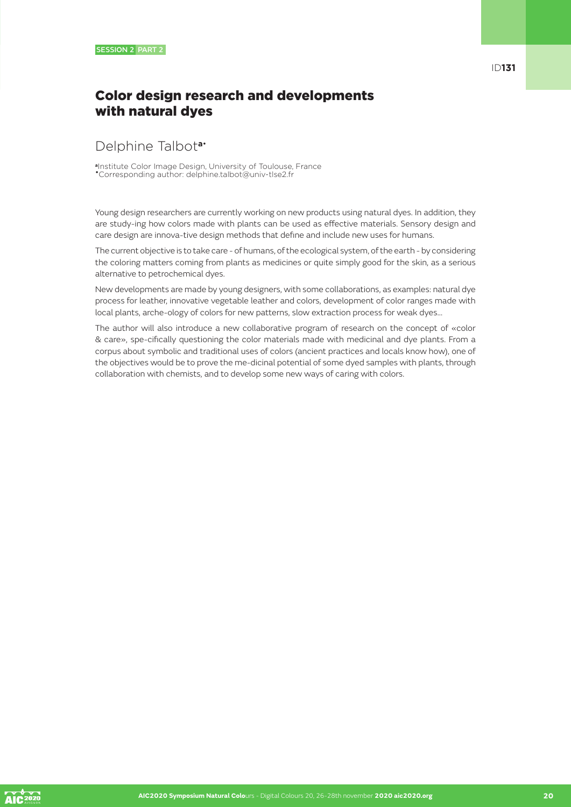## Color design research and developments with natural dyes

#### Delphine Talbot**a**•

**<sup>a</sup>**Institute Color Image Design, University of Toulouse, France •Corresponding author: delphine.talbot@univ-tlse2.fr

Young design researchers are currently working on new products using natural dyes. In addition, they are study-ing how colors made with plants can be used as effective materials. Sensory design and care design are innova-tive design methods that define and include new uses for humans.

The current objective is to take care - of humans, of the ecological system, of the earth - by considering the coloring matters coming from plants as medicines or quite simply good for the skin, as a serious alternative to petrochemical dyes.

New developments are made by young designers, with some collaborations, as examples: natural dye process for leather, innovative vegetable leather and colors, development of color ranges made with local plants, arche-ology of colors for new patterns, slow extraction process for weak dyes…

The author will also introduce a new collaborative program of research on the concept of «color & care», spe-cifically questioning the color materials made with medicinal and dye plants. From a corpus about symbolic and traditional uses of colors (ancient practices and locals know how), one of the objectives would be to prove the me-dicinal potential of some dyed samples with plants, through collaboration with chemists, and to develop some new ways of caring with colors.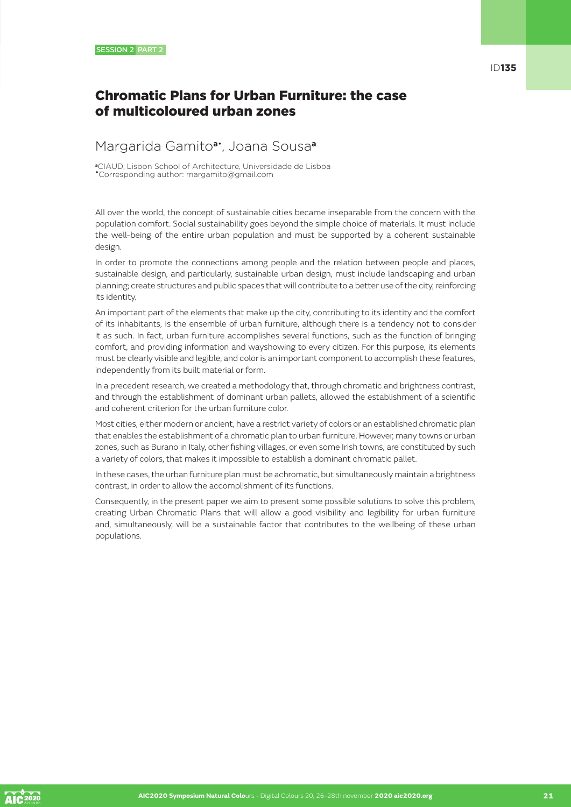## Chromatic Plans for Urban Furniture: the case of multicoloured urban zones

#### Margarida Gamito**a**• , Joana Sousa**<sup>a</sup>**

**<sup>a</sup>**CIAUD, Lisbon School of Architecture, Universidade de Lisboa •Corresponding author: margamito@gmail.com

All over the world, the concept of sustainable cities became inseparable from the concern with the population comfort. Social sustainability goes beyond the simple choice of materials. It must include the well-being of the entire urban population and must be supported by a coherent sustainable design.

In order to promote the connections among people and the relation between people and places, sustainable design, and particularly, sustainable urban design, must include landscaping and urban planning; create structures and public spaces that will contribute to a better use of the city, reinforcing its identity.

An important part of the elements that make up the city, contributing to its identity and the comfort of its inhabitants, is the ensemble of urban furniture, although there is a tendency not to consider it as such. In fact, urban furniture accomplishes several functions, such as the function of bringing comfort, and providing information and wayshowing to every citizen. For this purpose, its elements must be clearly visible and legible, and color is an important component to accomplish these features, independently from its built material or form.

In a precedent research, we created a methodology that, through chromatic and brightness contrast, and through the establishment of dominant urban pallets, allowed the establishment of a scientific and coherent criterion for the urban furniture color.

Most cities, either modern or ancient, have a restrict variety of colors or an established chromatic plan that enables the establishment of a chromatic plan to urban furniture. However, many towns or urban zones, such as Burano in Italy, other fishing villages, or even some Irish towns, are constituted by such a variety of colors, that makes it impossible to establish a dominant chromatic pallet.

In these cases, the urban furniture plan must be achromatic, but simultaneously maintain a brightness contrast, in order to allow the accomplishment of its functions.

Consequently, in the present paper we aim to present some possible solutions to solve this problem, creating Urban Chromatic Plans that will allow a good visibility and legibility for urban furniture and, simultaneously, will be a sustainable factor that contributes to the wellbeing of these urban populations.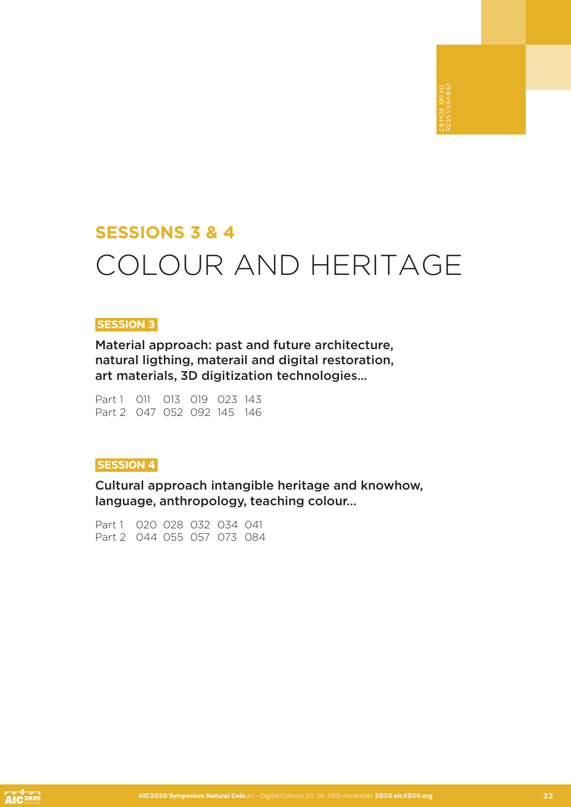## **SESSIONS 3 & 4** COLOUR AND HERITAGE

#### **SESSION 3**

Material approach: past and future architecture, natural ligthing, materail and digital restoration, art materials, 3D digitization technologies…

Part 1 011 013 019 023 143 Part 2 047 052 092 145 146

#### **SESSION 4**

Cultural approach intangible heritage and knowhow, language, anthropology, teaching colour…

Part 1 020 028 032 034 041 Part 2 044 055 057 073 084

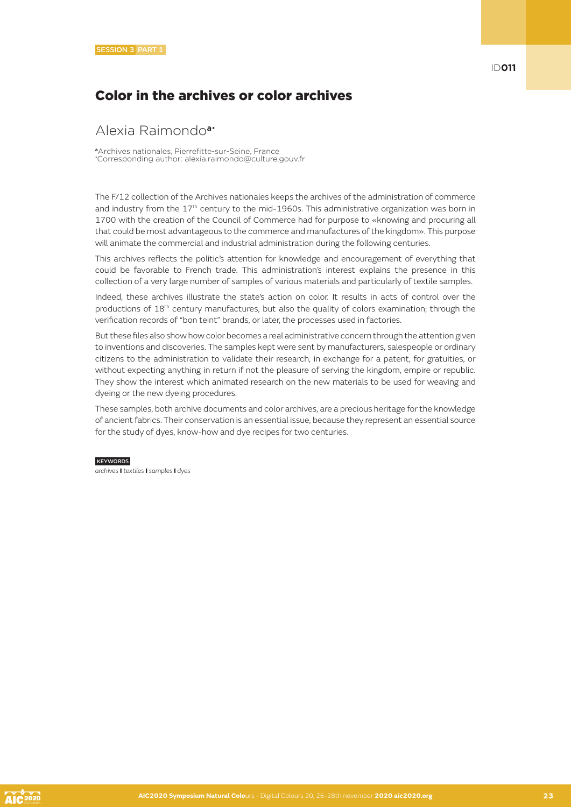## Color in the archives or color archives

#### Alexia Raimondo**a**•

**<sup>a</sup>**Archives nationales, Pierrefitte-sur-Seine, France • Corresponding author: alexia.raimondo@culture.gouv.fr

The F/12 collection of the Archives nationales keeps the archives of the administration of commerce and industry from the 17<sup>th</sup> century to the mid-1960s. This administrative organization was born in 1700 with the creation of the Council of Commerce had for purpose to «knowing and procuring all that could be most advantageous to the commerce and manufactures of the kingdom». This purpose will animate the commercial and industrial administration during the following centuries.

This archives reflects the politic's attention for knowledge and encouragement of everything that could be favorable to French trade. This administration's interest explains the presence in this collection of a very large number of samples of various materials and particularly of textile samples.

Indeed, these archives illustrate the state's action on color. It results in acts of control over the productions of 18<sup>th</sup> century manufactures, but also the quality of colors examination; through the verification records of "bon teint" brands, or later, the processes used in factories.

But these files also show how color becomes a real administrative concern through the attention given to inventions and discoveries. The samples kept were sent by manufacturers, salespeople or ordinary citizens to the administration to validate their research, in exchange for a patent, for gratuities, or without expecting anything in return if not the pleasure of serving the kingdom, empire or republic. They show the interest which animated research on the new materials to be used for weaving and dyeing or the new dyeing procedures.

These samples, both archive documents and color archives, are a precious heritage for the knowledge of ancient fabrics. Their conservation is an essential issue, because they represent an essential source for the study of dyes, know-how and dye recipes for two centuries.

#### **KEYWORDS**

*archives* I *textiles* I *samples* I *dyes*

ID**011**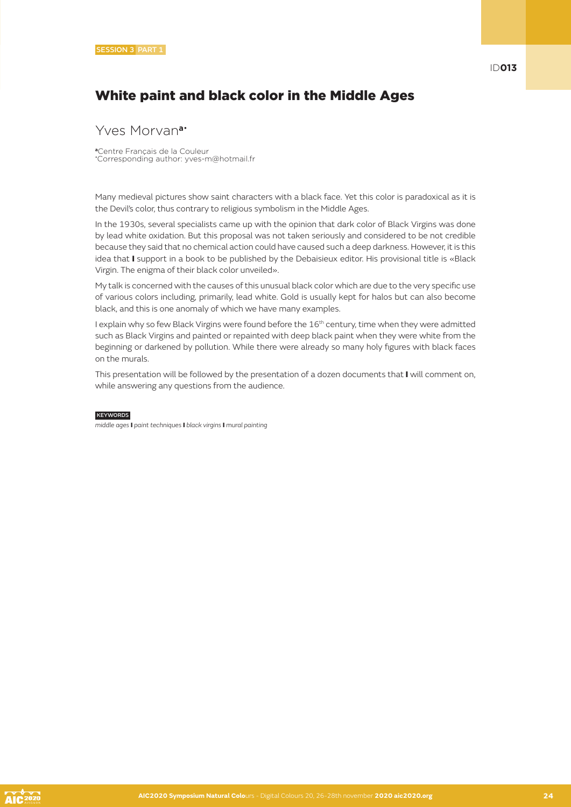## White paint and black color in the Middle Ages

#### Yves Morvan**a**•

**<sup>a</sup>**Centre Français de la Couleur • Corresponding author: yves-m@hotmail.fr

Many medieval pictures show saint characters with a black face. Yet this color is paradoxical as it is the Devil's color, thus contrary to religious symbolism in the Middle Ages.

In the 1930s, several specialists came up with the opinion that dark color of Black Virgins was done by lead white oxidation. But this proposal was not taken seriously and considered to be not credible because they said that no chemical action could have caused such a deep darkness. However, it is this idea that I support in a book to be published by the Debaisieux editor. His provisional title is «Black Virgin. The enigma of their black color unveiled».

My talk is concerned with the causes of this unusual black color which are due to the very specific use of various colors including, primarily, lead white. Gold is usually kept for halos but can also become black, and this is one anomaly of which we have many examples.

I explain why so few Black Virgins were found before the 16<sup>th</sup> century, time when they were admitted such as Black Virgins and painted or repainted with deep black paint when they were white from the beginning or darkened by pollution. While there were already so many holy figures with black faces on the murals.

This presentation will be followed by the presentation of a dozen documents that I will comment on, while answering any questions from the audience.

#### **KEYWORDS**

*middle ages* I *paint techniques* I *black virgins* I *mural painting*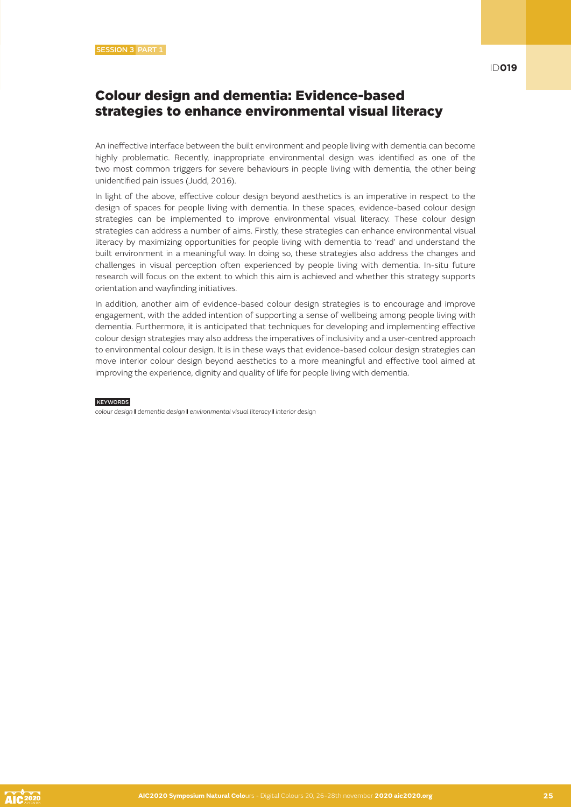#### Colour design and dementia: Evidence-based strategies to enhance environmental visual literacy

An ineffective interface between the built environment and people living with dementia can become highly problematic. Recently, inappropriate environmental design was identified as one of the two most common triggers for severe behaviours in people living with dementia, the other being unidentified pain issues (Judd, 2016).

In light of the above, effective colour design beyond aesthetics is an imperative in respect to the design of spaces for people living with dementia. In these spaces, evidence-based colour design strategies can be implemented to improve environmental visual literacy. These colour design strategies can address a number of aims. Firstly, these strategies can enhance environmental visual literacy by maximizing opportunities for people living with dementia to 'read' and understand the built environment in a meaningful way. In doing so, these strategies also address the changes and challenges in visual perception often experienced by people living with dementia. In-situ future research will focus on the extent to which this aim is achieved and whether this strategy supports orientation and wayfinding initiatives.

In addition, another aim of evidence-based colour design strategies is to encourage and improve engagement, with the added intention of supporting a sense of wellbeing among people living with dementia. Furthermore, it is anticipated that techniques for developing and implementing effective colour design strategies may also address the imperatives of inclusivity and a user-centred approach to environmental colour design. It is in these ways that evidence-based colour design strategies can move interior colour design beyond aesthetics to a more meaningful and effective tool aimed at improving the experience, dignity and quality of life for people living with dementia.

#### **KEYWORDS**

*colour design* I *dementia design* I *environmental visual literacy* I *interior design*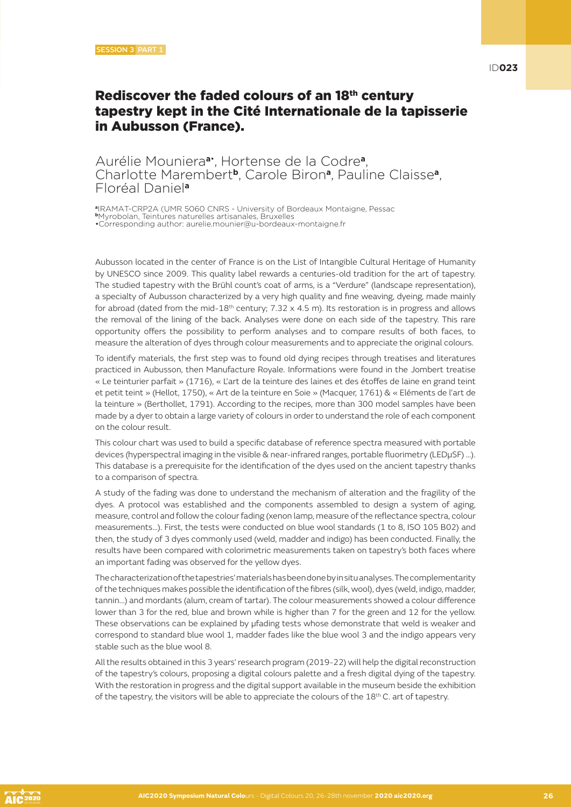## Rediscover the faded colours of an 18th century tapestry kept in the Cité Internationale de la tapisserie in Aubusson (France).

#### Aurélie Mouniera**a**• , Hortense de la Codre**a**, Charlotte Marembert**b**, Carole Biron**a**, Pauline Claisse**a**, Floréal Daniel**<sup>a</sup>**

**<sup>a</sup>**IRAMAT-CRP2A (UMR 5060 CNRS - University of Bordeaux Montaigne, Pessac **<sup>b</sup>**Myrobolan, Teintures naturelles artisanales, Bruxelles

•Corresponding author: aurelie.mounier@u-bordeaux-montaigne.fr

Aubusson located in the center of France is on the List of Intangible Cultural Heritage of Humanity by UNESCO since 2009. This quality label rewards a centuries-old tradition for the art of tapestry. The studied tapestry with the Brühl count's coat of arms, is a "Verdure" (landscape representation), a specialty of Aubusson characterized by a very high quality and fine weaving, dyeing, made mainly for abroad (dated from the mid- $18<sup>th</sup>$  century; 7.32 x 4.5 m). Its restoration is in progress and allows the removal of the lining of the back. Analyses were done on each side of the tapestry. This rare opportunity offers the possibility to perform analyses and to compare results of both faces, to measure the alteration of dyes through colour measurements and to appreciate the original colours.

To identify materials, the first step was to found old dying recipes through treatises and literatures practiced in Aubusson, then Manufacture Royale. Informations were found in the Jombert treatise « Le teinturier parfait » (1716), « L'art de la teinture des laines et des étoffes de laine en grand teint et petit teint » (Hellot, 1750), « Art de la teinture en Soie » (Macquer, 1761) & « Eléments de l'art de la teinture » (Berthollet, 1791). According to the recipes, more than 300 model samples have been made by a dyer to obtain a large variety of colours in order to understand the role of each component on the colour result.

This colour chart was used to build a specific database of reference spectra measured with portable devices (hyperspectral imaging in the visible & near-infrared ranges, portable fluorimetry (LEDμSF) …). This database is a prerequisite for the identification of the dyes used on the ancient tapestry thanks to a comparison of spectra.

A study of the fading was done to understand the mechanism of alteration and the fragility of the dyes. A protocol was established and the components assembled to design a system of aging, measure, control and follow the colour fading (xenon lamp, measure of the reflectance spectra, colour measurements…). First, the tests were conducted on blue wool standards (1 to 8, ISO 105 B02) and then, the study of 3 dyes commonly used (weld, madder and indigo) has been conducted. Finally, the results have been compared with colorimetric measurements taken on tapestry's both faces where an important fading was observed for the yellow dyes.

The characterization of the tapestries' materials has been done by in situ analyses. The complementarity of the techniques makes possible the identification of the fibres (silk, wool), dyes (weld, indigo, madder, tannin...) and mordants (alum, cream of tartar). The colour measurements showed a colour difference lower than 3 for the red, blue and brown while is higher than 7 for the green and 12 for the yellow. These observations can be explained by µfading tests whose demonstrate that weld is weaker and correspond to standard blue wool 1, madder fades like the blue wool 3 and the indigo appears very stable such as the blue wool 8.

All the results obtained in this 3 years' research program (2019-22) will help the digital reconstruction of the tapestry's colours, proposing a digital colours palette and a fresh digital dying of the tapestry. With the restoration in progress and the digital support available in the museum beside the exhibition of the tapestry, the visitors will be able to appreciate the colours of the 18<sup>th</sup> C. art of tapestry.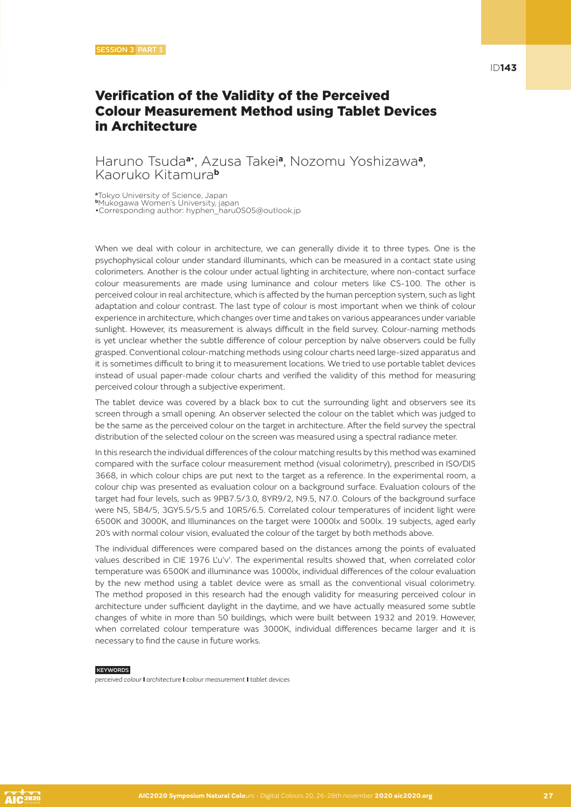## Verification of the Validity of the Perceived Colour Measurement Method using Tablet Devices in Architecture

#### Haruno Tsuda**a**• , Azusa Takei**a**, Nozomu Yoshizawa**a**, Kaoruko Kitamura**<sup>b</sup>**

**<sup>a</sup>**Tokyo University of Science, Japan **<sup>b</sup>**Mukogawa Women's University, japan •Corresponding author: hyphen\_haru0505@outlook.jp

When we deal with colour in architecture, we can generally divide it to three types. One is the psychophysical colour under standard illuminants, which can be measured in a contact state using colorimeters. Another is the colour under actual lighting in architecture, where non-contact surface colour measurements are made using luminance and colour meters like CS-100. The other is perceived colour in real architecture, which is affected by the human perception system, such as light adaptation and colour contrast. The last type of colour is most important when we think of colour experience in architecture, which changes over time and takes on various appearances under variable sunlight. However, its measurement is always difficult in the field survey. Colour-naming methods is yet unclear whether the subtle difference of colour perception by naïve observers could be fully grasped. Conventional colour-matching methods using colour charts need large-sized apparatus and it is sometimes difficult to bring it to measurement locations. We tried to use portable tablet devices instead of usual paper-made colour charts and verified the validity of this method for measuring perceived colour through a subjective experiment.

The tablet device was covered by a black box to cut the surrounding light and observers see its screen through a small opening. An observer selected the colour on the tablet which was judged to be the same as the perceived colour on the target in architecture. After the field survey the spectral distribution of the selected colour on the screen was measured using a spectral radiance meter.

In this research the individual differences of the colour matching results by this method was examined compared with the surface colour measurement method (visual colorimetry), prescribed in ISO/DIS 3668, in which colour chips are put next to the target as a reference. In the experimental room, a colour chip was presented as evaluation colour on a background surface. Evaluation colours of the target had four levels, such as 9PB7.5/3.0, 8YR9/2, N9.5, N7.0. Colours of the background surface were N5, 5B4/5, 3GY5.5/5.5 and 10R5/6.5. Correlated colour temperatures of incident light were 6500K and 3000K, and Illuminances on the target were 1000lx and 500lx. 19 subjects, aged early 20's with normal colour vision, evaluated the colour of the target by both methods above.

The individual differences were compared based on the distances among the points of evaluated values described in CIE 1976 L'u'v'. The experimental results showed that, when correlated color temperature was 6500K and illuminance was 1000lx, individual differences of the colour evaluation by the new method using a tablet device were as small as the conventional visual colorimetry. The method proposed in this research had the enough validity for measuring perceived colour in architecture under sufficient daylight in the daytime, and we have actually measured some subtle changes of white in more than 50 buildings, which were built between 1932 and 2019. However, when correlated colour temperature was 3000K, individual differences became larger and it is necessary to find the cause in future works.

#### **KEYWORDS**

*perceived colour* I *architecture* I *colour measurement* I *tablet devices*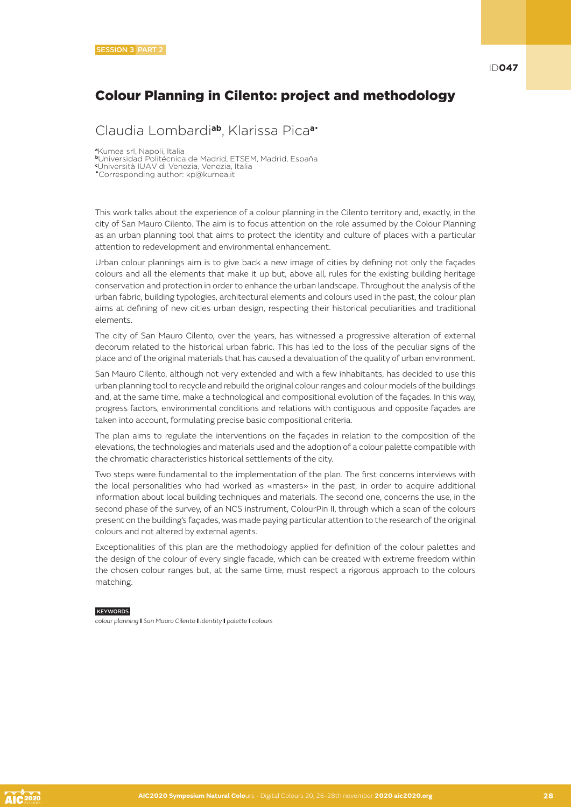## Colour Planning in Cilento: project and methodology

Claudia Lombardi**ab**, Klarissa Pica**a**•

**<sup>a</sup>**Kumea srl, Napoli, Italia

**<sup>b</sup>**Universidad Politécnica de Madrid, ETSEM, Madrid, España

attention to redevelopment and environmental enhancement.

**c** Università IUAV di Venezia, Venezia, Italia •Corresponding author: kp@kumea.it

This work talks about the experience of a colour planning in the Cilento territory and, exactly, in the city of San Mauro Cilento. The aim is to focus attention on the role assumed by the Colour Planning as an urban planning tool that aims to protect the identity and culture of places with a particular

Urban colour plannings aim is to give back a new image of cities by defining not only the façades colours and all the elements that make it up but, above all, rules for the existing building heritage conservation and protection in order to enhance the urban landscape. Throughout the analysis of the urban fabric, building typologies, architectural elements and colours used in the past, the colour plan aims at defining of new cities urban design, respecting their historical peculiarities and traditional elements.

The city of San Mauro Cilento, over the years, has witnessed a progressive alteration of external decorum related to the historical urban fabric. This has led to the loss of the peculiar signs of the place and of the original materials that has caused a devaluation of the quality of urban environment.

San Mauro Cilento, although not very extended and with a few inhabitants, has decided to use this urban planning tool to recycle and rebuild the original colour ranges and colour models of the buildings and, at the same time, make a technological and compositional evolution of the façades. In this way, progress factors, environmental conditions and relations with contiguous and opposite façades are taken into account, formulating precise basic compositional criteria.

The plan aims to regulate the interventions on the façades in relation to the composition of the elevations, the technologies and materials used and the adoption of a colour palette compatible with the chromatic characteristics historical settlements of the city.

Two steps were fundamental to the implementation of the plan. The first concerns interviews with the local personalities who had worked as «masters» in the past, in order to acquire additional information about local building techniques and materials. The second one, concerns the use, in the second phase of the survey, of an NCS instrument, ColourPin II, through which a scan of the colours present on the building's façades, was made paying particular attention to the research of the original colours and not altered by external agents.

Exceptionalities of this plan are the methodology applied for definition of the colour palettes and the design of the colour of every single facade, which can be created with extreme freedom within the chosen colour ranges but, at the same time, must respect a rigorous approach to the colours matching.

#### KEYWORDS

*colour planning* I *San Mauro Cilento* I *identity* I *palette* I *colours*

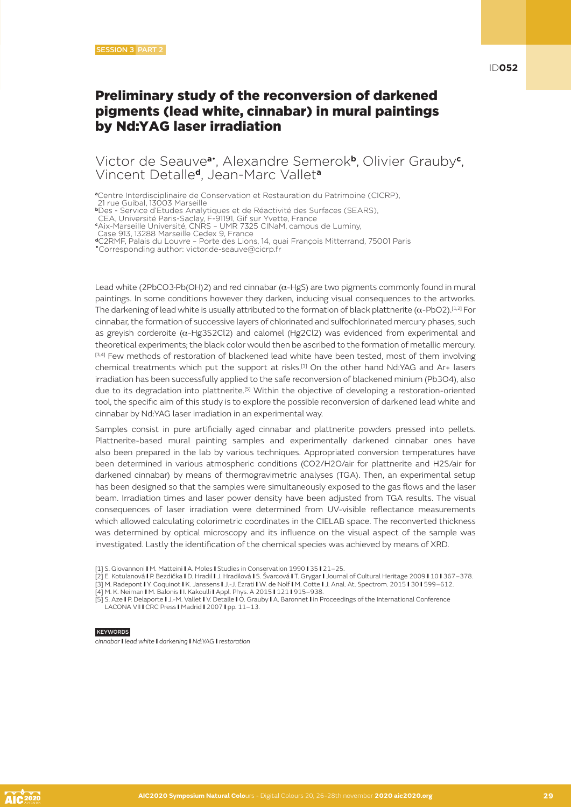## Preliminary study of the reconversion of darkened pigments (lead white, cinnabar) in mural paintings by Nd:YAG laser irradiation

#### Victor de Seauve**a**• , Alexandre Semerok**b**, Olivier Grauby**<sup>c</sup>** , Vincent Detalle**d**, Jean-Marc Vallet**<sup>a</sup>**

**<sup>a</sup>**Centre Interdisciplinaire de Conservation et Restauration du Patrimoine (CICRP),

21 rue Guibal, 13003 Marseille

**<sup>b</sup>**Des - Service d'Etudes Analytiques et de Réactivité des Surfaces (SEARS),

CEA, Université Paris-Saclay, F-91191, Gif sur Yvette, France **c** Aix-Marseille Université, CNRS – UMR 7325 CINaM, campus de Luminy,

Case 913, 13288 Marseille Cedex 9, France

**<sup>d</sup>**C2RMF, Palais du Louvre – Porte des Lions, 14, quai François Mitterrand, 75001 Paris •Corresponding author: victor.de-seauve@cicrp.fr

Lead white (2PbCO3·Pb(OH)2) and red cinnabar (α-HgS) are two pigments commonly found in mural paintings. In some conditions however they darken, inducing visual consequences to the artworks. The darkening of lead white is usually attributed to the formation of black plattnerite (α-PbO2).<sup>[1,2]</sup> For cinnabar, the formation of successive layers of chlorinated and sulfochlorinated mercury phases, such as greyish corderoite (α-Hg3S2Cl2) and calomel (Hg2Cl2) was evidenced from experimental and theoretical experiments; the black color would then be ascribed to the formation of metallic mercury. [3,4] Few methods of restoration of blackened lead white have been tested, most of them involving chemical treatments which put the support at risks.<sup>[1]</sup> On the other hand Nd:YAG and Ar+ lasers irradiation has been successfully applied to the safe reconversion of blackened minium (Pb3O4), also due to its degradation into plattnerite.[5] Within the objective of developing a restoration-oriented tool, the specific aim of this study is to explore the possible reconversion of darkened lead white and cinnabar by Nd:YAG laser irradiation in an experimental way.

Samples consist in pure artificially aged cinnabar and plattnerite powders pressed into pellets. Plattnerite-based mural painting samples and experimentally darkened cinnabar ones have also been prepared in the lab by various techniques. Appropriated conversion temperatures have been determined in various atmospheric conditions (CO2/H2O/air for plattnerite and H2S/air for darkened cinnabar) by means of thermogravimetric analyses (TGA). Then, an experimental setup has been designed so that the samples were simultaneously exposed to the gas flows and the laser beam. Irradiation times and laser power density have been adjusted from TGA results. The visual consequences of laser irradiation were determined from UV-visible reflectance measurements which allowed calculating colorimetric coordinates in the CIELAB space. The reconverted thickness was determined by optical microscopy and its influence on the visual aspect of the sample was investigated. Lastly the identification of the chemical species was achieved by means of XRD.

- [1] S. Giovannoni I M. Matteini I A. Moles I Studies in Conservation 1990 I 35 I 21–25.
- [2] E. Kotulanová I P. Bezdička I D. Hradil I J. Hradilová I S. Švarcová I T. Grygar I Journal of Cultural Heritage 2009 I 10 I 367–378. [3] M. Radepont I Y. Coquinot I K. Janssens I J.-J. Ezrati I W. de Nolf I M. Cotte I J. Anal. At. Spectrom. 2015 I 30 I 599–612.
- [4] M. K. Neiman I M. Balonis I I. Kakoulli I Appl. Phys. A 2015 I 121 I 915–938.
- [5] S. Aze I P. Delaporte I J.-M. Vallet I V. Detalle I O. Grauby I A. Baronnet I in Proceedings of the International Conference LACONA VII I CRC Press I Madrid I 2007 I pp. 11-13.

KEYWORDS

*cinnabar* I *lead white* I *darkening* I *Nd:YAG* I *restoration*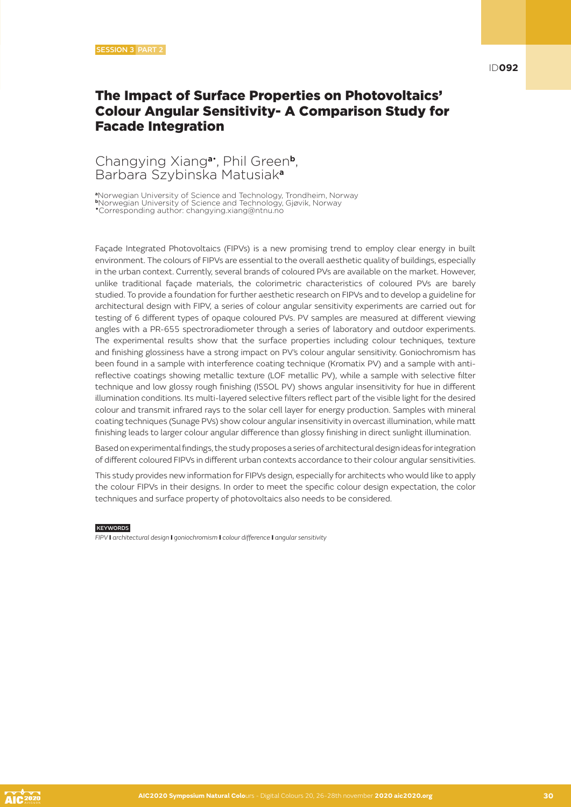## The Impact of Surface Properties on Photovoltaics' Colour Angular Sensitivity- A Comparison Study for Facade Integration

#### Changying Xiang**a**• , Phil Green**b**, Barbara Szybinska Matusiak**<sup>a</sup>**

**<sup>a</sup>**Norwegian University of Science and Technology, Trondheim, Norway **<sup>b</sup>**Norwegian University of Science and Technology, Gjøvik, Norway •Corresponding author: changying.xiang@ntnu.no

Façade Integrated Photovoltaics (FIPVs) is a new promising trend to employ clear energy in built environment. The colours of FIPVs are essential to the overall aesthetic quality of buildings, especially in the urban context. Currently, several brands of coloured PVs are available on the market. However, unlike traditional façade materials, the colorimetric characteristics of coloured PVs are barely studied. To provide a foundation for further aesthetic research on FIPVs and to develop a guideline for architectural design with FIPV, a series of colour angular sensitivity experiments are carried out for testing of 6 different types of opaque coloured PVs. PV samples are measured at different viewing angles with a PR-655 spectroradiometer through a series of laboratory and outdoor experiments. The experimental results show that the surface properties including colour techniques, texture and finishing glossiness have a strong impact on PV's colour angular sensitivity. Goniochromism has been found in a sample with interference coating technique (Kromatix PV) and a sample with antireflective coatings showing metallic texture (LOF metallic PV), while a sample with selective filter technique and low glossy rough finishing (ISSOL PV) shows angular insensitivity for hue in different illumination conditions. Its multi-layered selective filters reflect part of the visible light for the desired colour and transmit infrared rays to the solar cell layer for energy production. Samples with mineral coating techniques (Sunage PVs) show colour angular insensitivity in overcast illumination, while matt finishing leads to larger colour angular difference than glossy finishing in direct sunlight illumination.

Based on experimental findings, the study proposes a series of architectural design ideas for integration of different coloured FIPVs in different urban contexts accordance to their colour angular sensitivities.

This study provides new information for FIPVs design, especially for architects who would like to apply the colour FIPVs in their designs. In order to meet the specific colour design expectation, the color techniques and surface property of photovoltaics also needs to be considered.

**KEYWORDS** 

*FIPV* I *architectural design* I *goniochromism* I *colour difference* I *angular sensitivity*

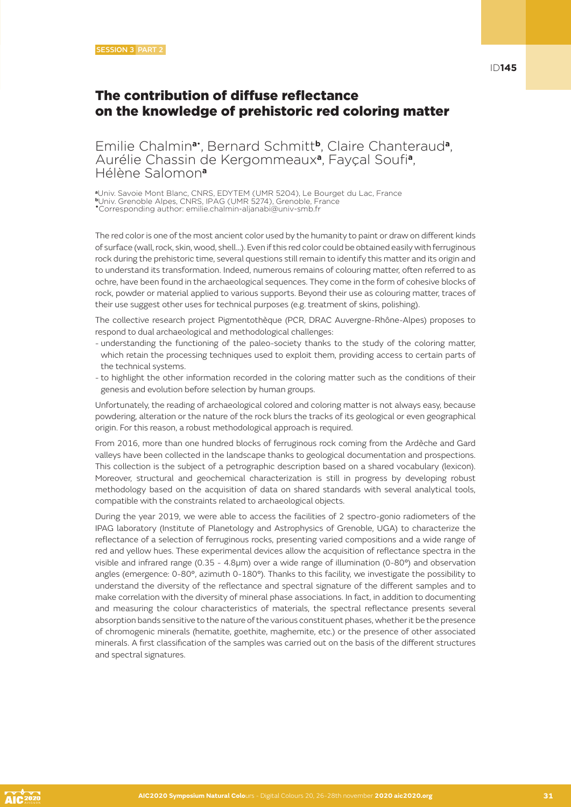## The contribution of diffuse reflectance on the knowledge of prehistoric red coloring matter

Emilie Chalmin**a**• , Bernard Schmitt**b**, Claire Chanteraud**a**, Aurélie Chassin de Kergommeaux**a**, Fayçal Soufi**a**, Hélène Salomon**<sup>a</sup>**

**<sup>a</sup>**Univ. Savoie Mont Blanc, CNRS, EDYTEM (UMR 5204), Le Bourget du Lac, France **<sup>b</sup>**Univ. Grenoble Alpes, CNRS, IPAG (UMR 5274), Grenoble, France •Corresponding author: emilie.chalmin-aljanabi@univ-smb.fr

The red color is one of the most ancient color used by the humanity to paint or draw on different kinds of surface (wall, rock, skin, wood, shell…). Even if this red color could be obtained easily with ferruginous rock during the prehistoric time, several questions still remain to identify this matter and its origin and to understand its transformation. Indeed, numerous remains of colouring matter, often referred to as ochre, have been found in the archaeological sequences. They come in the form of cohesive blocks of rock, powder or material applied to various supports. Beyond their use as colouring matter, traces of their use suggest other uses for technical purposes (e.g. treatment of skins, polishing).

The collective research project Pigmentothèque (PCR, DRAC Auvergne-Rhône-Alpes) proposes to respond to dual archaeological and methodological challenges:

- understanding the functioning of the paleo-society thanks to the study of the coloring matter, which retain the processing techniques used to exploit them, providing access to certain parts of the technical systems.
- to highlight the other information recorded in the coloring matter such as the conditions of their genesis and evolution before selection by human groups.

Unfortunately, the reading of archaeological colored and coloring matter is not always easy, because powdering, alteration or the nature of the rock blurs the tracks of its geological or even geographical origin. For this reason, a robust methodological approach is required.

From 2016, more than one hundred blocks of ferruginous rock coming from the Ardèche and Gard valleys have been collected in the landscape thanks to geological documentation and prospections. This collection is the subject of a petrographic description based on a shared vocabulary (lexicon). Moreover, structural and geochemical characterization is still in progress by developing robust methodology based on the acquisition of data on shared standards with several analytical tools, compatible with the constraints related to archaeological objects.

During the year 2019, we were able to access the facilities of 2 spectro-gonio radiometers of the IPAG laboratory (Institute of Planetology and Astrophysics of Grenoble, UGA) to characterize the reflectance of a selection of ferruginous rocks, presenting varied compositions and a wide range of red and yellow hues. These experimental devices allow the acquisition of reflectance spectra in the visible and infrared range (0.35 - 4.8µm) over a wide range of illumination (0-80°) and observation angles (emergence: 0-80°, azimuth 0-180°). Thanks to this facility, we investigate the possibility to understand the diversity of the reflectance and spectral signature of the different samples and to make correlation with the diversity of mineral phase associations. In fact, in addition to documenting and measuring the colour characteristics of materials, the spectral reflectance presents several absorption bands sensitive to the nature of the various constituent phases, whether it be the presence of chromogenic minerals (hematite, goethite, maghemite, etc.) or the presence of other associated minerals. A first classification of the samples was carried out on the basis of the different structures and spectral signatures.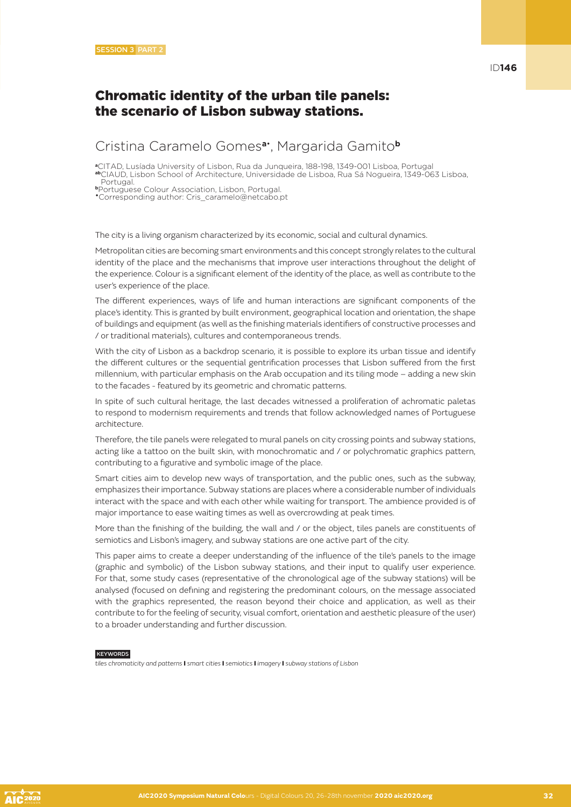## Cristina Caramelo Gomes**a**• , Margarida Gamito**<sup>b</sup>**

**<sup>a</sup>**CITAD, Lusíada University of Lisbon, Rua da Junqueira, 188-198, 1349-001 Lisboa, Portugal **ab**CIAUD, Lisbon School of Architecture, Universidade de Lisboa, Rua Sá Nogueira, 1349-063 Lisboa, Portugal.

**<sup>b</sup>**Portuguese Colour Association, Lisbon, Portugal. •Corresponding author: Cris\_caramelo@netcabo.pt

The city is a living organism characterized by its economic, social and cultural dynamics.

Metropolitan cities are becoming smart environments and this concept strongly relates to the cultural identity of the place and the mechanisms that improve user interactions throughout the delight of the experience. Colour is a significant element of the identity of the place, as well as contribute to the user's experience of the place.

The different experiences, ways of life and human interactions are significant components of the place's identity. This is granted by built environment, geographical location and orientation, the shape of buildings and equipment (as well as the finishing materials identifiers of constructive processes and / or traditional materials), cultures and contemporaneous trends.

With the city of Lisbon as a backdrop scenario, it is possible to explore its urban tissue and identify the different cultures or the sequential gentrification processes that Lisbon suffered from the first millennium, with particular emphasis on the Arab occupation and its tiling mode – adding a new skin to the facades - featured by its geometric and chromatic patterns.

In spite of such cultural heritage, the last decades witnessed a proliferation of achromatic paletas to respond to modernism requirements and trends that follow acknowledged names of Portuguese architecture.

Therefore, the tile panels were relegated to mural panels on city crossing points and subway stations, acting like a tattoo on the built skin, with monochromatic and / or polychromatic graphics pattern, contributing to a figurative and symbolic image of the place.

Smart cities aim to develop new ways of transportation, and the public ones, such as the subway, emphasizes their importance. Subway stations are places where a considerable number of individuals interact with the space and with each other while waiting for transport. The ambience provided is of major importance to ease waiting times as well as overcrowding at peak times.

More than the finishing of the building, the wall and / or the object, tiles panels are constituents of semiotics and Lisbon's imagery, and subway stations are one active part of the city.

This paper aims to create a deeper understanding of the influence of the tile's panels to the image (graphic and symbolic) of the Lisbon subway stations, and their input to qualify user experience. For that, some study cases (representative of the chronological age of the subway stations) will be analysed (focused on defining and registering the predominant colours, on the message associated with the graphics represented, the reason beyond their choice and application, as well as their contribute to for the feeling of security, visual comfort, orientation and aesthetic pleasure of the user) to a broader understanding and further discussion.

#### **KEYWORDS**

*tiles chromaticity and patterns* I *smart cities* I *semiotics* I *imagery* I *subway stations of Lisbon*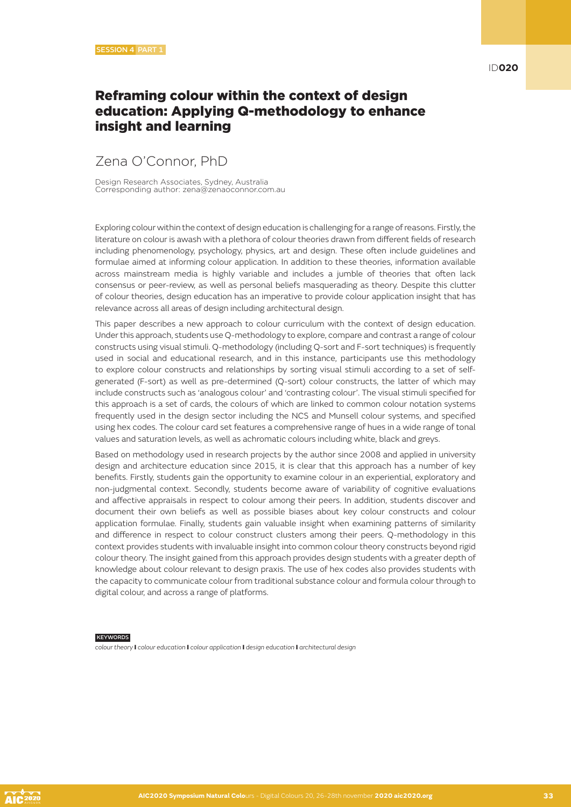## Reframing colour within the context of design education: Applying Q-methodology to enhance insight and learning

## Zena O'Connor, PhD

Design Research Associates, Sydney, Australia Corresponding author: zena@zenaoconnor.com.au

Exploring colour within the context of design education is challenging for a range of reasons. Firstly, the literature on colour is awash with a plethora of colour theories drawn from different fields of research including phenomenology, psychology, physics, art and design. These often include guidelines and formulae aimed at informing colour application. In addition to these theories, information available across mainstream media is highly variable and includes a jumble of theories that often lack consensus or peer-review, as well as personal beliefs masquerading as theory. Despite this clutter of colour theories, design education has an imperative to provide colour application insight that has relevance across all areas of design including architectural design.

This paper describes a new approach to colour curriculum with the context of design education. Under this approach, students use Q-methodology to explore, compare and contrast a range of colour constructs using visual stimuli. Q-methodology (including Q-sort and F-sort techniques) is frequently used in social and educational research, and in this instance, participants use this methodology to explore colour constructs and relationships by sorting visual stimuli according to a set of selfgenerated (F-sort) as well as pre-determined (Q-sort) colour constructs, the latter of which may include constructs such as 'analogous colour' and 'contrasting colour'. The visual stimuli specified for this approach is a set of cards, the colours of which are linked to common colour notation systems frequently used in the design sector including the NCS and Munsell colour systems, and specified using hex codes. The colour card set features a comprehensive range of hues in a wide range of tonal values and saturation levels, as well as achromatic colours including white, black and greys.

Based on methodology used in research projects by the author since 2008 and applied in university design and architecture education since 2015, it is clear that this approach has a number of key benefits. Firstly, students gain the opportunity to examine colour in an experiential, exploratory and non-judgmental context. Secondly, students become aware of variability of cognitive evaluations and affective appraisals in respect to colour among their peers. In addition, students discover and document their own beliefs as well as possible biases about key colour constructs and colour application formulae. Finally, students gain valuable insight when examining patterns of similarity and difference in respect to colour construct clusters among their peers. Q-methodology in this context provides students with invaluable insight into common colour theory constructs beyond rigid colour theory. The insight gained from this approach provides design students with a greater depth of knowledge about colour relevant to design praxis. The use of hex codes also provides students with the capacity to communicate colour from traditional substance colour and formula colour through to digital colour, and across a range of platforms.

#### **KEYWORDS**

*colour theory* I *colour education* I *colour application* I *design education* I *architectural design*

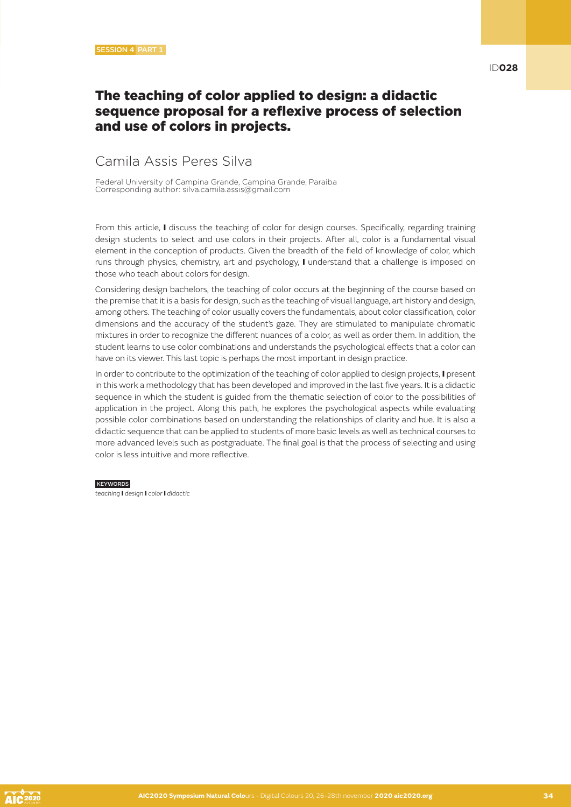### The teaching of color applied to design: a didactic sequence proposal for a reflexive process of selection and use of colors in projects.

## Camila Assis Peres Silva

Federal University of Campina Grande, Campina Grande, Paraiba Corresponding author: silva.camila.assis@gmail.com

From this article, I discuss the teaching of color for design courses. Specifically, regarding training design students to select and use colors in their projects. After all, color is a fundamental visual element in the conception of products. Given the breadth of the field of knowledge of color, which runs through physics, chemistry, art and psychology, I understand that a challenge is imposed on those who teach about colors for design.

Considering design bachelors, the teaching of color occurs at the beginning of the course based on the premise that it is a basis for design, such as the teaching of visual language, art history and design, among others. The teaching of color usually covers the fundamentals, about color classification, color dimensions and the accuracy of the student's gaze. They are stimulated to manipulate chromatic mixtures in order to recognize the different nuances of a color, as well as order them. In addition, the student learns to use color combinations and understands the psychological effects that a color can have on its viewer. This last topic is perhaps the most important in design practice.

In order to contribute to the optimization of the teaching of color applied to design projects. I present in this work a methodology that has been developed and improved in the last five years. It is a didactic sequence in which the student is guided from the thematic selection of color to the possibilities of application in the project. Along this path, he explores the psychological aspects while evaluating possible color combinations based on understanding the relationships of clarity and hue. It is also a didactic sequence that can be applied to students of more basic levels as well as technical courses to more advanced levels such as postgraduate. The final goal is that the process of selecting and using color is less intuitive and more reflective.

#### KEYWORDS

*teaching* I *design* I *color* I *didactic*

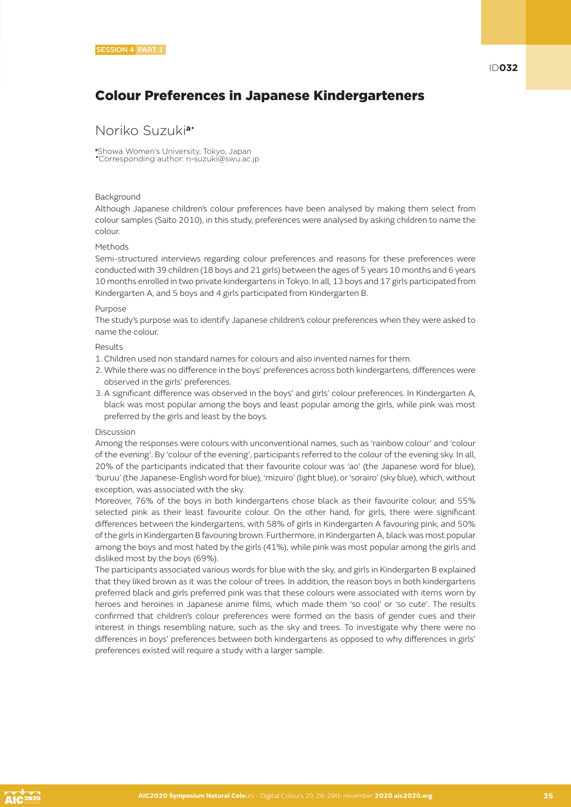## Colour Preferences in Japanese Kindergarteners

#### Noriko Suzuki**a**•

**<sup>a</sup>**Showa Women's University, Tokyo, Japan •Corresponding author: n-suzuki@swu.ac.jp

#### Background

Although Japanese children's colour preferences have been analysed by making them select from colour samples (Saito 2010), in this study, preferences were analysed by asking children to name the colour.

#### Methods

Semi-structured interviews regarding colour preferences and reasons for these preferences were conducted with 39 children (18 boys and 21 girls) between the ages of 5 years 10 months and 6 years 10 months enrolled in two private kindergartens in Tokyo. In all, 13 boys and 17 girls participated from Kindergarten A, and 5 boys and 4 girls participated from Kindergarten B.

#### Purpose

The study's purpose was to identify Japanese children's colour preferences when they were asked to name the colour.

#### Results

- 1. Children used non standard names for colours and also invented names for them.
- 2. While there was no difference in the boys' preferences across both kindergartens, differences were observed in the girls' preferences.
- 3. A significant difference was observed in the boys' and girls' colour preferences. In Kindergarten A, black was most popular among the boys and least popular among the girls, while pink was most preferred by the girls and least by the boys.

#### Discussion

Among the responses were colours with unconventional names, such as 'rainbow colour' and 'colour of the evening'. By 'colour of the evening', participants referred to the colour of the evening sky. In all, 20% of the participants indicated that their favourite colour was 'ao' (the Japanese word for blue), 'buruu' (the Japanese-English word for blue), 'mizuiro' (light blue), or 'sorairo' (sky blue), which, without exception, was associated with the sky.

Moreover, 76% of the boys in both kindergartens chose black as their favourite colour, and 55% selected pink as their least favourite colour. On the other hand, for girls, there were significant differences between the kindergartens, with 58% of girls in Kindergarten A favouring pink, and 50% of the girls in Kindergarten B favouring brown. Furthermore, in Kindergarten A, black was most popular among the boys and most hated by the girls (41%), while pink was most popular among the girls and disliked most by the boys (69%).

The participants associated various words for blue with the sky, and girls in Kindergarten B explained that they liked brown as it was the colour of trees. In addition, the reason boys in both kindergartens preferred black and girls preferred pink was that these colours were associated with items worn by heroes and heroines in Japanese anime films, which made them 'so cool' or 'so cute'. The results confirmed that children's colour preferences were formed on the basis of gender cues and their interest in things resembling nature, such as the sky and trees. To investigate why there were no differences in boys' preferences between both kindergartens as opposed to why differences in girls' preferences existed will require a study with a larger sample.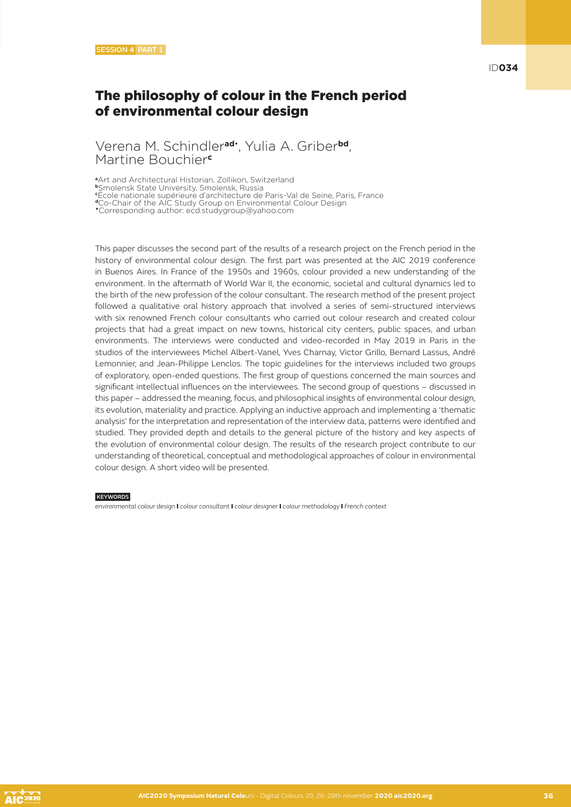#### Verena M. Schindler**ad**• , Yulia A. Griber**bd**, Martine Bouchier**<sup>c</sup>**

**<sup>a</sup>**Art and Architectural Historian, Zollikon, Switzerland **<sup>b</sup>**Smolensk State University, Smolensk, Russia **c** École nationale supérieure d'architecture de Paris-Val de Seine, Paris, France **<sup>d</sup>**Co-Chair of the AIC Study Group on Environmental Colour Design •Corresponding author: ecd.studygroup@yahoo.com

This paper discusses the second part of the results of a research project on the French period in the history of environmental colour design. The first part was presented at the AIC 2019 conference in Buenos Aires. In France of the 1950s and 1960s, colour provided a new understanding of the environment. In the aftermath of World War II, the economic, societal and cultural dynamics led to the birth of the new profession of the colour consultant. The research method of the present project followed a qualitative oral history approach that involved a series of semi-structured interviews with six renowned French colour consultants who carried out colour research and created colour projects that had a great impact on new towns, historical city centers, public spaces, and urban environments. The interviews were conducted and video-recorded in May 2019 in Paris in the studios of the interviewees Michel Albert-Vanel, Yves Charnay, Victor Grillo, Bernard Lassus, André Lemonnier, and Jean-Philippe Lenclos. The topic guidelines for the interviews included two groups of exploratory, open-ended questions. The first group of questions concerned the main sources and significant intellectual influences on the interviewees. The second group of questions – discussed in this paper – addressed the meaning, focus, and philosophical insights of environmental colour design, its evolution, materiality and practice. Applying an inductive approach and implementing a 'thematic analysis' for the interpretation and representation of the interview data, patterns were identified and studied. They provided depth and details to the general picture of the history and key aspects of the evolution of environmental colour design. The results of the research project contribute to our understanding of theoretical, conceptual and methodological approaches of colour in environmental colour design. A short video will be presented.

#### KEYWORDS

*environmental colour design* I *colour consultant* I *colour designer* I *colour methodology* I *French context*

ID**034**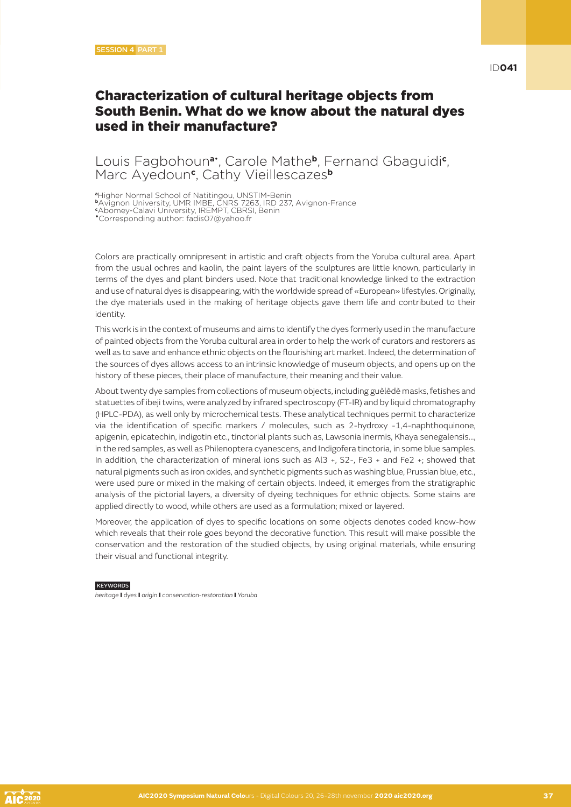### Characterization of cultural heritage objects from South Benin. What do we know about the natural dyes used in their manufacture?

### Louis Fagbohoun**a**• , Carole Mathe**b**, Fernand Gbaguidi**<sup>c</sup>** , Marc Ayedoun**<sup>c</sup>** , Cathy Vieillescazes**<sup>b</sup>**

**<sup>a</sup>**Higher Normal School of Natitingou, UNSTIM-Benin

**<sup>b</sup>**Avignon University, UMR IMBE, CNRS 7263, IRD 237, Avignon-France

**c** Abomey-Calavi University, IREMPT, CBRSI, Benin •Corresponding author: fadis07@yahoo.fr

Colors are practically omnipresent in artistic and craft objects from the Yoruba cultural area. Apart from the usual ochres and kaolin, the paint layers of the sculptures are little known, particularly in terms of the dyes and plant binders used. Note that traditional knowledge linked to the extraction and use of natural dyes is disappearing, with the worldwide spread of «European» lifestyles. Originally, the dye materials used in the making of heritage objects gave them life and contributed to their identity.

This work is in the context of museums and aims to identify the dyes formerly used in the manufacture of painted objects from the Yoruba cultural area in order to help the work of curators and restorers as well as to save and enhance ethnic objects on the flourishing art market. Indeed, the determination of the sources of dyes allows access to an intrinsic knowledge of museum objects, and opens up on the history of these pieces, their place of manufacture, their meaning and their value.

About twenty dye samples from collections of museum objects, including guèlèdè masks, fetishes and statuettes of ibeji twins, were analyzed by infrared spectroscopy (FT-IR) and by liquid chromatography (HPLC-PDA), as well only by microchemical tests. These analytical techniques permit to characterize via the identification of specific markers / molecules, such as 2-hydroxy -1,4-naphthoquinone, apigenin, epicatechin, indigotin etc., tinctorial plants such as, Lawsonia inermis, Khaya senegalensis…, in the red samples, as well as Philenoptera cyanescens, and Indigofera tinctoria, in some blue samples. In addition, the characterization of mineral ions such as Al3 +, S2-, Fe3 + and Fe2 +; showed that natural pigments such as iron oxides, and synthetic pigments such as washing blue, Prussian blue, etc., were used pure or mixed in the making of certain objects. Indeed, it emerges from the stratigraphic analysis of the pictorial layers, a diversity of dyeing techniques for ethnic objects. Some stains are applied directly to wood, while others are used as a formulation; mixed or layered.

Moreover, the application of dyes to specific locations on some objects denotes coded know-how which reveals that their role goes beyond the decorative function. This result will make possible the conservation and the restoration of the studied objects, by using original materials, while ensuring their visual and functional integrity.

#### **KEYWORDS**

*heritage* I *dyes* I *origin* I *conservation-restoration* I *Yoruba*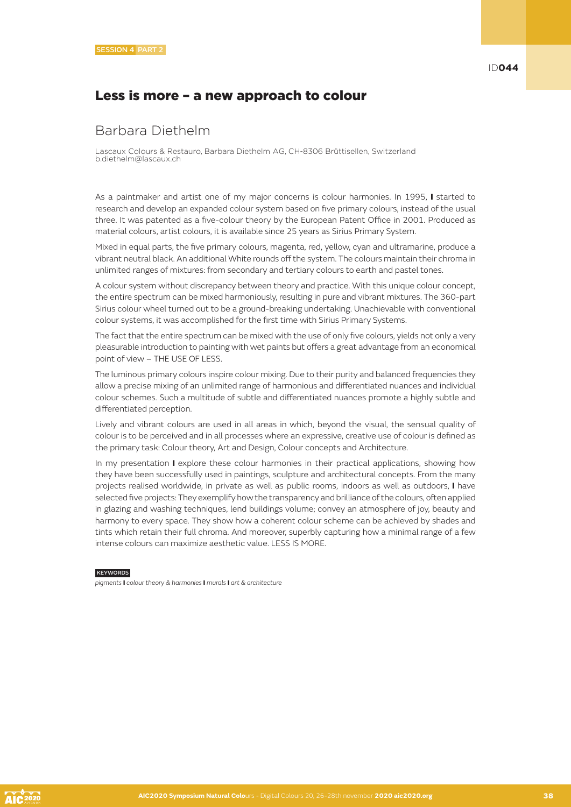### Less is more – a new approach to colour

### Barbara Diethelm

Lascaux Colours & Restauro, Barbara Diethelm AG, CH-8306 Brüttisellen, Switzerland b.diethelm@lascaux.ch

As a paintmaker and artist one of my major concerns is colour harmonies. In 1995, I started to research and develop an expanded colour system based on five primary colours, instead of the usual three. It was patented as a five-colour theory by the European Patent Office in 2001. Produced as material colours, artist colours, it is available since 25 years as Sirius Primary System.

Mixed in equal parts, the five primary colours, magenta, red, yellow, cyan and ultramarine, produce a vibrant neutral black. An additional White rounds off the system. The colours maintain their chroma in unlimited ranges of mixtures: from secondary and tertiary colours to earth and pastel tones.

A colour system without discrepancy between theory and practice. With this unique colour concept, the entire spectrum can be mixed harmoniously, resulting in pure and vibrant mixtures. The 360-part Sirius colour wheel turned out to be a ground-breaking undertaking. Unachievable with conventional colour systems, it was accomplished for the first time with Sirius Primary Systems.

The fact that the entire spectrum can be mixed with the use of only five colours, yields not only a very pleasurable introduction to painting with wet paints but offers a great advantage from an economical point of view – THE USE OF LESS.

The luminous primary colours inspire colour mixing. Due to their purity and balanced frequencies they allow a precise mixing of an unlimited range of harmonious and differentiated nuances and individual colour schemes. Such a multitude of subtle and differentiated nuances promote a highly subtle and differentiated perception.

Lively and vibrant colours are used in all areas in which, beyond the visual, the sensual quality of colour is to be perceived and in all processes where an expressive, creative use of colour is defined as the primary task: Colour theory, Art and Design, Colour concepts and Architecture.

In my presentation I explore these colour harmonies in their practical applications, showing how they have been successfully used in paintings, sculpture and architectural concepts. From the many projects realised worldwide, in private as well as public rooms, indoors as well as outdoors, I have selected five projects: They exemplify how the transparency and brilliance of the colours, often applied in glazing and washing techniques, lend buildings volume; convey an atmosphere of joy, beauty and harmony to every space. They show how a coherent colour scheme can be achieved by shades and tints which retain their full chroma. And moreover, superbly capturing how a minimal range of a few intense colours can maximize aesthetic value. LESS IS MORE.

### KEYWORDS

*pigments* I *colour theory & harmonies* I *murals* I *art & architecture*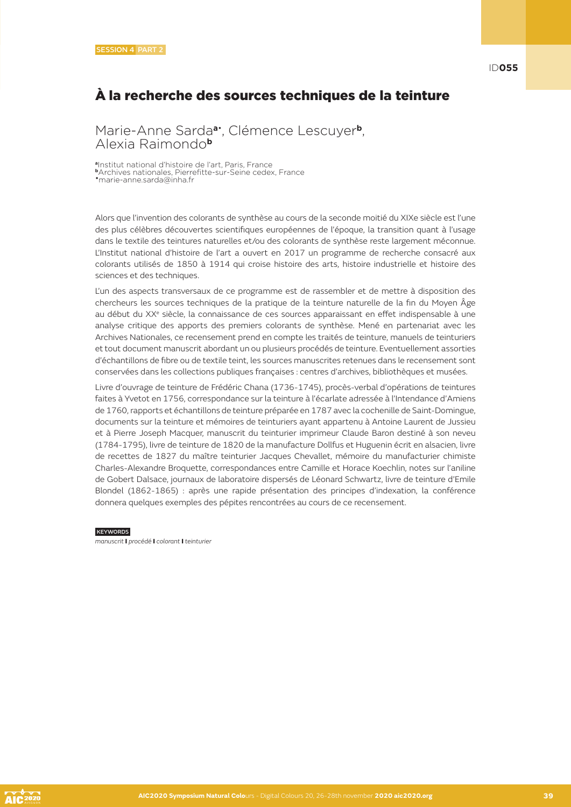ID**055**

# À la recherche des sources techniques de la teinture

Marie-Anne Sarda**a**• , Clémence Lescuyer**b**, Alexia Raimondo**<sup>b</sup>**

**<sup>a</sup>**Institut national d'histoire de l'art, Paris, France **b**Archives nationales, Pierrefitte-sur-Seine cedex, France •marie-anne.sarda@inha.fr

Alors que l'invention des colorants de synthèse au cours de la seconde moitié du XIXe siècle est l'une des plus célèbres découvertes scientifiques européennes de l'époque, la transition quant à l'usage dans le textile des teintures naturelles et/ou des colorants de synthèse reste largement méconnue. L'Institut national d'histoire de l'art a ouvert en 2017 un programme de recherche consacré aux colorants utilisés de 1850 à 1914 qui croise histoire des arts, histoire industrielle et histoire des sciences et des techniques.

L'un des aspects transversaux de ce programme est de rassembler et de mettre à disposition des chercheurs les sources techniques de la pratique de la teinture naturelle de la fin du Moyen Âge au début du XX<sup>e</sup> siècle, la connaissance de ces sources apparaissant en effet indispensable à une analyse critique des apports des premiers colorants de synthèse. Mené en partenariat avec les Archives Nationales, ce recensement prend en compte les traités de teinture, manuels de teinturiers et tout document manuscrit abordant un ou plusieurs procédés de teinture. Eventuellement assorties d'échantillons de fibre ou de textile teint, les sources manuscrites retenues dans le recensement sont conservées dans les collections publiques françaises : centres d'archives, bibliothèques et musées.

Livre d'ouvrage de teinture de Frédéric Chana (1736-1745), procès-verbal d'opérations de teintures faites à Yvetot en 1756, correspondance sur la teinture à l'écarlate adressée à l'Intendance d'Amiens de 1760, rapports et échantillons de teinture préparée en 1787 avec la cochenille de Saint-Domingue, documents sur la teinture et mémoires de teinturiers ayant appartenu à Antoine Laurent de Jussieu et à Pierre Joseph Macquer, manuscrit du teinturier imprimeur Claude Baron destiné à son neveu (1784-1795), livre de teinture de 1820 de la manufacture Dollfus et Huguenin écrit en alsacien, livre de recettes de 1827 du maître teinturier Jacques Chevallet, mémoire du manufacturier chimiste Charles-Alexandre Broquette, correspondances entre Camille et Horace Koechlin, notes sur l'aniline de Gobert Dalsace, journaux de laboratoire dispersés de Léonard Schwartz, livre de teinture d'Emile Blondel (1862-1865) : après une rapide présentation des principes d'indexation, la conférence donnera quelques exemples des pépites rencontrées au cours de ce recensement.

**KEYWORDS** 

*manuscrit* I *procédé* I *colorant* I *teinturier*

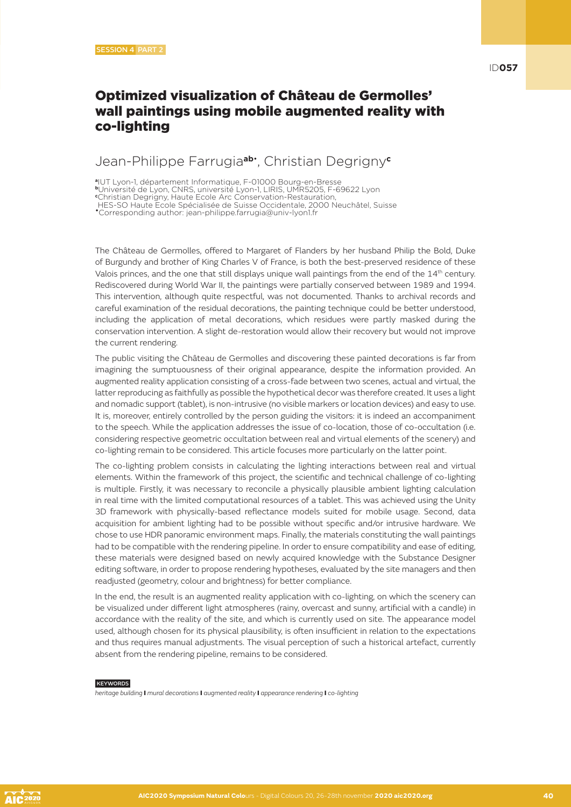# Optimized visualization of Château de Germolles' wall paintings using mobile augmented reality with co-lighting

### Jean-Philippe Farrugia**ab**• , Christian Degrigny**<sup>c</sup>**

**<sup>a</sup>**IUT Lyon-1, département Informatique, F-01000 Bourg-en-Bresse

**<sup>b</sup>**Université de Lyon, CNRS, université Lyon-1, LIRIS, UMR5205, F-69622 Lyon **c** Christian Degrigny, Haute Ecole Arc Conservation-Restauration,

HES-SO Haute Ecole Spécialisée de Suisse Occidentale, 2000 Neuchâtel, Suisse

•Corresponding author: jean-philippe.farrugia@univ-lyon1.fr

The Château de Germolles, offered to Margaret of Flanders by her husband Philip the Bold, Duke of Burgundy and brother of King Charles V of France, is both the best-preserved residence of these Valois princes, and the one that still displays unique wall paintings from the end of the 14th century. Rediscovered during World War II, the paintings were partially conserved between 1989 and 1994. This intervention, although quite respectful, was not documented. Thanks to archival records and careful examination of the residual decorations, the painting technique could be better understood, including the application of metal decorations, which residues were partly masked during the conservation intervention. A slight de-restoration would allow their recovery but would not improve the current rendering.

The public visiting the Château de Germolles and discovering these painted decorations is far from imagining the sumptuousness of their original appearance, despite the information provided. An augmented reality application consisting of a cross-fade between two scenes, actual and virtual, the latter reproducing as faithfully as possible the hypothetical decor was therefore created. It uses a light and nomadic support (tablet), is non-intrusive (no visible markers or location devices) and easy to use. It is, moreover, entirely controlled by the person guiding the visitors: it is indeed an accompaniment to the speech. While the application addresses the issue of co-location, those of co-occultation (i.e. considering respective geometric occultation between real and virtual elements of the scenery) and co-lighting remain to be considered. This article focuses more particularly on the latter point.

The co-lighting problem consists in calculating the lighting interactions between real and virtual elements. Within the framework of this project, the scientific and technical challenge of co-lighting is multiple. Firstly, it was necessary to reconcile a physically plausible ambient lighting calculation in real time with the limited computational resources of a tablet. This was achieved using the Unity 3D framework with physically-based reflectance models suited for mobile usage. Second, data acquisition for ambient lighting had to be possible without specific and/or intrusive hardware. We chose to use HDR panoramic environment maps. Finally, the materials constituting the wall paintings had to be compatible with the rendering pipeline. In order to ensure compatibility and ease of editing, these materials were designed based on newly acquired knowledge with the Substance Designer editing software, in order to propose rendering hypotheses, evaluated by the site managers and then readjusted (geometry, colour and brightness) for better compliance.

In the end, the result is an augmented reality application with co-lighting, on which the scenery can be visualized under different light atmospheres (rainy, overcast and sunny, artificial with a candle) in accordance with the reality of the site, and which is currently used on site. The appearance model used, although chosen for its physical plausibility, is often insufficient in relation to the expectations and thus requires manual adjustments. The visual perception of such a historical artefact, currently absent from the rendering pipeline, remains to be considered.

#### **KEYWORDS**

*heritage building* I *mural decorations* I *augmented reality* I *appearance rendering* I *co-lighting*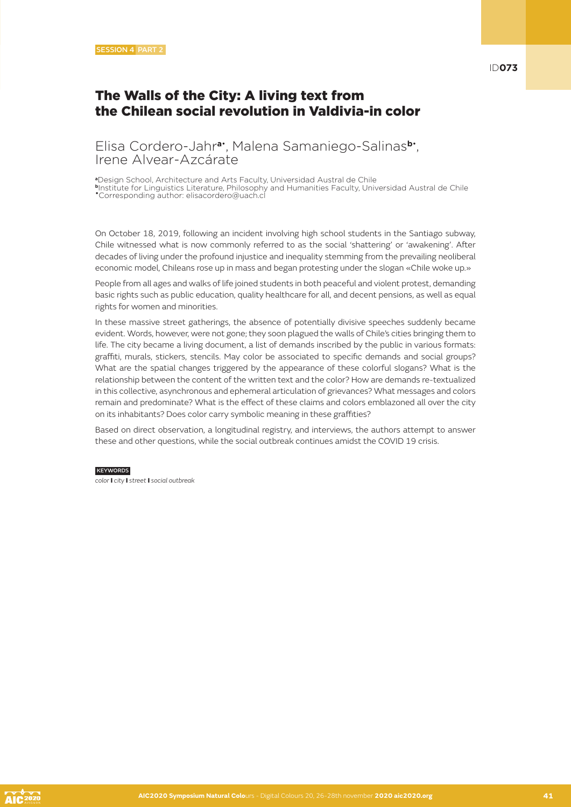### The Walls of the City: A living text from the Chilean social revolution in Valdivia-in color

### Elisa Cordero-Jahr**a**• , Malena Samaniego-Salinas**b**• , Irene Alvear-Azcárate

**<sup>a</sup>**Design School, Architecture and Arts Faculty, Universidad Austral de Chile **<sup>b</sup>**Institute for Linguistics Literature, Philosophy and Humanities Faculty, Universidad Austral de Chile •Corresponding author: elisacordero@uach.cl

On October 18, 2019, following an incident involving high school students in the Santiago subway, Chile witnessed what is now commonly referred to as the social 'shattering' or 'awakening'. After decades of living under the profound injustice and inequality stemming from the prevailing neoliberal economic model, Chileans rose up in mass and began protesting under the slogan «Chile woke up.»

People from all ages and walks of life joined students in both peaceful and violent protest, demanding basic rights such as public education, quality healthcare for all, and decent pensions, as well as equal rights for women and minorities.

In these massive street gatherings, the absence of potentially divisive speeches suddenly became evident. Words, however, were not gone; they soon plagued the walls of Chile's cities bringing them to life. The city became a living document, a list of demands inscribed by the public in various formats: graffiti, murals, stickers, stencils. May color be associated to specific demands and social groups? What are the spatial changes triggered by the appearance of these colorful slogans? What is the relationship between the content of the written text and the color? How are demands re-textualized in this collective, asynchronous and ephemeral articulation of grievances? What messages and colors remain and predominate? What is the effect of these claims and colors emblazoned all over the city on its inhabitants? Does color carry symbolic meaning in these graffities?

Based on direct observation, a longitudinal registry, and interviews, the authors attempt to answer these and other questions, while the social outbreak continues amidst the COVID 19 crisis.

**KEYWORDS** 

*color* I *city* I *street* I *social outbreak*

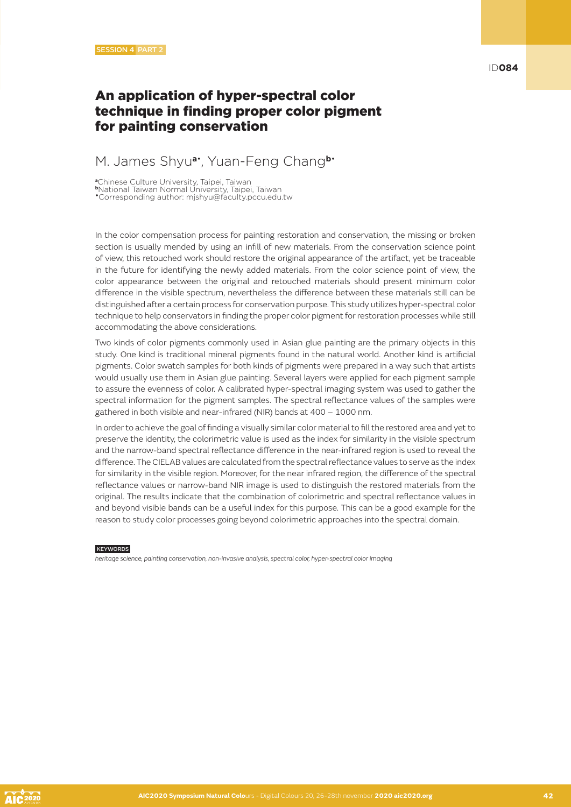### An application of hyper-spectral color technique in finding proper color pigment for painting conservation

### M. James Shyu**a**• , Yuan-Feng Chang**b**•

**<sup>a</sup>**Chinese Culture University, Taipei, Taiwan **<sup>b</sup>**National Taiwan Normal University, Taipei, Taiwan •Corresponding author: mjshyu@faculty.pccu.edu.tw

In the color compensation process for painting restoration and conservation, the missing or broken section is usually mended by using an infill of new materials. From the conservation science point of view, this retouched work should restore the original appearance of the artifact, yet be traceable in the future for identifying the newly added materials. From the color science point of view, the color appearance between the original and retouched materials should present minimum color difference in the visible spectrum, nevertheless the difference between these materials still can be distinguished after a certain process for conservation purpose. This study utilizes hyper-spectral color technique to help conservators in finding the proper color pigment for restoration processes while still accommodating the above considerations.

Two kinds of color pigments commonly used in Asian glue painting are the primary objects in this study. One kind is traditional mineral pigments found in the natural world. Another kind is artificial pigments. Color swatch samples for both kinds of pigments were prepared in a way such that artists would usually use them in Asian glue painting. Several layers were applied for each pigment sample to assure the evenness of color. A calibrated hyper-spectral imaging system was used to gather the spectral information for the pigment samples. The spectral reflectance values of the samples were gathered in both visible and near-infrared (NIR) bands at 400 – 1000 nm.

In order to achieve the goal of finding a visually similar color material to fill the restored area and yet to preserve the identity, the colorimetric value is used as the index for similarity in the visible spectrum and the narrow-band spectral reflectance difference in the near-infrared region is used to reveal the difference. The CIELAB values are calculated from the spectral reflectance values to serve as the index for similarity in the visible region. Moreover, for the near infrared region, the difference of the spectral reflectance values or narrow-band NIR image is used to distinguish the restored materials from the original. The results indicate that the combination of colorimetric and spectral reflectance values in and beyond visible bands can be a useful index for this purpose. This can be a good example for the reason to study color processes going beyond colorimetric approaches into the spectral domain.

#### **KEYWORDS**

*heritage science, painting conservation, non-invasive analysis, spectral color, hyper-spectral color imaging*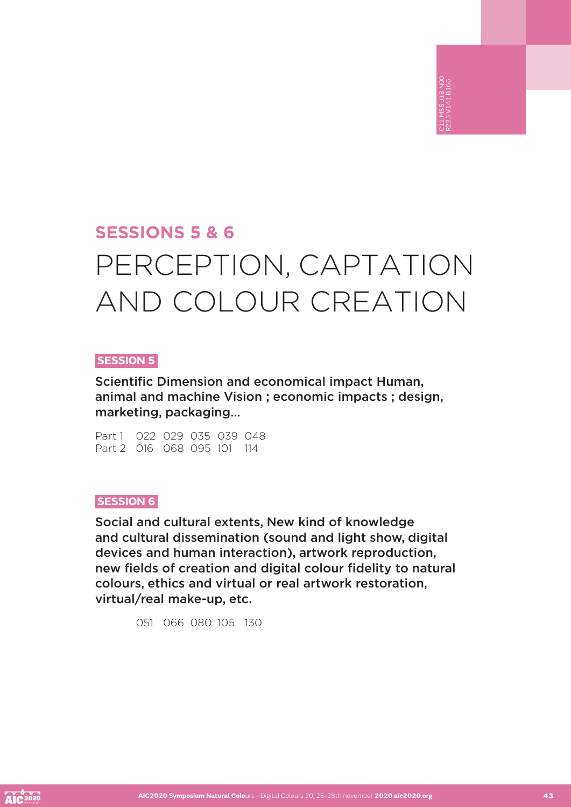# **SESSIONS 5 & 6** PERCEPTION, CAPTATION AND COLOUR CREATION

C11 M55 J18 N00 R223 V141 B166

### **SESSION 5**

Scientific Dimension and economical impact Human, animal and machine Vision ; economic impacts ; design, marketing, packaging…

Part 1 022 029 035 039 048 Part 2 016 068 095 101 114

### **SESSION 6**

Social and cultural extents, New kind of knowledge and cultural dissemination (sound and light show, digital devices and human interaction), artwork reproduction, new fields of creation and digital colour fidelity to natural colours, ethics and virtual or real artwork restoration, virtual/real make-up, etc.

051 066 080 105 130



**AIC2020 Symposium Natural Colo**urs - Digital Colours 20, 26-28th november **2020 aic2020.org 43**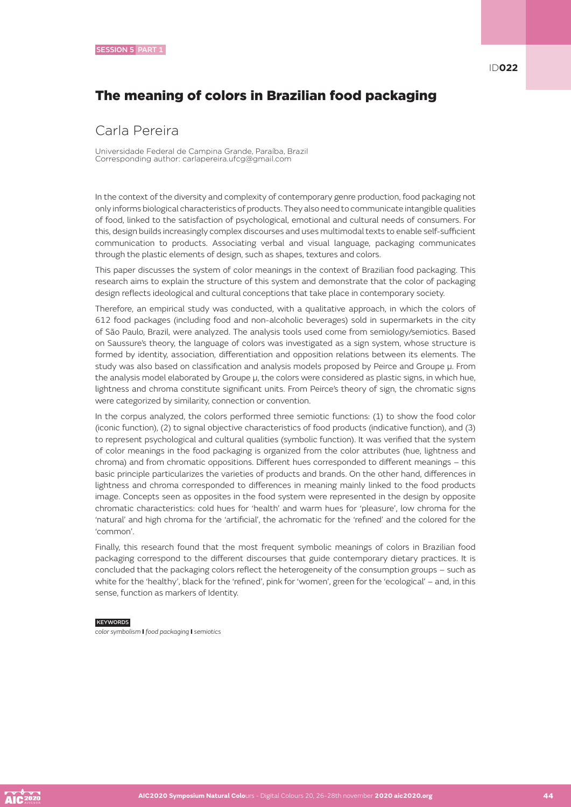# The meaning of colors in Brazilian food packaging

### Carla Pereira

Universidade Federal de Campina Grande, Paraíba, Brazil Corresponding author: carlapereira.ufcg@gmail.com

In the context of the diversity and complexity of contemporary genre production, food packaging not only informs biological characteristics of products. They also need to communicate intangible qualities of food, linked to the satisfaction of psychological, emotional and cultural needs of consumers. For this, design builds increasingly complex discourses and uses multimodal texts to enable self-sufficient communication to products. Associating verbal and visual language, packaging communicates through the plastic elements of design, such as shapes, textures and colors.

This paper discusses the system of color meanings in the context of Brazilian food packaging. This research aims to explain the structure of this system and demonstrate that the color of packaging design reflects ideological and cultural conceptions that take place in contemporary society.

Therefore, an empirical study was conducted, with a qualitative approach, in which the colors of 612 food packages (including food and non-alcoholic beverages) sold in supermarkets in the city of São Paulo, Brazil, were analyzed. The analysis tools used come from semiology/semiotics. Based on Saussure's theory, the language of colors was investigated as a sign system, whose structure is formed by identity, association, differentiation and opposition relations between its elements. The study was also based on classification and analysis models proposed by Peirce and Groupe μ. From the analysis model elaborated by Groupe μ, the colors were considered as plastic signs, in which hue, lightness and chroma constitute significant units. From Peirce's theory of sign, the chromatic signs were categorized by similarity, connection or convention.

In the corpus analyzed, the colors performed three semiotic functions: (1) to show the food color (iconic function), (2) to signal objective characteristics of food products (indicative function), and (3) to represent psychological and cultural qualities (symbolic function). It was verified that the system of color meanings in the food packaging is organized from the color attributes (hue, lightness and chroma) and from chromatic oppositions. Different hues corresponded to different meanings – this basic principle particularizes the varieties of products and brands. On the other hand, differences in lightness and chroma corresponded to differences in meaning mainly linked to the food products image. Concepts seen as opposites in the food system were represented in the design by opposite chromatic characteristics: cold hues for 'health' and warm hues for 'pleasure', low chroma for the 'natural' and high chroma for the 'artificial', the achromatic for the 'refined' and the colored for the 'common'.

Finally, this research found that the most frequent symbolic meanings of colors in Brazilian food packaging correspond to the different discourses that guide contemporary dietary practices. It is concluded that the packaging colors reflect the heterogeneity of the consumption groups – such as white for the 'healthy', black for the 'refined', pink for 'women', green for the 'ecological' – and, in this sense, function as markers of Identity.

#### **KEYWORDS**

*color symbolism* I *food packaging* I *semiotics*

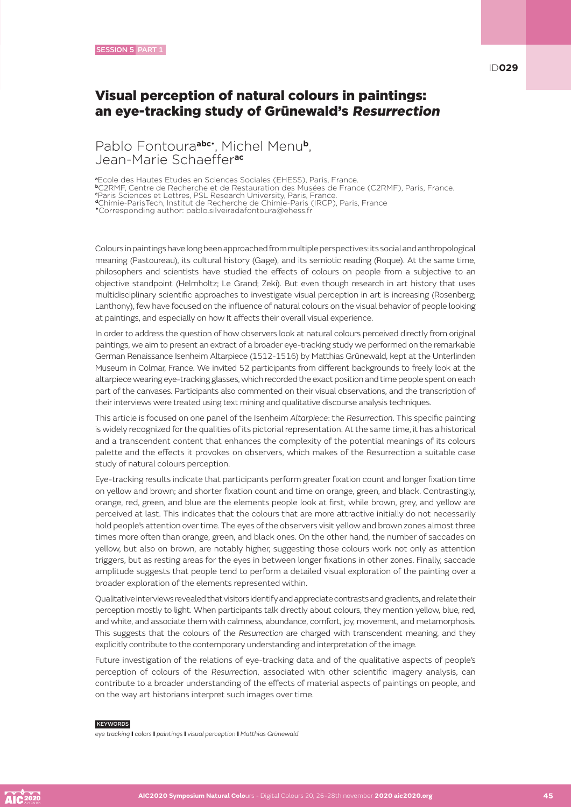ID**029**

### Visual perception of natural colours in paintings: an eye-tracking study of Grünewald's Resurrection

Pablo Fontoura**abc**• , Michel Menu**b**, Jean-Marie Schaeffer**ac**

**<sup>a</sup>**Ecole des Hautes Etudes en Sciences Sociales (EHESS), Paris, France.

**<sup>b</sup>**C2RMF, Centre de Recherche et de Restauration des Musées de France (C2RMF), Paris, France.

**c** Paris Sciences et Lettres, PSL Research University, Paris, France. **<sup>d</sup>**Chimie-ParisTech, Institut de Recherche de Chimie-Paris (IRCP), Paris, France

•Corresponding author: pablo.silveiradafontoura@ehess.fr

Colours in paintings have long been approached from multiple perspectives: its social and anthropological meaning (Pastoureau), its cultural history (Gage), and its semiotic reading (Roque). At the same time, philosophers and scientists have studied the effects of colours on people from a subjective to an objective standpoint (Helmholtz; Le Grand; Zeki). But even though research in art history that uses multidisciplinary scientific approaches to investigate visual perception in art is increasing (Rosenberg; Lanthony), few have focused on the influence of natural colours on the visual behavior of people looking at paintings, and especially on how It affects their overall visual experience.

In order to address the question of how observers look at natural colours perceived directly from original paintings, we aim to present an extract of a broader eye-tracking study we performed on the remarkable German Renaissance Isenheim Altarpiece (1512-1516) by Matthias Grünewald, kept at the Unterlinden Museum in Colmar, France. We invited 52 participants from different backgrounds to freely look at the altarpiece wearing eye-tracking glasses, which recorded the exact position and time people spent on each part of the canvases. Participants also commented on their visual observations, and the transcription of their interviews were treated using text mining and qualitative discourse analysis techniques.

This article is focused on one panel of the Isenheim *Altarpiece*: the *Resurrection*. This specific painting is widely recognized for the qualities of its pictorial representation. At the same time, it has a historical and a transcendent content that enhances the complexity of the potential meanings of its colours palette and the effects it provokes on observers, which makes of the Resurrection a suitable case study of natural colours perception.

Eye-tracking results indicate that participants perform greater fixation count and longer fixation time on yellow and brown; and shorter fixation count and time on orange, green, and black. Contrastingly, orange, red, green, and blue are the elements people look at first, while brown, grey, and yellow are perceived at last. This indicates that the colours that are more attractive initially do not necessarily hold people's attention over time. The eyes of the observers visit yellow and brown zones almost three times more often than orange, green, and black ones. On the other hand, the number of saccades on yellow, but also on brown, are notably higher, suggesting those colours work not only as attention triggers, but as resting areas for the eyes in between longer fixations in other zones. Finally, saccade amplitude suggests that people tend to perform a detailed visual exploration of the painting over a broader exploration of the elements represented within.

Qualitative interviews revealed that visitors identify and appreciate contrasts and gradients, and relate their perception mostly to light. When participants talk directly about colours, they mention yellow, blue, red, and white, and associate them with calmness, abundance, comfort, joy, movement, and metamorphosis. This suggests that the colours of the *Resurrection* are charged with transcendent meaning, and they explicitly contribute to the contemporary understanding and interpretation of the image.

Future investigation of the relations of eye-tracking data and of the qualitative aspects of people's perception of colours of the *Resurrection*, associated with other scientific imagery analysis, can contribute to a broader understanding of the effects of material aspects of paintings on people, and on the way art historians interpret such images over time.

#### **KEYWORDS**

*eye tracking* I *colors* I *paintings* I *visual perception* I *Matthias Grünewald*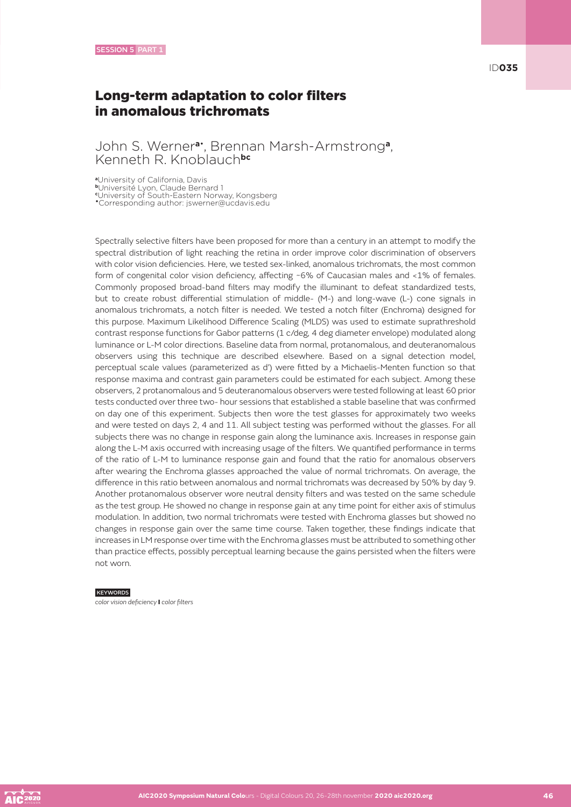### John S. Werner**a**• , Brennan Marsh-Armstrong**a**, Kenneth R. Knoblauch**bc**

**<sup>a</sup>**University of California, Davis

**<sup>b</sup>**Université Lyon, Claude Bernard 1

**c** University of South-Eastern Norway, Kongsberg •Corresponding author: jswerner@ucdavis.edu

Spectrally selective filters have been proposed for more than a century in an attempt to modify the spectral distribution of light reaching the retina in order improve color discrimination of observers with color vision deficiencies. Here, we tested sex-linked, anomalous trichromats, the most common form of congenital color vision deficiency, affecting ~6% of Caucasian males and <1% of females. Commonly proposed broad-band filters may modify the illuminant to defeat standardized tests, but to create robust differential stimulation of middle- (M-) and long-wave (L-) cone signals in anomalous trichromats, a notch filter is needed. We tested a notch filter (Enchroma) designed for this purpose. Maximum Likelihood Difference Scaling (MLDS) was used to estimate suprathreshold contrast response functions for Gabor patterns (1 c/deg, 4 deg diameter envelope) modulated along luminance or L-M color directions. Baseline data from normal, protanomalous, and deuteranomalous observers using this technique are described elsewhere. Based on a signal detection model, perceptual scale values (parameterized as d') were fitted by a Michaelis-Menten function so that response maxima and contrast gain parameters could be estimated for each subject. Among these observers, 2 protanomalous and 5 deuteranomalous observers were tested following at least 60 prior tests conducted over three two- hour sessions that established a stable baseline that was confirmed on day one of this experiment. Subjects then wore the test glasses for approximately two weeks and were tested on days 2, 4 and 11. All subject testing was performed without the glasses. For all subjects there was no change in response gain along the luminance axis. Increases in response gain along the L-M axis occurred with increasing usage of the filters. We quantified performance in terms of the ratio of L-M to luminance response gain and found that the ratio for anomalous observers after wearing the Enchroma glasses approached the value of normal trichromats. On average, the difference in this ratio between anomalous and normal trichromats was decreased by 50% by day 9. Another protanomalous observer wore neutral density filters and was tested on the same schedule as the test group. He showed no change in response gain at any time point for either axis of stimulus modulation. In addition, two normal trichromats were tested with Enchroma glasses but showed no changes in response gain over the same time course. Taken together, these findings indicate that increases in LM response over time with the Enchroma glasses must be attributed to something other than practice effects, possibly perceptual learning because the gains persisted when the filters were not worn.

#### **KEYWORDS**

*color vision deficiency* I *color filters*

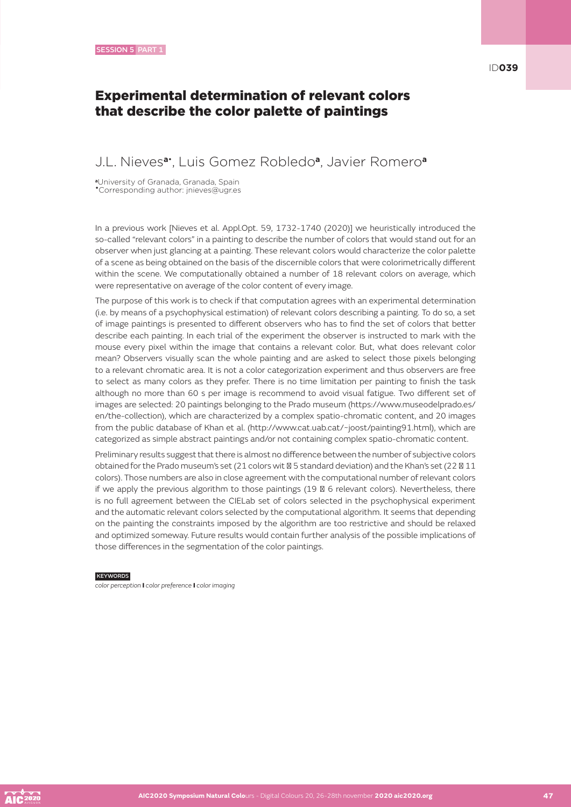### Experimental determination of relevant colors that describe the color palette of paintings

### J.L. Nieves**a**• , Luis Gomez Robledo**a**, Javier Romero**<sup>a</sup>**

**<sup>a</sup>**University of Granada, Granada, Spain •Corresponding author: jnieves@ugr.es

In a previous work [Nieves et al. Appl.Opt. 59, 1732-1740 (2020)] we heuristically introduced the so-called "relevant colors" in a painting to describe the number of colors that would stand out for an observer when just glancing at a painting. These relevant colors would characterize the color palette of a scene as being obtained on the basis of the discernible colors that were colorimetrically different within the scene. We computationally obtained a number of 18 relevant colors on average, which were representative on average of the color content of every image.

The purpose of this work is to check if that computation agrees with an experimental determination (i.e. by means of a psychophysical estimation) of relevant colors describing a painting. To do so, a set of image paintings is presented to different observers who has to find the set of colors that better describe each painting. In each trial of the experiment the observer is instructed to mark with the mouse every pixel within the image that contains a relevant color. But, what does relevant color mean? Observers visually scan the whole painting and are asked to select those pixels belonging to a relevant chromatic area. It is not a color categorization experiment and thus observers are free to select as many colors as they prefer. There is no time limitation per painting to finish the task although no more than 60 s per image is recommend to avoid visual fatigue. Two different set of images are selected: 20 paintings belonging to the Prado museum (https://www.museodelprado.es/ en/the-collection), which are characterized by a complex spatio-chromatic content, and 20 images from the public database of Khan et al. (http://www.cat.uab.cat/~joost/painting91.html), which are categorized as simple abstract paintings and/or not containing complex spatio-chromatic content.

Preliminary results suggest that there is almost no difference between the number of subjective colors obtained for the Prado museum's set (21 colors wit 5 standard deviation) and the Khan's set (22 11 colors). Those numbers are also in close agreement with the computational number of relevant colors if we apply the previous algorithm to those paintings (19 6 relevant colors). Nevertheless, there is no full agreement between the CIELab set of colors selected in the psychophysical experiment and the automatic relevant colors selected by the computational algorithm. It seems that depending on the painting the constraints imposed by the algorithm are too restrictive and should be relaxed and optimized someway. Future results would contain further analysis of the possible implications of those differences in the segmentation of the color paintings.

#### **KEYWORDS**

*color perception* I *color preference* I *color imaging*

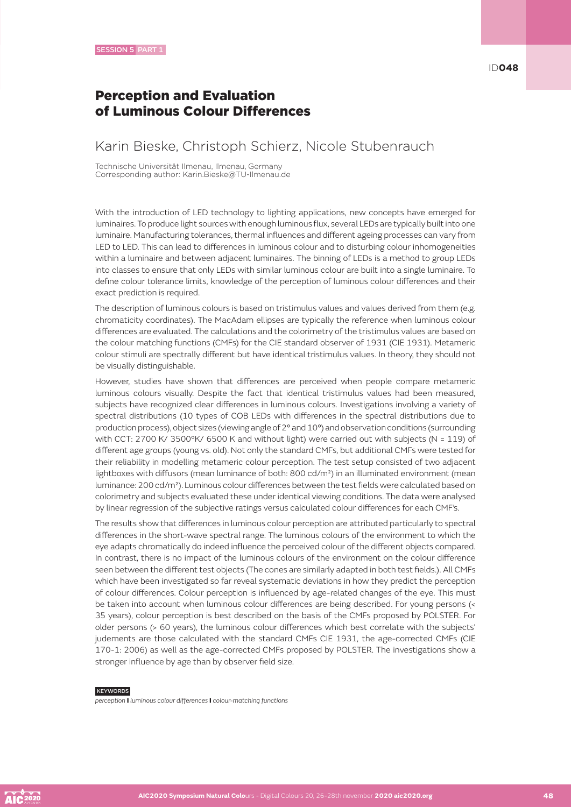### Perception and Evaluation of Luminous Colour Differences

### Karin Bieske, Christoph Schierz, Nicole Stubenrauch

Technische Universität Ilmenau, Ilmenau, Germany Corresponding author: Karin.Bieske@TU-Ilmenau.de

With the introduction of LED technology to lighting applications, new concepts have emerged for luminaires. To produce light sources with enough luminous flux, several LEDs are typically built into one luminaire. Manufacturing tolerances, thermal influences and different ageing processes can vary from LED to LED. This can lead to differences in luminous colour and to disturbing colour inhomogeneities within a luminaire and between adjacent luminaires. The binning of LEDs is a method to group LEDs into classes to ensure that only LEDs with similar luminous colour are built into a single luminaire. To define colour tolerance limits, knowledge of the perception of luminous colour differences and their exact prediction is required.

The description of luminous colours is based on tristimulus values and values derived from them (e.g. chromaticity coordinates). The MacAdam ellipses are typically the reference when luminous colour differences are evaluated. The calculations and the colorimetry of the tristimulus values are based on the colour matching functions (CMFs) for the CIE standard observer of 1931 (CIE 1931). Metameric colour stimuli are spectrally different but have identical tristimulus values. In theory, they should not be visually distinguishable.

However, studies have shown that differences are perceived when people compare metameric luminous colours visually. Despite the fact that identical tristimulus values had been measured, subjects have recognized clear differences in luminous colours. Investigations involving a variety of spectral distributions (10 types of COB LEDs with differences in the spectral distributions due to production process), object sizes (viewing angle of 2° and 10°) and observation conditions (surrounding with CCT: 2700 K/ 3500°K/ 6500 K and without light) were carried out with subjects (N = 119) of different age groups (young vs. old). Not only the standard CMFs, but additional CMFs were tested for their reliability in modelling metameric colour perception. The test setup consisted of two adjacent lightboxes with diffusors (mean luminance of both: 800 cd/m²) in an illuminated environment (mean luminance: 200 cd/m²). Luminous colour differences between the test fields were calculated based on colorimetry and subjects evaluated these under identical viewing conditions. The data were analysed by linear regression of the subjective ratings versus calculated colour differences for each CMF's.

The results show that differences in luminous colour perception are attributed particularly to spectral differences in the short-wave spectral range. The luminous colours of the environment to which the eye adapts chromatically do indeed influence the perceived colour of the different objects compared. In contrast, there is no impact of the luminous colours of the environment on the colour difference seen between the different test objects (The cones are similarly adapted in both test fields.). All CMFs which have been investigated so far reveal systematic deviations in how they predict the perception of colour differences. Colour perception is influenced by age-related changes of the eye. This must be taken into account when luminous colour differences are being described. For young persons (< 35 years), colour perception is best described on the basis of the CMFs proposed by POLSTER. For older persons (> 60 years), the luminous colour differences which best correlate with the subjects' judements are those calculated with the standard CMFs CIE 1931, the age-corrected CMFs (CIE 170-1: 2006) as well as the age-corrected CMFs proposed by POLSTER. The investigations show a stronger influence by age than by observer field size.

#### **KEYWORDS**

*perception* I *luminous colour differences* I *colour-matching functions*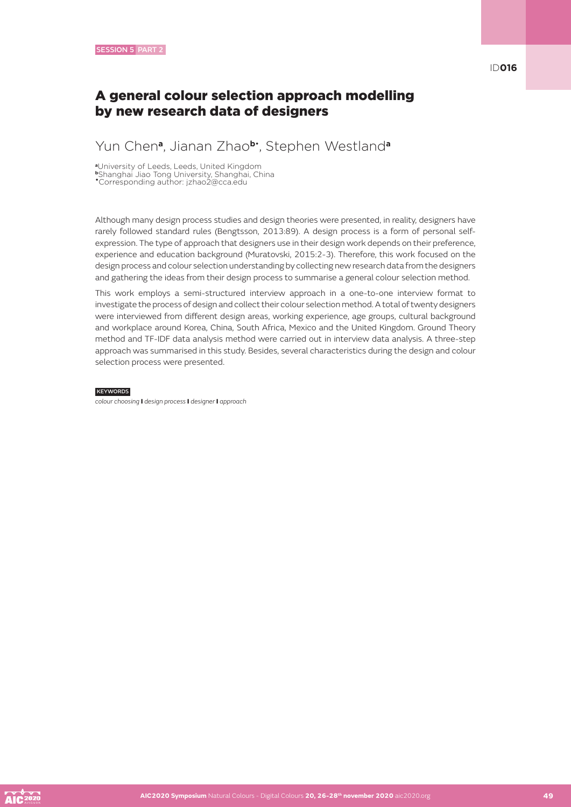### A general colour selection approach modelling by new research data of designers

### Yun Chen**a**, Jianan Zhao**b**• , Stephen Westland**<sup>a</sup>**

**<sup>a</sup>**University of Leeds, Leeds, United Kingdom

**<sup>b</sup>**Shanghai Jiao Tong University, Shanghai, China

•Corresponding author: jzhao2@cca.edu

Although many design process studies and design theories were presented, in reality, designers have rarely followed standard rules (Bengtsson, 2013:89). A design process is a form of personal selfexpression. The type of approach that designers use in their design work depends on their preference, experience and education background (Muratovski, 2015:2-3). Therefore, this work focused on the design process and colour selection understanding by collecting new research data from the designers and gathering the ideas from their design process to summarise a general colour selection method.

This work employs a semi-structured interview approach in a one-to-one interview format to investigate the process of design and collect their colour selection method. A total of twenty designers were interviewed from different design areas, working experience, age groups, cultural background and workplace around Korea, China, South Africa, Mexico and the United Kingdom. Ground Theory method and TF-IDF data analysis method were carried out in interview data analysis. A three-step approach was summarised in this study. Besides, several characteristics during the design and colour selection process were presented.

#### **KEYWORDS**

*colour choosing* I *design process* I *designer* I *approach*

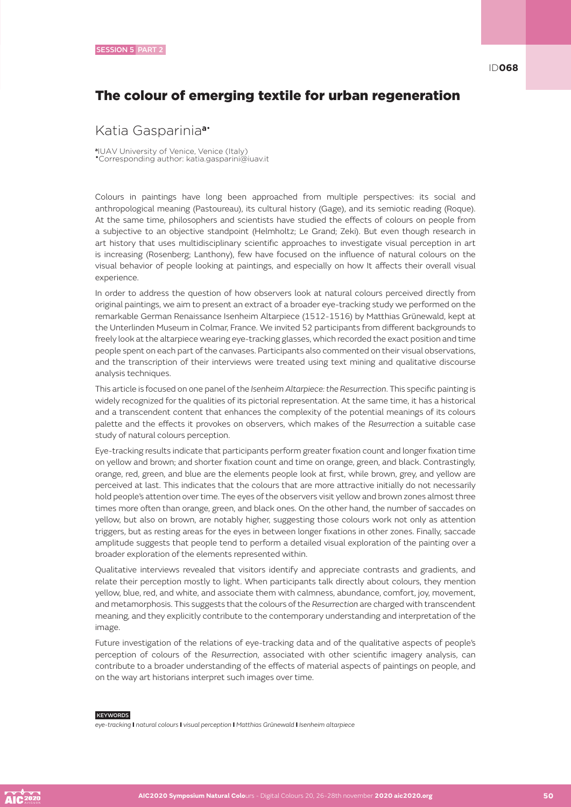### The colour of emerging textile for urban regeneration

### Katia Gasparinia**a**•

**<sup>a</sup>**IUAV University of Venice, Venice (Italy) •Corresponding author: katia.gasparini@iuav.it

Colours in paintings have long been approached from multiple perspectives: its social and anthropological meaning (Pastoureau), its cultural history (Gage), and its semiotic reading (Roque). At the same time, philosophers and scientists have studied the effects of colours on people from a subjective to an objective standpoint (Helmholtz; Le Grand; Zeki). But even though research in art history that uses multidisciplinary scientific approaches to investigate visual perception in art is increasing (Rosenberg; Lanthony), few have focused on the influence of natural colours on the visual behavior of people looking at paintings, and especially on how It affects their overall visual experience.

In order to address the question of how observers look at natural colours perceived directly from original paintings, we aim to present an extract of a broader eye-tracking study we performed on the remarkable German Renaissance Isenheim Altarpiece (1512-1516) by Matthias Grünewald, kept at the Unterlinden Museum in Colmar, France. We invited 52 participants from different backgrounds to freely look at the altarpiece wearing eye-tracking glasses, which recorded the exact position and time people spent on each part of the canvases. Participants also commented on their visual observations, and the transcription of their interviews were treated using text mining and qualitative discourse analysis techniques.

This article is focused on one panel of the *Isenheim Altarpiece: the Resurrection*. This specific painting is widely recognized for the qualities of its pictorial representation. At the same time, it has a historical and a transcendent content that enhances the complexity of the potential meanings of its colours palette and the effects it provokes on observers, which makes of the *Resurrection* a suitable case study of natural colours perception.

Eye-tracking results indicate that participants perform greater fixation count and longer fixation time on yellow and brown; and shorter fixation count and time on orange, green, and black. Contrastingly, orange, red, green, and blue are the elements people look at first, while brown, grey, and yellow are perceived at last. This indicates that the colours that are more attractive initially do not necessarily hold people's attention over time. The eyes of the observers visit yellow and brown zones almost three times more often than orange, green, and black ones. On the other hand, the number of saccades on yellow, but also on brown, are notably higher, suggesting those colours work not only as attention triggers, but as resting areas for the eyes in between longer fixations in other zones. Finally, saccade amplitude suggests that people tend to perform a detailed visual exploration of the painting over a broader exploration of the elements represented within.

Qualitative interviews revealed that visitors identify and appreciate contrasts and gradients, and relate their perception mostly to light. When participants talk directly about colours, they mention yellow, blue, red, and white, and associate them with calmness, abundance, comfort, joy, movement, and metamorphosis. This suggests that the colours of the *Resurrection* are charged with transcendent meaning, and they explicitly contribute to the contemporary understanding and interpretation of the image.

Future investigation of the relations of eye-tracking data and of the qualitative aspects of people's perception of colours of the *Resurrection*, associated with other scientific imagery analysis, can contribute to a broader understanding of the effects of material aspects of paintings on people, and on the way art historians interpret such images over time.

#### **KEYWORDS**

*eye-tracking* I *natural colours* I *visual perception* I *Matthias Grünewald* I *Isenheim altarpiece*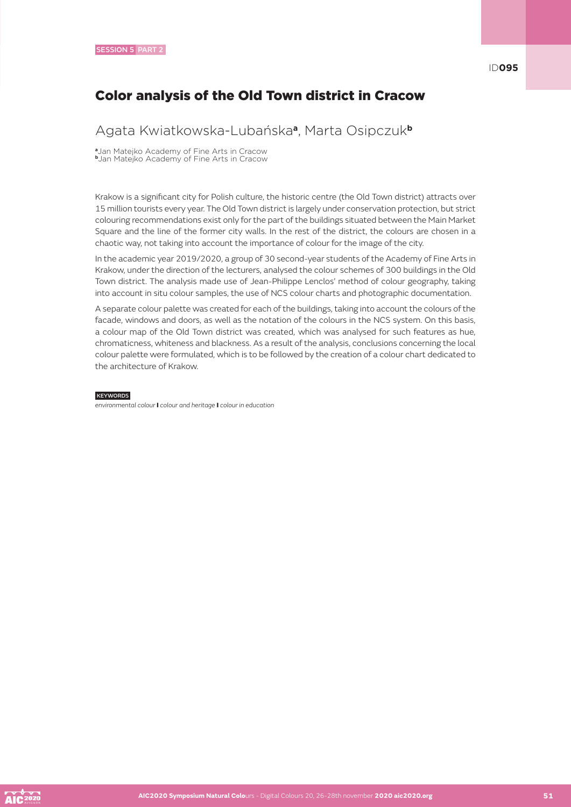# Color analysis of the Old Town district in Cracow

### Agata Kwiatkowska-Lubańska**a**, Marta Osipczuk**<sup>b</sup>**

**<sup>a</sup>**Jan Matejko Academy of Fine Arts in Cracow **<sup>b</sup>**Jan Matejko Academy of Fine Arts in Cracow

Krakow is a significant city for Polish culture, the historic centre (the Old Town district) attracts over 15 million tourists every year. The Old Town district is largely under conservation protection, but strict colouring recommendations exist only for the part of the buildings situated between the Main Market Square and the line of the former city walls. In the rest of the district, the colours are chosen in a chaotic way, not taking into account the importance of colour for the image of the city.

In the academic year 2019/2020, a group of 30 second-year students of the Academy of Fine Arts in Krakow, under the direction of the lecturers, analysed the colour schemes of 300 buildings in the Old Town district. The analysis made use of Jean-Philippe Lenclos' method of colour geography, taking into account in situ colour samples, the use of NCS colour charts and photographic documentation.

A separate colour palette was created for each of the buildings, taking into account the colours of the facade, windows and doors, as well as the notation of the colours in the NCS system. On this basis, a colour map of the Old Town district was created, which was analysed for such features as hue, chromaticness, whiteness and blackness. As a result of the analysis, conclusions concerning the local colour palette were formulated, which is to be followed by the creation of a colour chart dedicated to the architecture of Krakow.

#### **KEYWORDS**

*environmental colour* I *colour and heritage* I *colour in education*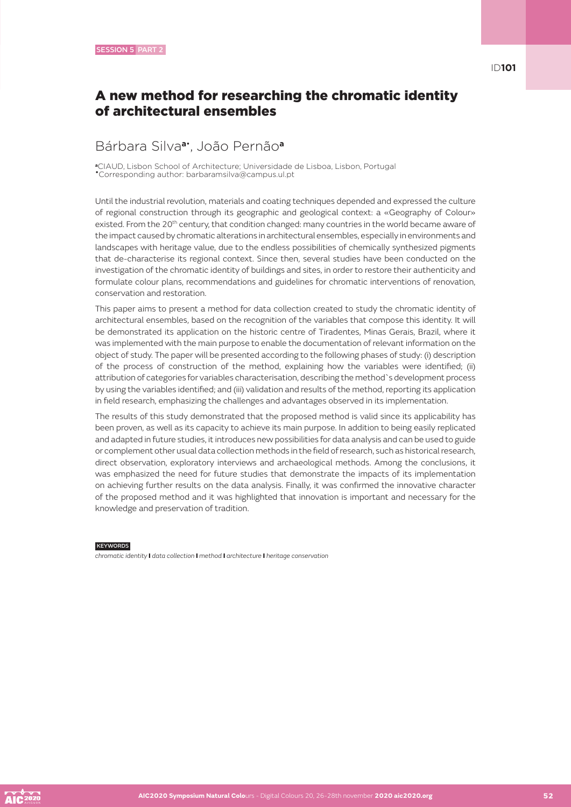# A new method for researching the chromatic identity of architectural ensembles

## Bárbara Silva**a**• , João Pernão**<sup>a</sup>**

**<sup>a</sup>**CIAUD, Lisbon School of Architecture; Universidade de Lisboa, Lisbon, Portugal •Corresponding author: barbaramsilva@campus.ul.pt

Until the industrial revolution, materials and coating techniques depended and expressed the culture of regional construction through its geographic and geological context: a «Geography of Colour» existed. From the 20<sup>th</sup> century, that condition changed: many countries in the world became aware of the impact caused by chromatic alterations in architectural ensembles, especially in environments and landscapes with heritage value, due to the endless possibilities of chemically synthesized pigments that de-characterise its regional context. Since then, several studies have been conducted on the investigation of the chromatic identity of buildings and sites, in order to restore their authenticity and formulate colour plans, recommendations and guidelines for chromatic interventions of renovation, conservation and restoration.

This paper aims to present a method for data collection created to study the chromatic identity of architectural ensembles, based on the recognition of the variables that compose this identity. It will be demonstrated its application on the historic centre of Tiradentes, Minas Gerais, Brazil, where it was implemented with the main purpose to enable the documentation of relevant information on the object of study. The paper will be presented according to the following phases of study: (i) description of the process of construction of the method, explaining how the variables were identified; (ii) attribution of categories for variables characterisation, describing the method`s development process by using the variables identified; and (iii) validation and results of the method, reporting its application in field research, emphasizing the challenges and advantages observed in its implementation.

The results of this study demonstrated that the proposed method is valid since its applicability has been proven, as well as its capacity to achieve its main purpose. In addition to being easily replicated and adapted in future studies, it introduces new possibilities for data analysis and can be used to guide or complement other usual data collection methods in the field of research, such as historical research, direct observation, exploratory interviews and archaeological methods. Among the conclusions, it was emphasized the need for future studies that demonstrate the impacts of its implementation on achieving further results on the data analysis. Finally, it was confirmed the innovative character of the proposed method and it was highlighted that innovation is important and necessary for the knowledge and preservation of tradition.

**KEYWORDS** 

*chromatic identity* I *data collection* I *method* I *architecture* I *heritage conservation*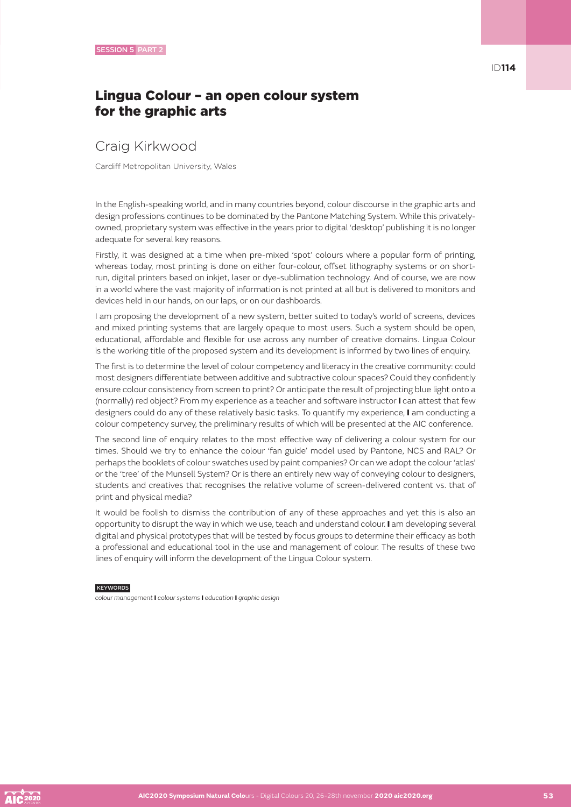# Craig Kirkwood

Cardiff Metropolitan University, Wales

In the English-speaking world, and in many countries beyond, colour discourse in the graphic arts and design professions continues to be dominated by the Pantone Matching System. While this privatelyowned, proprietary system was effective in the years prior to digital 'desktop' publishing it is no longer adequate for several key reasons.

Firstly, it was designed at a time when pre-mixed 'spot' colours where a popular form of printing, whereas today, most printing is done on either four-colour, offset lithography systems or on shortrun, digital printers based on inkjet, laser or dye-sublimation technology. And of course, we are now in a world where the vast majority of information is not printed at all but is delivered to monitors and devices held in our hands, on our laps, or on our dashboards.

I am proposing the development of a new system, better suited to today's world of screens, devices and mixed printing systems that are largely opaque to most users. Such a system should be open, educational, affordable and flexible for use across any number of creative domains. Lingua Colour is the working title of the proposed system and its development is informed by two lines of enquiry.

The first is to determine the level of colour competency and literacy in the creative community: could most designers differentiate between additive and subtractive colour spaces? Could they confidently ensure colour consistency from screen to print? Or anticipate the result of projecting blue light onto a (normally) red object? From my experience as a teacher and software instructor I can attest that few designers could do any of these relatively basic tasks. To quantify my experience, I am conducting a colour competency survey, the preliminary results of which will be presented at the AIC conference.

The second line of enquiry relates to the most effective way of delivering a colour system for our times. Should we try to enhance the colour 'fan guide' model used by Pantone, NCS and RAL? Or perhaps the booklets of colour swatches used by paint companies? Or can we adopt the colour 'atlas' or the 'tree' of the Munsell System? Or is there an entirely new way of conveying colour to designers, students and creatives that recognises the relative volume of screen-delivered content vs. that of print and physical media?

It would be foolish to dismiss the contribution of any of these approaches and yet this is also an opportunity to disrupt the way in which we use, teach and understand colour. I am developing several digital and physical prototypes that will be tested by focus groups to determine their efficacy as both a professional and educational tool in the use and management of colour. The results of these two lines of enquiry will inform the development of the Lingua Colour system.

#### **KEYWORDS**

*colour management* I *colour systems* I *education* I *graphic design*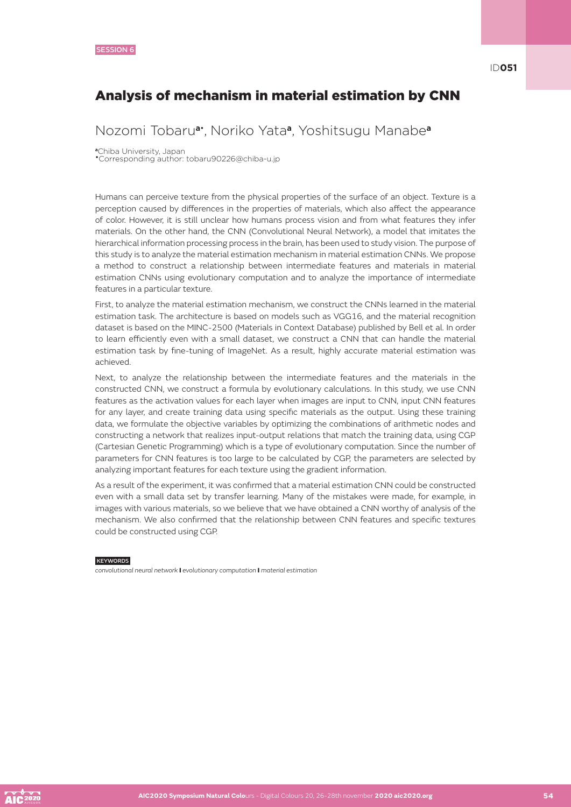### Analysis of mechanism in material estimation by CNN

### Nozomi Tobaru**a**• , Noriko Yata**a**, Yoshitsugu Manabe**<sup>a</sup>**

**<sup>a</sup>**Chiba University, Japan

•Corresponding author: tobaru90226@chiba-u.jp

Humans can perceive texture from the physical properties of the surface of an object. Texture is a perception caused by differences in the properties of materials, which also affect the appearance of color. However, it is still unclear how humans process vision and from what features they infer materials. On the other hand, the CNN (Convolutional Neural Network), a model that imitates the hierarchical information processing process in the brain, has been used to study vision. The purpose of this study is to analyze the material estimation mechanism in material estimation CNNs. We propose a method to construct a relationship between intermediate features and materials in material estimation CNNs using evolutionary computation and to analyze the importance of intermediate features in a particular texture.

First, to analyze the material estimation mechanism, we construct the CNNs learned in the material estimation task. The architecture is based on models such as VGG16, and the material recognition dataset is based on the MINC-2500 (Materials in Context Database) published by Bell et al. In order to learn efficiently even with a small dataset, we construct a CNN that can handle the material estimation task by fine-tuning of ImageNet. As a result, highly accurate material estimation was achieved.

Next, to analyze the relationship between the intermediate features and the materials in the constructed CNN, we construct a formula by evolutionary calculations. In this study, we use CNN features as the activation values for each layer when images are input to CNN, input CNN features for any layer, and create training data using specific materials as the output. Using these training data, we formulate the objective variables by optimizing the combinations of arithmetic nodes and constructing a network that realizes input-output relations that match the training data, using CGP (Cartesian Genetic Programming) which is a type of evolutionary computation. Since the number of parameters for CNN features is too large to be calculated by CGP, the parameters are selected by analyzing important features for each texture using the gradient information.

As a result of the experiment, it was confirmed that a material estimation CNN could be constructed even with a small data set by transfer learning. Many of the mistakes were made, for example, in images with various materials, so we believe that we have obtained a CNN worthy of analysis of the mechanism. We also confirmed that the relationship between CNN features and specific textures could be constructed using CGP.

#### **KEYWORDS**

*convolutional neural network* I *evolutionary computation* I *material estimation*

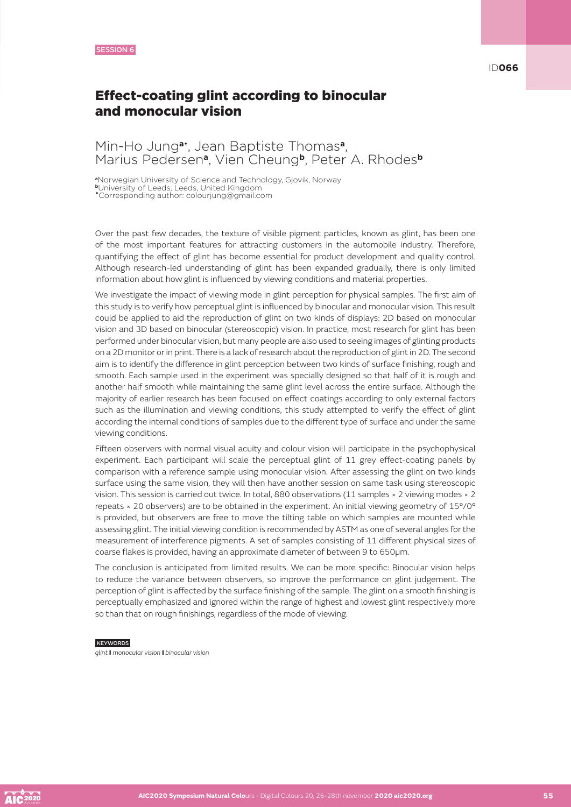### ID**066**

### Effect-coating glint according to binocular and monocular vision

### Min-Ho Jung**a**• , Jean Baptiste Thomas**a**, Marius Pedersen**a**, Vien Cheung**b**, Peter A. Rhodes**<sup>b</sup>**

**<sup>a</sup>**Norwegian University of Science and Technology, Gjovik, Norway

**<sup>b</sup>**University of Leeds, Leeds, United Kingdom

•Corresponding author: colourjung@gmail.com

Over the past few decades, the texture of visible pigment particles, known as glint, has been one of the most important features for attracting customers in the automobile industry. Therefore, quantifying the effect of glint has become essential for product development and quality control. Although research-led understanding of glint has been expanded gradually, there is only limited information about how glint is influenced by viewing conditions and material properties.

We investigate the impact of viewing mode in glint perception for physical samples. The first aim of this study is to verify how perceptual glint is influenced by binocular and monocular vision. This result could be applied to aid the reproduction of glint on two kinds of displays: 2D based on monocular vision and 3D based on binocular (stereoscopic) vision. In practice, most research for glint has been performed under binocular vision, but many people are also used to seeing images of glinting products on a 2D monitor or in print. There is a lack of research about the reproduction of glint in 2D. The second aim is to identify the difference in glint perception between two kinds of surface finishing, rough and smooth. Each sample used in the experiment was specially designed so that half of it is rough and another half smooth while maintaining the same glint level across the entire surface. Although the majority of earlier research has been focused on effect coatings according to only external factors such as the illumination and viewing conditions, this study attempted to verify the effect of glint according the internal conditions of samples due to the different type of surface and under the same viewing conditions.

Fifteen observers with normal visual acuity and colour vision will participate in the psychophysical experiment. Each participant will scale the perceptual glint of 11 grey effect-coating panels by comparison with a reference sample using monocular vision. After assessing the glint on two kinds surface using the same vision, they will then have another session on same task using stereoscopic vision. This session is carried out twice. In total, 880 observations (11 samples × 2 viewing modes × 2 repeats × 20 observers) are to be obtained in the experiment. An initial viewing geometry of 15°/0° is provided, but observers are free to move the tilting table on which samples are mounted while assessing glint. The initial viewing condition is recommended by ASTM as one of several angles for the measurement of interference pigments. A set of samples consisting of 11 different physical sizes of coarse flakes is provided, having an approximate diameter of between 9 to 650μm.

The conclusion is anticipated from limited results. We can be more specific: Binocular vision helps to reduce the variance between observers, so improve the performance on glint judgement. The perception of glint is affected by the surface finishing of the sample. The glint on a smooth finishing is perceptually emphasized and ignored within the range of highest and lowest glint respectively more so than that on rough finishings, regardless of the mode of viewing.

#### **KEYWORDS**

*glint* I *monocular vision* I *binocular vision*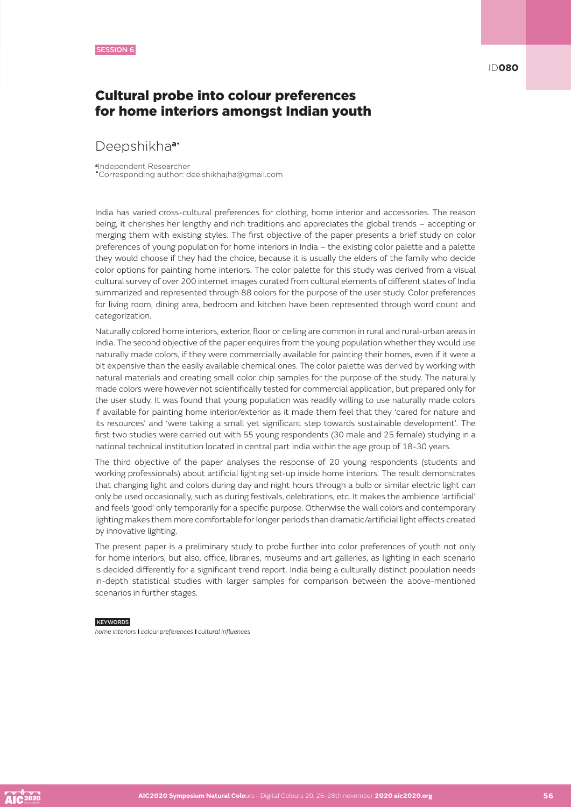### Cultural probe into colour preferences for home interiors amongst Indian youth

### Deepshikha**a**•

**<sup>a</sup>**Independent Researcher •Corresponding author: dee.shikhajha@gmail.com

India has varied cross-cultural preferences for clothing, home interior and accessories. The reason being, it cherishes her lengthy and rich traditions and appreciates the global trends – accepting or merging them with existing styles. The first objective of the paper presents a brief study on color preferences of young population for home interiors in India – the existing color palette and a palette they would choose if they had the choice, because it is usually the elders of the family who decide color options for painting home interiors. The color palette for this study was derived from a visual cultural survey of over 200 internet images curated from cultural elements of different states of India summarized and represented through 88 colors for the purpose of the user study. Color preferences for living room, dining area, bedroom and kitchen have been represented through word count and categorization.

Naturally colored home interiors, exterior, floor or ceiling are common in rural and rural-urban areas in India. The second objective of the paper enquires from the young population whether they would use naturally made colors, if they were commercially available for painting their homes, even if it were a bit expensive than the easily available chemical ones. The color palette was derived by working with natural materials and creating small color chip samples for the purpose of the study. The naturally made colors were however not scientifically tested for commercial application, but prepared only for the user study. It was found that young population was readily willing to use naturally made colors if available for painting home interior/exterior as it made them feel that they 'cared for nature and its resources' and 'were taking a small yet significant step towards sustainable development'. The first two studies were carried out with 55 young respondents (30 male and 25 female) studying in a national technical institution located in central part India within the age group of 18-30 years.

The third objective of the paper analyses the response of 20 young respondents (students and working professionals) about artificial lighting set-up inside home interiors. The result demonstrates that changing light and colors during day and night hours through a bulb or similar electric light can only be used occasionally, such as during festivals, celebrations, etc. It makes the ambience 'artificial' and feels 'good' only temporarily for a specific purpose. Otherwise the wall colors and contemporary lighting makes them more comfortable for longer periods than dramatic/artificial light effects created by innovative lighting.

The present paper is a preliminary study to probe further into color preferences of youth not only for home interiors, but also, office, libraries, museums and art galleries, as lighting in each scenario is decided differently for a significant trend report. India being a culturally distinct population needs in-depth statistical studies with larger samples for comparison between the above-mentioned scenarios in further stages.

#### **KEYWORDS**

*home interiors* I *colour preferences* I *cultural influences*

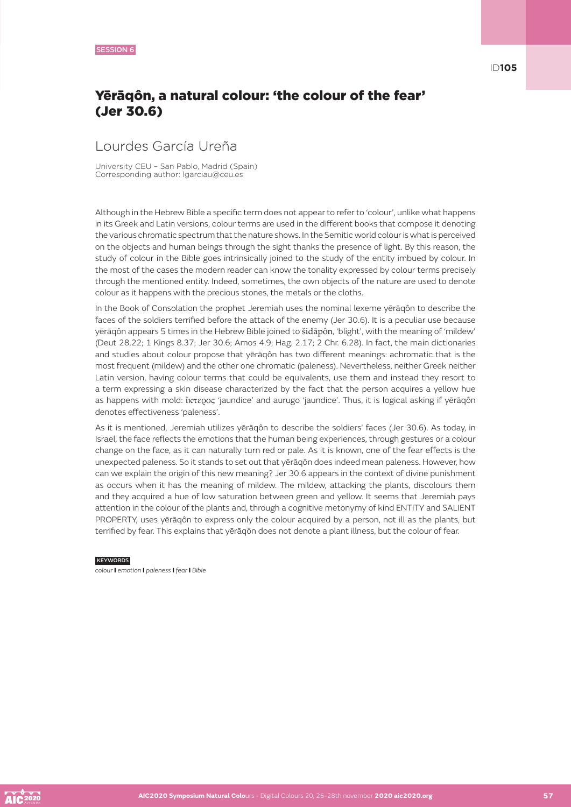ID**105**

# Yērāqôn, a natural colour: 'the colour of the fear' (Jer 30.6)

# Lourdes García Ureña

University CEU – San Pablo, Madrid (Spain) Corresponding author: lgarciau@ceu.es

Although in the Hebrew Bible a specific term does not appear to refer to 'colour', unlike what happens in its Greek and Latin versions, colour terms are used in the different books that compose it denoting the various chromatic spectrum that the nature shows. In the Semitic world colour is what is perceived on the objects and human beings through the sight thanks the presence of light. By this reason, the study of colour in the Bible goes intrinsically joined to the study of the entity imbued by colour. In the most of the cases the modern reader can know the tonality expressed by colour terms precisely through the mentioned entity. Indeed, sometimes, the own objects of the nature are used to denote colour as it happens with the precious stones, the metals or the cloths.

In the Book of Consolation the prophet Jeremiah uses the nominal lexeme yērāqôn to describe the faces of the soldiers terrified before the attack of the enemy (Jer 30.6). It is a peculiar use because yērāqôn appears 5 times in the Hebrew Bible joined to šidāpôn, 'blight', with the meaning of 'mildew' (Deut 28.22; 1 Kings 8.37; Jer 30.6; Amos 4.9; Hag. 2.17; 2 Chr. 6.28). In fact, the main dictionaries and studies about colour propose that yērāqôn has two different meanings: achromatic that is the most frequent (mildew) and the other one chromatic (paleness). Nevertheless, neither Greek neither Latin version, having colour terms that could be equivalents, use them and instead they resort to a term expressing a skin disease characterized by the fact that the person acquires a yellow hue as happens with mold: ἴκτερος 'jaundice' and aurugo 'jaundice'. Thus, it is logical asking if yērāqôn denotes effectiveness 'paleness'.

As it is mentioned, Jeremiah utilizes yērāqôn to describe the soldiers' faces (Jer 30.6). As today, in Israel, the face reflects the emotions that the human being experiences, through gestures or a colour change on the face, as it can naturally turn red or pale. As it is known, one of the fear effects is the unexpected paleness. So it stands to set out that yērāqôn does indeed mean paleness. However, how can we explain the origin of this new meaning? Jer 30.6 appears in the context of divine punishment as occurs when it has the meaning of mildew. The mildew, attacking the plants, discolours them and they acquired a hue of low saturation between green and yellow. It seems that Jeremiah pays attention in the colour of the plants and, through a cognitive metonymy of kind ENTITY and SALIENT PROPERTY, uses yērāqôn to express only the colour acquired by a person, not ill as the plants, but terrified by fear. This explains that yērāqôn does not denote a plant illness, but the colour of fear.

#### **KEYWORDS**

*colour* I *emotion* I *paleness* I *fear* I *Bible*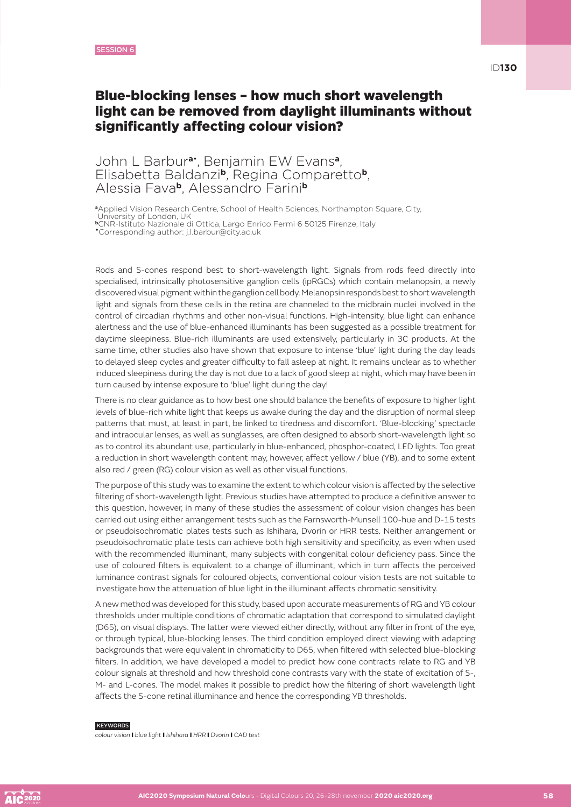### Blue-blocking lenses – how much short wavelength light can be removed from daylight illuminants without significantly affecting colour vision?

### John L Barbur**a**• , Benjamin EW Evans**a**, Elisabetta Baldanzi**b**, Regina Comparetto**b**, Alessia Fava**b**, Alessandro Farini**<sup>b</sup>**

**<sup>a</sup>**Applied Vision Research Centre, School of Health Sciences, Northampton Square, City,

University of London, UK

**<sup>b</sup>**CNR-Istituto Nazionale di Ottica, Largo Enrico Fermi 6 50125 Firenze, Italy •Corresponding author: j.l.barbur@city.ac.uk

Rods and S-cones respond best to short-wavelength light. Signals from rods feed directly into specialised, intrinsically photosensitive ganglion cells (ipRGCs) which contain melanopsin, a newly discovered visual pigment within the ganglion cell body. Melanopsin responds best to short wavelength light and signals from these cells in the retina are channeled to the midbrain nuclei involved in the control of circadian rhythms and other non-visual functions. High-intensity, blue light can enhance alertness and the use of blue-enhanced illuminants has been suggested as a possible treatment for daytime sleepiness. Blue-rich illuminants are used extensively, particularly in 3C products. At the same time, other studies also have shown that exposure to intense 'blue' light during the day leads to delayed sleep cycles and greater difficulty to fall asleep at night. It remains unclear as to whether induced sleepiness during the day is not due to a lack of good sleep at night, which may have been in turn caused by intense exposure to 'blue' light during the day!

There is no clear guidance as to how best one should balance the benefits of exposure to higher light levels of blue-rich white light that keeps us awake during the day and the disruption of normal sleep patterns that must, at least in part, be linked to tiredness and discomfort. 'Blue-blocking' spectacle and intraocular lenses, as well as sunglasses, are often designed to absorb short-wavelength light so as to control its abundant use, particularly in blue-enhanced, phosphor-coated, LED lights. Too great a reduction in short wavelength content may, however, affect yellow / blue (YB), and to some extent also red / green (RG) colour vision as well as other visual functions.

The purpose of this study was to examine the extent to which colour vision is affected by the selective filtering of short-wavelength light. Previous studies have attempted to produce a definitive answer to this question, however, in many of these studies the assessment of colour vision changes has been carried out using either arrangement tests such as the Farnsworth-Munsell 100-hue and D-15 tests or pseudoisochromatic plates tests such as Ishihara, Dvorin or HRR tests. Neither arrangement or pseudoisochromatic plate tests can achieve both high sensitivity and specificity, as even when used with the recommended illuminant, many subjects with congenital colour deficiency pass. Since the use of coloured filters is equivalent to a change of illuminant, which in turn affects the perceived luminance contrast signals for coloured objects, conventional colour vision tests are not suitable to investigate how the attenuation of blue light in the illuminant affects chromatic sensitivity.

A new method was developed for this study, based upon accurate measurements of RG and YB colour thresholds under multiple conditions of chromatic adaptation that correspond to simulated daylight (D65), on visual displays. The latter were viewed either directly, without any filter in front of the eye, or through typical, blue-blocking lenses. The third condition employed direct viewing with adapting backgrounds that were equivalent in chromaticity to D65, when filtered with selected blue-blocking filters. In addition, we have developed a model to predict how cone contracts relate to RG and YB colour signals at threshold and how threshold cone contrasts vary with the state of excitation of S-, M- and L-cones. The model makes it possible to predict how the filtering of short wavelength light affects the S-cone retinal illuminance and hence the corresponding YB thresholds.

#### KEYWORDS

*colour vision* I *blue light* I *Ishihara* I *HRR* I *Dvorin* I *CAD test*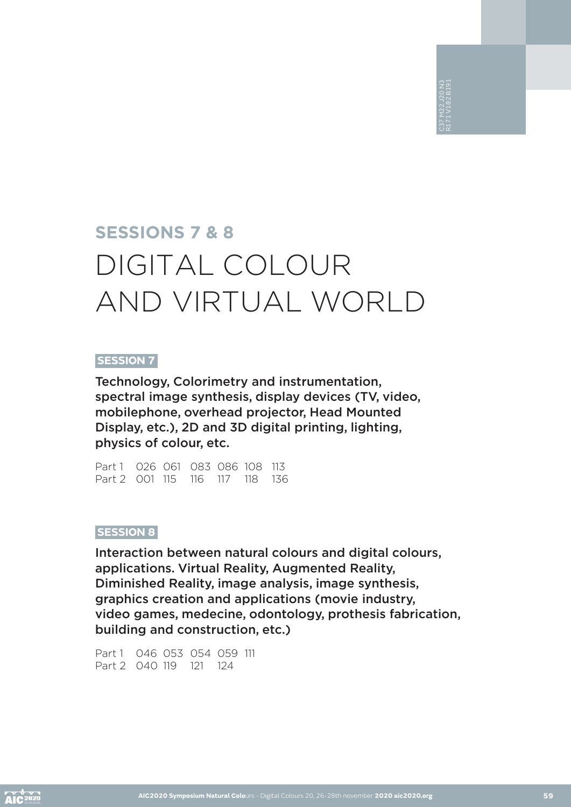# **SESSIONS 7 & 8** DIGITAL COLOUR AND VIRTUAL WORLD

### **SESSION 7**

Technology, Colorimetry and instrumentation, spectral image synthesis, display devices (TV, video, mobilephone, overhead projector, Head Mounted Display, etc.), 2D and 3D digital printing, lighting, physics of colour, etc.

Part 1 026 061 083 086 108 113 Part 2 001 115 116 117 118 136

### **SESSION 8**

Interaction between natural colours and digital colours, applications. Virtual Reality, Augmented Reality, Diminished Reality, image analysis, image synthesis, graphics creation and applications (movie industry, video games, medecine, odontology, prothesis fabrication, building and construction, etc.)

Part 1 046 053 054 059 111 Part 2 040 119 121 124

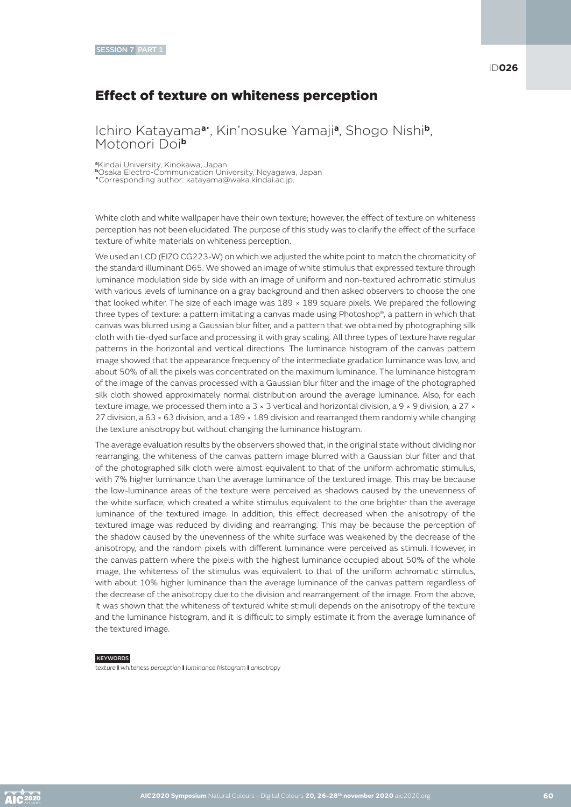# Effect of texture on whiteness perception

Ichiro Katayama**a**• , Kin'nosuke Yamaji**a**, Shogo Nishi**b**, Motonori Doi**<sup>b</sup>**

**<sup>a</sup>**Kindai University, Kinokawa, Japan

**<sup>b</sup>**Osaka Electro-Communication University, Neyagawa, Japan •Corresponding author: katayama@waka.kindai.ac.jp.

White cloth and white wallpaper have their own texture; however, the effect of texture on whiteness perception has not been elucidated. The purpose of this study was to clarify the effect of the surface texture of white materials on whiteness perception.

We used an LCD (EIZO CG223-W) on which we adjusted the white point to match the chromaticity of the standard illuminant D65. We showed an image of white stimulus that expressed texture through luminance modulation side by side with an image of uniform and non-textured achromatic stimulus with various levels of luminance on a gray background and then asked observers to choose the one that looked whiter. The size of each image was  $189 \times 189$  square pixels. We prepared the following three types of texture: a pattern imitating a canvas made using Photoshop®, a pattern in which that canvas was blurred using a Gaussian blur filter, and a pattern that we obtained by photographing silk cloth with tie-dyed surface and processing it with gray scaling. All three types of texture have regular patterns in the horizontal and vertical directions. The luminance histogram of the canvas pattern image showed that the appearance frequency of the intermediate gradation luminance was low, and about 50% of all the pixels was concentrated on the maximum luminance. The luminance histogram of the image of the canvas processed with a Gaussian blur filter and the image of the photographed silk cloth showed approximately normal distribution around the average luminance. Also, for each texture image, we processed them into a 3 × 3 vertical and horizontal division, a 9 × 9 division, a 27 × 27 division, a 63 × 63 division, and a 189 × 189 division and rearranged them randomly while changing the texture anisotropy but without changing the luminance histogram.

The average evaluation results by the observers showed that, in the original state without dividing nor rearranging, the whiteness of the canvas pattern image blurred with a Gaussian blur filter and that of the photographed silk cloth were almost equivalent to that of the uniform achromatic stimulus, with 7% higher luminance than the average luminance of the textured image. This may be because the low-luminance areas of the texture were perceived as shadows caused by the unevenness of the white surface, which created a white stimulus equivalent to the one brighter than the average luminance of the textured image. In addition, this effect decreased when the anisotropy of the textured image was reduced by dividing and rearranging. This may be because the perception of the shadow caused by the unevenness of the white surface was weakened by the decrease of the anisotropy, and the random pixels with different luminance were perceived as stimuli. However, in the canvas pattern where the pixels with the highest luminance occupied about 50% of the whole image, the whiteness of the stimulus was equivalent to that of the uniform achromatic stimulus, with about 10% higher luminance than the average luminance of the canvas pattern regardless of the decrease of the anisotropy due to the division and rearrangement of the image. From the above, it was shown that the whiteness of textured white stimuli depends on the anisotropy of the texture and the luminance histogram, and it is difficult to simply estimate it from the average luminance of the textured image.

#### **KEYWORDS**

*texture* I *whiteness perception* I *luminance histogram* I *anisotropy*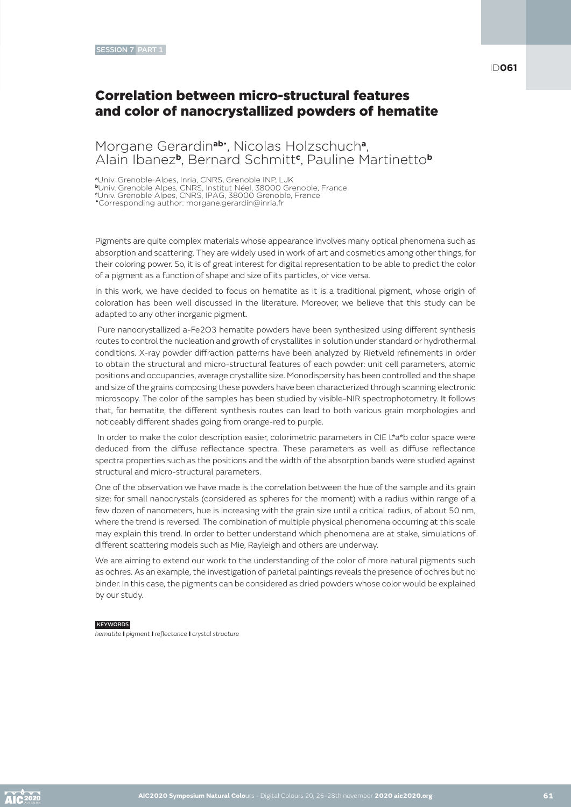### Correlation between micro-structural features and color of nanocrystallized powders of hematite

### Morgane Gerardin**ab**• , Nicolas Holzschuch**a**, Alain Ibanez**b**, Bernard Schmitt**<sup>c</sup>** , Pauline Martinetto**<sup>b</sup>**

**<sup>a</sup>**Univ. Grenoble-Alpes, Inria, CNRS, Grenoble INP, LJK

**<sup>b</sup>**Univ. Grenoble Alpes, CNRS, Institut Néel, 38000 Grenoble, France **c** Univ. Grenoble Alpes, CNRS, IPAG, 38000 Grenoble, France

•Corresponding author: morgane.gerardin@inria.fr

Pigments are quite complex materials whose appearance involves many optical phenomena such as absorption and scattering. They are widely used in work of art and cosmetics among other things, for their coloring power. So, it is of great interest for digital representation to be able to predict the color of a pigment as a function of shape and size of its particles, or vice versa.

In this work, we have decided to focus on hematite as it is a traditional pigment, whose origin of coloration has been well discussed in the literature. Moreover, we believe that this study can be adapted to any other inorganic pigment.

 Pure nanocrystallized a-Fe2O3 hematite powders have been synthesized using different synthesis routes to control the nucleation and growth of crystallites in solution under standard or hydrothermal conditions. X-ray powder diffraction patterns have been analyzed by Rietveld refinements in order to obtain the structural and micro-structural features of each powder: unit cell parameters, atomic positions and occupancies, average crystallite size. Monodispersity has been controlled and the shape and size of the grains composing these powders have been characterized through scanning electronic microscopy. The color of the samples has been studied by visible-NIR spectrophotometry. It follows that, for hematite, the different synthesis routes can lead to both various grain morphologies and noticeably different shades going from orange-red to purple.

In order to make the color description easier, colorimetric parameters in CIE L\*a\*b color space were deduced from the diffuse reflectance spectra. These parameters as well as diffuse reflectance spectra properties such as the positions and the width of the absorption bands were studied against structural and micro-structural parameters.

One of the observation we have made is the correlation between the hue of the sample and its grain size: for small nanocrystals (considered as spheres for the moment) with a radius within range of a few dozen of nanometers, hue is increasing with the grain size until a critical radius, of about 50 nm, where the trend is reversed. The combination of multiple physical phenomena occurring at this scale may explain this trend. In order to better understand which phenomena are at stake, simulations of different scattering models such as Mie, Rayleigh and others are underway.

We are aiming to extend our work to the understanding of the color of more natural pigments such as ochres. As an example, the investigation of parietal paintings reveals the presence of ochres but no binder. In this case, the pigments can be considered as dried powders whose color would be explained by our study.

#### **KEYWORDS**

*hematite* I *pigment* I *reflectance* I *crystal structure*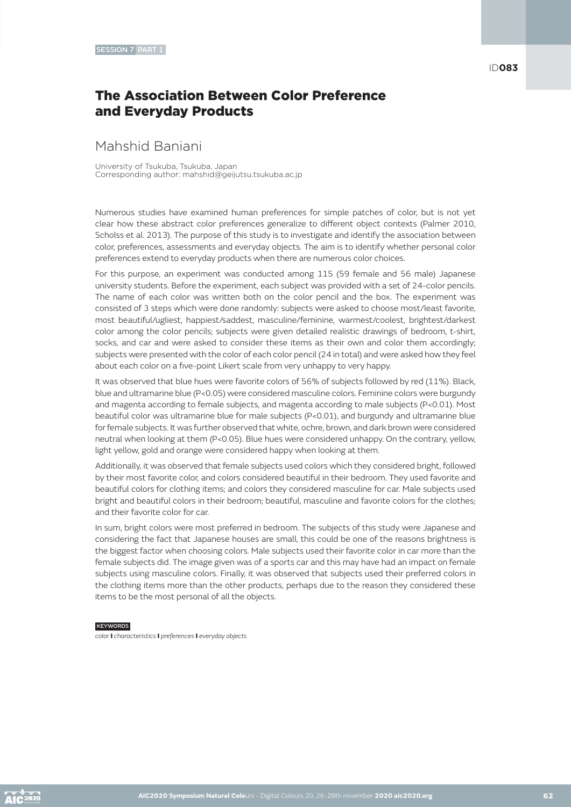# The Association Between Color Preference and Everyday Products

### Mahshid Baniani

University of Tsukuba, Tsukuba, Japan Corresponding author: mahshid@geijutsu.tsukuba.ac.jp

Numerous studies have examined human preferences for simple patches of color, but is not yet clear how these abstract color preferences generalize to different object contexts (Palmer 2010, Scholss et al. 2013). The purpose of this study is to investigate and identify the association between color, preferences, assessments and everyday objects. The aim is to identify whether personal color preferences extend to everyday products when there are numerous color choices.

For this purpose, an experiment was conducted among 115 (59 female and 56 male) Japanese university students. Before the experiment, each subject was provided with a set of 24-color pencils. The name of each color was written both on the color pencil and the box. The experiment was consisted of 3 steps which were done randomly: subjects were asked to choose most/least favorite, most beautiful/ugliest, happiest/saddest, masculine/feminine, warmest/coolest, brightest/darkest color among the color pencils; subjects were given detailed realistic drawings of bedroom, t-shirt, socks, and car and were asked to consider these items as their own and color them accordingly; subjects were presented with the color of each color pencil (24 in total) and were asked how they feel about each color on a five-point Likert scale from very unhappy to very happy.

It was observed that blue hues were favorite colors of 56% of subjects followed by red (11%). Black, blue and ultramarine blue (P<0.05) were considered masculine colors. Feminine colors were burgundy and magenta according to female subjects, and magenta according to male subjects (P<0.01). Most beautiful color was ultramarine blue for male subjects (P<0.01), and burgundy and ultramarine blue for female subjects. It was further observed that white, ochre, brown, and dark brown were considered neutral when looking at them (P<0.05). Blue hues were considered unhappy. On the contrary, yellow, light yellow, gold and orange were considered happy when looking at them.

Additionally, it was observed that female subjects used colors which they considered bright, followed by their most favorite color, and colors considered beautiful in their bedroom. They used favorite and beautiful colors for clothing items; and colors they considered masculine for car. Male subjects used bright and beautiful colors in their bedroom; beautiful, masculine and favorite colors for the clothes; and their favorite color for car.

In sum, bright colors were most preferred in bedroom. The subjects of this study were Japanese and considering the fact that Japanese houses are small, this could be one of the reasons brightness is the biggest factor when choosing colors. Male subjects used their favorite color in car more than the female subjects did. The image given was of a sports car and this may have had an impact on female subjects using masculine colors. Finally, it was observed that subjects used their preferred colors in the clothing items more than the other products, perhaps due to the reason they considered these items to be the most personal of all the objects.

#### **KEYWORDS**

*color* I *characteristics* I *preferences* I *everyday objects*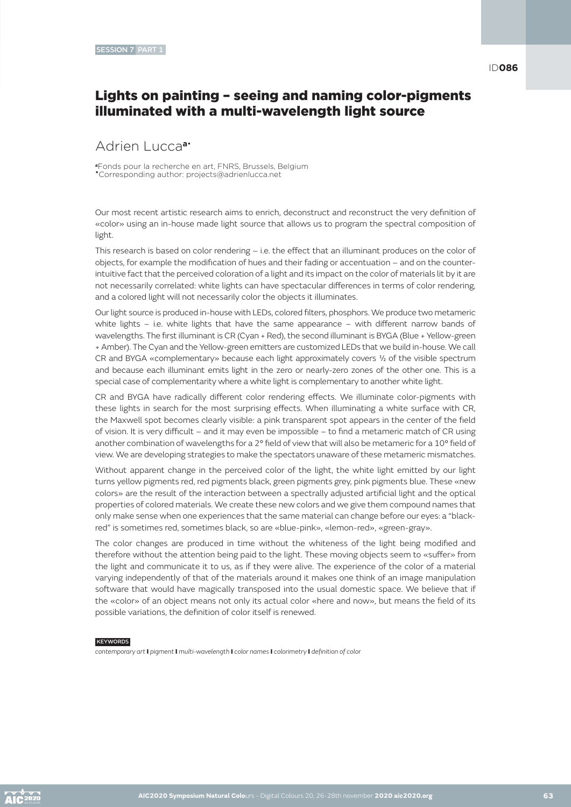### Lights on painting – seeing and naming color-pigments illuminated with a multi-wavelength light source

### Adrien Lucca**a**•

**<sup>a</sup>**Fonds pour la recherche en art, FNRS, Brussels, Belgium •Corresponding author: projects@adrienlucca.net

Our most recent artistic research aims to enrich, deconstruct and reconstruct the very definition of «color» using an in-house made light source that allows us to program the spectral composition of light.

This research is based on color rendering – i.e. the effect that an illuminant produces on the color of objects, for example the modification of hues and their fading or accentuation – and on the counterintuitive fact that the perceived coloration of a light and its impact on the color of materials lit by it are not necessarily correlated: white lights can have spectacular differences in terms of color rendering, and a colored light will not necessarily color the objects it illuminates.

Our light source is produced in-house with LEDs, colored filters, phosphors. We produce two metameric white lights  $-$  i.e. white lights that have the same appearance  $-$  with different narrow bands of wavelengths. The first illuminant is CR (Cyan + Red), the second illuminant is BYGA (Blue + Yellow-green + Amber). The Cyan and the Yellow-green emitters are customized LEDs that we build in-house. We call CR and BYGA «complementary» because each light approximately covers ½ of the visible spectrum and because each illuminant emits light in the zero or nearly-zero zones of the other one. This is a special case of complementarity where a white light is complementary to another white light.

CR and BYGA have radically different color rendering effects. We illuminate color-pigments with these lights in search for the most surprising effects. When illuminating a white surface with CR, the Maxwell spot becomes clearly visible: a pink transparent spot appears in the center of the field of vision. It is very difficult – and it may even be impossible – to find a metameric match of CR using another combination of wavelengths for a 2° field of view that will also be metameric for a 10° field of view. We are developing strategies to make the spectators unaware of these metameric mismatches.

Without apparent change in the perceived color of the light, the white light emitted by our light turns yellow pigments red, red pigments black, green pigments grey, pink pigments blue. These «new colors» are the result of the interaction between a spectrally adjusted artificial light and the optical properties of colored materials. We create these new colors and we give them compound names that only make sense when one experiences that the same material can change before our eyes: a "blackred" is sometimes red, sometimes black, so are «blue-pink», «lemon-red», «green-gray».

The color changes are produced in time without the whiteness of the light being modified and therefore without the attention being paid to the light. These moving objects seem to «suffer» from the light and communicate it to us, as if they were alive. The experience of the color of a material varying independently of that of the materials around it makes one think of an image manipulation software that would have magically transposed into the usual domestic space. We believe that if the «color» of an object means not only its actual color «here and now», but means the field of its possible variations, the definition of color itself is renewed.

#### **KEYWORDS**

*contemporary art* I *pigment* I *multi-wavelength* I *color names* I *colorimetry* I *definition of color*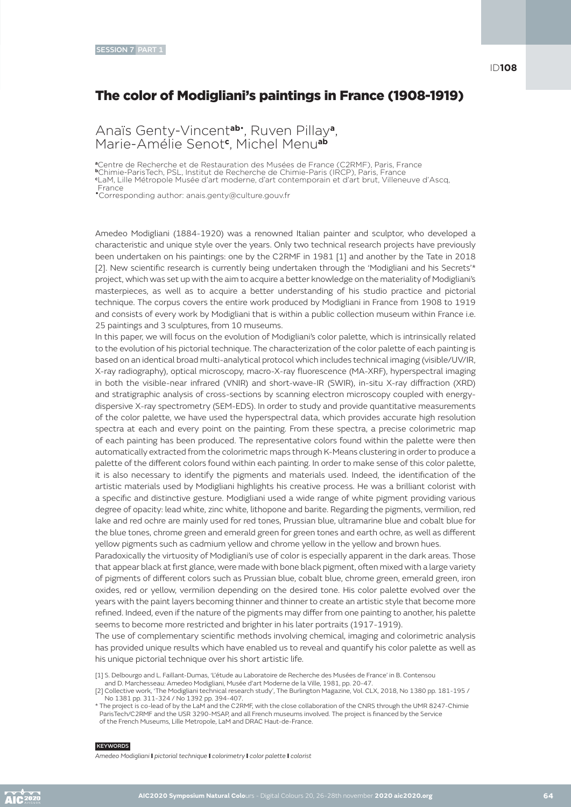### The color of Modigliani's paintings in France (1908-1919)

Anaïs Genty-Vincent**ab**• , Ruven Pillay**a**, Marie-Amélie Senot**<sup>c</sup>** , Michel Menu**ab**

**<sup>a</sup>**Centre de Recherche et de Restauration des Musées de France (C2RMF), Paris, France **<sup>b</sup>**Chimie-ParisTech, PSL, Institut de Recherche de Chimie-Paris (IRCP), Paris, France **c** LaM, Lille Métropole Musée d'art moderne, d'art contemporain et d'art brut, Villeneuve d'Ascq,

France •Corresponding author: anais.genty@culture.gouv.fr

Amedeo Modigliani (1884-1920) was a renowned Italian painter and sculptor, who developed a characteristic and unique style over the years. Only two technical research projects have previously been undertaken on his paintings: one by the C2RMF in 1981 [1] and another by the Tate in 2018 [2]. New scientific research is currently being undertaken through the 'Modigliani and his Secrets'\* project, which was set up with the aim to acquire a better knowledge on the materiality of Modigliani's masterpieces, as well as to acquire a better understanding of his studio practice and pictorial technique. The corpus covers the entire work produced by Modigliani in France from 1908 to 1919 and consists of every work by Modigliani that is within a public collection museum within France i.e. 25 paintings and 3 sculptures, from 10 museums.

In this paper, we will focus on the evolution of Modigliani's color palette, which is intrinsically related to the evolution of his pictorial technique. The characterization of the color palette of each painting is based on an identical broad multi-analytical protocol which includes technical imaging (visible/UV/IR, X-ray radiography), optical microscopy, macro-X-ray fluorescence (MA-XRF), hyperspectral imaging in both the visible-near infrared (VNIR) and short-wave-IR (SWIR), in-situ X-ray diffraction (XRD) and stratigraphic analysis of cross-sections by scanning electron microscopy coupled with energydispersive X-ray spectrometry (SEM-EDS). In order to study and provide quantitative measurements of the color palette, we have used the hyperspectral data, which provides accurate high resolution spectra at each and every point on the painting. From these spectra, a precise colorimetric map of each painting has been produced. The representative colors found within the palette were then automatically extracted from the colorimetric maps through K-Means clustering in order to produce a palette of the different colors found within each painting. In order to make sense of this color palette, it is also necessary to identify the pigments and materials used. Indeed, the identification of the artistic materials used by Modigliani highlights his creative process. He was a brilliant colorist with a specific and distinctive gesture. Modigliani used a wide range of white pigment providing various degree of opacity: lead white, zinc white, lithopone and barite. Regarding the pigments, vermilion, red lake and red ochre are mainly used for red tones, Prussian blue, ultramarine blue and cobalt blue for the blue tones, chrome green and emerald green for green tones and earth ochre, as well as different yellow pigments such as cadmium yellow and chrome yellow in the yellow and brown hues.

Paradoxically the virtuosity of Modigliani's use of color is especially apparent in the dark areas. Those that appear black at first glance, were made with bone black pigment, often mixed with a large variety of pigments of different colors such as Prussian blue, cobalt blue, chrome green, emerald green, iron oxides, red or yellow, vermilion depending on the desired tone. His color palette evolved over the years with the paint layers becoming thinner and thinner to create an artistic style that become more refined. Indeed, even if the nature of the pigments may differ from one painting to another, his palette seems to become more restricted and brighter in his later portraits (1917-1919).

The use of complementary scientific methods involving chemical, imaging and colorimetric analysis has provided unique results which have enabled us to reveal and quantify his color palette as well as his unique pictorial technique over his short artistic life.

[1] S. Delbourgo and L. Faillant-Dumas, 'L'étude au Laboratoire de Recherche des Musées de France' in B. Contensou

and D. Marchesseau: Amedeo Modigliani, Musée d'art Moderne de la Ville, 1981, pp. 20-47. [2] Collective work, 'The Modigliani technical research study', The Burlington Magazine, Vol. CLX, 2018, No 1380 pp. 181-195 / No 1381 pp. 311-324 / No 1392 pp. 394-407.

#### **KEYWORDS**

*Amedeo Modigliani* I *pictorial technique* I *colorimetry* I *color palette* I *colorist*

<sup>\*</sup> The project is co-lead of by the LaM and the C2RMF, with the close collaboration of the CNRS through the UMR 8247-Chimie ParisTech/C2RMF and the USR 3290-MSAP, and all French museums involved. The project is financed by the Service of the French Museums, Lille Metropole, LaM and DRAC Haut-de-France.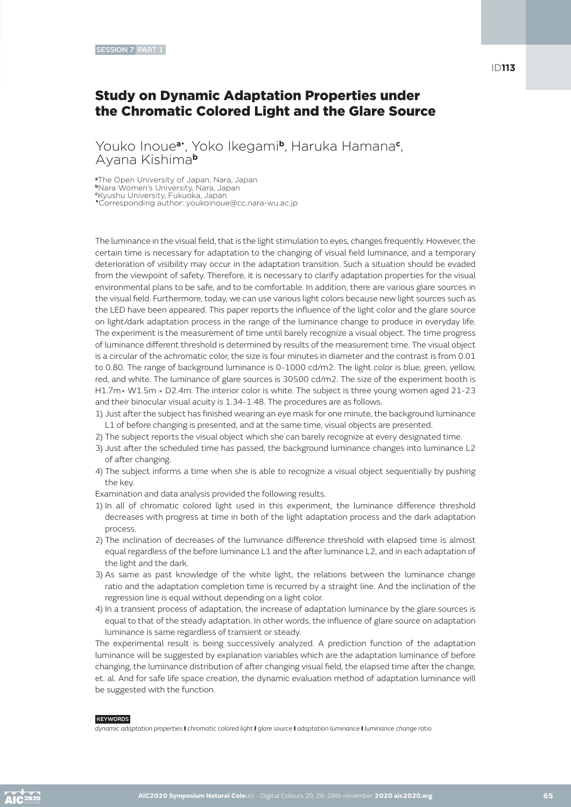### Study on Dynamic Adaptation Properties under the Chromatic Colored Light and the Glare Source

Youko Inoue**a**• , Yoko Ikegami**b**, Haruka Hamana**<sup>c</sup>** , Ayana Kishima**<sup>b</sup>**

**<sup>a</sup>**The Open University of Japan, Nara, Japan

**<sup>b</sup>**Nara Women's University, Nara, Japan **c** Kyushu University, Fukuoka, Japan

•Corresponding author: youkoinoue@cc.nara-wu.ac.jp

The luminance in the visual field, that is the light stimulation to eyes, changes frequently. However, the certain time is necessary for adaptation to the changing of visual field luminance, and a temporary deterioration of visibility may occur in the adaptation transition. Such a situation should be evaded from the viewpoint of safety. Therefore, it is necessary to clarify adaptation properties for the visual environmental plans to be safe, and to be comfortable. In addition, there are various glare sources in the visual field. Furthermore, today, we can use various light colors because new light sources such as the LED have been appeared. This paper reports the influence of the light color and the glare source on light/dark adaptation process in the range of the luminance change to produce in everyday life. The experiment is the measurement of time until barely recognize a visual object. The time progress of luminance different threshold is determined by results of the measurement time. The visual object is a circular of the achromatic color, the size is four minutes in diameter and the contrast is from 0.01 to 0.80. The range of background luminance is 0-1000 cd/m2. The light color is blue, green, yellow, red, and white. The luminance of glare sources is 30500 cd/m2. The size of the experiment booth is H1.7m× W1.5m × D2.4m. The interior color is white. The subject is three young women aged 21-23 and their binocular visual acuity is 1.34-1.48. The procedures are as follows.

- 1) Just after the subject has finished wearing an eye mask for one minute, the background luminance L1 of before changing is presented, and at the same time, visual objects are presented.
- 2) The subject reports the visual object which she can barely recognize at every designated time.
- 3) Just after the scheduled time has passed, the background luminance changes into luminance L2 of after changing.
- 4) The subject informs a time when she is able to recognize a visual object sequentially by pushing the key.
- Examination and data analysis provided the following results.
- 1) In all of chromatic colored light used in this experiment, the luminance difference threshold decreases with progress at time in both of the light adaptation process and the dark adaptation process.
- 2) The inclination of decreases of the luminance difference threshold with elapsed time is almost equal regardless of the before luminance L1 and the after luminance L2, and in each adaptation of the light and the dark.
- 3) As same as past knowledge of the white light, the relations between the luminance change ratio and the adaptation completion time is recurred by a straight line. And the inclination of the regression line is equal without depending on a light color.
- 4) In a transient process of adaptation, the increase of adaptation luminance by the glare sources is equal to that of the steady adaptation. In other words, the influence of glare source on adaptation luminance is same regardless of transient or steady.

The experimental result is being successively analyzed. A prediction function of the adaptation luminance will be suggested by explanation variables which are the adaptation luminance of before changing, the luminance distribution of after changing visual field, the elapsed time after the change, et. al. And for safe life space creation, the dynamic evaluation method of adaptation luminance will be suggested with the function.

#### **KEYWORDS**

*dynamic adaptation properties* I *chromatic colored light* I *glare source* I *adaptation luminance* I *luminance change ratio*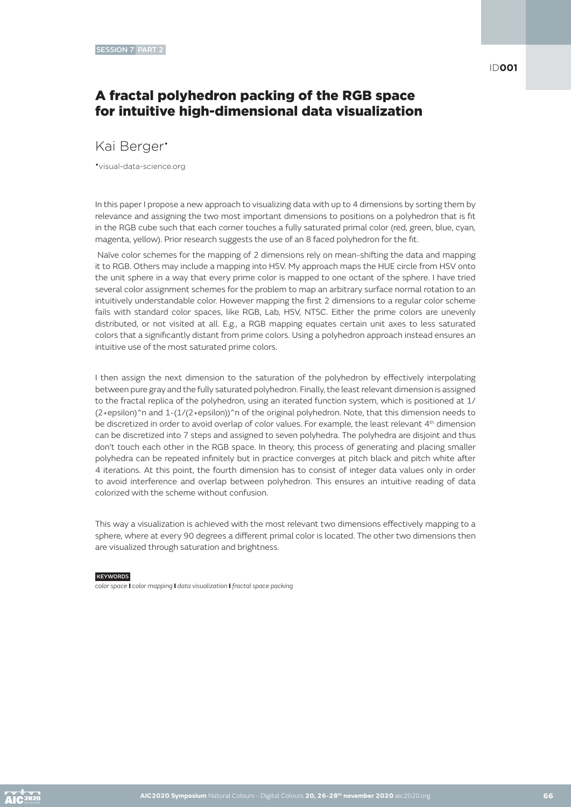### A fractal polyhedron packing of the RGB space for intuitive high-dimensional data visualization

### Kai Berger•

•visual-data-science.org

In this paper I propose a new approach to visualizing data with up to 4 dimensions by sorting them by relevance and assigning the two most important dimensions to positions on a polyhedron that is fit in the RGB cube such that each corner touches a fully saturated primal color (red, green, blue, cyan, magenta, yellow). Prior research suggests the use of an 8 faced polyhedron for the fit.

 Naïve color schemes for the mapping of 2 dimensions rely on mean-shifting the data and mapping it to RGB. Others may include a mapping into HSV. My approach maps the HUE circle from HSV onto the unit sphere in a way that every prime color is mapped to one octant of the sphere. I have tried several color assignment schemes for the problem to map an arbitrary surface normal rotation to an intuitively understandable color. However mapping the first 2 dimensions to a regular color scheme fails with standard color spaces, like RGB, Lab, HSV, NTSC. Either the prime colors are unevenly distributed, or not visited at all. E.g., a RGB mapping equates certain unit axes to less saturated colors that a significantly distant from prime colors. Using a polyhedron approach instead ensures an intuitive use of the most saturated prime colors.

I then assign the next dimension to the saturation of the polyhedron by effectively interpolating between pure gray and the fully saturated polyhedron. Finally, the least relevant dimension is assigned to the fractal replica of the polyhedron, using an iterated function system, which is positioned at 1/ (2+epsilon)^n and 1-(1/(2+epsilon))^n of the original polyhedron. Note, that this dimension needs to be discretized in order to avoid overlap of color values. For example, the least relevant 4th dimension can be discretized into 7 steps and assigned to seven polyhedra. The polyhedra are disjoint and thus don't touch each other in the RGB space. In theory, this process of generating and placing smaller polyhedra can be repeated infinitely but in practice converges at pitch black and pitch white after 4 iterations. At this point, the fourth dimension has to consist of integer data values only in order to avoid interference and overlap between polyhedron. This ensures an intuitive reading of data colorized with the scheme without confusion.

This way a visualization is achieved with the most relevant two dimensions effectively mapping to a sphere, where at every 90 degrees a different primal color is located. The other two dimensions then are visualized through saturation and brightness.

### **KEYWORDS**

*color space* I *color mapping* I *data visualization* I *fractal space packing*

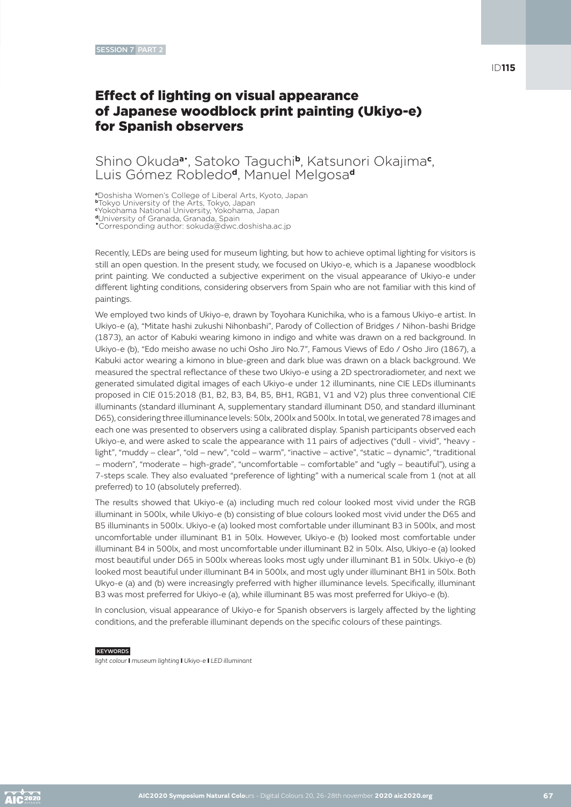# Effect of lighting on visual appearance of Japanese woodblock print painting (Ukiyo-e) for Spanish observers

### Shino Okuda**a**• , Satoko Taguchi**b**, Katsunori Okajima**<sup>c</sup>** , Luis Gómez Robledo**d**, Manuel Melgosa**<sup>d</sup>**

**<sup>a</sup>**Doshisha Women's College of Liberal Arts, Kyoto, Japan

**<sup>b</sup>**Tokyo University of the Arts, Tokyo, Japan **c** Yokohama National University, Yokohama, Japan

**<sup>d</sup>**University of Granada, Granada, Spain

•Corresponding author: sokuda@dwc.doshisha.ac.jp

Recently, LEDs are being used for museum lighting, but how to achieve optimal lighting for visitors is still an open question. In the present study, we focused on Ukiyo-e, which is a Japanese woodblock print painting. We conducted a subjective experiment on the visual appearance of Ukiyo-e under different lighting conditions, considering observers from Spain who are not familiar with this kind of paintings.

We employed two kinds of Ukiyo-e, drawn by Toyohara Kunichika, who is a famous Ukiyo-e artist. In Ukiyo-e (a), "Mitate hashi zukushi Nihonbashi", Parody of Collection of Bridges / Nihon-bashi Bridge (1873), an actor of Kabuki wearing kimono in indigo and white was drawn on a red background. In Ukiyo-e (b), "Edo meisho awase no uchi Osho Jiro No.7", Famous Views of Edo / Osho Jiro (1867), a Kabuki actor wearing a kimono in blue-green and dark blue was drawn on a black background. We measured the spectral reflectance of these two Ukiyo-e using a 2D spectroradiometer, and next we generated simulated digital images of each Ukiyo-e under 12 illuminants, nine CIE LEDs illuminants proposed in CIE 015:2018 (B1, B2, B3, B4, B5, BH1, RGB1, V1 and V2) plus three conventional CIE illuminants (standard illuminant A, supplementary standard illuminant D50, and standard illuminant D65), considering three illuminance levels: 50lx, 200lx and 500lx. In total, we generated 78 images and each one was presented to observers using a calibrated display. Spanish participants observed each Ukiyo-e, and were asked to scale the appearance with 11 pairs of adjectives ("dull - vivid", "heavy light", "muddy – clear", "old – new", "cold – warm", "inactive – active", "static – dynamic", "traditional – modern", "moderate – high-grade", "uncomfortable – comfortable" and "ugly – beautiful"), using a 7-steps scale. They also evaluated "preference of lighting" with a numerical scale from 1 (not at all preferred) to 10 (absolutely preferred).

The results showed that Ukiyo-e (a) including much red colour looked most vivid under the RGB illuminant in 500lx, while Ukiyo-e (b) consisting of blue colours looked most vivid under the D65 and B5 illuminants in 500lx. Ukiyo-e (a) looked most comfortable under illuminant B3 in 500lx, and most uncomfortable under illuminant B1 in 50lx. However, Ukiyo-e (b) looked most comfortable under illuminant B4 in 500lx, and most uncomfortable under illuminant B2 in 50lx. Also, Ukiyo-e (a) looked most beautiful under D65 in 500lx whereas looks most ugly under illuminant B1 in 50lx. Ukiyo-e (b) looked most beautiful under illuminant B4 in 500lx, and most ugly under illuminant BH1 in 50lx. Both Ukyo-e (a) and (b) were increasingly preferred with higher illuminance levels. Specifically, illuminant B3 was most preferred for Ukiyo-e (a), while illuminant B5 was most preferred for Ukiyo-e (b).

In conclusion, visual appearance of Ukiyo-e for Spanish observers is largely affected by the lighting conditions, and the preferable illuminant depends on the specific colours of these paintings.

**KEYWORDS** 

*light colour* I *museum lighting* I *Ukiyo-e* I *LED illuminant*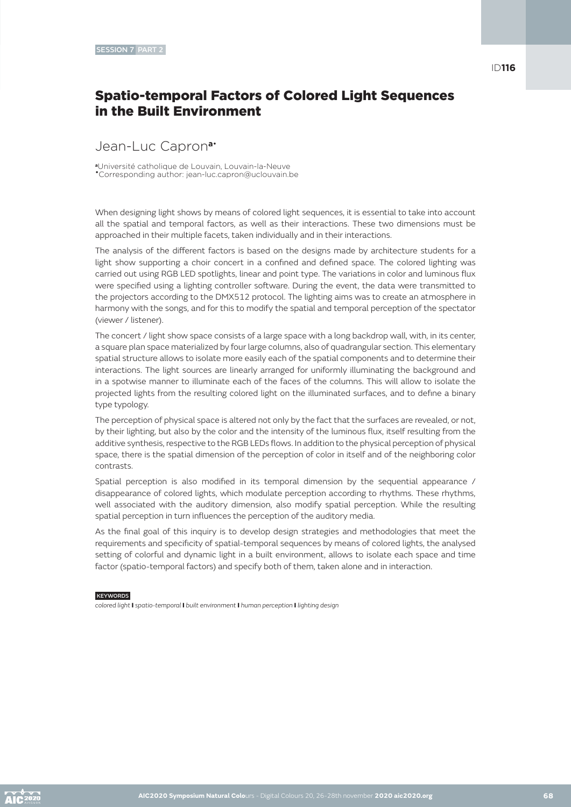## Spatio-temporal Factors of Colored Light Sequences in the Built Environment

### Jean-Luc Capron**a**•

**<sup>a</sup>**Université catholique de Louvain, Louvain-la-Neuve •Corresponding author: jean-luc.capron@uclouvain.be

When designing light shows by means of colored light sequences, it is essential to take into account all the spatial and temporal factors, as well as their interactions. These two dimensions must be approached in their multiple facets, taken individually and in their interactions.

The analysis of the different factors is based on the designs made by architecture students for a light show supporting a choir concert in a confined and defined space. The colored lighting was carried out using RGB LED spotlights, linear and point type. The variations in color and luminous flux were specified using a lighting controller software. During the event, the data were transmitted to the projectors according to the DMX512 protocol. The lighting aims was to create an atmosphere in harmony with the songs, and for this to modify the spatial and temporal perception of the spectator (viewer / listener).

The concert / light show space consists of a large space with a long backdrop wall, with, in its center, a square plan space materialized by four large columns, also of quadrangular section. This elementary spatial structure allows to isolate more easily each of the spatial components and to determine their interactions. The light sources are linearly arranged for uniformly illuminating the background and in a spotwise manner to illuminate each of the faces of the columns. This will allow to isolate the projected lights from the resulting colored light on the illuminated surfaces, and to define a binary type typology.

The perception of physical space is altered not only by the fact that the surfaces are revealed, or not, by their lighting, but also by the color and the intensity of the luminous flux, itself resulting from the additive synthesis, respective to the RGB LEDs flows. In addition to the physical perception of physical space, there is the spatial dimension of the perception of color in itself and of the neighboring color contrasts.

Spatial perception is also modified in its temporal dimension by the sequential appearance / disappearance of colored lights, which modulate perception according to rhythms. These rhythms, well associated with the auditory dimension, also modify spatial perception. While the resulting spatial perception in turn influences the perception of the auditory media.

As the final goal of this inquiry is to develop design strategies and methodologies that meet the requirements and specificity of spatial-temporal sequences by means of colored lights, the analysed setting of colorful and dynamic light in a built environment, allows to isolate each space and time factor (spatio-temporal factors) and specify both of them, taken alone and in interaction.

#### **KEYWORDS**

*colored light* I *spatio-temporal* I *built environment* I *human perception* I *lighting design*

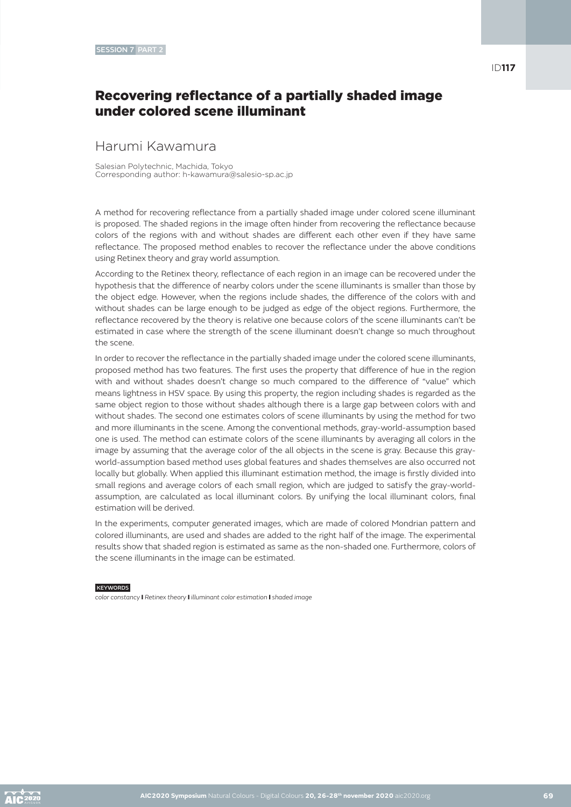ID**117**

### Recovering reflectance of a partially shaded image under colored scene illuminant

### Harumi Kawamura

Salesian Polytechnic, Machida, Tokyo Corresponding author: h-kawamura@salesio-sp.ac.jp

A method for recovering reflectance from a partially shaded image under colored scene illuminant is proposed. The shaded regions in the image often hinder from recovering the reflectance because colors of the regions with and without shades are different each other even if they have same reflectance. The proposed method enables to recover the reflectance under the above conditions using Retinex theory and gray world assumption.

According to the Retinex theory, reflectance of each region in an image can be recovered under the hypothesis that the difference of nearby colors under the scene illuminants is smaller than those by the object edge. However, when the regions include shades, the difference of the colors with and without shades can be large enough to be judged as edge of the object regions. Furthermore, the reflectance recovered by the theory is relative one because colors of the scene illuminants can't be estimated in case where the strength of the scene illuminant doesn't change so much throughout the scene.

In order to recover the reflectance in the partially shaded image under the colored scene illuminants, proposed method has two features. The first uses the property that difference of hue in the region with and without shades doesn't change so much compared to the difference of "value" which means lightness in HSV space. By using this property, the region including shades is regarded as the same object region to those without shades although there is a large gap between colors with and without shades. The second one estimates colors of scene illuminants by using the method for two and more illuminants in the scene. Among the conventional methods, gray-world-assumption based one is used. The method can estimate colors of the scene illuminants by averaging all colors in the image by assuming that the average color of the all objects in the scene is gray. Because this grayworld-assumption based method uses global features and shades themselves are also occurred not locally but globally. When applied this illuminant estimation method, the image is firstly divided into small regions and average colors of each small region, which are judged to satisfy the gray-worldassumption, are calculated as local illuminant colors. By unifying the local illuminant colors, final estimation will be derived.

In the experiments, computer generated images, which are made of colored Mondrian pattern and colored illuminants, are used and shades are added to the right half of the image. The experimental results show that shaded region is estimated as same as the non-shaded one. Furthermore, colors of the scene illuminants in the image can be estimated.

#### **KEYWORDS**

*color constancy* I *Retinex theory* I *illuminant color estimation* I *shaded image*

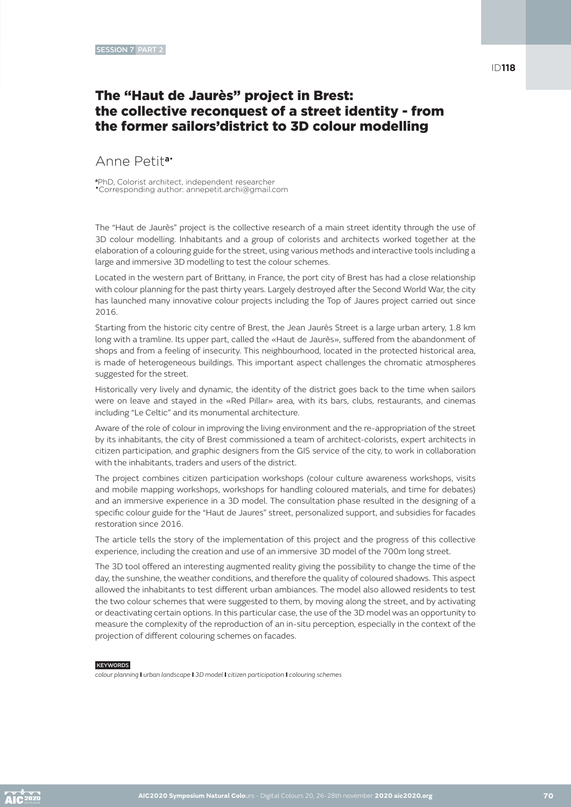### ID**118**

### The "Haut de Jaurès" project in Brest: the collective reconquest of a street identity - from the former sailors'district to 3D colour modelling

### Anne Petit**a**•

**<sup>a</sup>**PhD, Colorist architect, independent researcher •Corresponding author: annepetit.archi@gmail.com

The "Haut de Jaurès" project is the collective research of a main street identity through the use of 3D colour modelling. Inhabitants and a group of colorists and architects worked together at the elaboration of a colouring guide for the street, using various methods and interactive tools including a large and immersive 3D modelling to test the colour schemes.

Located in the western part of Brittany, in France, the port city of Brest has had a close relationship with colour planning for the past thirty years. Largely destroyed after the Second World War, the city has launched many innovative colour projects including the Top of Jaures project carried out since 2016.

Starting from the historic city centre of Brest, the Jean Jaurès Street is a large urban artery, 1.8 km long with a tramline. Its upper part, called the «Haut de Jaurès», suffered from the abandonment of shops and from a feeling of insecurity. This neighbourhood, located in the protected historical area, is made of heterogeneous buildings. This important aspect challenges the chromatic atmospheres suggested for the street.

Historically very lively and dynamic, the identity of the district goes back to the time when sailors were on leave and stayed in the «Red Pillar» area, with its bars, clubs, restaurants, and cinemas including "Le Celtic" and its monumental architecture.

Aware of the role of colour in improving the living environment and the re-appropriation of the street by its inhabitants, the city of Brest commissioned a team of architect-colorists, expert architects in citizen participation, and graphic designers from the GIS service of the city, to work in collaboration with the inhabitants, traders and users of the district.

The project combines citizen participation workshops (colour culture awareness workshops, visits and mobile mapping workshops, workshops for handling coloured materials, and time for debates) and an immersive experience in a 3D model. The consultation phase resulted in the designing of a specific colour guide for the "Haut de Jaures" street, personalized support, and subsidies for facades restoration since 2016.

The article tells the story of the implementation of this project and the progress of this collective experience, including the creation and use of an immersive 3D model of the 700m long street.

The 3D tool offered an interesting augmented reality giving the possibility to change the time of the day, the sunshine, the weather conditions, and therefore the quality of coloured shadows. This aspect allowed the inhabitants to test different urban ambiances. The model also allowed residents to test the two colour schemes that were suggested to them, by moving along the street, and by activating or deactivating certain options. In this particular case, the use of the 3D model was an opportunity to measure the complexity of the reproduction of an in-situ perception, especially in the context of the projection of different colouring schemes on facades.

#### **KEYWORDS**

*colour planning* I *urban landscape* I *3D model* I *citizen participation* I *colouring schemes*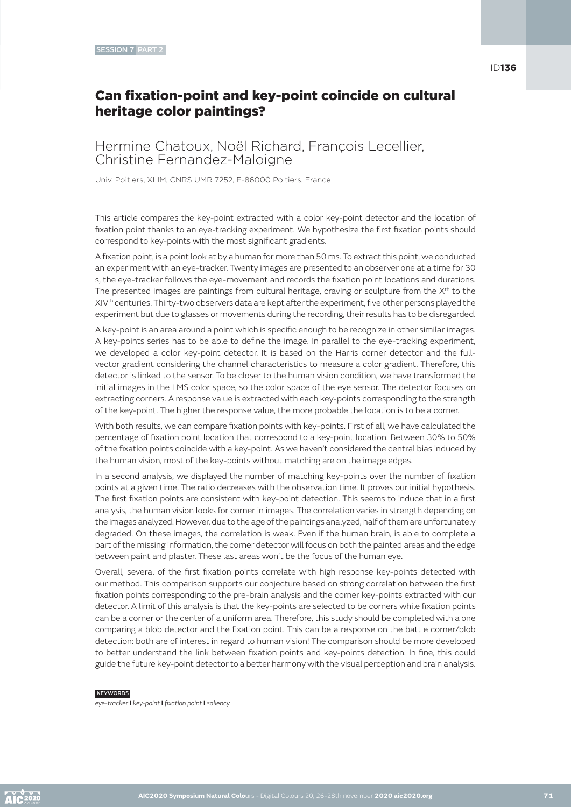### Can fixation-point and key-point coincide on cultural heritage color paintings?

Hermine Chatoux, Noël Richard, François Lecellier, Christine Fernandez-Maloigne

Univ. Poitiers, XLIM, CNRS UMR 7252, F-86000 Poitiers, France

This article compares the key-point extracted with a color key-point detector and the location of fixation point thanks to an eye-tracking experiment. We hypothesize the first fixation points should correspond to key-points with the most significant gradients.

A fixation point, is a point look at by a human for more than 50 ms. To extract this point, we conducted an experiment with an eye-tracker. Twenty images are presented to an observer one at a time for 30 s, the eye-tracker follows the eye-movement and records the fixation point locations and durations. The presented images are paintings from cultural heritage, craving or sculpture from the  $X<sup>th</sup>$  to the XIVth centuries. Thirty-two observers data are kept after the experiment, five other persons played the experiment but due to glasses or movements during the recording, their results has to be disregarded.

A key-point is an area around a point which is specific enough to be recognize in other similar images. A key-points series has to be able to define the image. In parallel to the eye-tracking experiment, we developed a color key-point detector. It is based on the Harris corner detector and the fullvector gradient considering the channel characteristics to measure a color gradient. Therefore, this detector is linked to the sensor. To be closer to the human vision condition, we have transformed the initial images in the LMS color space, so the color space of the eye sensor. The detector focuses on extracting corners. A response value is extracted with each key-points corresponding to the strength of the key-point. The higher the response value, the more probable the location is to be a corner.

With both results, we can compare fixation points with key-points. First of all, we have calculated the percentage of fixation point location that correspond to a key-point location. Between 30% to 50% of the fixation points coincide with a key-point. As we haven't considered the central bias induced by the human vision, most of the key-points without matching are on the image edges.

In a second analysis, we displayed the number of matching key-points over the number of fixation points at a given time. The ratio decreases with the observation time. It proves our initial hypothesis. The first fixation points are consistent with key-point detection. This seems to induce that in a first analysis, the human vision looks for corner in images. The correlation varies in strength depending on the images analyzed. However, due to the age of the paintings analyzed, half of them are unfortunately degraded. On these images, the correlation is weak. Even if the human brain, is able to complete a part of the missing information, the corner detector will focus on both the painted areas and the edge between paint and plaster. These last areas won't be the focus of the human eye.

Overall, several of the first fixation points correlate with high response key-points detected with our method. This comparison supports our conjecture based on strong correlation between the first fixation points corresponding to the pre-brain analysis and the corner key-points extracted with our detector. A limit of this analysis is that the key-points are selected to be corners while fixation points can be a corner or the center of a uniform area. Therefore, this study should be completed with a one comparing a blob detector and the fixation point. This can be a response on the battle corner/blob detection: both are of interest in regard to human vision! The comparison should be more developed to better understand the link between fixation points and key-points detection. In fine, this could guide the future key-point detector to a better harmony with the visual perception and brain analysis.

#### **KEYWORDS**

*eye-tracker* I *key-point* I *fixation point* I *saliency*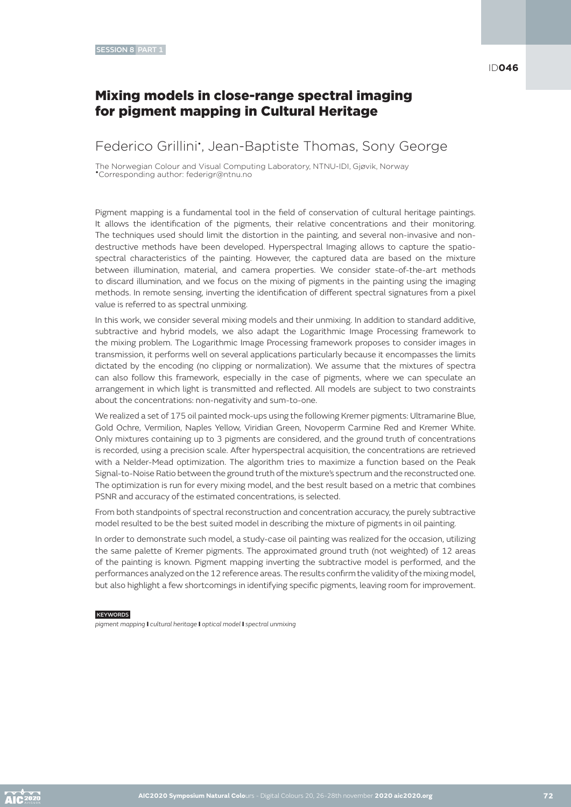### Mixing models in close-range spectral imaging for pigment mapping in Cultural Heritage

### Federico Grillini<sup>\*</sup>, Jean-Baptiste Thomas, Sony George

The Norwegian Colour and Visual Computing Laboratory, NTNU-IDI, Gjøvik, Norway •Corresponding author: federigr@ntnu.no

Pigment mapping is a fundamental tool in the field of conservation of cultural heritage paintings. It allows the identification of the pigments, their relative concentrations and their monitoring. The techniques used should limit the distortion in the painting, and several non-invasive and nondestructive methods have been developed. Hyperspectral Imaging allows to capture the spatiospectral characteristics of the painting. However, the captured data are based on the mixture between illumination, material, and camera properties. We consider state-of-the-art methods to discard illumination, and we focus on the mixing of pigments in the painting using the imaging methods. In remote sensing, inverting the identification of different spectral signatures from a pixel value is referred to as spectral unmixing.

In this work, we consider several mixing models and their unmixing. In addition to standard additive, subtractive and hybrid models, we also adapt the Logarithmic Image Processing framework to the mixing problem. The Logarithmic Image Processing framework proposes to consider images in transmission, it performs well on several applications particularly because it encompasses the limits dictated by the encoding (no clipping or normalization). We assume that the mixtures of spectra can also follow this framework, especially in the case of pigments, where we can speculate an arrangement in which light is transmitted and reflected. All models are subject to two constraints about the concentrations: non-negativity and sum-to-one.

We realized a set of 175 oil painted mock-ups using the following Kremer pigments: Ultramarine Blue, Gold Ochre, Vermilion, Naples Yellow, Viridian Green, Novoperm Carmine Red and Kremer White. Only mixtures containing up to 3 pigments are considered, and the ground truth of concentrations is recorded, using a precision scale. After hyperspectral acquisition, the concentrations are retrieved with a Nelder-Mead optimization. The algorithm tries to maximize a function based on the Peak Signal-to-Noise Ratio between the ground truth of the mixture's spectrum and the reconstructed one. The optimization is run for every mixing model, and the best result based on a metric that combines PSNR and accuracy of the estimated concentrations, is selected.

From both standpoints of spectral reconstruction and concentration accuracy, the purely subtractive model resulted to be the best suited model in describing the mixture of pigments in oil painting.

In order to demonstrate such model, a study-case oil painting was realized for the occasion, utilizing the same palette of Kremer pigments. The approximated ground truth (not weighted) of 12 areas of the painting is known. Pigment mapping inverting the subtractive model is performed, and the performances analyzed on the 12 reference areas. The results confirm the validity of the mixing model, but also highlight a few shortcomings in identifying specific pigments, leaving room for improvement.

#### **KEYWORDS**

*pigment mapping* I *cultural heritage* I *optical model* I *spectral unmixing*

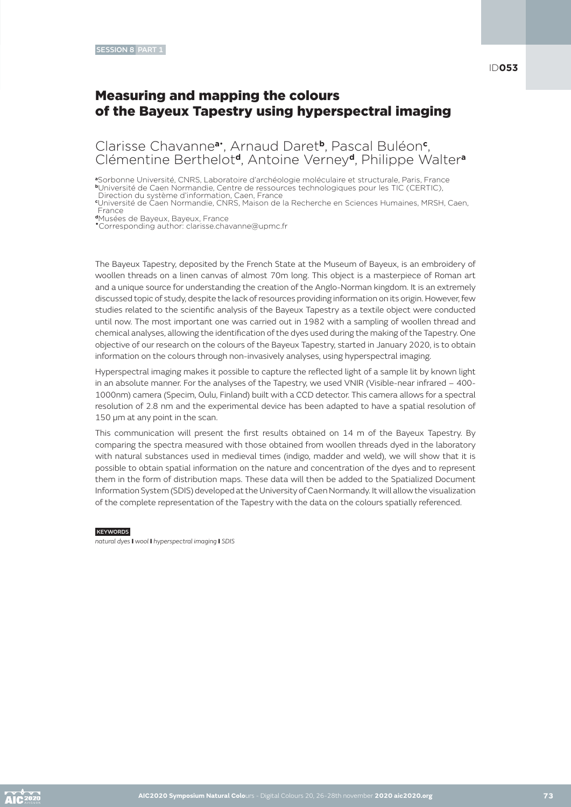# Measuring and mapping the colours of the Bayeux Tapestry using hyperspectral imaging

Clarisse Chavanne**a**• , Arnaud Daret**b**, Pascal Buléon**<sup>c</sup>** , Clémentine Berthelot**d**, Antoine Verney**d**, Philippe Walter**<sup>a</sup>**

**<sup>a</sup>**Sorbonne Université, CNRS, Laboratoire d'archéologie moléculaire et structurale, Paris, France

**<sup>b</sup>**Université de Caen Normandie, Centre de ressources technologiques pour les TIC (CERTIC),

Direction du système d'information, Caen, France **c** Université de Caen Normandie, CNRS, Maison de la Recherche en Sciences Humaines, MRSH, Caen, France **<sup>d</sup>**Musées de Bayeux, Bayeux, France

•Corresponding author: clarisse.chavanne@upmc.fr

The Bayeux Tapestry, deposited by the French State at the Museum of Bayeux, is an embroidery of woollen threads on a linen canvas of almost 70m long. This object is a masterpiece of Roman art and a unique source for understanding the creation of the Anglo-Norman kingdom. It is an extremely discussed topic of study, despite the lack of resources providing information on its origin. However, few studies related to the scientific analysis of the Bayeux Tapestry as a textile object were conducted until now. The most important one was carried out in 1982 with a sampling of woollen thread and chemical analyses, allowing the identification of the dyes used during the making of the Tapestry. One objective of our research on the colours of the Bayeux Tapestry, started in January 2020, is to obtain information on the colours through non-invasively analyses, using hyperspectral imaging.

Hyperspectral imaging makes it possible to capture the reflected light of a sample lit by known light in an absolute manner. For the analyses of the Tapestry, we used VNIR (Visible-near infrared – 400- 1000nm) camera (Specim, Oulu, Finland) built with a CCD detector. This camera allows for a spectral resolution of 2.8 nm and the experimental device has been adapted to have a spatial resolution of 150 um at any point in the scan.

This communication will present the first results obtained on 14 m of the Bayeux Tapestry. By comparing the spectra measured with those obtained from woollen threads dyed in the laboratory with natural substances used in medieval times (indigo, madder and weld), we will show that it is possible to obtain spatial information on the nature and concentration of the dyes and to represent them in the form of distribution maps. These data will then be added to the Spatialized Document Information System (SDIS) developed at the University of Caen Normandy. It will allow the visualization of the complete representation of the Tapestry with the data on the colours spatially referenced.

#### **KEYWORDS**

*natural dyes* I *wool* I *hyperspectral imaging* I *SDIS*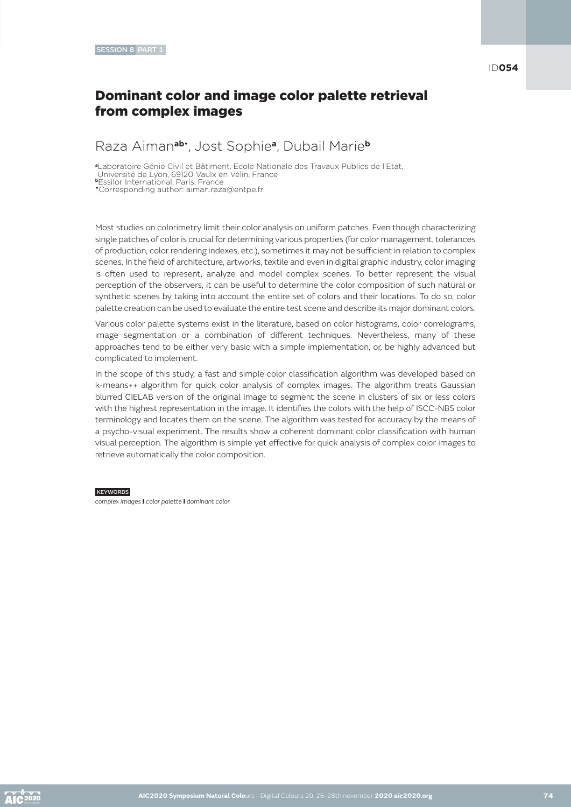ID**054**

# Dominant color and image color palette retrieval from complex images

# Raza Aiman**ab**• , Jost Sophie**a**, Dubail Marie**<sup>b</sup>**

**<sup>a</sup>**Laboratoire Génie Civil et Bâtiment, Ecole Nationale des Travaux Publics de l'Etat, Université de Lyon, 69120 Vaulx en Vélin, France

**<sup>b</sup>**Essilor International, Paris, France

•Corresponding author: aiman.raza@entpe.fr

Most studies on colorimetry limit their color analysis on uniform patches. Even though characterizing single patches of color is crucial for determining various properties (for color management, tolerances of production, color rendering indexes, etc.), sometimes it may not be sufficient in relation to complex scenes. In the field of architecture, artworks, textile and even in digital graphic industry, color imaging is often used to represent, analyze and model complex scenes. To better represent the visual perception of the observers, it can be useful to determine the color composition of such natural or synthetic scenes by taking into account the entire set of colors and their locations. To do so, color palette creation can be used to evaluate the entire test scene and describe its major dominant colors.

Various color palette systems exist in the literature, based on color histograms, color correlograms, image segmentation or a combination of different techniques. Nevertheless, many of these approaches tend to be either very basic with a simple implementation, or, be highly advanced but complicated to implement.

In the scope of this study, a fast and simple color classification algorithm was developed based on k-means++ algorithm for quick color analysis of complex images. The algorithm treats Gaussian blurred CIELAB version of the original image to segment the scene in clusters of six or less colors with the highest representation in the image. It identifies the colors with the help of ISCC-NBS color terminology and locates them on the scene. The algorithm was tested for accuracy by the means of a psycho-visual experiment. The results show a coherent dominant color classification with human visual perception. The algorithm is simple yet effective for quick analysis of complex color images to retrieve automatically the color composition.

#### **KEYWORDS**

*complex images* I *color palette* I *dominant color*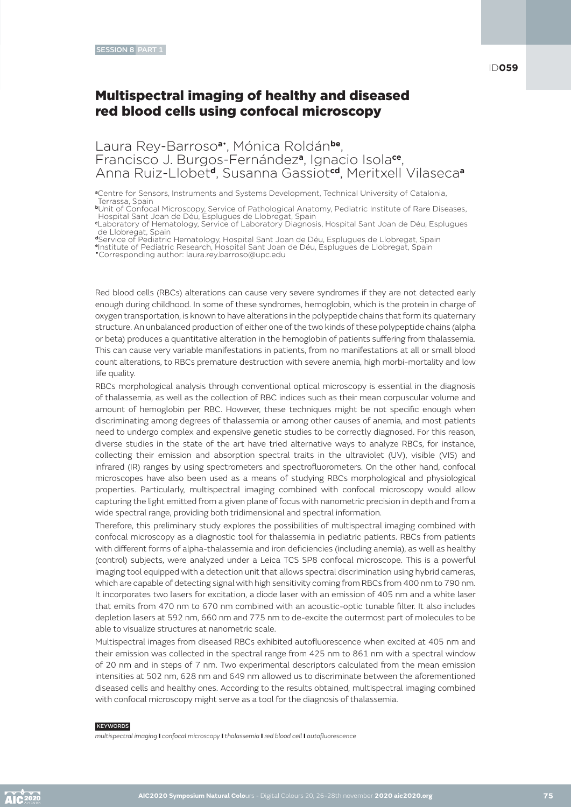Laura Rey-Barroso**a**• , Mónica Roldán**be**, Francisco J. Burgos-Fernández**a**, Ignacio Isola**ce**, Anna Ruiz-Llobet**d**, Susanna Gassiot**cd**, Meritxell Vilaseca**<sup>a</sup>**

**<sup>a</sup>**Centre for Sensors, Instruments and Systems Development, Technical University of Catalonia, Terrassa, Spain

**<sup>b</sup>**Unit of Confocal Microscopy, Service of Pathological Anatomy, Pediatric Institute of Rare Diseases,

Hospital Sant Joan de Déu, Esplugues de Llobregat, Spain **c** Laboratory of Hematology, Service of Laboratory Diagnosis, Hospital Sant Joan de Déu, Esplugues de Llobregat, Spain

**<sup>d</sup>**Service of Pediatric Hematology, Hospital Sant Joan de Déu, Esplugues de Llobregat, Spain

**<sup>e</sup>**Institute of Pediatric Research, Hospital Sant Joan de Déu, Esplugues de Llobregat, Spain •Corresponding author: laura.rey.barroso@upc.edu

Red blood cells (RBCs) alterations can cause very severe syndromes if they are not detected early enough during childhood. In some of these syndromes, hemoglobin, which is the protein in charge of oxygen transportation, is known to have alterations in the polypeptide chains that form its quaternary structure. An unbalanced production of either one of the two kinds of these polypeptide chains (alpha or beta) produces a quantitative alteration in the hemoglobin of patients suffering from thalassemia. This can cause very variable manifestations in patients, from no manifestations at all or small blood count alterations, to RBCs premature destruction with severe anemia, high morbi-mortality and low

life quality.

RBCs morphological analysis through conventional optical microscopy is essential in the diagnosis of thalassemia, as well as the collection of RBC indices such as their mean corpuscular volume and amount of hemoglobin per RBC. However, these techniques might be not specific enough when discriminating among degrees of thalassemia or among other causes of anemia, and most patients need to undergo complex and expensive genetic studies to be correctly diagnosed. For this reason, diverse studies in the state of the art have tried alternative ways to analyze RBCs, for instance, collecting their emission and absorption spectral traits in the ultraviolet (UV), visible (VIS) and infrared (IR) ranges by using spectrometers and spectrofluorometers. On the other hand, confocal microscopes have also been used as a means of studying RBCs morphological and physiological properties. Particularly, multispectral imaging combined with confocal microscopy would allow capturing the light emitted from a given plane of focus with nanometric precision in depth and from a wide spectral range, providing both tridimensional and spectral information.

Therefore, this preliminary study explores the possibilities of multispectral imaging combined with confocal microscopy as a diagnostic tool for thalassemia in pediatric patients. RBCs from patients with different forms of alpha-thalassemia and iron deficiencies (including anemia), as well as healthy (control) subjects, were analyzed under a Leica TCS SP8 confocal microscope. This is a powerful imaging tool equipped with a detection unit that allows spectral discrimination using hybrid cameras, which are capable of detecting signal with high sensitivity coming from RBCs from 400 nm to 790 nm. It incorporates two lasers for excitation, a diode laser with an emission of 405 nm and a white laser that emits from 470 nm to 670 nm combined with an acoustic-optic tunable filter. It also includes depletion lasers at 592 nm, 660 nm and 775 nm to de-excite the outermost part of molecules to be able to visualize structures at nanometric scale.

Multispectral images from diseased RBCs exhibited autofluorescence when excited at 405 nm and their emission was collected in the spectral range from 425 nm to 861 nm with a spectral window of 20 nm and in steps of 7 nm. Two experimental descriptors calculated from the mean emission intensities at 502 nm, 628 nm and 649 nm allowed us to discriminate between the aforementioned diseased cells and healthy ones. According to the results obtained, multispectral imaging combined with confocal microscopy might serve as a tool for the diagnosis of thalassemia.

#### **KEYWORDS**

*multispectral imaging* I *confocal microscopy* I *thalassemia* I *red blood cell* I *autofluorescence*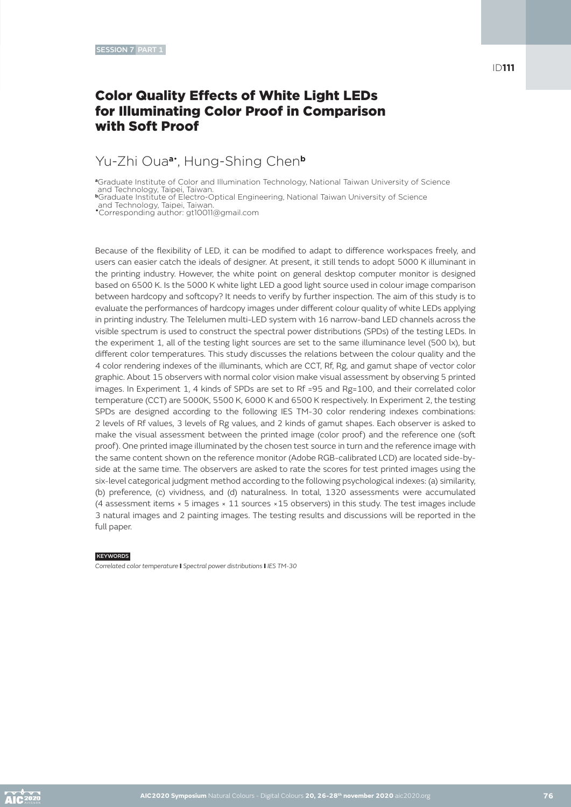# Color Quality Effects of White Light LEDs for Illuminating Color Proof in Comparison with Soft Proof

# Yu-Zhi Oua**a**• , Hung-Shing Chen**<sup>b</sup>**

**<sup>a</sup>**Graduate Institute of Color and Illumination Technology, National Taiwan University of Science and Technology, Taipei, Taiwan.

**<sup>b</sup>**Graduate Institute of Electro-Optical Engineering, National Taiwan University of Science

and Technology, Taipei, Taiwan. •Corresponding author: gt10011@gmail.com

Because of the flexibility of LED, it can be modified to adapt to difference workspaces freely, and users can easier catch the ideals of designer. At present, it still tends to adopt 5000 K illuminant in the printing industry. However, the white point on general desktop computer monitor is designed based on 6500 K. Is the 5000 K white light LED a good light source used in colour image comparison between hardcopy and softcopy? It needs to verify by further inspection. The aim of this study is to evaluate the performances of hardcopy images under different colour quality of white LEDs applying in printing industry. The Telelumen multi-LED system with 16 narrow-band LED channels across the visible spectrum is used to construct the spectral power distributions (SPDs) of the testing LEDs. In the experiment 1, all of the testing light sources are set to the same illuminance level (500 lx), but different color temperatures. This study discusses the relations between the colour quality and the 4 color rendering indexes of the illuminants, which are CCT, Rf, Rg, and gamut shape of vector color graphic. About 15 observers with normal color vision make visual assessment by observing 5 printed images. In Experiment 1, 4 kinds of SPDs are set to Rf =95 and Rg=100, and their correlated color temperature (CCT) are 5000K, 5500 K, 6000 K and 6500 K respectively. In Experiment 2, the testing SPDs are designed according to the following IES TM-30 color rendering indexes combinations: 2 levels of Rf values, 3 levels of Rg values, and 2 kinds of gamut shapes. Each observer is asked to make the visual assessment between the printed image (color proof) and the reference one (soft proof). One printed image illuminated by the chosen test source in turn and the reference image with the same content shown on the reference monitor (Adobe RGB-calibrated LCD) are located side-byside at the same time. The observers are asked to rate the scores for test printed images using the six-level categorical judgment method according to the following psychological indexes: (a) similarity, (b) preference, (c) vividness, and (d) naturalness. In total, 1320 assessments were accumulated (4 assessment items × 5 images × 11 sources ×15 observers) in this study. The test images include 3 natural images and 2 painting images. The testing results and discussions will be reported in the full paper.

#### **KEYWORDS**

*Correlated color temperature* I *Spectral power distributions* I *IES TM-30*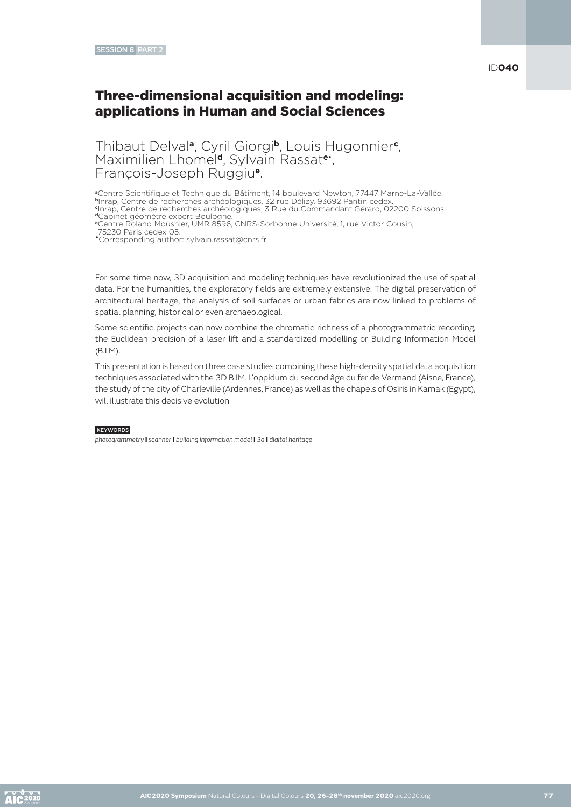# Three-dimensional acquisition and modeling: applications in Human and Social Sciences

Thibaut Delval**a**, Cyril Giorgi**b**, Louis Hugonnier**<sup>c</sup>** , Maximilien Lhomel**d**, Sylvain Rassat**e**• , François-Joseph Ruggiu**e**.

**<sup>a</sup>**Centre Scientifique et Technique du Bâtiment, 14 boulevard Newton, 77447 Marne-La-Vallée. **<sup>b</sup>**Inrap, Centre de recherches archéologiques, 32 rue Délizy, 93692 Pantin cedex. **c** Inrap, Centre de recherches archéologiques, 3 Rue du Commandant Gérard, 02200 Soissons. **<sup>d</sup>**Cabinet géomètre expert Boulogne.

**<sup>e</sup>**Centre Roland Mousnier, UMR 8596, CNRS-Sorbonne Université, 1, rue Victor Cousin,

75230 Paris cedex 05.

•Corresponding author: sylvain.rassat@cnrs.fr

For some time now, 3D acquisition and modeling techniques have revolutionized the use of spatial data. For the humanities, the exploratory fields are extremely extensive. The digital preservation of architectural heritage, the analysis of soil surfaces or urban fabrics are now linked to problems of spatial planning, historical or even archaeological.

Some scientific projects can now combine the chromatic richness of a photogrammetric recording, the Euclidean precision of a laser lift and a standardized modelling or Building Information Model (B.I.M).

This presentation is based on three case studies combining these high-density spatial data acquisition techniques associated with the 3D B.IM. L'oppidum du second âge du fer de Vermand (Aisne, France), the study of the city of Charleville (Ardennes, France) as well as the chapels of Osiris in Karnak (Egypt), will illustrate this decisive evolution

#### **KEYWORDS**

*photogrammetry* I *scanner* I *building information model* I *3d* I *digital heritage*

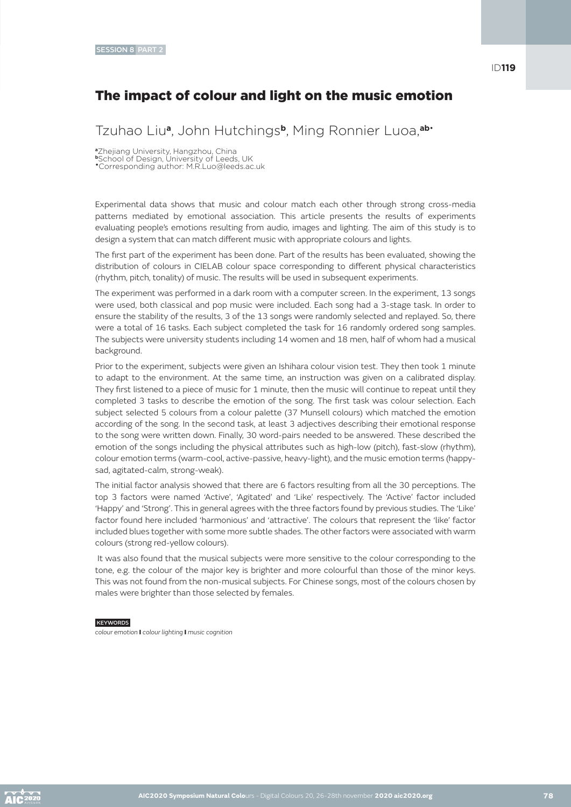# The impact of colour and light on the music emotion

Tzuhao Liu**a**, John Hutchings**b**, Ming Ronnier Luoa,**ab**•

**<sup>a</sup>**Zhejiang University, Hangzhou, China

**<sup>b</sup>**School of Design, University of Leeds, UK

•Corresponding author: M.R.Luo@leeds.ac.uk

Experimental data shows that music and colour match each other through strong cross-media patterns mediated by emotional association. This article presents the results of experiments evaluating people's emotions resulting from audio, images and lighting. The aim of this study is to design a system that can match different music with appropriate colours and lights.

The first part of the experiment has been done. Part of the results has been evaluated, showing the distribution of colours in CIELAB colour space corresponding to different physical characteristics (rhythm, pitch, tonality) of music. The results will be used in subsequent experiments.

The experiment was performed in a dark room with a computer screen. In the experiment, 13 songs were used, both classical and pop music were included. Each song had a 3-stage task. In order to ensure the stability of the results, 3 of the 13 songs were randomly selected and replayed. So, there were a total of 16 tasks. Each subject completed the task for 16 randomly ordered song samples. The subjects were university students including 14 women and 18 men, half of whom had a musical background.

Prior to the experiment, subjects were given an Ishihara colour vision test. They then took 1 minute to adapt to the environment. At the same time, an instruction was given on a calibrated display. They first listened to a piece of music for 1 minute, then the music will continue to repeat until they completed 3 tasks to describe the emotion of the song. The first task was colour selection. Each subject selected 5 colours from a colour palette (37 Munsell colours) which matched the emotion according of the song. In the second task, at least 3 adjectives describing their emotional response to the song were written down. Finally, 30 word-pairs needed to be answered. These described the emotion of the songs including the physical attributes such as high-low (pitch), fast-slow (rhythm), colour emotion terms (warm-cool, active-passive, heavy-light), and the music emotion terms (happysad, agitated-calm, strong-weak).

The initial factor analysis showed that there are 6 factors resulting from all the 30 perceptions. The top 3 factors were named 'Active', 'Agitated' and 'Like' respectively. The 'Active' factor included 'Happy' and 'Strong'. This in general agrees with the three factors found by previous studies. The 'Like' factor found here included 'harmonious' and 'attractive'. The colours that represent the 'like' factor included blues together with some more subtle shades. The other factors were associated with warm colours (strong red-yellow colours).

 It was also found that the musical subjects were more sensitive to the colour corresponding to the tone, e.g. the colour of the major key is brighter and more colourful than those of the minor keys. This was not found from the non-musical subjects. For Chinese songs, most of the colours chosen by males were brighter than those selected by females.

#### **KEYWORDS**

*colour emotion* I *colour lighting* I *music cognition*

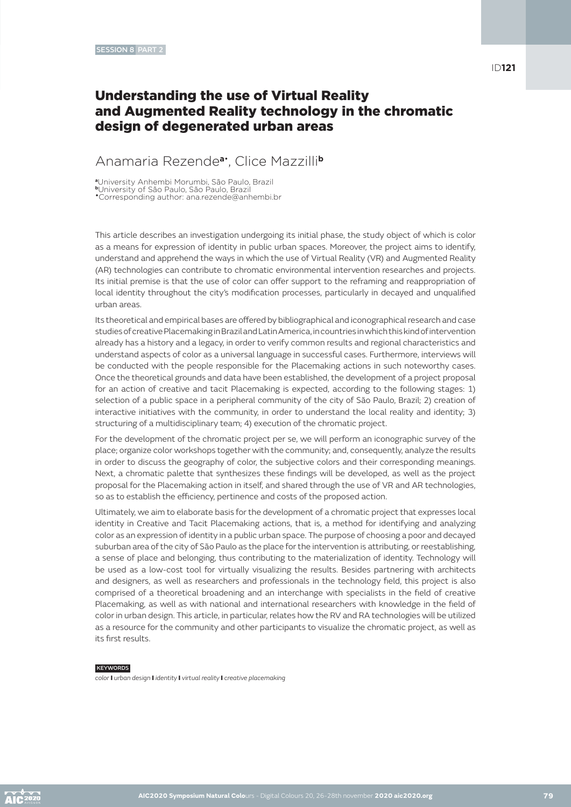# Understanding the use of Virtual Reality and Augmented Reality technology in the chromatic design of degenerated urban areas

### Anamaria Rezende**a**• , Clice Mazzilli**<sup>b</sup>**

**<sup>a</sup>**University Anhembi Morumbi, São Paulo, Brazil **<sup>b</sup>**University of São Paulo, São Paulo, Brazil •Corresponding author: ana.rezende@anhembi.br

This article describes an investigation undergoing its initial phase, the study object of which is color as a means for expression of identity in public urban spaces. Moreover, the project aims to identify, understand and apprehend the ways in which the use of Virtual Reality (VR) and Augmented Reality (AR) technologies can contribute to chromatic environmental intervention researches and projects. Its initial premise is that the use of color can offer support to the reframing and reappropriation of local identity throughout the city's modification processes, particularly in decayed and unqualified urban areas.

Its theoretical and empirical bases are offered by bibliographical and iconographical research and case studies of creative Placemaking in Brazil and Latin America, in countries in which this kind of intervention already has a history and a legacy, in order to verify common results and regional characteristics and understand aspects of color as a universal language in successful cases. Furthermore, interviews will be conducted with the people responsible for the Placemaking actions in such noteworthy cases. Once the theoretical grounds and data have been established, the development of a project proposal for an action of creative and tacit Placemaking is expected, according to the following stages: 1) selection of a public space in a peripheral community of the city of São Paulo, Brazil; 2) creation of interactive initiatives with the community, in order to understand the local reality and identity; 3) structuring of a multidisciplinary team; 4) execution of the chromatic project.

For the development of the chromatic project per se, we will perform an iconographic survey of the place; organize color workshops together with the community; and, consequently, analyze the results in order to discuss the geography of color, the subjective colors and their corresponding meanings. Next, a chromatic palette that synthesizes these findings will be developed, as well as the project proposal for the Placemaking action in itself, and shared through the use of VR and AR technologies, so as to establish the efficiency, pertinence and costs of the proposed action.

Ultimately, we aim to elaborate basis for the development of a chromatic project that expresses local identity in Creative and Tacit Placemaking actions, that is, a method for identifying and analyzing color as an expression of identity in a public urban space. The purpose of choosing a poor and decayed suburban area of the city of São Paulo as the place for the intervention is attributing, or reestablishing, a sense of place and belonging, thus contributing to the materialization of identity. Technology will be used as a low-cost tool for virtually visualizing the results. Besides partnering with architects and designers, as well as researchers and professionals in the technology field, this project is also comprised of a theoretical broadening and an interchange with specialists in the field of creative Placemaking, as well as with national and international researchers with knowledge in the field of color in urban design. This article, in particular, relates how the RV and RA technologies will be utilized as a resource for the community and other participants to visualize the chromatic project, as well as its first results.

#### **KEYWORDS**

*color* I *urban design* I *identity* I *virtual reality* I *creative placemaking*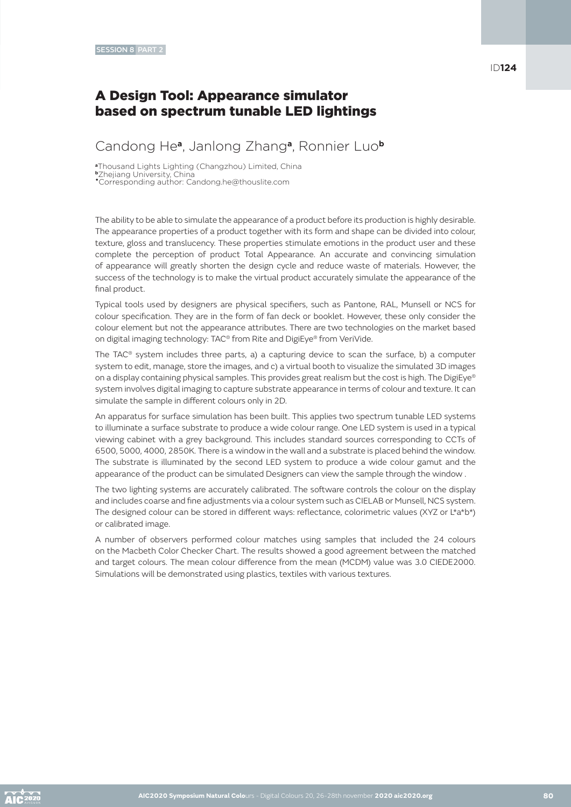# A Design Tool: Appearance simulator based on spectrum tunable LED lightings

# Candong He**a**, Janlong Zhang**a**, Ronnier Luo**<sup>b</sup>**

**<sup>a</sup>**Thousand Lights Lighting (Changzhou) Limited, China

**<sup>b</sup>**Zhejiang University, China •Corresponding author: Candong.he@thouslite.com

The ability to be able to simulate the appearance of a product before its production is highly desirable. The appearance properties of a product together with its form and shape can be divided into colour, texture, gloss and translucency. These properties stimulate emotions in the product user and these complete the perception of product Total Appearance. An accurate and convincing simulation of appearance will greatly shorten the design cycle and reduce waste of materials. However, the success of the technology is to make the virtual product accurately simulate the appearance of the final product.

Typical tools used by designers are physical specifiers, such as Pantone, RAL, Munsell or NCS for colour specification. They are in the form of fan deck or booklet. However, these only consider the colour element but not the appearance attributes. There are two technologies on the market based on digital imaging technology: TAC® from Rite and DigiEye® from VeriVide.

The TAC® system includes three parts, a) a capturing device to scan the surface, b) a computer system to edit, manage, store the images, and c) a virtual booth to visualize the simulated 3D images on a display containing physical samples. This provides great realism but the cost is high. The DigiEye® system involves digital imaging to capture substrate appearance in terms of colour and texture. It can simulate the sample in different colours only in 2D.

An apparatus for surface simulation has been built. This applies two spectrum tunable LED systems to illuminate a surface substrate to produce a wide colour range. One LED system is used in a typical viewing cabinet with a grey background. This includes standard sources corresponding to CCTs of 6500, 5000, 4000, 2850K. There is a window in the wall and a substrate is placed behind the window. The substrate is illuminated by the second LED system to produce a wide colour gamut and the appearance of the product can be simulated Designers can view the sample through the window .

The two lighting systems are accurately calibrated. The software controls the colour on the display and includes coarse and fine adjustments via a colour system such as CIELAB or Munsell, NCS system. The designed colour can be stored in different ways: reflectance, colorimetric values (XYZ or L\*a\*b\*) or calibrated image.

A number of observers performed colour matches using samples that included the 24 colours on the Macbeth Color Checker Chart. The results showed a good agreement between the matched and target colours. The mean colour difference from the mean (MCDM) value was 3.0 CIEDE2000. Simulations will be demonstrated using plastics, textiles with various textures.

ID**124**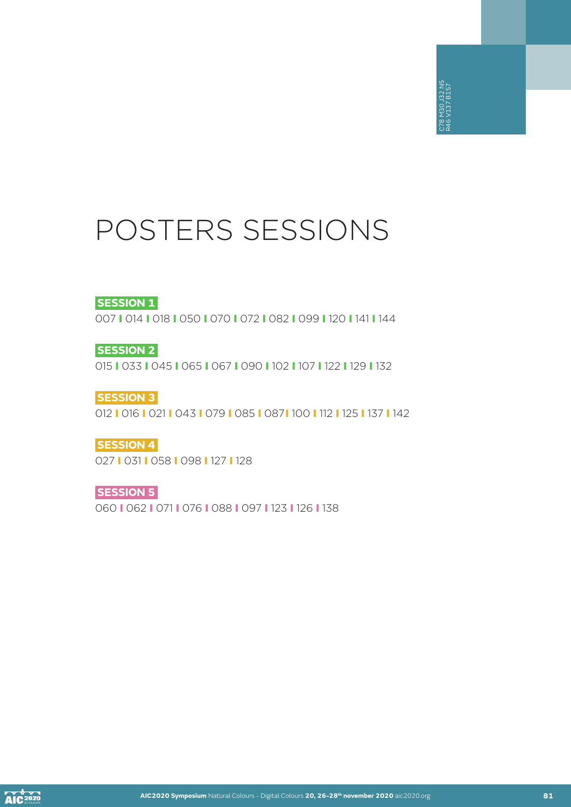# POSTERS SESSIONS

### **SESSION 1**

007 I 014 I 018 I 050 I 070 I 072 I 082 I 099 I 120 I 141 I 144

**SESSION 2**

015 I 033 I 045 I 065 I 067 I 090 I 102 I 107 I 122 I 129 I 132

**SESSION 3** 012 I 016 I 021 I 043 I 079 I 085 I 087I 100 I 112 I 125 I 137 I 142 **AIC**<br> **AIC**<br> **AIC**<br> **AIC2020 Symposium Natural Colours - Digital Colores + Digital Colores + Digital Colores<br>
<b>42**<br> **1021 0431 078 1088 1087 N28 N30 J32 N38 N58**<br> **1021 D137 B158 D37 N28 N38 N58 W30 J32 N38 N58**<br> **AICO202** 

**SESSION 4** 027 I 031 I 058 I 098 I 127 I 128

**SESSION 5** 060 I 062 I 071 I 076 I 088 I 097 I 123 I 126 I 138

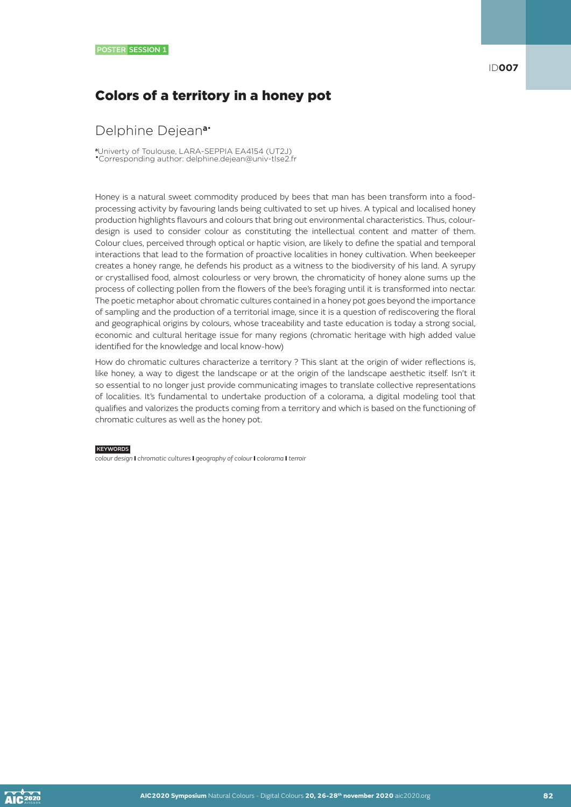# Colors of a territory in a honey pot

### Delphine Dejean**a**•

**<sup>a</sup>**Univerty of Toulouse, LARA-SEPPIA EA4154 (UT2J) •Corresponding author: delphine.dejean@univ-tlse2.fr

Honey is a natural sweet commodity produced by bees that man has been transform into a foodprocessing activity by favouring lands being cultivated to set up hives. A typical and localised honey production highlights flavours and colours that bring out environmental characteristics. Thus, colourdesign is used to consider colour as constituting the intellectual content and matter of them. Colour clues, perceived through optical or haptic vision, are likely to define the spatial and temporal interactions that lead to the formation of proactive localities in honey cultivation. When beekeeper creates a honey range, he defends his product as a witness to the biodiversity of his land. A syrupy or crystallised food, almost colourless or very brown, the chromaticity of honey alone sums up the process of collecting pollen from the flowers of the bee's foraging until it is transformed into nectar. The poetic metaphor about chromatic cultures contained in a honey pot goes beyond the importance of sampling and the production of a territorial image, since it is a question of rediscovering the floral and geographical origins by colours, whose traceability and taste education is today a strong social, economic and cultural heritage issue for many regions (chromatic heritage with high added value identified for the knowledge and local know-how)

How do chromatic cultures characterize a territory ? This slant at the origin of wider reflections is, like honey, a way to digest the landscape or at the origin of the landscape aesthetic itself. Isn't it so essential to no longer just provide communicating images to translate collective representations of localities. It's fundamental to undertake production of a colorama, a digital modeling tool that qualifies and valorizes the products coming from a territory and which is based on the functioning of chromatic cultures as well as the honey pot.

#### **KEYWORDS**

*colour design* I *chromatic cultures* I *geography of colour* I *colorama* I *terroir*

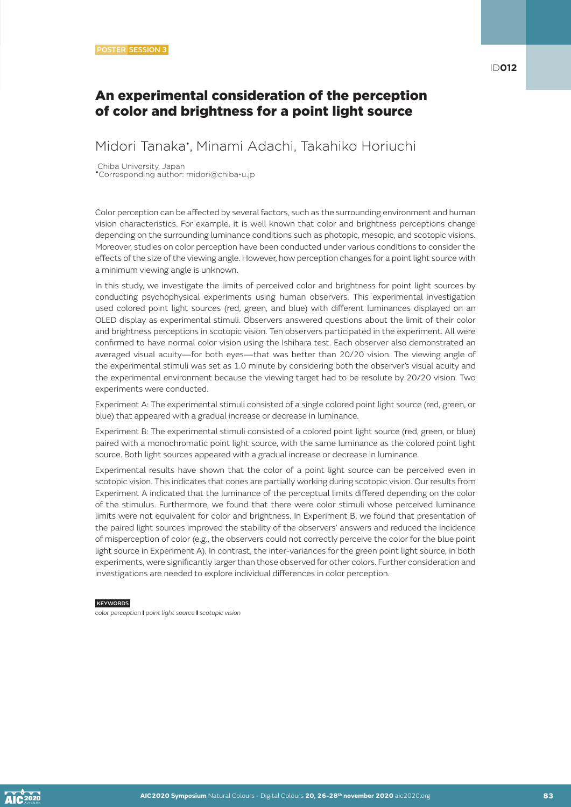### An experimental consideration of the perception of color and brightness for a point light source

Midori Tanaka• , Minami Adachi, Takahiko Horiuchi

Chiba University, Japan •Corresponding author: midori@chiba-u.jp

Color perception can be affected by several factors, such as the surrounding environment and human vision characteristics. For example, it is well known that color and brightness perceptions change depending on the surrounding luminance conditions such as photopic, mesopic, and scotopic visions. Moreover, studies on color perception have been conducted under various conditions to consider the effects of the size of the viewing angle. However, how perception changes for a point light source with a minimum viewing angle is unknown.

In this study, we investigate the limits of perceived color and brightness for point light sources by conducting psychophysical experiments using human observers. This experimental investigation used colored point light sources (red, green, and blue) with different luminances displayed on an OLED display as experimental stimuli. Observers answered questions about the limit of their color and brightness perceptions in scotopic vision. Ten observers participated in the experiment. All were confirmed to have normal color vision using the Ishihara test. Each observer also demonstrated an averaged visual acuity—for both eyes—that was better than 20/20 vision. The viewing angle of the experimental stimuli was set as 1.0 minute by considering both the observer's visual acuity and the experimental environment because the viewing target had to be resolute by 20/20 vision. Two experiments were conducted.

Experiment A: The experimental stimuli consisted of a single colored point light source (red, green, or blue) that appeared with a gradual increase or decrease in luminance.

Experiment B: The experimental stimuli consisted of a colored point light source (red, green, or blue) paired with a monochromatic point light source, with the same luminance as the colored point light source. Both light sources appeared with a gradual increase or decrease in luminance.

Experimental results have shown that the color of a point light source can be perceived even in scotopic vision. This indicates that cones are partially working during scotopic vision. Our results from Experiment A indicated that the luminance of the perceptual limits differed depending on the color of the stimulus. Furthermore, we found that there were color stimuli whose perceived luminance limits were not equivalent for color and brightness. In Experiment B, we found that presentation of the paired light sources improved the stability of the observers' answers and reduced the incidence of misperception of color (e.g., the observers could not correctly perceive the color for the blue point light source in Experiment A). In contrast, the inter-variances for the green point light source, in both experiments, were significantly larger than those observed for other colors. Further consideration and investigations are needed to explore individual differences in color perception.

**KEYWORDS** 

*color perception* I *point light source* I *scotopic vision*

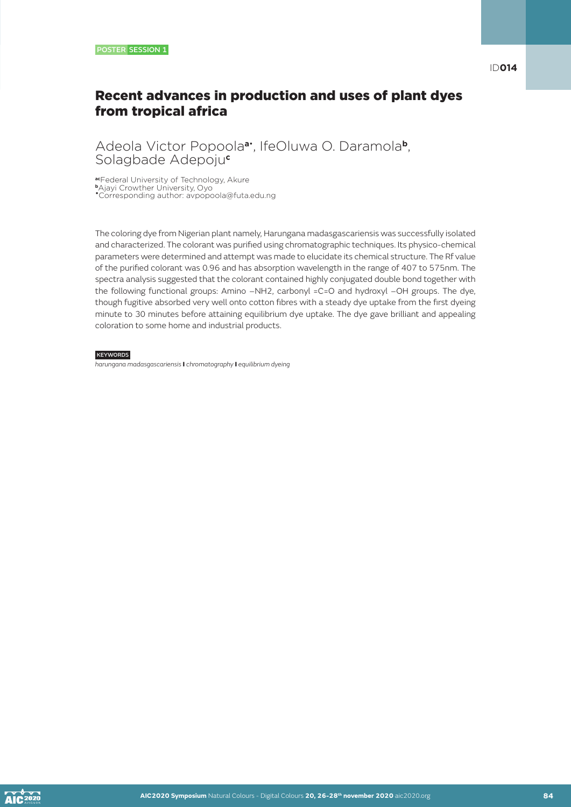# Recent advances in production and uses of plant dyes from tropical africa

### Adeola Victor Popoola**a**• , IfeOluwa O. Daramola**b**, Solagbade Adepoju**<sup>c</sup>**

**ac**Federal University of Technology, Akure **<sup>b</sup>**Ajayi Crowther University, Oyo •Corresponding author: avpopoola@futa.edu.ng

The coloring dye from Nigerian plant namely, Harungana madasgascariensis was successfully isolated and characterized. The colorant was purified using chromatographic techniques. Its physico-chemical parameters were determined and attempt was made to elucidate its chemical structure. The Rf value of the purified colorant was 0.96 and has absorption wavelength in the range of 407 to 575nm. The spectra analysis suggested that the colorant contained highly conjugated double bond together with the following functional groups: Amino –NH2, carbonyl =C=O and hydroxyl –OH groups. The dye, though fugitive absorbed very well onto cotton fibres with a steady dye uptake from the first dyeing minute to 30 minutes before attaining equilibrium dye uptake. The dye gave brilliant and appealing coloration to some home and industrial products.

### **KEYWORDS**

*harungana madasgascariensis* I *chromatography* I *equilibrium dyeing*

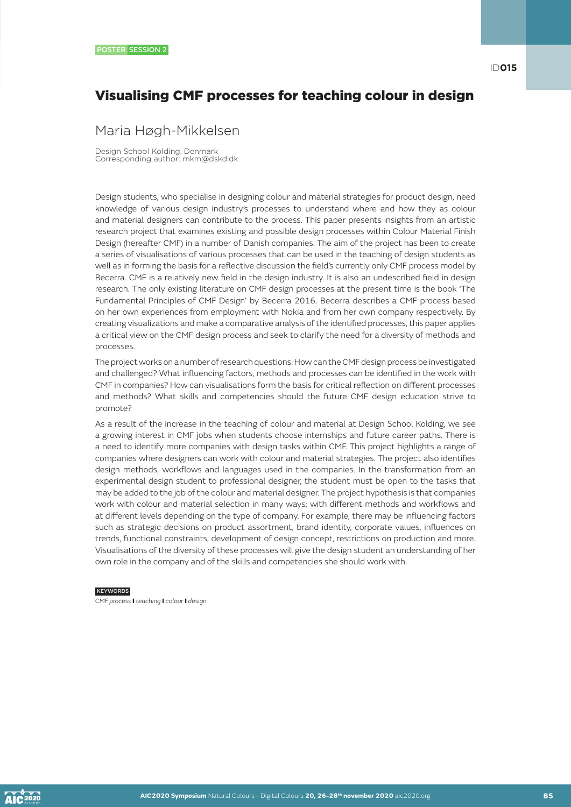# Visualising CMF processes for teaching colour in design

### Maria Høgh-Mikkelsen

Design School Kolding, Denmark Corresponding author: mkm@dskd.dk

Design students, who specialise in designing colour and material strategies for product design, need knowledge of various design industry's processes to understand where and how they as colour and material designers can contribute to the process. This paper presents insights from an artistic research project that examines existing and possible design processes within Colour Material Finish Design (hereafter CMF) in a number of Danish companies. The aim of the project has been to create a series of visualisations of various processes that can be used in the teaching of design students as well as in forming the basis for a reflective discussion the field's currently only CMF process model by Becerra. CMF is a relatively new field in the design industry. It is also an undescribed field in design research. The only existing literature on CMF design processes at the present time is the book 'The Fundamental Principles of CMF Design' by Becerra 2016. Becerra describes a CMF process based on her own experiences from employment with Nokia and from her own company respectively. By creating visualizations and make a comparative analysis of the identified processes, this paper applies a critical view on the CMF design process and seek to clarify the need for a diversity of methods and processes.

The project works on a number of research questions: How can the CMF design process be investigated and challenged? What influencing factors, methods and processes can be identified in the work with CMF in companies? How can visualisations form the basis for critical reflection on different processes and methods? What skills and competencies should the future CMF design education strive to promote?

As a result of the increase in the teaching of colour and material at Design School Kolding, we see a growing interest in CMF jobs when students choose internships and future career paths. There is a need to identify more companies with design tasks within CMF. This project highlights a range of companies where designers can work with colour and material strategies. The project also identifies design methods, workflows and languages used in the companies. In the transformation from an experimental design student to professional designer, the student must be open to the tasks that may be added to the job of the colour and material designer. The project hypothesis is that companies work with colour and material selection in many ways; with different methods and workflows and at different levels depending on the type of company. For example, there may be influencing factors such as strategic decisions on product assortment, brand identity, corporate values, influences on trends, functional constraints, development of design concept, restrictions on production and more. Visualisations of the diversity of these processes will give the design student an understanding of her own role in the company and of the skills and competencies she should work with.

#### KEYWORDS

*CMF process* I *teaching* I *colour* I *design*

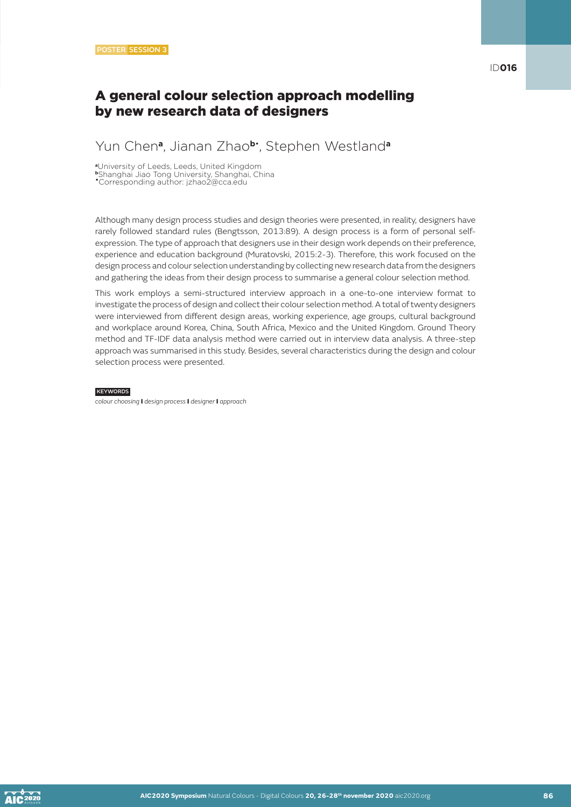### A general colour selection approach modelling by new research data of designers

# Yun Chen**a**, Jianan Zhao**b**• , Stephen Westland**<sup>a</sup>**

**<sup>a</sup>**University of Leeds, Leeds, United Kingdom

**<sup>b</sup>**Shanghai Jiao Tong University, Shanghai, China

•Corresponding author: jzhao2@cca.edu

Although many design process studies and design theories were presented, in reality, designers have rarely followed standard rules (Bengtsson, 2013:89). A design process is a form of personal selfexpression. The type of approach that designers use in their design work depends on their preference, experience and education background (Muratovski, 2015:2-3). Therefore, this work focused on the design process and colour selection understanding by collecting new research data from the designers and gathering the ideas from their design process to summarise a general colour selection method.

This work employs a semi-structured interview approach in a one-to-one interview format to investigate the process of design and collect their colour selection method. A total of twenty designers were interviewed from different design areas, working experience, age groups, cultural background and workplace around Korea, China, South Africa, Mexico and the United Kingdom. Ground Theory method and TF-IDF data analysis method were carried out in interview data analysis. A three-step approach was summarised in this study. Besides, several characteristics during the design and colour selection process were presented.

#### **KEYWORDS**

*colour choosing* I *design process* I *designer* I *approach*

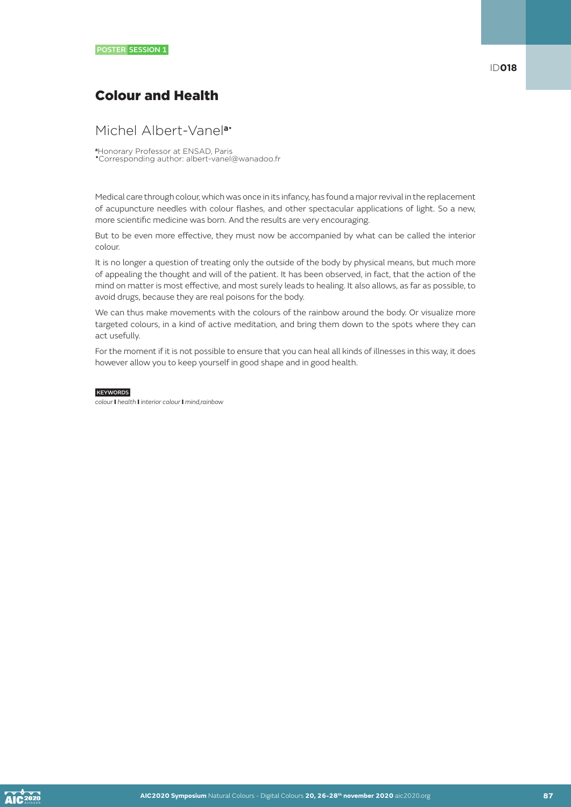# Colour and Health

### Michel Albert-Vanel**a**•

**<sup>a</sup>**Honorary Professor at ENSAD, Paris •Corresponding author: albert-vanel@wanadoo.fr

Medical care through colour, which was once in its infancy, has found a major revival in the replacement of acupuncture needles with colour flashes, and other spectacular applications of light. So a new, more scientific medicine was born. And the results are very encouraging.

But to be even more effective, they must now be accompanied by what can be called the interior colour.

It is no longer a question of treating only the outside of the body by physical means, but much more of appealing the thought and will of the patient. It has been observed, in fact, that the action of the mind on matter is most effective, and most surely leads to healing. It also allows, as far as possible, to avoid drugs, because they are real poisons for the body.

We can thus make movements with the colours of the rainbow around the body. Or visualize more targeted colours, in a kind of active meditation, and bring them down to the spots where they can act usefully.

For the moment if it is not possible to ensure that you can heal all kinds of illnesses in this way, it does however allow you to keep yourself in good shape and in good health.

#### **KEYWORDS**

*colour* I *health* I *interior colour* I *mind,rainbow*

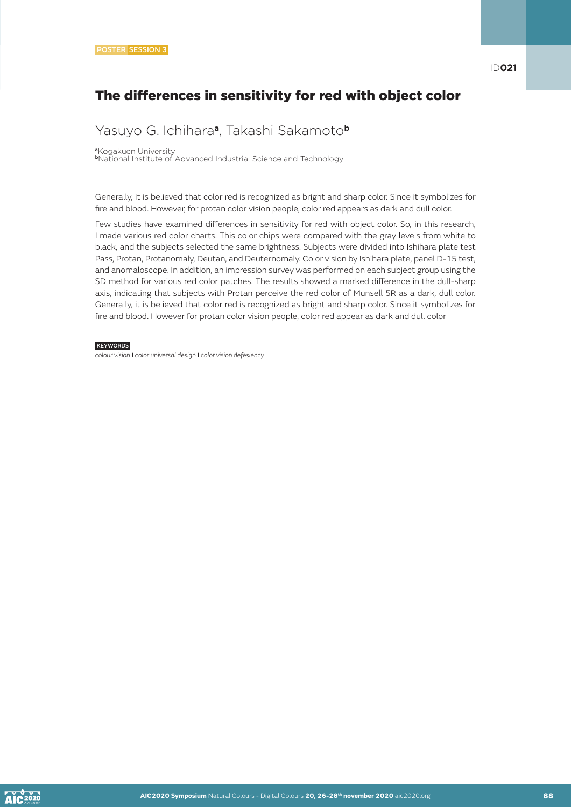# Yasuyo G. Ichihara**a**, Takashi Sakamoto**<sup>b</sup>**

**<sup>a</sup>**Kogakuen University **<sup>b</sup>**National Institute of Advanced Industrial Science and Technology

Generally, it is believed that color red is recognized as bright and sharp color. Since it symbolizes for fire and blood. However, for protan color vision people, color red appears as dark and dull color.

Few studies have examined differences in sensitivity for red with object color. So, in this research, I made various red color charts. This color chips were compared with the gray levels from white to black, and the subjects selected the same brightness. Subjects were divided into Ishihara plate test Pass, Protan, Protanomaly, Deutan, and Deuternomaly. Color vision by Ishihara plate, panel D-15 test, and anomaloscope. In addition, an impression survey was performed on each subject group using the SD method for various red color patches. The results showed a marked difference in the dull-sharp axis, indicating that subjects with Protan perceive the red color of Munsell 5R as a dark, dull color. Generally, it is believed that color red is recognized as bright and sharp color. Since it symbolizes for fire and blood. However for protan color vision people, color red appear as dark and dull color

**KEYWORDS** 

*colour vision* I *color universal design* I *color vision defesiency*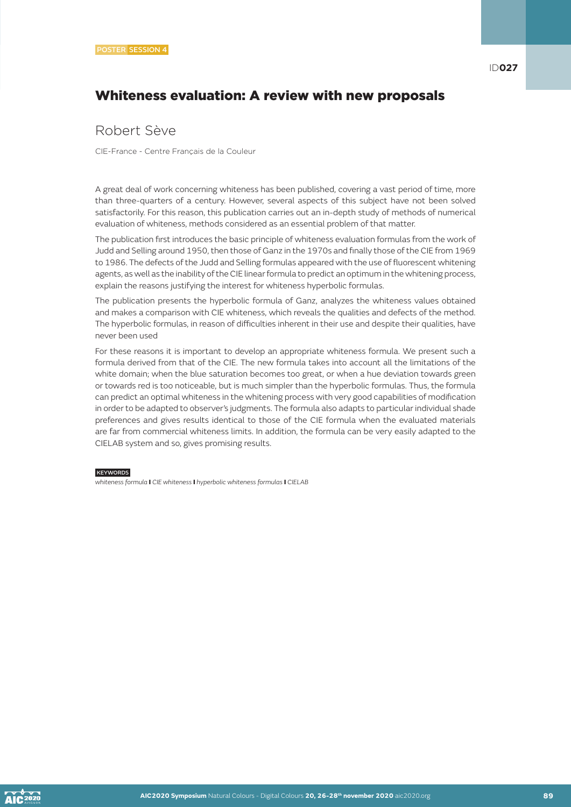# Whiteness evaluation: A review with new proposals

### Robert Sève

CIE-France - Centre Français de la Couleur

A great deal of work concerning whiteness has been published, covering a vast period of time, more than three-quarters of a century. However, several aspects of this subject have not been solved satisfactorily. For this reason, this publication carries out an in-depth study of methods of numerical evaluation of whiteness, methods considered as an essential problem of that matter.

The publication first introduces the basic principle of whiteness evaluation formulas from the work of Judd and Selling around 1950, then those of Ganz in the 1970s and finally those of the CIE from 1969 to 1986. The defects of the Judd and Selling formulas appeared with the use of fluorescent whitening agents, as well as the inability of the CIE linear formula to predict an optimum in the whitening process, explain the reasons justifying the interest for whiteness hyperbolic formulas.

The publication presents the hyperbolic formula of Ganz, analyzes the whiteness values obtained and makes a comparison with CIE whiteness, which reveals the qualities and defects of the method. The hyperbolic formulas, in reason of difficulties inherent in their use and despite their qualities, have never been used

For these reasons it is important to develop an appropriate whiteness formula. We present such a formula derived from that of the CIE. The new formula takes into account all the limitations of the white domain; when the blue saturation becomes too great, or when a hue deviation towards green or towards red is too noticeable, but is much simpler than the hyperbolic formulas. Thus, the formula can predict an optimal whiteness in the whitening process with very good capabilities of modification in order to be adapted to observer's judgments. The formula also adapts to particular individual shade preferences and gives results identical to those of the CIE formula when the evaluated materials are far from commercial whiteness limits. In addition, the formula can be very easily adapted to the CIELAB system and so, gives promising results.

#### **KEYWORDS**

*whiteness formula* I *CIE whiteness* I *hyperbolic whiteness formulas* I *CIELAB*

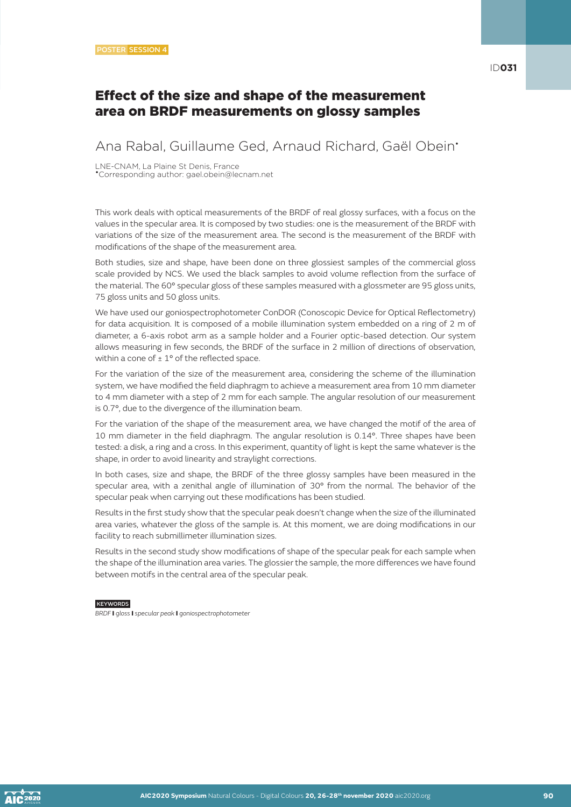### Effect of the size and shape of the measurement area on BRDF measurements on glossy samples

Ana Rabal, Guillaume Ged, Arnaud Richard, Gaël Obein•

LNE-CNAM, La Plaine St Denis, France •Corresponding author: gael.obein@lecnam.net

This work deals with optical measurements of the BRDF of real glossy surfaces, with a focus on the values in the specular area. It is composed by two studies: one is the measurement of the BRDF with variations of the size of the measurement area. The second is the measurement of the BRDF with modifications of the shape of the measurement area.

Both studies, size and shape, have been done on three glossiest samples of the commercial gloss scale provided by NCS. We used the black samples to avoid volume reflection from the surface of the material. The 60° specular gloss of these samples measured with a glossmeter are 95 gloss units, 75 gloss units and 50 gloss units.

We have used our goniospectrophotometer ConDOR (Conoscopic Device for Optical Reflectometry) for data acquisition. It is composed of a mobile illumination system embedded on a ring of 2 m of diameter, a 6-axis robot arm as a sample holder and a Fourier optic-based detection. Our system allows measuring in few seconds, the BRDF of the surface in 2 million of directions of observation, within a cone of  $\pm 1^{\circ}$  of the reflected space.

For the variation of the size of the measurement area, considering the scheme of the illumination system, we have modified the field diaphragm to achieve a measurement area from 10 mm diameter to 4 mm diameter with a step of 2 mm for each sample. The angular resolution of our measurement is 0.7°, due to the divergence of the illumination beam.

For the variation of the shape of the measurement area, we have changed the motif of the area of 10 mm diameter in the field diaphragm. The angular resolution is 0.14°. Three shapes have been tested: a disk, a ring and a cross. In this experiment, quantity of light is kept the same whatever is the shape, in order to avoid linearity and straylight corrections.

In both cases, size and shape, the BRDF of the three glossy samples have been measured in the specular area, with a zenithal angle of illumination of 30° from the normal. The behavior of the specular peak when carrying out these modifications has been studied.

Results in the first study show that the specular peak doesn't change when the size of the illuminated area varies, whatever the gloss of the sample is. At this moment, we are doing modifications in our facility to reach submillimeter illumination sizes.

Results in the second study show modifications of shape of the specular peak for each sample when the shape of the illumination area varies. The glossier the sample, the more differences we have found between motifs in the central area of the specular peak.

#### **KEYWORDS**

*BRDF* I *gloss* I *specular peak* I *goniospectrophotometer*

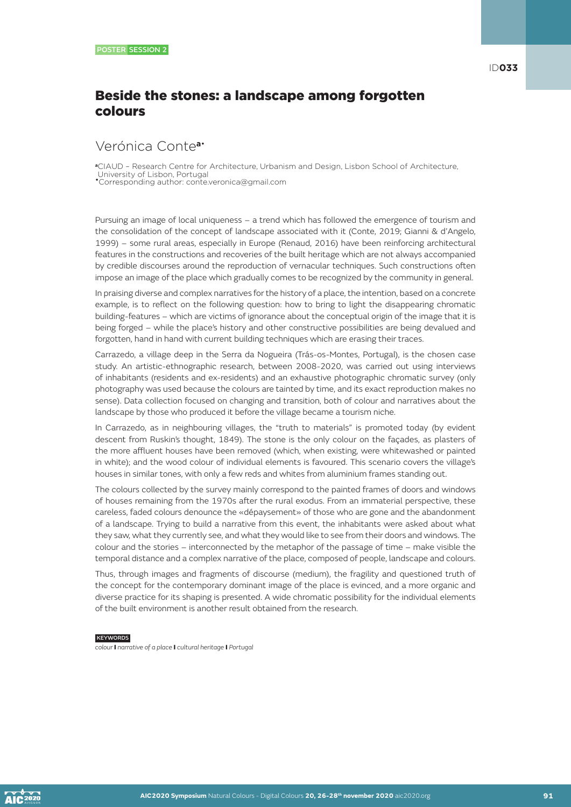# Beside the stones: a landscape among forgotten colours

### Verónica Conte**a**•

**<sup>a</sup>**CIAUD – Research Centre for Architecture, Urbanism and Design, Lisbon School of Architecture, University of Lisbon, Portugal

•Corresponding author: conte.veronica@gmail.com

Pursuing an image of local uniqueness – a trend which has followed the emergence of tourism and the consolidation of the concept of landscape associated with it (Conte, 2019; Gianni & d'Angelo, 1999) – some rural areas, especially in Europe (Renaud, 2016) have been reinforcing architectural features in the constructions and recoveries of the built heritage which are not always accompanied by credible discourses around the reproduction of vernacular techniques. Such constructions often impose an image of the place which gradually comes to be recognized by the community in general.

In praising diverse and complex narratives for the history of a place, the intention, based on a concrete example, is to reflect on the following question: how to bring to light the disappearing chromatic building-features – which are victims of ignorance about the conceptual origin of the image that it is being forged – while the place's history and other constructive possibilities are being devalued and forgotten, hand in hand with current building techniques which are erasing their traces.

Carrazedo, a village deep in the Serra da Nogueira (Trás-os-Montes, Portugal), is the chosen case study. An artistic-ethnographic research, between 2008-2020, was carried out using interviews of inhabitants (residents and ex-residents) and an exhaustive photographic chromatic survey (only photography was used because the colours are tainted by time, and its exact reproduction makes no sense). Data collection focused on changing and transition, both of colour and narratives about the landscape by those who produced it before the village became a tourism niche.

In Carrazedo, as in neighbouring villages, the "truth to materials" is promoted today (by evident descent from Ruskin's thought, 1849). The stone is the only colour on the façades, as plasters of the more affluent houses have been removed (which, when existing, were whitewashed or painted in white); and the wood colour of individual elements is favoured. This scenario covers the village's houses in similar tones, with only a few reds and whites from aluminium frames standing out.

The colours collected by the survey mainly correspond to the painted frames of doors and windows of houses remaining from the 1970s after the rural exodus. From an immaterial perspective, these careless, faded colours denounce the «dépaysement» of those who are gone and the abandonment of a landscape. Trying to build a narrative from this event, the inhabitants were asked about what they saw, what they currently see, and what they would like to see from their doors and windows. The colour and the stories – interconnected by the metaphor of the passage of time – make visible the temporal distance and a complex narrative of the place, composed of people, landscape and colours.

Thus, through images and fragments of discourse (medium), the fragility and questioned truth of the concept for the contemporary dominant image of the place is evinced, and a more organic and diverse practice for its shaping is presented. A wide chromatic possibility for the individual elements of the built environment is another result obtained from the research.

#### **KEYWORDS**

*colour* I *narrative of a place* I *cultural heritage* I *Portugal*

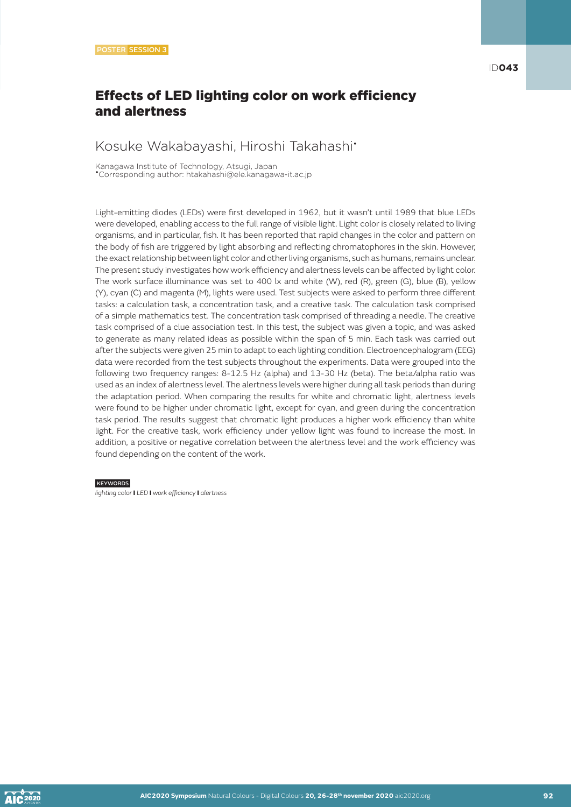# Effects of LED lighting color on work efficiency and alertness

# Kosuke Wakabayashi, Hiroshi Takahashi•

Kanagawa Institute of Technology, Atsugi, Japan •Corresponding author: htakahashi@ele.kanagawa-it.ac.jp

Light-emitting diodes (LEDs) were first developed in 1962, but it wasn't until 1989 that blue LEDs were developed, enabling access to the full range of visible light. Light color is closely related to living organisms, and in particular, fish. It has been reported that rapid changes in the color and pattern on the body of fish are triggered by light absorbing and reflecting chromatophores in the skin. However, the exact relationship between light color and other living organisms, such as humans, remains unclear. The present study investigates how work efficiency and alertness levels can be affected by light color. The work surface illuminance was set to 400 lx and white (W), red (R), green (G), blue (B), yellow (Y), cyan (C) and magenta (M), lights were used. Test subjects were asked to perform three different tasks: a calculation task, a concentration task, and a creative task. The calculation task comprised of a simple mathematics test. The concentration task comprised of threading a needle. The creative task comprised of a clue association test. In this test, the subject was given a topic, and was asked to generate as many related ideas as possible within the span of 5 min. Each task was carried out after the subjects were given 25 min to adapt to each lighting condition. Electroencephalogram (EEG) data were recorded from the test subjects throughout the experiments. Data were grouped into the following two frequency ranges: 8-12.5 Hz (alpha) and 13-30 Hz (beta). The beta/alpha ratio was used as an index of alertness level. The alertness levels were higher during all task periods than during the adaptation period. When comparing the results for white and chromatic light, alertness levels were found to be higher under chromatic light, except for cyan, and green during the concentration task period. The results suggest that chromatic light produces a higher work efficiency than white light. For the creative task, work efficiency under yellow light was found to increase the most. In addition, a positive or negative correlation between the alertness level and the work efficiency was found depending on the content of the work.

#### **KEYWORDS**

*lighting color* I *LED* I *work efficiency* I *alertness*

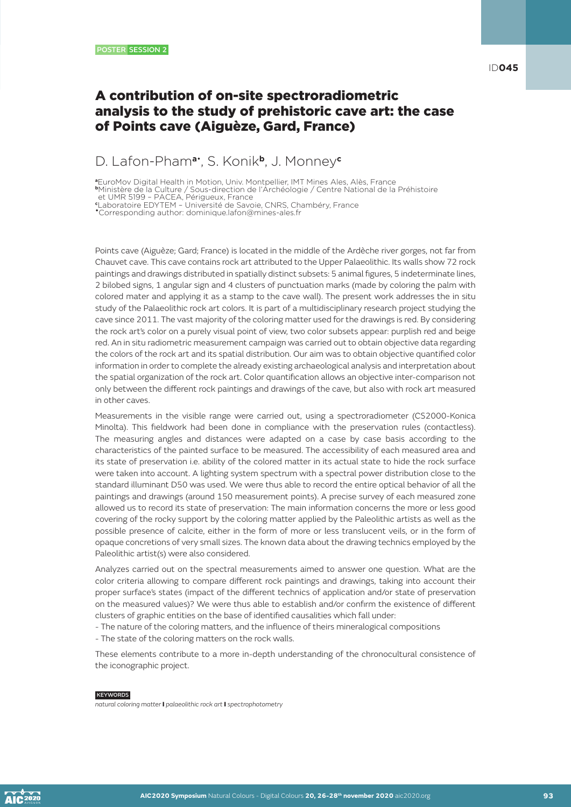ID**045**

# A contribution of on-site spectroradiometric analysis to the study of prehistoric cave art: the case of Points cave (Aiguèze, Gard, France)

### D. Lafon-Pham**a**• , S. Konik**b**, J. Monney**<sup>c</sup>**

**<sup>a</sup>**EuroMov Digital Health in Motion, Univ. Montpellier, IMT Mines Ales, Alès, France **<sup>b</sup>**Ministère de la Culture / Sous-direction de l'Archéologie / Centre National de la Préhistoire

et UMR 5199 – PACEA, Périgueux, France **c** Laboratoire EDYTEM – Université de Savoie, CNRS, Chambéry, France

•Corresponding author: dominique.lafon@mines-ales.fr

Points cave (Aiguèze; Gard; France) is located in the middle of the Ardèche river gorges, not far from Chauvet cave. This cave contains rock art attributed to the Upper Palaeolithic. Its walls show 72 rock paintings and drawings distributed in spatially distinct subsets: 5 animal figures, 5 indeterminate lines, 2 bilobed signs, 1 angular sign and 4 clusters of punctuation marks (made by coloring the palm with colored mater and applying it as a stamp to the cave wall). The present work addresses the in situ study of the Palaeolithic rock art colors. It is part of a multidisciplinary research project studying the cave since 2011. The vast majority of the coloring matter used for the drawings is red. By considering the rock art's color on a purely visual point of view, two color subsets appear: purplish red and beige red. An in situ radiometric measurement campaign was carried out to obtain objective data regarding the colors of the rock art and its spatial distribution. Our aim was to obtain objective quantified color information in order to complete the already existing archaeological analysis and interpretation about the spatial organization of the rock art. Color quantification allows an objective inter-comparison not only between the different rock paintings and drawings of the cave, but also with rock art measured in other caves.

Measurements in the visible range were carried out, using a spectroradiometer (CS2000-Konica Minolta). This fieldwork had been done in compliance with the preservation rules (contactless). The measuring angles and distances were adapted on a case by case basis according to the characteristics of the painted surface to be measured. The accessibility of each measured area and its state of preservation i.e. ability of the colored matter in its actual state to hide the rock surface were taken into account. A lighting system spectrum with a spectral power distribution close to the standard illuminant D50 was used. We were thus able to record the entire optical behavior of all the paintings and drawings (around 150 measurement points). A precise survey of each measured zone allowed us to record its state of preservation: The main information concerns the more or less good covering of the rocky support by the coloring matter applied by the Paleolithic artists as well as the possible presence of calcite, either in the form of more or less translucent veils, or in the form of opaque concretions of very small sizes. The known data about the drawing technics employed by the Paleolithic artist(s) were also considered.

Analyzes carried out on the spectral measurements aimed to answer one question. What are the color criteria allowing to compare different rock paintings and drawings, taking into account their proper surface's states (impact of the different technics of application and/or state of preservation on the measured values)? We were thus able to establish and/or confirm the existence of different clusters of graphic entities on the base of identified causalities which fall under:

- The nature of the coloring matters, and the influence of theirs mineralogical compositions

- The state of the coloring matters on the rock walls.

These elements contribute to a more in-depth understanding of the chronocultural consistence of the iconographic project.

#### **KEYWORDS**

*natural coloring matter* I *palaeolithic rock art* I *spectrophotometry*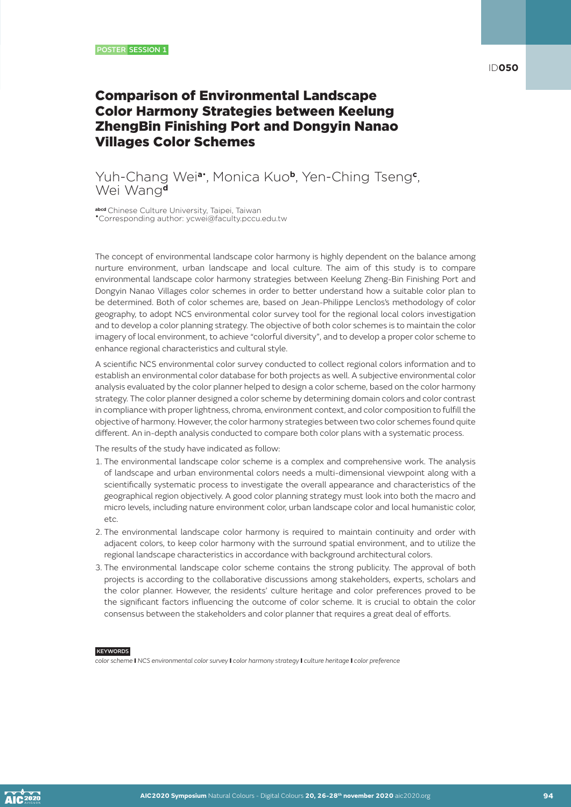# Comparison of Environmental Landscape Color Harmony Strategies between Keelung ZhengBin Finishing Port and Dongyin Nanao Villages Color Schemes

### Yuh-Chang Wei**a**• , Monica Kuo**b**, Yen-Ching Tseng**<sup>c</sup>** , Wei Wang**<sup>d</sup>**

**abcd** Chinese Culture University, Taipei, Taiwan •Corresponding author: ycwei@faculty.pccu.edu.tw

The concept of environmental landscape color harmony is highly dependent on the balance among nurture environment, urban landscape and local culture. The aim of this study is to compare environmental landscape color harmony strategies between Keelung Zheng-Bin Finishing Port and Dongyin Nanao Villages color schemes in order to better understand how a suitable color plan to be determined. Both of color schemes are, based on Jean-Philippe Lenclos's methodology of color geography, to adopt NCS environmental color survey tool for the regional local colors investigation and to develop a color planning strategy. The objective of both color schemes is to maintain the color imagery of local environment, to achieve "colorful diversity", and to develop a proper color scheme to enhance regional characteristics and cultural style.

A scientific NCS environmental color survey conducted to collect regional colors information and to establish an environmental color database for both projects as well. A subjective environmental color analysis evaluated by the color planner helped to design a color scheme, based on the color harmony strategy. The color planner designed a color scheme by determining domain colors and color contrast in compliance with proper lightness, chroma, environment context, and color composition to fulfill the objective of harmony. However, the color harmony strategies between two color schemes found quite different. An in-depth analysis conducted to compare both color plans with a systematic process.

The results of the study have indicated as follow:

- 1. The environmental landscape color scheme is a complex and comprehensive work. The analysis of landscape and urban environmental colors needs a multi-dimensional viewpoint along with a scientifically systematic process to investigate the overall appearance and characteristics of the geographical region objectively. A good color planning strategy must look into both the macro and micro levels, including nature environment color, urban landscape color and local humanistic color, etc.
- 2. The environmental landscape color harmony is required to maintain continuity and order with adjacent colors, to keep color harmony with the surround spatial environment, and to utilize the regional landscape characteristics in accordance with background architectural colors.
- 3. The environmental landscape color scheme contains the strong publicity. The approval of both projects is according to the collaborative discussions among stakeholders, experts, scholars and the color planner. However, the residents' culture heritage and color preferences proved to be the significant factors influencing the outcome of color scheme. It is crucial to obtain the color consensus between the stakeholders and color planner that requires a great deal of efforts.

**KEYWORDS** 

*color scheme* I *NCS environmental color survey* I *color harmony strategy* I *culture heritage* I *color preference*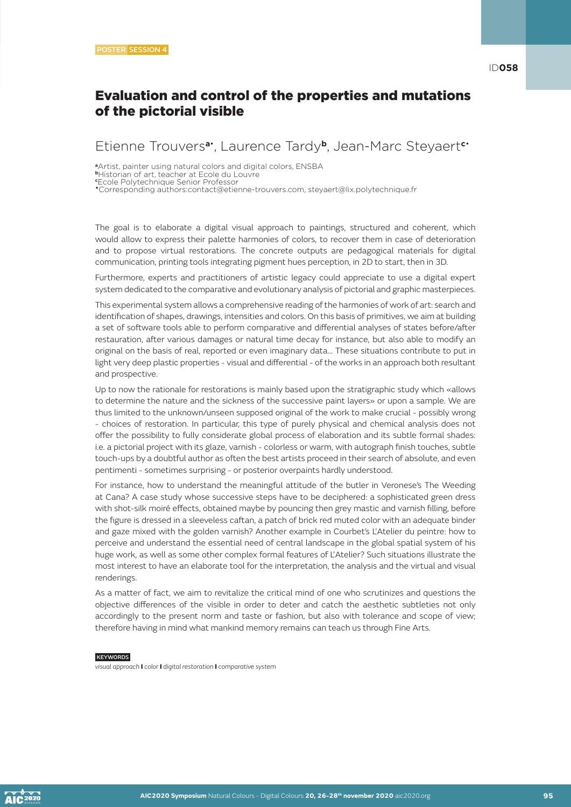# Evaluation and control of the properties and mutations of the pictorial visible

### Etienne Trouvers**a**• , Laurence Tardy**b**, Jean-Marc Steyaert**c**•

**<sup>a</sup>**Artist, painter using natural colors and digital colors, ENSBA

•Corresponding authors:contact@etienne-trouvers.com, steyaert@lix.polytechnique.fr

The goal is to elaborate a digital visual approach to paintings, structured and coherent, which would allow to express their palette harmonies of colors, to recover them in case of deterioration and to propose virtual restorations. The concrete outputs are pedagogical materials for digital communication, printing tools integrating pigment hues perception, in 2D to start, then in 3D.

Furthermore, experts and practitioners of artistic legacy could appreciate to use a digital expert system dedicated to the comparative and evolutionary analysis of pictorial and graphic masterpieces.

This experimental system allows a comprehensive reading of the harmonies of work of art: search and identification of shapes, drawings, intensities and colors. On this basis of primitives, we aim at building a set of software tools able to perform comparative and differential analyses of states before/after restauration, after various damages or natural time decay for instance, but also able to modify an original on the basis of real, reported or even imaginary data… These situations contribute to put in light very deep plastic properties - visual and differential - of the works in an approach both resultant and prospective.

Up to now the rationale for restorations is mainly based upon the stratigraphic study which «allows to determine the nature and the sickness of the successive paint layers» or upon a sample. We are thus limited to the unknown/unseen supposed original of the work to make crucial - possibly wrong - choices of restoration. In particular, this type of purely physical and chemical analysis does not offer the possibility to fully considerate global process of elaboration and its subtle formal shades: i.e. a pictorial project with its glaze, varnish - colorless or warm, with autograph finish touches, subtle touch-ups by a doubtful author as often the best artists proceed in their search of absolute, and even pentimenti - sometimes surprising - or posterior overpaints hardly understood.

For instance, how to understand the meaningful attitude of the butler in Veronese's The Weeding at Cana? A case study whose successive steps have to be deciphered: a sophisticated green dress with shot-silk moiré effects, obtained maybe by pouncing then grey mastic and varnish filling, before the figure is dressed in a sleeveless caftan, a patch of brick red muted color with an adequate binder and gaze mixed with the golden varnish? Another example in Courbet's L'Atelier du peintre: how to perceive and understand the essential need of central landscape in the global spatial system of his huge work, as well as some other complex formal features of L'Atelier? Such situations illustrate the most interest to have an elaborate tool for the interpretation, the analysis and the virtual and visual renderings.

As a matter of fact, we aim to revitalize the critical mind of one who scrutinizes and questions the objective differences of the visible in order to deter and catch the aesthetic subtleties not only accordingly to the present norm and taste or fashion, but also with tolerance and scope of view; therefore having in mind what mankind memory remains can teach us through Fine Arts.

### **KEYWORDS**

*visual approach* I *color* I *digital restoration* I *comparative system*

**<sup>b</sup>**Historian of art, teacher at Ecole du Louvre **c** Ecole Polytechnique Senior Professor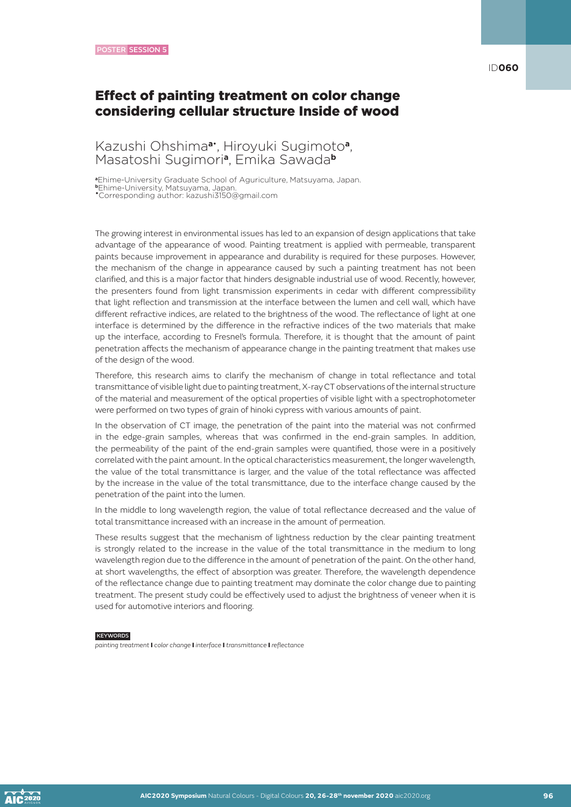### ID**060**

### Effect of painting treatment on color change considering cellular structure Inside of wood

### Kazushi Ohshima**a**• , Hiroyuki Sugimoto**a**, Masatoshi Sugimori**a**, Emika Sawada**<sup>b</sup>**

**<sup>a</sup>**Ehime-University Graduate School of Aguriculture, Matsuyama, Japan. **<sup>b</sup>**Ehime-University, Matsuyama, Japan. •Corresponding author: kazushi3150@gmail.com

The growing interest in environmental issues has led to an expansion of design applications that take advantage of the appearance of wood. Painting treatment is applied with permeable, transparent paints because improvement in appearance and durability is required for these purposes. However, the mechanism of the change in appearance caused by such a painting treatment has not been clarified, and this is a major factor that hinders designable industrial use of wood. Recently, however, the presenters found from light transmission experiments in cedar with different compressibility that light reflection and transmission at the interface between the lumen and cell wall, which have different refractive indices, are related to the brightness of the wood. The reflectance of light at one interface is determined by the difference in the refractive indices of the two materials that make up the interface, according to Fresnel's formula. Therefore, it is thought that the amount of paint penetration affects the mechanism of appearance change in the painting treatment that makes use of the design of the wood.

Therefore, this research aims to clarify the mechanism of change in total reflectance and total transmittance of visible light due to painting treatment, X-ray CT observations of the internal structure of the material and measurement of the optical properties of visible light with a spectrophotometer were performed on two types of grain of hinoki cypress with various amounts of paint.

In the observation of CT image, the penetration of the paint into the material was not confirmed in the edge-grain samples, whereas that was confirmed in the end-grain samples. In addition, the permeability of the paint of the end-grain samples were quantified, those were in a positively correlated with the paint amount. In the optical characteristics measurement, the longer wavelength, the value of the total transmittance is larger, and the value of the total reflectance was affected by the increase in the value of the total transmittance, due to the interface change caused by the penetration of the paint into the lumen.

In the middle to long wavelength region, the value of total reflectance decreased and the value of total transmittance increased with an increase in the amount of permeation.

These results suggest that the mechanism of lightness reduction by the clear painting treatment is strongly related to the increase in the value of the total transmittance in the medium to long wavelength region due to the difference in the amount of penetration of the paint. On the other hand, at short wavelengths, the effect of absorption was greater. Therefore, the wavelength dependence of the reflectance change due to painting treatment may dominate the color change due to painting treatment. The present study could be effectively used to adjust the brightness of veneer when it is used for automotive interiors and flooring.

#### **KEYWORDS**

*painting treatment* I *color change* I *interface* I *transmittance* I *reflectance*

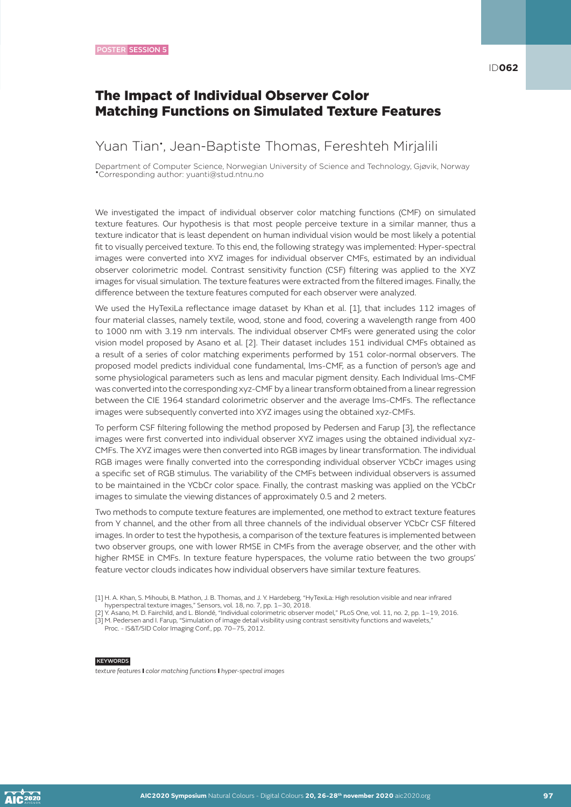# The Impact of Individual Observer Color Matching Functions on Simulated Texture Features

### Yuan Tian• , Jean-Baptiste Thomas, Fereshteh Mirjalili

Department of Computer Science, Norwegian University of Science and Technology, Gjøvik, Norway •Corresponding author: yuanti@stud.ntnu.no

We investigated the impact of individual observer color matching functions (CMF) on simulated texture features. Our hypothesis is that most people perceive texture in a similar manner, thus a texture indicator that is least dependent on human individual vision would be most likely a potential fit to visually perceived texture. To this end, the following strategy was implemented: Hyper-spectral images were converted into XYZ images for individual observer CMFs, estimated by an individual observer colorimetric model. Contrast sensitivity function (CSF) filtering was applied to the XYZ images for visual simulation. The texture features were extracted from the filtered images. Finally, the difference between the texture features computed for each observer were analyzed.

We used the HyTexiLa reflectance image dataset by Khan et al. [1], that includes 112 images of four material classes, namely textile, wood, stone and food, covering a wavelength range from 400 to 1000 nm with 3.19 nm intervals. The individual observer CMFs were generated using the color vision model proposed by Asano et al. [2]. Their dataset includes 151 individual CMFs obtained as a result of a series of color matching experiments performed by 151 color-normal observers. The proposed model predicts individual cone fundamental, lms-CMF, as a function of person's age and some physiological parameters such as lens and macular pigment density. Each Individual lms-CMF was converted into the corresponding xyz-CMF by a linear transform obtained from a linear regression between the CIE 1964 standard colorimetric observer and the average lms-CMFs. The reflectance images were subsequently converted into XYZ images using the obtained xyz-CMFs.

To perform CSF filtering following the method proposed by Pedersen and Farup [3], the reflectance images were first converted into individual observer XYZ images using the obtained individual xyz-CMFs. The XYZ images were then converted into RGB images by linear transformation. The individual RGB images were finally converted into the corresponding individual observer YCbCr images using a specific set of RGB stimulus. The variability of the CMFs between individual observers is assumed to be maintained in the YCbCr color space. Finally, the contrast masking was applied on the YCbCr images to simulate the viewing distances of approximately 0.5 and 2 meters.

Two methods to compute texture features are implemented, one method to extract texture features from Y channel, and the other from all three channels of the individual observer YCbCr CSF filtered images. In order to test the hypothesis, a comparison of the texture features is implemented between two observer groups, one with lower RMSE in CMFs from the average observer, and the other with higher RMSE in CMFs. In texture feature hyperspaces, the volume ratio between the two groups' feature vector clouds indicates how individual observers have similar texture features.

- [2] Y. Asano, M. D. Fairchild, and L. Blondé, "Individual colorimetric observer model," PLoS One, vol. 11, no. 2, pp. 1–19, 2016.
- [3] M. Pedersen and I. Farup, "Simulation of image detail visibility using contrast sensitivity functions and wavelets," Proc. - IS&T/SID Color Imaging Conf., pp. 70–75, 2012.

<sup>[1]</sup> H. A. Khan, S. Mihoubi, B. Mathon, J. B. Thomas, and J. Y. Hardeberg, "HyTexiLa: High resolution visible and near infrared

hyperspectral texture images," Sensors, vol. 18, no. 7, pp. 1–30, 2018.

KEYWORDS

*texture features* I *color matching functions* I *hyper-spectral images*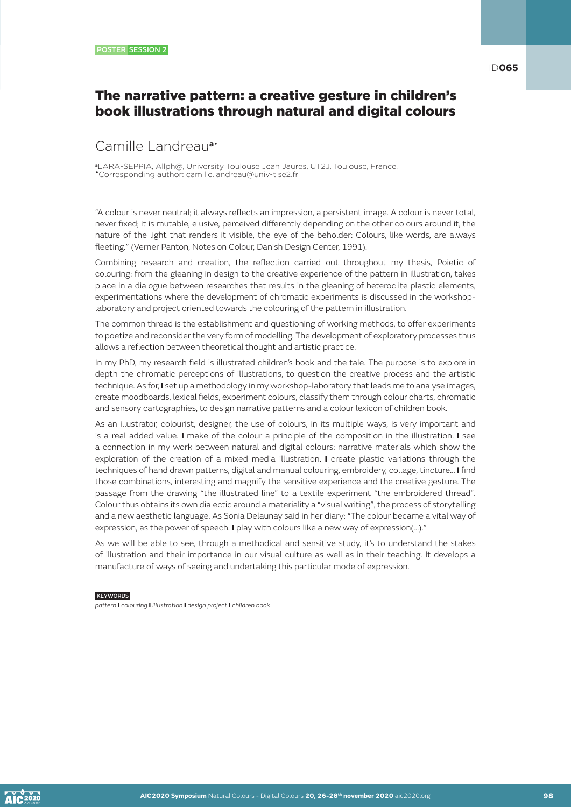# The narrative pattern: a creative gesture in children's book illustrations through natural and digital colours

# Camille Landreau**a**•

**<sup>a</sup>**LARA-SEPPIA, Allph@, University Toulouse Jean Jaures, UT2J, Toulouse, France. •Corresponding author: camille.landreau@univ-tlse2.fr

"A colour is never neutral; it always reflects an impression, a persistent image. A colour is never total, never fixed; it is mutable, elusive, perceived differently depending on the other colours around it, the nature of the light that renders it visible, the eye of the beholder: Colours, like words, are always fleeting." (Verner Panton, Notes on Colour, Danish Design Center, 1991).

Combining research and creation, the reflection carried out throughout my thesis, Poietic of colouring: from the gleaning in design to the creative experience of the pattern in illustration, takes place in a dialogue between researches that results in the gleaning of heteroclite plastic elements, experimentations where the development of chromatic experiments is discussed in the workshoplaboratory and project oriented towards the colouring of the pattern in illustration.

The common thread is the establishment and questioning of working methods, to offer experiments to poetize and reconsider the very form of modelling. The development of exploratory processes thus allows a reflection between theoretical thought and artistic practice.

In my PhD, my research field is illustrated children's book and the tale. The purpose is to explore in depth the chromatic perceptions of illustrations, to question the creative process and the artistic technique. As for, I set up a methodology in my workshop-laboratory that leads me to analyse images, create moodboards, lexical fields, experiment colours, classify them through colour charts, chromatic and sensory cartographies, to design narrative patterns and a colour lexicon of children book.

As an illustrator, colourist, designer, the use of colours, in its multiple ways, is very important and is a real added value. I make of the colour a principle of the composition in the illustration. I see a connection in my work between natural and digital colours: narrative materials which show the exploration of the creation of a mixed media illustration. I create plastic variations through the techniques of hand drawn patterns, digital and manual colouring, embroidery, collage, tincture… I find those combinations, interesting and magnify the sensitive experience and the creative gesture. The passage from the drawing "the illustrated line" to a textile experiment "the embroidered thread". Colour thus obtains its own dialectic around a materiality a "visual writing", the process of storytelling and a new aesthetic language. As Sonia Delaunay said in her diary: "The colour became a vital way of expression, as the power of speech. I play with colours like a new way of expression(...)."

As we will be able to see, through a methodical and sensitive study, it's to understand the stakes of illustration and their importance in our visual culture as well as in their teaching. It develops a manufacture of ways of seeing and undertaking this particular mode of expression.

#### **KEYWORDS**

*pattern* I *colouring* I *illustration* I *design project* I *children book*

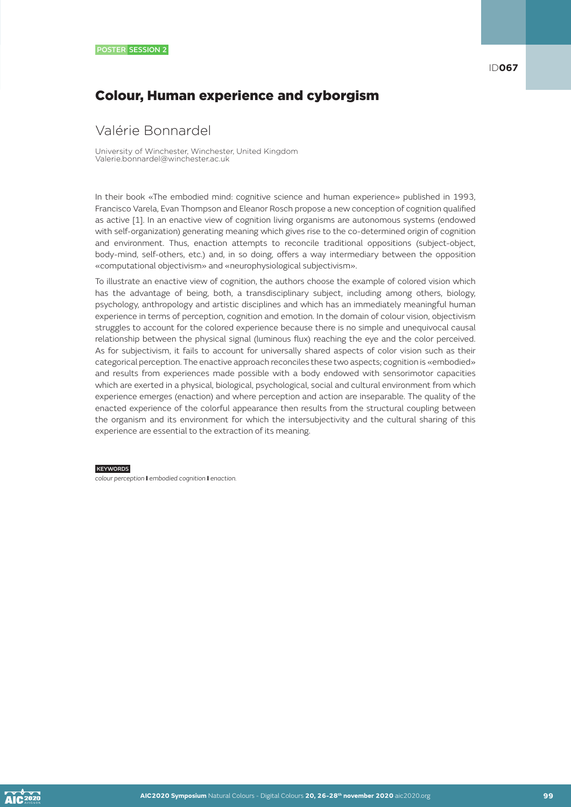# Colour, Human experience and cyborgism

### Valérie Bonnardel

University of Winchester, Winchester, United Kingdom Valerie.bonnardel@winchester.ac.uk

In their book «The embodied mind: cognitive science and human experience» published in 1993, Francisco Varela, Evan Thompson and Eleanor Rosch propose a new conception of cognition qualified as active [1]. In an enactive view of cognition living organisms are autonomous systems (endowed with self-organization) generating meaning which gives rise to the co-determined origin of cognition and environment. Thus, enaction attempts to reconcile traditional oppositions (subject-object, body-mind, self-others, etc.) and, in so doing, offers a way intermediary between the opposition «computational objectivism» and «neurophysiological subjectivism».

To illustrate an enactive view of cognition, the authors choose the example of colored vision which has the advantage of being, both, a transdisciplinary subject, including among others, biology, psychology, anthropology and artistic disciplines and which has an immediately meaningful human experience in terms of perception, cognition and emotion. In the domain of colour vision, objectivism struggles to account for the colored experience because there is no simple and unequivocal causal relationship between the physical signal (luminous flux) reaching the eye and the color perceived. As for subjectivism, it fails to account for universally shared aspects of color vision such as their categorical perception. The enactive approach reconciles these two aspects; cognition is «embodied» and results from experiences made possible with a body endowed with sensorimotor capacities which are exerted in a physical, biological, psychological, social and cultural environment from which experience emerges (enaction) and where perception and action are inseparable. The quality of the enacted experience of the colorful appearance then results from the structural coupling between the organism and its environment for which the intersubjectivity and the cultural sharing of this experience are essential to the extraction of its meaning.

#### **KEYWORDS**

*colour perception* I *embodied cognition* I *enaction.*

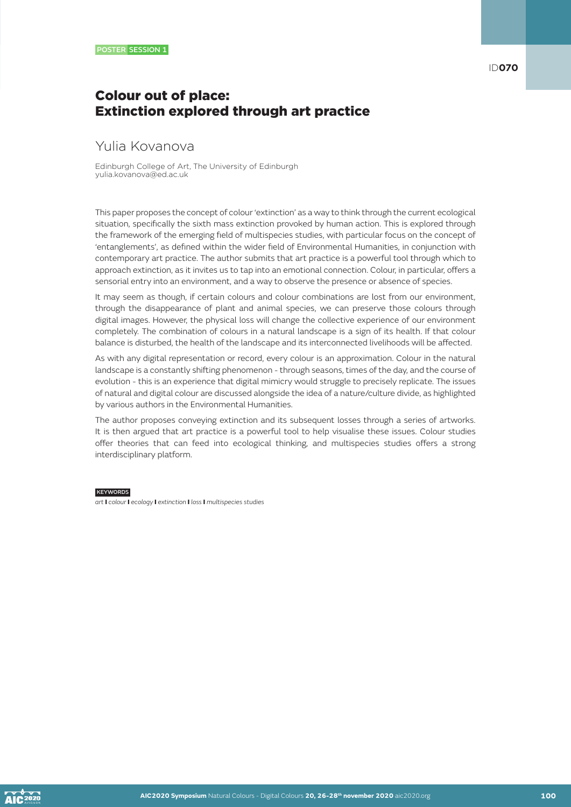# Colour out of place: Extinction explored through art practice

# Yulia Kovanova

Edinburgh College of Art, The University of Edinburgh yulia.kovanova@ed.ac.uk

This paper proposes the concept of colour 'extinction' as a way to think through the current ecological situation, specifically the sixth mass extinction provoked by human action. This is explored through the framework of the emerging field of multispecies studies, with particular focus on the concept of 'entanglements', as defined within the wider field of Environmental Humanities, in conjunction with contemporary art practice. The author submits that art practice is a powerful tool through which to approach extinction, as it invites us to tap into an emotional connection. Colour, in particular, offers a sensorial entry into an environment, and a way to observe the presence or absence of species.

It may seem as though, if certain colours and colour combinations are lost from our environment, through the disappearance of plant and animal species, we can preserve those colours through digital images. However, the physical loss will change the collective experience of our environment completely. The combination of colours in a natural landscape is a sign of its health. If that colour balance is disturbed, the health of the landscape and its interconnected livelihoods will be affected.

As with any digital representation or record, every colour is an approximation. Colour in the natural landscape is a constantly shifting phenomenon - through seasons, times of the day, and the course of evolution - this is an experience that digital mimicry would struggle to precisely replicate. The issues of natural and digital colour are discussed alongside the idea of a nature/culture divide, as highlighted by various authors in the Environmental Humanities.

The author proposes conveying extinction and its subsequent losses through a series of artworks. It is then argued that art practice is a powerful tool to help visualise these issues. Colour studies offer theories that can feed into ecological thinking, and multispecies studies offers a strong interdisciplinary platform.

#### **KEYWORDS**

*art* I *colour* I *ecology* I *extinction* I *loss* I *multispecies studies*

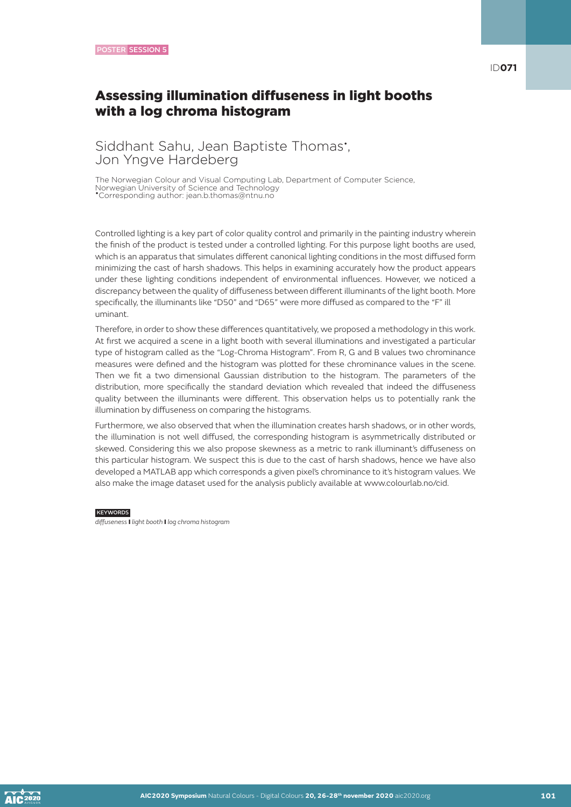ID**071**

# Assessing illumination diffuseness in light booths with a log chroma histogram

# Siddhant Sahu, Jean Baptiste Thomas<sup>\*</sup>, Jon Yngve Hardeberg

The Norwegian Colour and Visual Computing Lab, Department of Computer Science, Norwegian University of Science and Technology •Corresponding author: jean.b.thomas@ntnu.no

Controlled lighting is a key part of color quality control and primarily in the painting industry wherein the finish of the product is tested under a controlled lighting. For this purpose light booths are used, which is an apparatus that simulates different canonical lighting conditions in the most diffused form minimizing the cast of harsh shadows. This helps in examining accurately how the product appears under these lighting conditions independent of environmental influences. However, we noticed a discrepancy between the quality of diffuseness between different illuminants of the light booth. More specifically, the illuminants like "D50" and "D65" were more diffused as compared to the "F" ill uminant.

Therefore, in order to show these differences quantitatively, we proposed a methodology in this work. At first we acquired a scene in a light booth with several illuminations and investigated a particular type of histogram called as the "Log-Chroma Histogram". From R, G and B values two chrominance measures were defined and the histogram was plotted for these chrominance values in the scene. Then we fit a two dimensional Gaussian distribution to the histogram. The parameters of the distribution, more specifically the standard deviation which revealed that indeed the diffuseness quality between the illuminants were different. This observation helps us to potentially rank the illumination by diffuseness on comparing the histograms.

Furthermore, we also observed that when the illumination creates harsh shadows, or in other words, the illumination is not well diffused, the corresponding histogram is asymmetrically distributed or skewed. Considering this we also propose skewness as a metric to rank illuminant's diffuseness on this particular histogram. We suspect this is due to the cast of harsh shadows, hence we have also developed a MATLAB app which corresponds a given pixel's chrominance to it's histogram values. We also make the image dataset used for the analysis publicly available at www.colourlab.no/cid.

**KEYWORDS** 

*diffuseness* I *light booth* I *log chroma histogram*

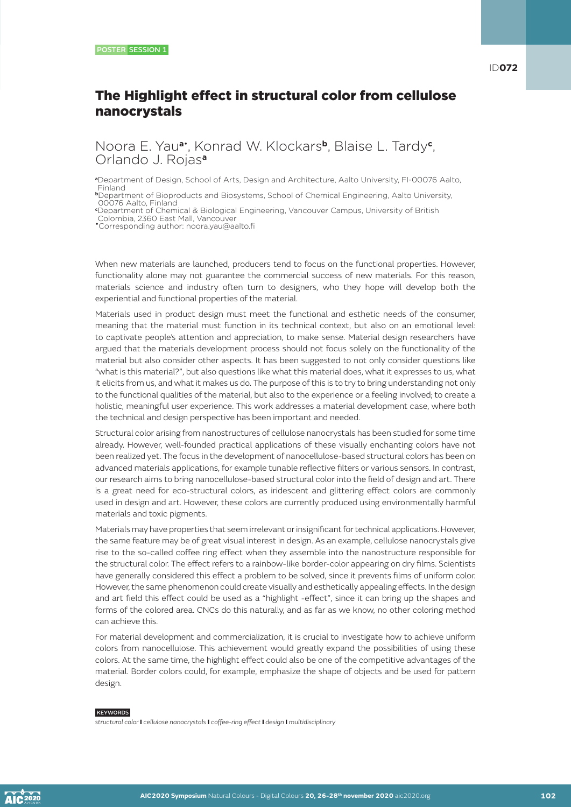# The Highlight effect in structural color from cellulose nanocrystals

Noora E. Yau**a**• , Konrad W. Klockars**b**, Blaise L. Tardy**<sup>c</sup>** , Orlando J. Rojas**<sup>a</sup>**

**<sup>a</sup>**Department of Design, School of Arts, Design and Architecture, Aalto University, FI-00076 Aalto, Finland

**<sup>b</sup>**Department of Bioproducts and Biosystems, School of Chemical Engineering, Aalto University, 00076 Aalto, Finland

**c** Department of Chemical & Biological Engineering, Vancouver Campus, University of British Colombia, 2360 East Mall, Vancouver

•Corresponding author: noora.yau@aalto.fi

When new materials are launched, producers tend to focus on the functional properties. However, functionality alone may not guarantee the commercial success of new materials. For this reason, materials science and industry often turn to designers, who they hope will develop both the experiential and functional properties of the material.

Materials used in product design must meet the functional and esthetic needs of the consumer, meaning that the material must function in its technical context, but also on an emotional level: to captivate people's attention and appreciation, to make sense. Material design researchers have argued that the materials development process should not focus solely on the functionality of the material but also consider other aspects. It has been suggested to not only consider questions like "what is this material?", but also questions like what this material does, what it expresses to us, what it elicits from us, and what it makes us do. The purpose of this is to try to bring understanding not only to the functional qualities of the material, but also to the experience or a feeling involved; to create a holistic, meaningful user experience. This work addresses a material development case, where both the technical and design perspective has been important and needed.

Structural color arising from nanostructures of cellulose nanocrystals has been studied for some time already. However, well-founded practical applications of these visually enchanting colors have not been realized yet. The focus in the development of nanocellulose-based structural colors has been on advanced materials applications, for example tunable reflective filters or various sensors. In contrast, our research aims to bring nanocellulose-based structural color into the field of design and art. There is a great need for eco-structural colors, as iridescent and glittering effect colors are commonly used in design and art. However, these colors are currently produced using environmentally harmful materials and toxic pigments.

Materials may have properties that seem irrelevant or insignificant for technical applications. However, the same feature may be of great visual interest in design. As an example, cellulose nanocrystals give rise to the so-called coffee ring effect when they assemble into the nanostructure responsible for the structural color. The effect refers to a rainbow-like border-color appearing on dry films. Scientists have generally considered this effect a problem to be solved, since it prevents films of uniform color. However, the same phenomenon could create visually and esthetically appealing effects. In the design and art field this effect could be used as a "highlight -effect", since it can bring up the shapes and forms of the colored area. CNCs do this naturally, and as far as we know, no other coloring method can achieve this.

For material development and commercialization, it is crucial to investigate how to achieve uniform colors from nanocellulose. This achievement would greatly expand the possibilities of using these colors. At the same time, the highlight effect could also be one of the competitive advantages of the material. Border colors could, for example, emphasize the shape of objects and be used for pattern design.

#### **KEYWORDS**

*structural color* I *cellulose nanocrystals* I *coffee-ring effect* I *design* I *multidisciplinary*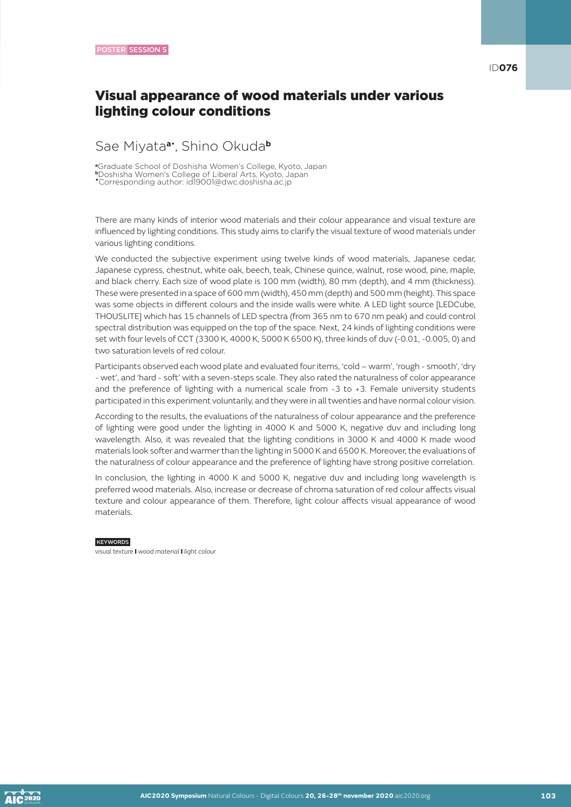ID**076**

# Visual appearance of wood materials under various lighting colour conditions

### Sae Miyata**a**• , Shino Okuda**<sup>b</sup>**

**<sup>a</sup>**Graduate School of Doshisha Women's College, Kyoto, Japan **<sup>b</sup>**Doshisha Women's College of Liberal Arts, Kyoto, Japan

•Corresponding author: id19001@dwc.doshisha.ac.jp

There are many kinds of interior wood materials and their colour appearance and visual texture are influenced by lighting conditions. This study aims to clarify the visual texture of wood materials under various lighting conditions.

We conducted the subjective experiment using twelve kinds of wood materials, Japanese cedar, Japanese cypress, chestnut, white oak, beech, teak, Chinese quince, walnut, rose wood, pine, maple, and black cherry. Each size of wood plate is 100 mm (width), 80 mm (depth), and 4 mm (thickness). These were presented in a space of 600 mm (width), 450 mm (depth) and 500 mm (height). This space was some objects in different colours and the inside walls were white. A LED light source [LEDCube, THOUSLITE] which has 15 channels of LED spectra (from 365 nm to 670 nm peak) and could control spectral distribution was equipped on the top of the space. Next, 24 kinds of lighting conditions were set with four levels of CCT (3300 K, 4000 K, 5000 K 6500 K), three kinds of duv (-0.01, -0.005, 0) and two saturation levels of red colour.

Participants observed each wood plate and evaluated four items, 'cold – warm', 'rough - smooth', 'dry - wet', and 'hard - soft' with a seven-steps scale. They also rated the naturalness of color appearance and the preference of lighting with a numerical scale from -3 to +3. Female university students participated in this experiment voluntarily, and they were in all twenties and have normal colour vision.

According to the results, the evaluations of the naturalness of colour appearance and the preference of lighting were good under the lighting in 4000 K and 5000 K, negative duv and including long wavelength. Also, it was revealed that the lighting conditions in 3000 K and 4000 K made wood materials look softer and warmer than the lighting in 5000 K and 6500 K. Moreover, the evaluations of the naturalness of colour appearance and the preference of lighting have strong positive correlation.

In conclusion, the lighting in 4000 K and 5000 K, negative duv and including long wavelength is preferred wood materials. Also, increase or decrease of chroma saturation of red colour affects visual texture and colour appearance of them. Therefore, light colour affects visual appearance of wood materials.

#### **KEYWORDS**

*visual texture* I *wood material* I *light colour*

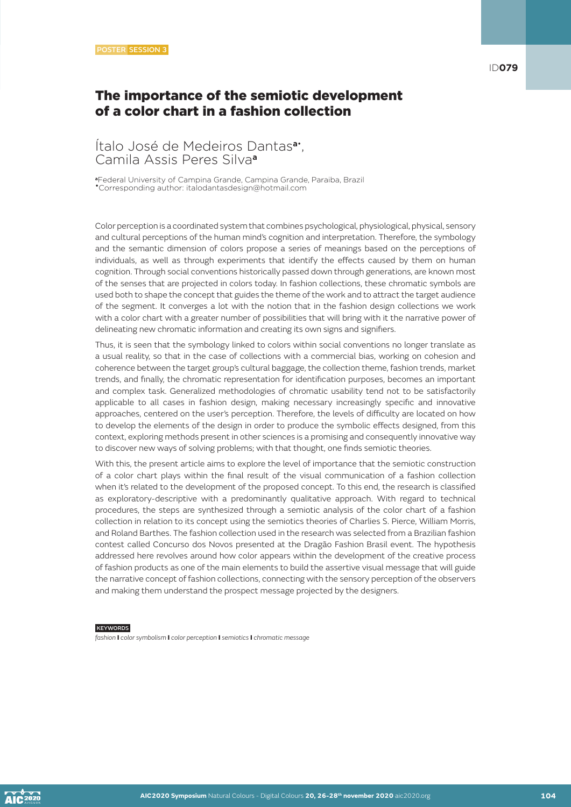# The importance of the semiotic development of a color chart in a fashion collection

### Ítalo José de Medeiros Dantas**a**• , Camila Assis Peres Silva**<sup>a</sup>**

**<sup>a</sup>**Federal University of Campina Grande, Campina Grande, Paraiba, Brazil •Corresponding author: italodantasdesign@hotmail.com

Color perception is a coordinated system that combines psychological, physiological, physical, sensory and cultural perceptions of the human mind's cognition and interpretation. Therefore, the symbology and the semantic dimension of colors propose a series of meanings based on the perceptions of individuals, as well as through experiments that identify the effects caused by them on human cognition. Through social conventions historically passed down through generations, are known most of the senses that are projected in colors today. In fashion collections, these chromatic symbols are used both to shape the concept that guides the theme of the work and to attract the target audience of the segment. It converges a lot with the notion that in the fashion design collections we work with a color chart with a greater number of possibilities that will bring with it the narrative power of delineating new chromatic information and creating its own signs and signifiers.

Thus, it is seen that the symbology linked to colors within social conventions no longer translate as a usual reality, so that in the case of collections with a commercial bias, working on cohesion and coherence between the target group's cultural baggage, the collection theme, fashion trends, market trends, and finally, the chromatic representation for identification purposes, becomes an important and complex task. Generalized methodologies of chromatic usability tend not to be satisfactorily applicable to all cases in fashion design, making necessary increasingly specific and innovative approaches, centered on the user's perception. Therefore, the levels of difficulty are located on how to develop the elements of the design in order to produce the symbolic effects designed, from this context, exploring methods present in other sciences is a promising and consequently innovative way to discover new ways of solving problems; with that thought, one finds semiotic theories.

With this, the present article aims to explore the level of importance that the semiotic construction of a color chart plays within the final result of the visual communication of a fashion collection when it's related to the development of the proposed concept. To this end, the research is classified as exploratory-descriptive with a predominantly qualitative approach. With regard to technical procedures, the steps are synthesized through a semiotic analysis of the color chart of a fashion collection in relation to its concept using the semiotics theories of Charlies S. Pierce, William Morris, and Roland Barthes. The fashion collection used in the research was selected from a Brazilian fashion contest called Concurso dos Novos presented at the Dragão Fashion Brasil event. The hypothesis addressed here revolves around how color appears within the development of the creative process of fashion products as one of the main elements to build the assertive visual message that will guide the narrative concept of fashion collections, connecting with the sensory perception of the observers and making them understand the prospect message projected by the designers.

#### **KEYWORDS**

*fashion* I *color symbolism* I *color perception* I *semiotics* I *chromatic message*

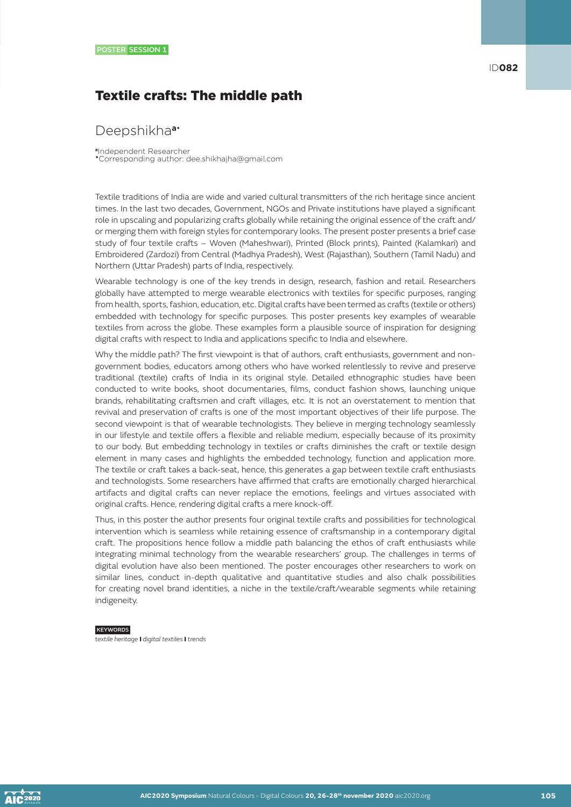# Textile crafts: The middle path

### Deepshikha**a**•

**<sup>a</sup>**Independent Researcher •Corresponding author: dee.shikhajha@gmail.com

Textile traditions of India are wide and varied cultural transmitters of the rich heritage since ancient times. In the last two decades, Government, NGOs and Private institutions have played a significant role in upscaling and popularizing crafts globally while retaining the original essence of the craft and/ or merging them with foreign styles for contemporary looks. The present poster presents a brief case study of four textile crafts – Woven (Maheshwari), Printed (Block prints), Painted (Kalamkari) and Embroidered (Zardozi) from Central (Madhya Pradesh), West (Rajasthan), Southern (Tamil Nadu) and Northern (Uttar Pradesh) parts of India, respectively.

Wearable technology is one of the key trends in design, research, fashion and retail. Researchers globally have attempted to merge wearable electronics with textiles for specific purposes, ranging from health, sports, fashion, education, etc. Digital crafts have been termed as crafts (textile or others) embedded with technology for specific purposes. This poster presents key examples of wearable textiles from across the globe. These examples form a plausible source of inspiration for designing digital crafts with respect to India and applications specific to India and elsewhere.

Why the middle path? The first viewpoint is that of authors, craft enthusiasts, government and nongovernment bodies, educators among others who have worked relentlessly to revive and preserve traditional (textile) crafts of India in its original style. Detailed ethnographic studies have been conducted to write books, shoot documentaries, films, conduct fashion shows, launching unique brands, rehabilitating craftsmen and craft villages, etc. It is not an overstatement to mention that revival and preservation of crafts is one of the most important objectives of their life purpose. The second viewpoint is that of wearable technologists. They believe in merging technology seamlessly in our lifestyle and textile offers a flexible and reliable medium, especially because of its proximity to our body. But embedding technology in textiles or crafts diminishes the craft or textile design element in many cases and highlights the embedded technology, function and application more. The textile or craft takes a back-seat, hence, this generates a gap between textile craft enthusiasts and technologists. Some researchers have affirmed that crafts are emotionally charged hierarchical artifacts and digital crafts can never replace the emotions, feelings and virtues associated with original crafts. Hence, rendering digital crafts a mere knock-off.

Thus, in this poster the author presents four original textile crafts and possibilities for technological intervention which is seamless while retaining essence of craftsmanship in a contemporary digital craft. The propositions hence follow a middle path balancing the ethos of craft enthusiasts while integrating minimal technology from the wearable researchers' group. The challenges in terms of digital evolution have also been mentioned. The poster encourages other researchers to work on similar lines, conduct in-depth qualitative and quantitative studies and also chalk possibilities for creating novel brand identities, a niche in the textile/craft/wearable segments while retaining indigeneity.

#### **KEYWORDS**

*textile heritage* I *digital textiles* I *trends*

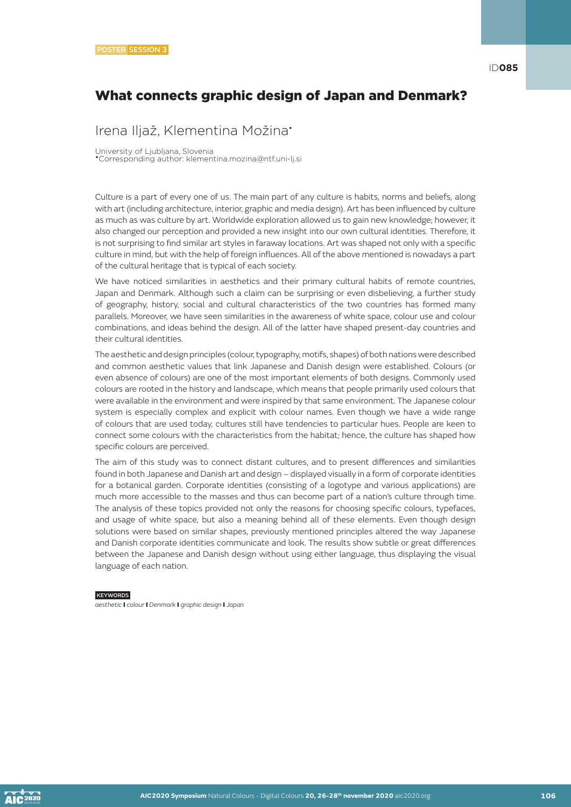# What connects graphic design of Japan and Denmark?

Irena Iljaž, Klementina Možina•

University of Ljubljana, Slovenia

•Corresponding author: klementina.mozina@ntf.uni-lj.si

Culture is a part of every one of us. The main part of any culture is habits, norms and beliefs, along with art (including architecture, interior, graphic and media design). Art has been influenced by culture as much as was culture by art. Worldwide exploration allowed us to gain new knowledge; however, it also changed our perception and provided a new insight into our own cultural identities. Therefore, it is not surprising to find similar art styles in faraway locations. Art was shaped not only with a specific culture in mind, but with the help of foreign influences. All of the above mentioned is nowadays a part of the cultural heritage that is typical of each society.

We have noticed similarities in aesthetics and their primary cultural habits of remote countries, Japan and Denmark. Although such a claim can be surprising or even disbelieving, a further study of geography, history, social and cultural characteristics of the two countries has formed many parallels. Moreover, we have seen similarities in the awareness of white space, colour use and colour combinations, and ideas behind the design. All of the latter have shaped present-day countries and their cultural identities.

The aesthetic and design principles (colour, typography, motifs, shapes) of both nations were described and common aesthetic values that link Japanese and Danish design were established. Colours (or even absence of colours) are one of the most important elements of both designs. Commonly used colours are rooted in the history and landscape, which means that people primarily used colours that were available in the environment and were inspired by that same environment. The Japanese colour system is especially complex and explicit with colour names. Even though we have a wide range of colours that are used today, cultures still have tendencies to particular hues. People are keen to connect some colours with the characteristics from the habitat; hence, the culture has shaped how specific colours are perceived.

The aim of this study was to connect distant cultures, and to present differences and similarities found in both Japanese and Danish art and design – displayed visually in a form of corporate identities for a botanical garden. Corporate identities (consisting of a logotype and various applications) are much more accessible to the masses and thus can become part of a nation's culture through time. The analysis of these topics provided not only the reasons for choosing specific colours, typefaces, and usage of white space, but also a meaning behind all of these elements. Even though design solutions were based on similar shapes, previously mentioned principles altered the way Japanese and Danish corporate identities communicate and look. The results show subtle or great differences between the Japanese and Danish design without using either language, thus displaying the visual language of each nation.

#### **KEYWORDS**

*aesthetic* I *colour* I *Denmark* I *graphic design* I *Japan*

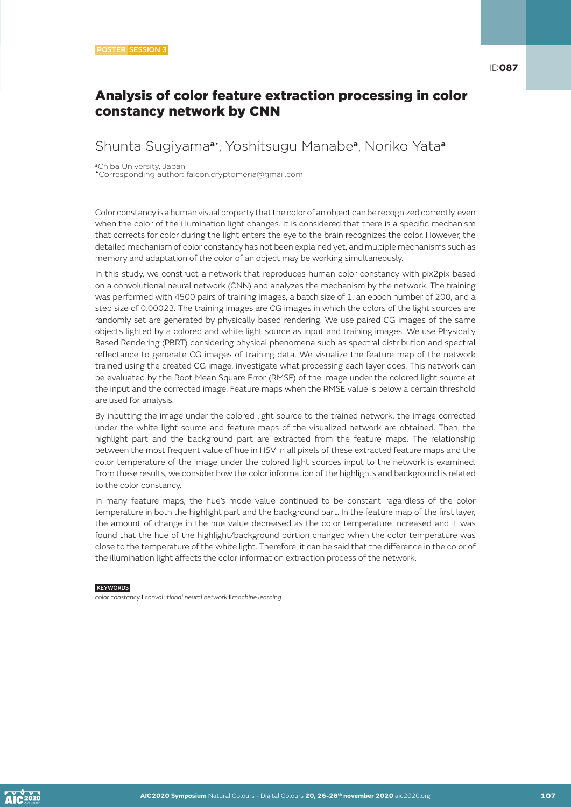# Shunta Sugiyama**a**• , Yoshitsugu Manabe**a**, Noriko Yata**<sup>a</sup>**

**<sup>a</sup>**Chiba University, Japan •Corresponding author: falcon.cryptomeria@gmail.com

Color constancy is a human visual property that the color of an object can be recognized correctly, even when the color of the illumination light changes. It is considered that there is a specific mechanism that corrects for color during the light enters the eye to the brain recognizes the color. However, the detailed mechanism of color constancy has not been explained yet, and multiple mechanisms such as memory and adaptation of the color of an object may be working simultaneously.

In this study, we construct a network that reproduces human color constancy with pix2pix based on a convolutional neural network (CNN) and analyzes the mechanism by the network. The training was performed with 4500 pairs of training images, a batch size of 1, an epoch number of 200, and a step size of 0.00023. The training images are CG images in which the colors of the light sources are randomly set are generated by physically based rendering. We use paired CG images of the same objects lighted by a colored and white light source as input and training images. We use Physically Based Rendering (PBRT) considering physical phenomena such as spectral distribution and spectral reflectance to generate CG images of training data. We visualize the feature map of the network trained using the created CG image, investigate what processing each layer does. This network can be evaluated by the Root Mean Square Error (RMSE) of the image under the colored light source at the input and the corrected image. Feature maps when the RMSE value is below a certain threshold are used for analysis.

By inputting the image under the colored light source to the trained network, the image corrected under the white light source and feature maps of the visualized network are obtained. Then, the highlight part and the background part are extracted from the feature maps. The relationship between the most frequent value of hue in HSV in all pixels of these extracted feature maps and the color temperature of the image under the colored light sources input to the network is examined. From these results, we consider how the color information of the highlights and background is related to the color constancy.

In many feature maps, the hue's mode value continued to be constant regardless of the color temperature in both the highlight part and the background part. In the feature map of the first layer, the amount of change in the hue value decreased as the color temperature increased and it was found that the hue of the highlight/background portion changed when the color temperature was close to the temperature of the white light. Therefore, it can be said that the difference in the color of the illumination light affects the color information extraction process of the network.

#### **KEYWORDS**

*color constancy* I *convolutional neural network* I *machine learning*

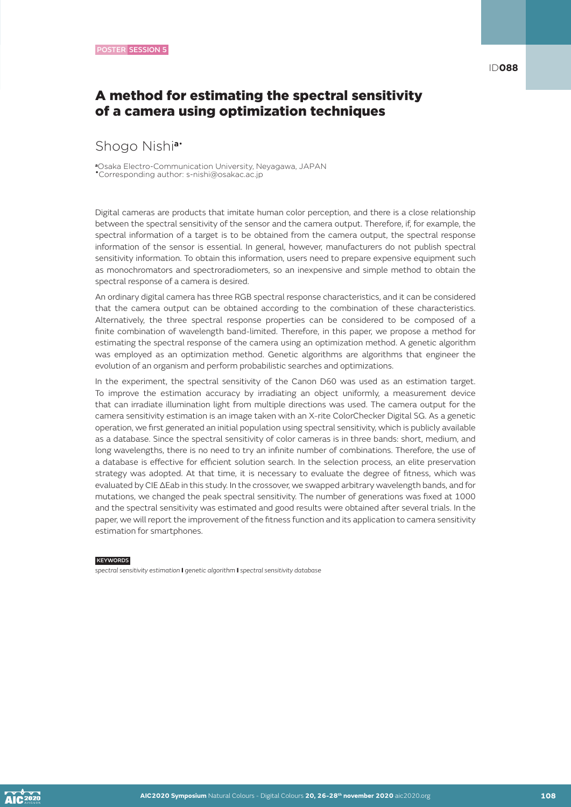ID**088**

### A method for estimating the spectral sensitivity of a camera using optimization techniques

### Shogo Nishi**a**•

**<sup>a</sup>**Osaka Electro-Communication University, Neyagawa, JAPAN •Corresponding author: s-nishi@osakac.ac.jp

Digital cameras are products that imitate human color perception, and there is a close relationship between the spectral sensitivity of the sensor and the camera output. Therefore, if, for example, the spectral information of a target is to be obtained from the camera output, the spectral response information of the sensor is essential. In general, however, manufacturers do not publish spectral sensitivity information. To obtain this information, users need to prepare expensive equipment such as monochromators and spectroradiometers, so an inexpensive and simple method to obtain the spectral response of a camera is desired.

An ordinary digital camera has three RGB spectral response characteristics, and it can be considered that the camera output can be obtained according to the combination of these characteristics. Alternatively, the three spectral response properties can be considered to be composed of a finite combination of wavelength band-limited. Therefore, in this paper, we propose a method for estimating the spectral response of the camera using an optimization method. A genetic algorithm was employed as an optimization method. Genetic algorithms are algorithms that engineer the evolution of an organism and perform probabilistic searches and optimizations.

In the experiment, the spectral sensitivity of the Canon D60 was used as an estimation target. To improve the estimation accuracy by irradiating an object uniformly, a measurement device that can irradiate illumination light from multiple directions was used. The camera output for the camera sensitivity estimation is an image taken with an X-rite ColorChecker Digital SG. As a genetic operation, we first generated an initial population using spectral sensitivity, which is publicly available as a database. Since the spectral sensitivity of color cameras is in three bands: short, medium, and long wavelengths, there is no need to try an infinite number of combinations. Therefore, the use of a database is effective for efficient solution search. In the selection process, an elite preservation strategy was adopted. At that time, it is necessary to evaluate the degree of fitness, which was evaluated by CIE ΔEab in this study. In the crossover, we swapped arbitrary wavelength bands, and for mutations, we changed the peak spectral sensitivity. The number of generations was fixed at 1000 and the spectral sensitivity was estimated and good results were obtained after several trials. In the paper, we will report the improvement of the fitness function and its application to camera sensitivity estimation for smartphones.

#### **KEYWORDS**

*spectral sensitivity estimation* I *genetic algorithm* I *spectral sensitivity database*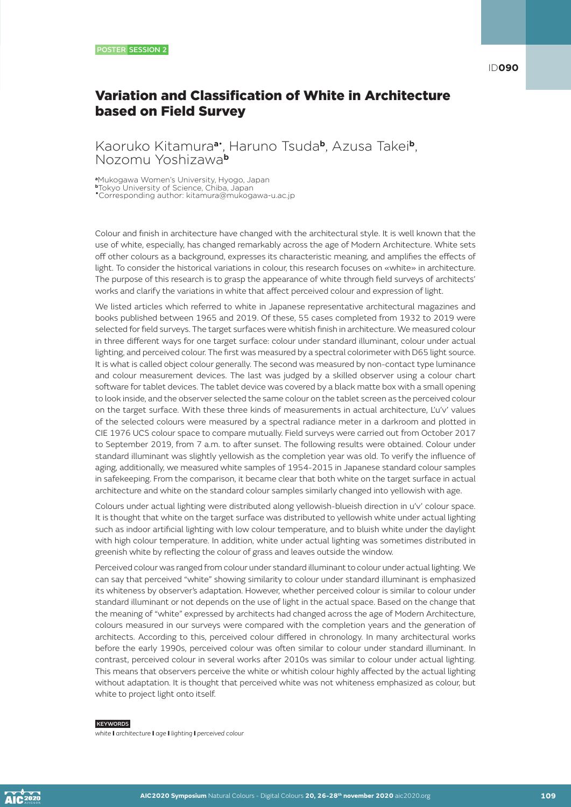# Variation and Classification of White in Architecture based on Field Survey

Kaoruko Kitamura**a**• , Haruno Tsuda**b**, Azusa Takei**b**, Nozomu Yoshizawa**<sup>b</sup>**

**<sup>a</sup>**Mukogawa Women's University, Hyogo, Japan

**<sup>b</sup>**Tokyo University of Science, Chiba, Japan

•Corresponding author: kitamura@mukogawa-u.ac.jp

Colour and finish in architecture have changed with the architectural style. It is well known that the use of white, especially, has changed remarkably across the age of Modern Architecture. White sets off other colours as a background, expresses its characteristic meaning, and amplifies the effects of light. To consider the historical variations in colour, this research focuses on «white» in architecture. The purpose of this research is to grasp the appearance of white through field surveys of architects' works and clarify the variations in white that affect perceived colour and expression of light.

We listed articles which referred to white in Japanese representative architectural magazines and books published between 1965 and 2019. Of these, 55 cases completed from 1932 to 2019 were selected for field surveys. The target surfaces were whitish finish in architecture. We measured colour in three different ways for one target surface: colour under standard illuminant, colour under actual lighting, and perceived colour. The first was measured by a spectral colorimeter with D65 light source. It is what is called object colour generally. The second was measured by non-contact type luminance and colour measurement devices. The last was judged by a skilled observer using a colour chart software for tablet devices. The tablet device was covered by a black matte box with a small opening to look inside, and the observer selected the same colour on the tablet screen as the perceived colour on the target surface. With these three kinds of measurements in actual architecture, L'u'v' values of the selected colours were measured by a spectral radiance meter in a darkroom and plotted in CIE 1976 UCS colour space to compare mutually. Field surveys were carried out from October 2017 to September 2019, from 7 a.m. to after sunset. The following results were obtained. Colour under standard illuminant was slightly yellowish as the completion year was old. To verify the influence of aging, additionally, we measured white samples of 1954-2015 in Japanese standard colour samples in safekeeping. From the comparison, it became clear that both white on the target surface in actual architecture and white on the standard colour samples similarly changed into yellowish with age.

Colours under actual lighting were distributed along yellowish-blueish direction in u'v' colour space. It is thought that white on the target surface was distributed to yellowish white under actual lighting such as indoor artificial lighting with low colour temperature, and to bluish white under the daylight with high colour temperature. In addition, white under actual lighting was sometimes distributed in greenish white by reflecting the colour of grass and leaves outside the window.

Perceived colour was ranged from colour under standard illuminant to colour under actual lighting. We can say that perceived "white" showing similarity to colour under standard illuminant is emphasized its whiteness by observer's adaptation. However, whether perceived colour is similar to colour under standard illuminant or not depends on the use of light in the actual space. Based on the change that the meaning of "white" expressed by architects had changed across the age of Modern Architecture, colours measured in our surveys were compared with the completion years and the generation of architects. According to this, perceived colour differed in chronology. In many architectural works before the early 1990s, perceived colour was often similar to colour under standard illuminant. In contrast, perceived colour in several works after 2010s was similar to colour under actual lighting. This means that observers perceive the white or whitish colour highly affected by the actual lighting without adaptation. It is thought that perceived white was not whiteness emphasized as colour, but white to project light onto itself.

#### **KEYWORDS**

*white* I *architecture* I *age* I *lighting* I *perceived colour* 

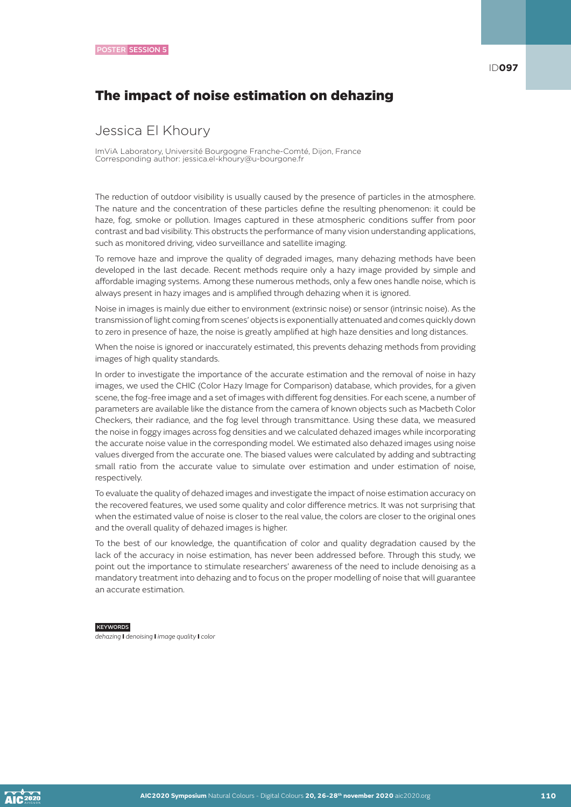# The impact of noise estimation on dehazing

# Jessica El Khoury

ImViA Laboratory, Université Bourgogne Franche-Comté, Dijon, France Corresponding author: jessica.el-khoury@u-bourgone.fr

The reduction of outdoor visibility is usually caused by the presence of particles in the atmosphere. The nature and the concentration of these particles define the resulting phenomenon: it could be haze, fog, smoke or pollution. Images captured in these atmospheric conditions suffer from poor contrast and bad visibility. This obstructs the performance of many vision understanding applications, such as monitored driving, video surveillance and satellite imaging.

To remove haze and improve the quality of degraded images, many dehazing methods have been developed in the last decade. Recent methods require only a hazy image provided by simple and affordable imaging systems. Among these numerous methods, only a few ones handle noise, which is always present in hazy images and is amplified through dehazing when it is ignored.

Noise in images is mainly due either to environment (extrinsic noise) or sensor (intrinsic noise). As the transmission of light coming from scenes' objects is exponentially attenuated and comes quickly down to zero in presence of haze, the noise is greatly amplified at high haze densities and long distances.

When the noise is ignored or inaccurately estimated, this prevents dehazing methods from providing images of high quality standards.

In order to investigate the importance of the accurate estimation and the removal of noise in hazy images, we used the CHIC (Color Hazy Image for Comparison) database, which provides, for a given scene, the fog-free image and a set of images with different fog densities. For each scene, a number of parameters are available like the distance from the camera of known objects such as Macbeth Color Checkers, their radiance, and the fog level through transmittance. Using these data, we measured the noise in foggy images across fog densities and we calculated dehazed images while incorporating the accurate noise value in the corresponding model. We estimated also dehazed images using noise values diverged from the accurate one. The biased values were calculated by adding and subtracting small ratio from the accurate value to simulate over estimation and under estimation of noise, respectively.

To evaluate the quality of dehazed images and investigate the impact of noise estimation accuracy on the recovered features, we used some quality and color difference metrics. It was not surprising that when the estimated value of noise is closer to the real value, the colors are closer to the original ones and the overall quality of dehazed images is higher.

To the best of our knowledge, the quantification of color and quality degradation caused by the lack of the accuracy in noise estimation, has never been addressed before. Through this study, we point out the importance to stimulate researchers' awareness of the need to include denoising as a mandatory treatment into dehazing and to focus on the proper modelling of noise that will guarantee an accurate estimation.

#### **KEYWORDS**

*dehazing* I *denoising* I *image quality* I *color*

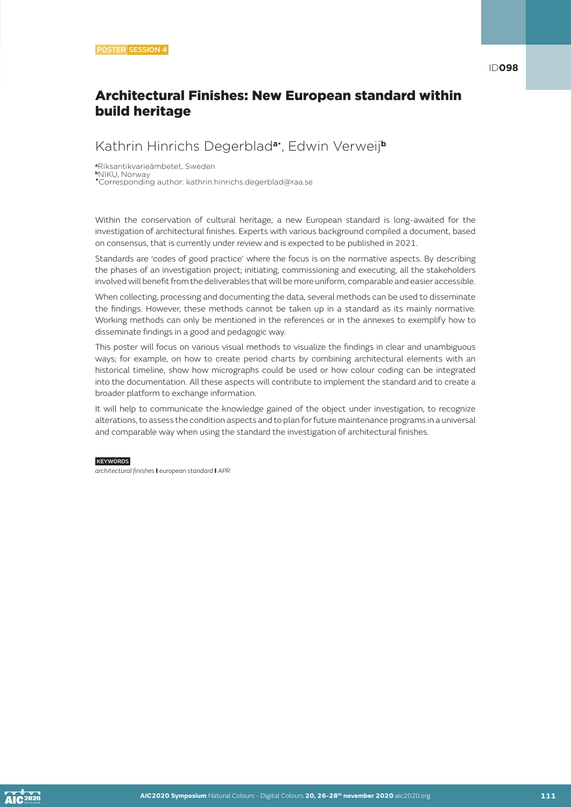# Architectural Finishes: New European standard within build heritage

### Kathrin Hinrichs Degerblad**a**• , Edwin Verweij**<sup>b</sup>**

**<sup>a</sup>**Riksantikvarieämbetet, Sweden **<sup>b</sup>**NIKU, Norway •Corresponding author: kathrin.hinrichs.degerblad@raa.se

Within the conservation of cultural heritage, a new European standard is long-awaited for the investigation of architectural finishes. Experts with various background compiled a document, based on consensus, that is currently under review and is expected to be published in 2021.

Standards are 'codes of good practice' where the focus is on the normative aspects. By describing the phases of an investigation project; initiating, commissioning and executing, all the stakeholders involved will benefit from the deliverables that will be more uniform, comparable and easier accessible.

When collecting, processing and documenting the data, several methods can be used to disseminate the findings. However, these methods cannot be taken up in a standard as its mainly normative. Working methods can only be mentioned in the references or in the annexes to exemplify how to disseminate findings in a good and pedagogic way.

This poster will focus on various visual methods to visualize the findings in clear and unambiguous ways; for example, on how to create period charts by combining architectural elements with an historical timeline, show how micrographs could be used or how colour coding can be integrated into the documentation. All these aspects will contribute to implement the standard and to create a broader platform to exchange information.

It will help to communicate the knowledge gained of the object under investigation, to recognize alterations, to assess the condition aspects and to plan for future maintenance programs in a universal and comparable way when using the standard the investigation of architectural finishes.

### **KEYWORDS**

*architectural finishes* I *european standard* I *APR*

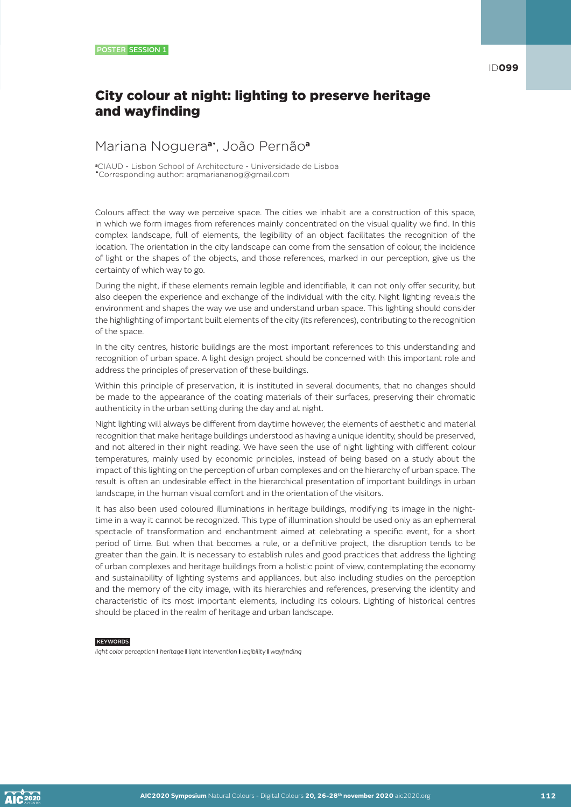# City colour at night: lighting to preserve heritage and wayfinding

### Mariana Noguera**a**• , João Pernão**<sup>a</sup>**

**<sup>a</sup>**CIAUD - Lisbon School of Architecture - Universidade de Lisboa •Corresponding author: arqmariananog@gmail.com

Colours affect the way we perceive space. The cities we inhabit are a construction of this space, in which we form images from references mainly concentrated on the visual quality we find. In this complex landscape, full of elements, the legibility of an object facilitates the recognition of the location. The orientation in the city landscape can come from the sensation of colour, the incidence of light or the shapes of the objects, and those references, marked in our perception, give us the certainty of which way to go.

During the night, if these elements remain legible and identifiable, it can not only offer security, but also deepen the experience and exchange of the individual with the city. Night lighting reveals the environment and shapes the way we use and understand urban space. This lighting should consider the highlighting of important built elements of the city (its references), contributing to the recognition of the space.

In the city centres, historic buildings are the most important references to this understanding and recognition of urban space. A light design project should be concerned with this important role and address the principles of preservation of these buildings.

Within this principle of preservation, it is instituted in several documents, that no changes should be made to the appearance of the coating materials of their surfaces, preserving their chromatic authenticity in the urban setting during the day and at night.

Night lighting will always be different from daytime however, the elements of aesthetic and material recognition that make heritage buildings understood as having a unique identity, should be preserved, and not altered in their night reading. We have seen the use of night lighting with different colour temperatures, mainly used by economic principles, instead of being based on a study about the impact of this lighting on the perception of urban complexes and on the hierarchy of urban space. The result is often an undesirable effect in the hierarchical presentation of important buildings in urban landscape, in the human visual comfort and in the orientation of the visitors.

It has also been used coloured illuminations in heritage buildings, modifying its image in the nighttime in a way it cannot be recognized. This type of illumination should be used only as an ephemeral spectacle of transformation and enchantment aimed at celebrating a specific event, for a short period of time. But when that becomes a rule, or a definitive project, the disruption tends to be greater than the gain. It is necessary to establish rules and good practices that address the lighting of urban complexes and heritage buildings from a holistic point of view, contemplating the economy and sustainability of lighting systems and appliances, but also including studies on the perception and the memory of the city image, with its hierarchies and references, preserving the identity and characteristic of its most important elements, including its colours. Lighting of historical centres should be placed in the realm of heritage and urban landscape.

### **KEYWORDS**

*light color perception* I *heritage* I *light intervention* I *legibility* I *wayfinding*

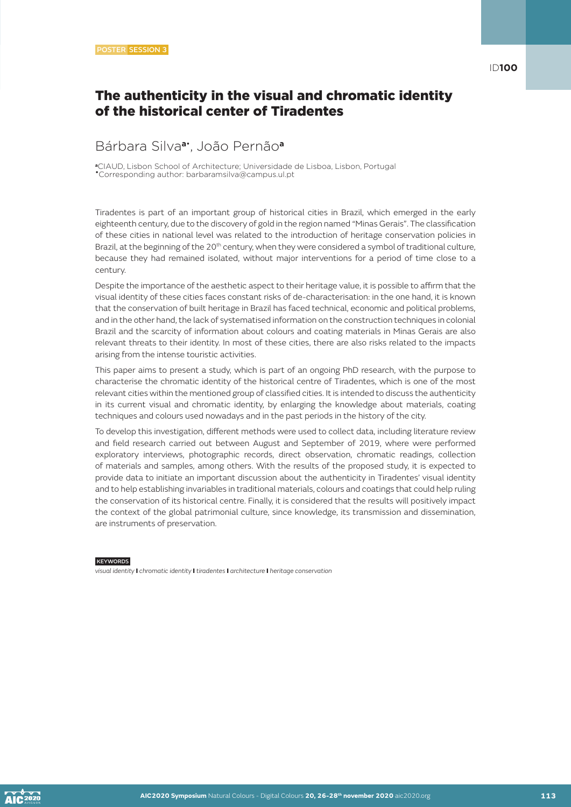## The authenticity in the visual and chromatic identity of the historical center of Tiradentes

# Bárbara Silva**a**• , João Pernão**<sup>a</sup>**

**<sup>a</sup>**CIAUD, Lisbon School of Architecture; Universidade de Lisboa, Lisbon, Portugal •Corresponding author: barbaramsilva@campus.ul.pt

Tiradentes is part of an important group of historical cities in Brazil, which emerged in the early eighteenth century, due to the discovery of gold in the region named "Minas Gerais". The classification of these cities in national level was related to the introduction of heritage conservation policies in Brazil, at the beginning of the 20<sup>th</sup> century, when they were considered a symbol of traditional culture, because they had remained isolated, without major interventions for a period of time close to a century.

Despite the importance of the aesthetic aspect to their heritage value, it is possible to affirm that the visual identity of these cities faces constant risks of de-characterisation: in the one hand, it is known that the conservation of built heritage in Brazil has faced technical, economic and political problems, and in the other hand, the lack of systematised information on the construction techniques in colonial Brazil and the scarcity of information about colours and coating materials in Minas Gerais are also relevant threats to their identity. In most of these cities, there are also risks related to the impacts arising from the intense touristic activities.

This paper aims to present a study, which is part of an ongoing PhD research, with the purpose to characterise the chromatic identity of the historical centre of Tiradentes, which is one of the most relevant cities within the mentioned group of classified cities. It is intended to discuss the authenticity in its current visual and chromatic identity, by enlarging the knowledge about materials, coating techniques and colours used nowadays and in the past periods in the history of the city.

To develop this investigation, different methods were used to collect data, including literature review and field research carried out between August and September of 2019, where were performed exploratory interviews, photographic records, direct observation, chromatic readings, collection of materials and samples, among others. With the results of the proposed study, it is expected to provide data to initiate an important discussion about the authenticity in Tiradentes' visual identity and to help establishing invariables in traditional materials, colours and coatings that could help ruling the conservation of its historical centre. Finally, it is considered that the results will positively impact the context of the global patrimonial culture, since knowledge, its transmission and dissemination, are instruments of preservation.

#### **KEYWORDS**

*visual identity* I *chromatic identity* I *tiradentes* I *architecture* I *heritage conservation*

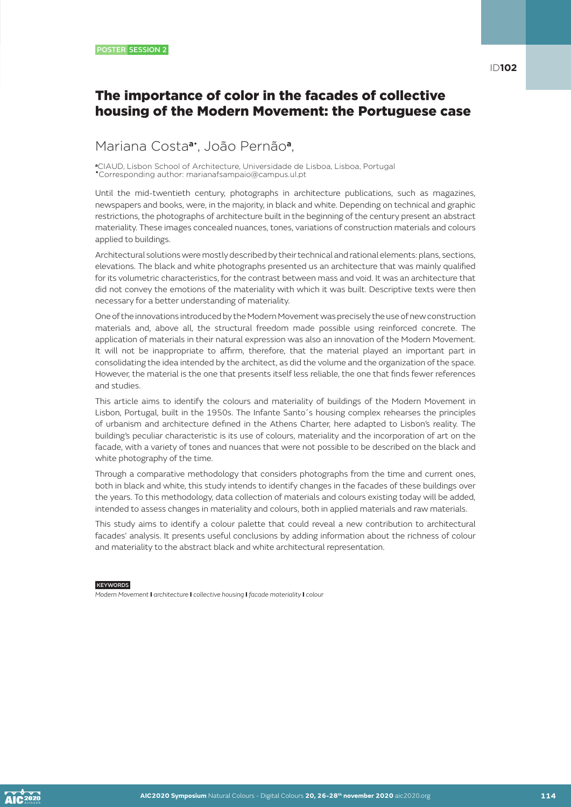# Mariana Costa**a**• , João Pernão**a**,

**<sup>a</sup>**CIAUD, Lisbon School of Architecture, Universidade de Lisboa, Lisboa, Portugal •Corresponding author: marianafsampaio@campus.ul.pt

Until the mid-twentieth century, photographs in architecture publications, such as magazines, newspapers and books, were, in the majority, in black and white. Depending on technical and graphic restrictions, the photographs of architecture built in the beginning of the century present an abstract materiality. These images concealed nuances, tones, variations of construction materials and colours applied to buildings.

Architectural solutions were mostly described by their technical and rational elements: plans, sections, elevations. The black and white photographs presented us an architecture that was mainly qualified for its volumetric characteristics, for the contrast between mass and void. It was an architecture that did not convey the emotions of the materiality with which it was built. Descriptive texts were then necessary for a better understanding of materiality.

One of the innovations introduced by the Modern Movement was precisely the use of new construction materials and, above all, the structural freedom made possible using reinforced concrete. The application of materials in their natural expression was also an innovation of the Modern Movement. It will not be inappropriate to affirm, therefore, that the material played an important part in consolidating the idea intended by the architect, as did the volume and the organization of the space. However, the material is the one that presents itself less reliable, the one that finds fewer references and studies.

This article aims to identify the colours and materiality of buildings of the Modern Movement in Lisbon, Portugal, built in the 1950s. The Infante Santo´s housing complex rehearses the principles of urbanism and architecture defined in the Athens Charter, here adapted to Lisbon's reality. The building's peculiar characteristic is its use of colours, materiality and the incorporation of art on the facade, with a variety of tones and nuances that were not possible to be described on the black and white photography of the time.

Through a comparative methodology that considers photographs from the time and current ones, both in black and white, this study intends to identify changes in the facades of these buildings over the years. To this methodology, data collection of materials and colours existing today will be added, intended to assess changes in materiality and colours, both in applied materials and raw materials.

This study aims to identify a colour palette that could reveal a new contribution to architectural facades' analysis. It presents useful conclusions by adding information about the richness of colour and materiality to the abstract black and white architectural representation.

#### **KEYWORDS**

*Modern Movement* I *architecture* I *collective housing* I *facade materiality* I *colour*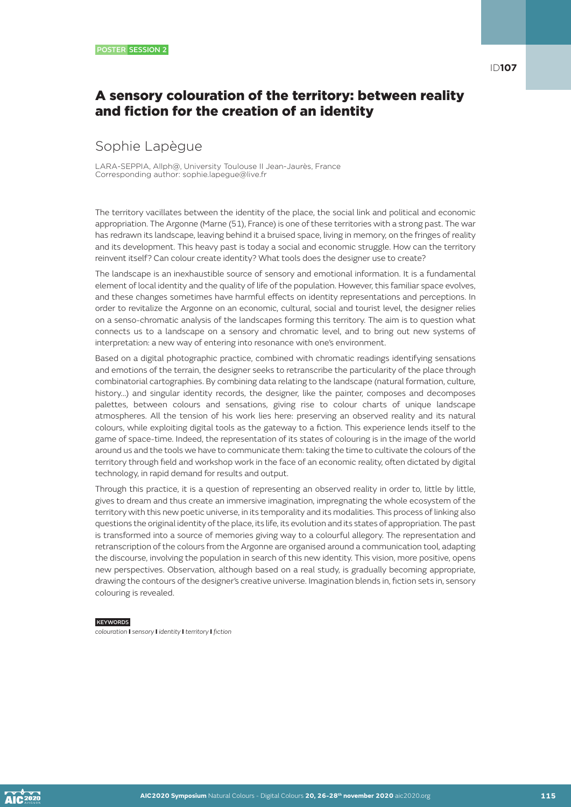# A sensory colouration of the territory: between reality and fiction for the creation of an identity

# Sophie Lapègue

LARA-SEPPIA, Allph@, University Toulouse II Jean-Jaurès, France Corresponding author: sophie.lapegue@live.fr

The territory vacillates between the identity of the place, the social link and political and economic appropriation. The Argonne (Marne (51), France) is one of these territories with a strong past. The war has redrawn its landscape, leaving behind it a bruised space, living in memory, on the fringes of reality and its development. This heavy past is today a social and economic struggle. How can the territory reinvent itself? Can colour create identity? What tools does the designer use to create?

The landscape is an inexhaustible source of sensory and emotional information. It is a fundamental element of local identity and the quality of life of the population. However, this familiar space evolves, and these changes sometimes have harmful effects on identity representations and perceptions. In order to revitalize the Argonne on an economic, cultural, social and tourist level, the designer relies on a senso-chromatic analysis of the landscapes forming this territory. The aim is to question what connects us to a landscape on a sensory and chromatic level, and to bring out new systems of interpretation: a new way of entering into resonance with one's environment.

Based on a digital photographic practice, combined with chromatic readings identifying sensations and emotions of the terrain, the designer seeks to retranscribe the particularity of the place through combinatorial cartographies. By combining data relating to the landscape (natural formation, culture, history...) and singular identity records, the designer, like the painter, composes and decomposes palettes, between colours and sensations, giving rise to colour charts of unique landscape atmospheres. All the tension of his work lies here: preserving an observed reality and its natural colours, while exploiting digital tools as the gateway to a fiction. This experience lends itself to the game of space-time. Indeed, the representation of its states of colouring is in the image of the world around us and the tools we have to communicate them: taking the time to cultivate the colours of the territory through field and workshop work in the face of an economic reality, often dictated by digital technology, in rapid demand for results and output.

Through this practice, it is a question of representing an observed reality in order to, little by little, gives to dream and thus create an immersive imagination, impregnating the whole ecosystem of the territory with this new poetic universe, in its temporality and its modalities. This process of linking also questions the original identity of the place, its life, its evolution and its states of appropriation. The past is transformed into a source of memories giving way to a colourful allegory. The representation and retranscription of the colours from the Argonne are organised around a communication tool, adapting the discourse, involving the population in search of this new identity. This vision, more positive, opens new perspectives. Observation, although based on a real study, is gradually becoming appropriate, drawing the contours of the designer's creative universe. Imagination blends in, fiction sets in, sensory colouring is revealed.

#### **KEYWORDS**

*colouration* I *sensory* I *identity* I *territory* I *fiction*

**AIC** 2020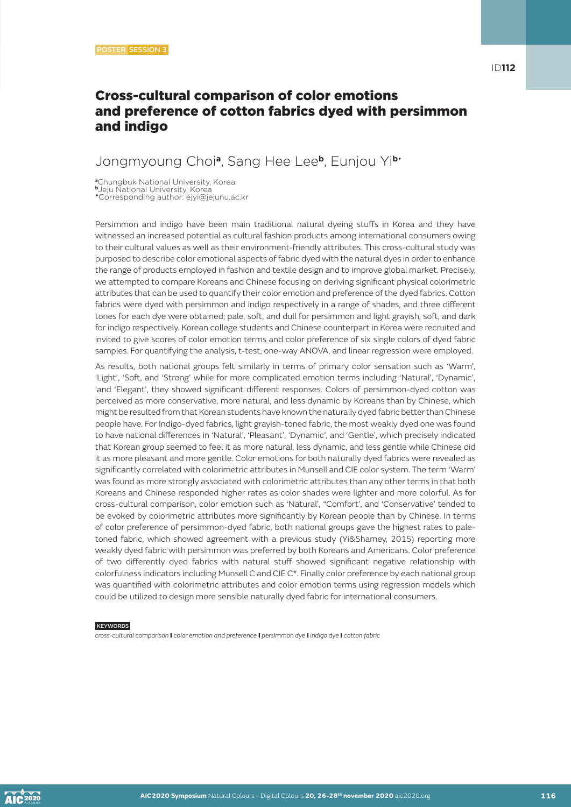# Cross-cultural comparison of color emotions and preference of cotton fabrics dyed with persimmon and indigo

### Jongmyoung Choi**a**, Sang Hee Lee**b**, Eunjou Yi**b**•

**<sup>a</sup>**Chungbuk National University, Korea

**<sup>b</sup>**Jeju National University, Korea •Corresponding author: ejyi@jejunu.ac.kr

Persimmon and indigo have been main traditional natural dyeing stuffs in Korea and they have witnessed an increased potential as cultural fashion products among international consumers owing to their cultural values as well as their environment-friendly attributes. This cross-cultural study was purposed to describe color emotional aspects of fabric dyed with the natural dyes in order to enhance the range of products employed in fashion and textile design and to improve global market. Precisely, we attempted to compare Koreans and Chinese focusing on deriving significant physical colorimetric attributes that can be used to quantify their color emotion and preference of the dyed fabrics. Cotton fabrics were dyed with persimmon and indigo respectively in a range of shades, and three different tones for each dye were obtained; pale, soft, and dull for persimmon and light grayish, soft, and dark for indigo respectively. Korean college students and Chinese counterpart in Korea were recruited and invited to give scores of color emotion terms and color preference of six single colors of dyed fabric samples. For quantifying the analysis, t-test, one-way ANOVA, and linear regression were employed.

As results, both national groups felt similarly in terms of primary color sensation such as 'Warm', 'Light', 'Soft, and 'Strong' while for more complicated emotion terms including 'Natural', 'Dynamic', 'and 'Elegant', they showed significant different responses. Colors of persimmon-dyed cotton was perceived as more conservative, more natural, and less dynamic by Koreans than by Chinese, which might be resulted from that Korean students have known the naturally dyed fabric better than Chinese people have. For Indigo-dyed fabrics, light grayish-toned fabric, the most weakly dyed one was found to have national differences in 'Natural', 'Pleasant', 'Dynamic', and 'Gentle', which precisely indicated that Korean group seemed to feel it as more natural, less dynamic, and less gentle while Chinese did it as more pleasant and more gentle. Color emotions for both naturally dyed fabrics were revealed as significantly correlated with colorimetric attributes in Munsell and CIE color system. The term 'Warm' was found as more strongly associated with colorimetric attributes than any other terms in that both Koreans and Chinese responded higher rates as color shades were lighter and more colorful. As for cross-cultural comparison, color emotion such as 'Natural', "Comfort', and 'Conservative' tended to be evoked by colorimetric attributes more significantly by Korean people than by Chinese. In terms of color preference of persimmon-dyed fabric, both national groups gave the highest rates to paletoned fabric, which showed agreement with a previous study (Yi&Shamey, 2015) reporting more weakly dyed fabric with persimmon was preferred by both Koreans and Americans. Color preference of two differently dyed fabrics with natural stuff showed significant negative relationship with colorfulness indicators including Munsell C and CIE C\*. Finally color preference by each national group was quantified with colorimetric attributes and color emotion terms using regression models which could be utilized to design more sensible naturally dyed fabric for international consumers.

#### **KEYWORDS**

*cross-cultural comparison* I *color emotion and preference* I *persimmon dye* I *indigo dye* I *cotton fabric*

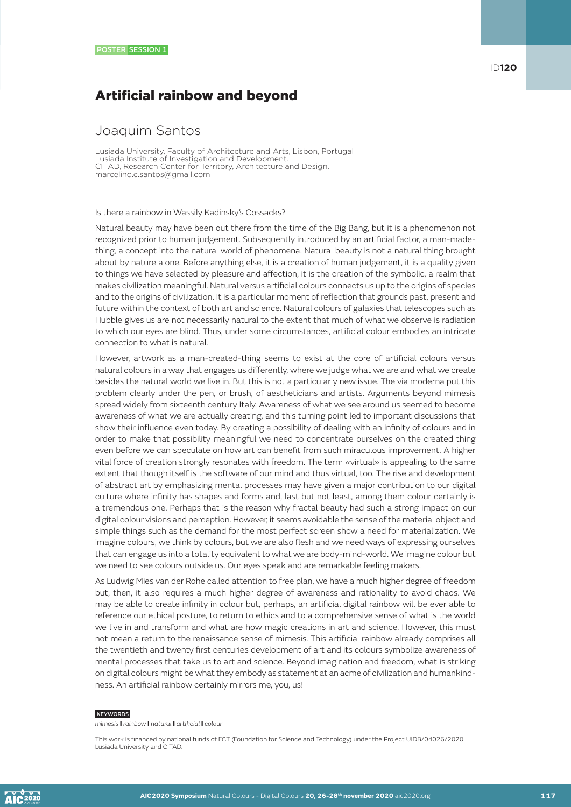# Artificial rainbow and beyond

### Joaquim Santos

Lusiada University, Faculty of Architecture and Arts, Lisbon, Portugal Lusiada Institute of Investigation and Development. CITAD, Research Center for Territory, Architecture and Design. marcelino.c.santos@gmail.com

#### Is there a rainbow in Wassily Kadinsky's Cossacks?

Natural beauty may have been out there from the time of the Big Bang, but it is a phenomenon not recognized prior to human judgement. Subsequently introduced by an artificial factor, a man-madething, a concept into the natural world of phenomena. Natural beauty is not a natural thing brought about by nature alone. Before anything else, it is a creation of human judgement, it is a quality given to things we have selected by pleasure and affection, it is the creation of the symbolic, a realm that makes civilization meaningful. Natural versus artificial colours connects us up to the origins of species and to the origins of civilization. It is a particular moment of reflection that grounds past, present and future within the context of both art and science. Natural colours of galaxies that telescopes such as Hubble gives us are not necessarily natural to the extent that much of what we observe is radiation to which our eyes are blind. Thus, under some circumstances, artificial colour embodies an intricate connection to what is natural.

However, artwork as a man-created-thing seems to exist at the core of artificial colours versus natural colours in a way that engages us differently, where we judge what we are and what we create besides the natural world we live in. But this is not a particularly new issue. The via moderna put this problem clearly under the pen, or brush, of aestheticians and artists. Arguments beyond mimesis spread widely from sixteenth century Italy. Awareness of what we see around us seemed to become awareness of what we are actually creating, and this turning point led to important discussions that show their influence even today. By creating a possibility of dealing with an infinity of colours and in order to make that possibility meaningful we need to concentrate ourselves on the created thing even before we can speculate on how art can benefit from such miraculous improvement. A higher vital force of creation strongly resonates with freedom. The term «virtual» is appealing to the same extent that though itself is the software of our mind and thus virtual, too. The rise and development of abstract art by emphasizing mental processes may have given a major contribution to our digital culture where infinity has shapes and forms and, last but not least, among them colour certainly is a tremendous one. Perhaps that is the reason why fractal beauty had such a strong impact on our digital colour visions and perception. However, it seems avoidable the sense of the material object and simple things such as the demand for the most perfect screen show a need for materialization. We imagine colours, we think by colours, but we are also flesh and we need ways of expressing ourselves that can engage us into a totality equivalent to what we are body-mind-world. We imagine colour but we need to see colours outside us. Our eyes speak and are remarkable feeling makers.

As Ludwig Mies van der Rohe called attention to free plan, we have a much higher degree of freedom but, then, it also requires a much higher degree of awareness and rationality to avoid chaos. We may be able to create infinity in colour but, perhaps, an artificial digital rainbow will be ever able to reference our ethical posture, to return to ethics and to a comprehensive sense of what is the world we live in and transform and what are how magic creations in art and science. However, this must not mean a return to the renaissance sense of mimesis. This artificial rainbow already comprises all the twentieth and twenty first centuries development of art and its colours symbolize awareness of mental processes that take us to art and science. Beyond imagination and freedom, what is striking on digital colours might be what they embody as statement at an acme of civilization and humankindness. An artificial rainbow certainly mirrors me, you, us!

#### KEYWORDS

*mimesis* I *rainbow* I *natural* I *artificial* I *colour*

This work is financed by national funds of FCT (Foundation for Science and Technology) under the Project UIDB/04026/2020. Lusiada University and CITAD.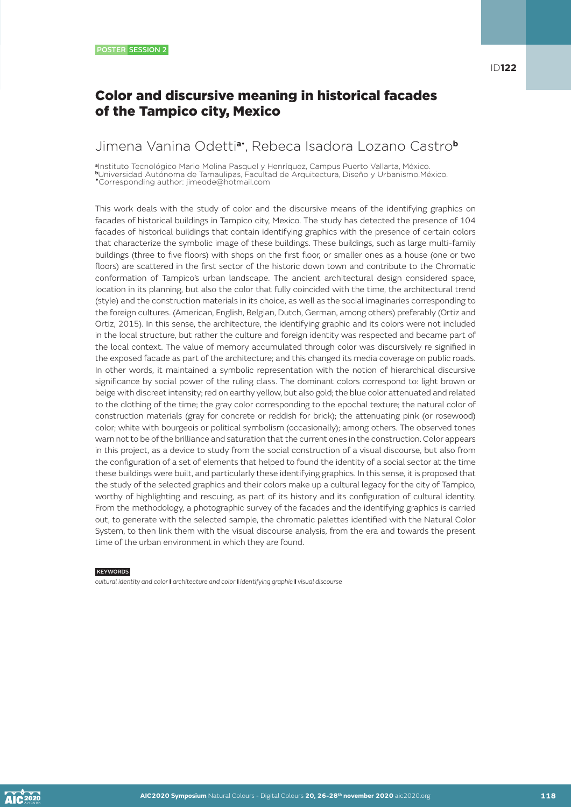# Color and discursive meaning in historical facades of the Tampico city, Mexico

### Jimena Vanina Odetti**a**• , Rebeca Isadora Lozano Castro**<sup>b</sup>**

**<sup>a</sup>**Instituto Tecnológico Mario Molina Pasquel y Henríquez, Campus Puerto Vallarta, México. **<sup>b</sup>**Universidad Autónoma de Tamaulipas, Facultad de Arquitectura, Diseño y Urbanismo.México.

•Corresponding author: jimeode@hotmail.com

This work deals with the study of color and the discursive means of the identifying graphics on facades of historical buildings in Tampico city, Mexico. The study has detected the presence of 104 facades of historical buildings that contain identifying graphics with the presence of certain colors that characterize the symbolic image of these buildings. These buildings, such as large multi-family buildings (three to five floors) with shops on the first floor, or smaller ones as a house (one or two floors) are scattered in the first sector of the historic down town and contribute to the Chromatic conformation of Tampico's urban landscape. The ancient architectural design considered space, location in its planning, but also the color that fully coincided with the time, the architectural trend (style) and the construction materials in its choice, as well as the social imaginaries corresponding to the foreign cultures. (American, English, Belgian, Dutch, German, among others) preferably (Ortiz and Ortiz, 2015). In this sense, the architecture, the identifying graphic and its colors were not included in the local structure, but rather the culture and foreign identity was respected and became part of the local context. The value of memory accumulated through color was discursively re signified in the exposed facade as part of the architecture; and this changed its media coverage on public roads. In other words, it maintained a symbolic representation with the notion of hierarchical discursive significance by social power of the ruling class. The dominant colors correspond to: light brown or beige with discreet intensity; red on earthy yellow, but also gold; the blue color attenuated and related to the clothing of the time; the gray color corresponding to the epochal texture; the natural color of construction materials (gray for concrete or reddish for brick); the attenuating pink (or rosewood) color; white with bourgeois or political symbolism (occasionally); among others. The observed tones warn not to be of the brilliance and saturation that the current ones in the construction. Color appears in this project, as a device to study from the social construction of a visual discourse, but also from the configuration of a set of elements that helped to found the identity of a social sector at the time these buildings were built, and particularly these identifying graphics. In this sense, it is proposed that the study of the selected graphics and their colors make up a cultural legacy for the city of Tampico, worthy of highlighting and rescuing, as part of its history and its configuration of cultural identity. From the methodology, a photographic survey of the facades and the identifying graphics is carried out, to generate with the selected sample, the chromatic palettes identified with the Natural Color System, to then link them with the visual discourse analysis, from the era and towards the present time of the urban environment in which they are found.

**KEYWORDS** 

*cultural identity and color* I *architecture and color* I *identifying graphic* I *visual discourse*

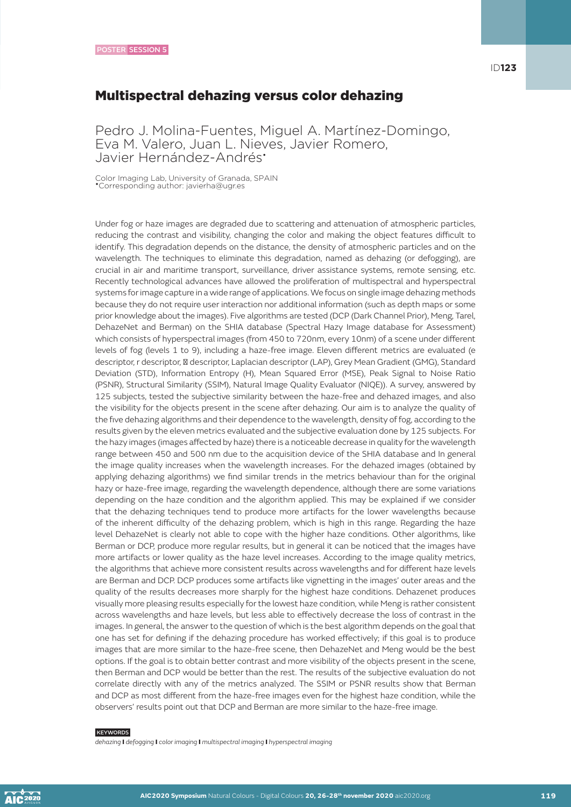### Multispectral dehazing versus color dehazing

Pedro J. Molina-Fuentes, Miguel A. Martínez-Domingo, Eva M. Valero, Juan L. Nieves, Javier Romero, Javier Hernández-Andrés\*

Color Imaging Lab, University of Granada, SPAIN •Corresponding author: javierha@ugr.es

Under fog or haze images are degraded due to scattering and attenuation of atmospheric particles, reducing the contrast and visibility, changing the color and making the object features difficult to identify. This degradation depends on the distance, the density of atmospheric particles and on the wavelength. The techniques to eliminate this degradation, named as dehazing (or defogging), are crucial in air and maritime transport, surveillance, driver assistance systems, remote sensing, etc. Recently technological advances have allowed the proliferation of multispectral and hyperspectral systems for image capture in a wide range of applications. We focus on single image dehazing methods because they do not require user interaction nor additional information (such as depth maps or some prior knowledge about the images). Five algorithms are tested (DCP (Dark Channel Prior), Meng, Tarel, DehazeNet and Berman) on the SHIA database (Spectral Hazy Image database for Assessment) which consists of hyperspectral images (from 450 to 720nm, every 10nm) of a scene under different levels of fog (levels 1 to 9), including a haze-free image. Eleven different metrics are evaluated (e descriptor, r descriptor, descriptor, Laplacian descriptor (LAP), Grey Mean Gradient (GMG), Standard Deviation (STD), Information Entropy (H), Mean Squared Error (MSE), Peak Signal to Noise Ratio (PSNR), Structural Similarity (SSIM), Natural Image Quality Evaluator (NIQE)). A survey, answered by 125 subjects, tested the subjective similarity between the haze-free and dehazed images, and also the visibility for the objects present in the scene after dehazing. Our aim is to analyze the quality of the five dehazing algorithms and their dependence to the wavelength, density of fog, according to the results given by the eleven metrics evaluated and the subjective evaluation done by 125 subjects. For the hazy images (images affected by haze) there is a noticeable decrease in quality for the wavelength range between 450 and 500 nm due to the acquisition device of the SHIA database and In general the image quality increases when the wavelength increases. For the dehazed images (obtained by applying dehazing algorithms) we find similar trends in the metrics behaviour than for the original hazy or haze-free image, regarding the wavelength dependence, although there are some variations depending on the haze condition and the algorithm applied. This may be explained if we consider that the dehazing techniques tend to produce more artifacts for the lower wavelengths because of the inherent difficulty of the dehazing problem, which is high in this range. Regarding the haze level DehazeNet is clearly not able to cope with the higher haze conditions. Other algorithms, like Berman or DCP, produce more regular results, but in general it can be noticed that the images have more artifacts or lower quality as the haze level increases. According to the image quality metrics, the algorithms that achieve more consistent results across wavelengths and for different haze levels are Berman and DCP. DCP produces some artifacts like vignetting in the images' outer areas and the quality of the results decreases more sharply for the highest haze conditions. Dehazenet produces visually more pleasing results especially for the lowest haze condition, while Meng is rather consistent across wavelengths and haze levels, but less able to effectively decrease the loss of contrast in the images. In general, the answer to the question of which is the best algorithm depends on the goal that one has set for defining if the dehazing procedure has worked effectively; if this goal is to produce images that are more similar to the haze-free scene, then DehazeNet and Meng would be the best options. If the goal is to obtain better contrast and more visibility of the objects present in the scene, then Berman and DCP would be better than the rest. The results of the subjective evaluation do not correlate directly with any of the metrics analyzed. The SSIM or PSNR results show that Berman and DCP as most different from the haze-free images even for the highest haze condition, while the observers' results point out that DCP and Berman are more similar to the haze-free image.

#### **KEYWORDS**

*dehazing* I *defogging* I *color imaging* I *multispectral imaging* I *hyperspectral imaging*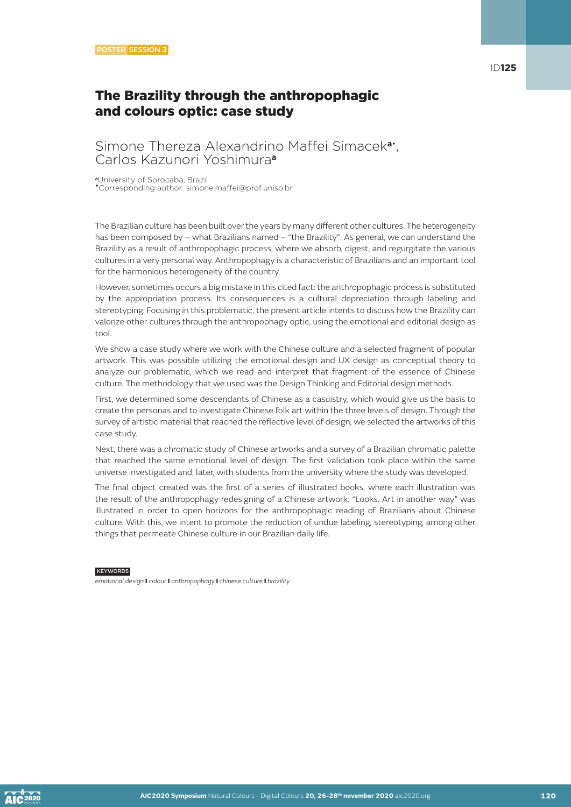# The Brazility through the anthropophagic and colours optic: case study

### Simone Thereza Alexandrino Maffei Simacek**a**• , Carlos Kazunori Yoshimura**<sup>a</sup>**

**<sup>a</sup>**University of Sorocaba, Brazil •Corresponding author: simone.maffei@prof.uniso.br

The Brazilian culture has been built over the years by many different other cultures. The heterogeneity has been composed by – what Brazilians named – "the Brazility". As general, we can understand the Brazility as a result of anthropophagic process, where we absorb, digest, and regurgitate the various cultures in a very personal way. Anthropophagy is a characteristic of Brazilians and an important tool for the harmonious heterogeneity of the country.

However, sometimes occurs a big mistake in this cited fact: the anthropophagic process is substituted by the appropriation process. Its consequences is a cultural depreciation through labeling and stereotyping. Focusing in this problematic, the present article intents to discuss how the Brazility can valorize other cultures through the anthropophagy optic, using the emotional and editorial design as tool.

We show a case study where we work with the Chinese culture and a selected fragment of popular artwork. This was possible utilizing the emotional design and UX design as conceptual theory to analyze our problematic, which we read and interpret that fragment of the essence of Chinese culture. The methodology that we used was the Design Thinking and Editorial design methods.

First, we determined some descendants of Chinese as a casuistry, which would give us the basis to create the personas and to investigate Chinese folk art within the three levels of design. Through the survey of artistic material that reached the reflective level of design, we selected the artworks of this case study.

Next, there was a chromatic study of Chinese artworks and a survey of a Brazilian chromatic palette that reached the same emotional level of design. The first validation took place within the same universe investigated and, later, with students from the university where the study was developed.

The final object created was the first of a series of illustrated books, where each illustration was the result of the anthropophagy redesigning of a Chinese artwork. "Looks. Art in another way" was illustrated in order to open horizons for the anthropophagic reading of Brazilians about Chinese culture. With this, we intent to promote the reduction of undue labeling, stereotyping, among other things that permeate Chinese culture in our Brazilian daily life.

**KEYWORDS** 

*emotional design* I *colour* I *anthropophagy* I *chinese culture* I *brazility*

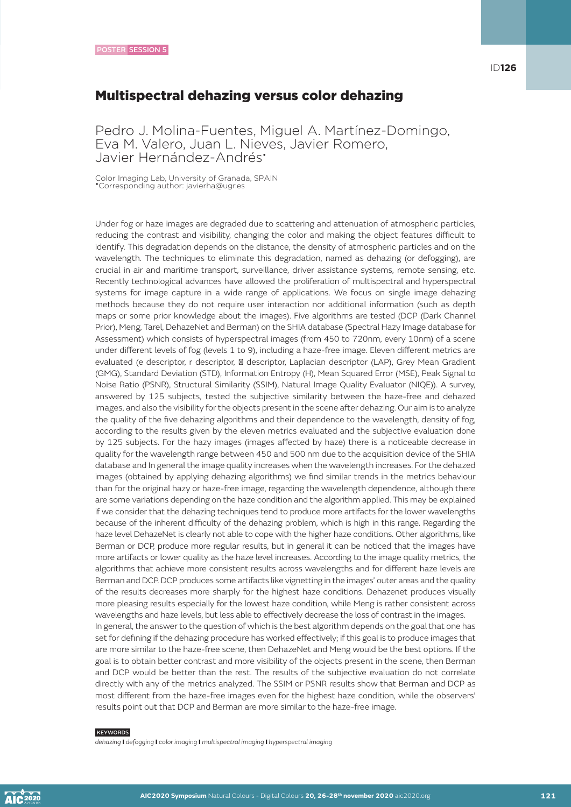### Multispectral dehazing versus color dehazing

Pedro J. Molina-Fuentes, Miguel A. Martínez-Domingo, Eva M. Valero, Juan L. Nieves, Javier Romero, Javier Hernández-Andrés\*

Color Imaging Lab, University of Granada, SPAIN •Corresponding author: javierha@ugr.es

Under fog or haze images are degraded due to scattering and attenuation of atmospheric particles, reducing the contrast and visibility, changing the color and making the object features difficult to identify. This degradation depends on the distance, the density of atmospheric particles and on the wavelength. The techniques to eliminate this degradation, named as dehazing (or defogging), are crucial in air and maritime transport, surveillance, driver assistance systems, remote sensing, etc. Recently technological advances have allowed the proliferation of multispectral and hyperspectral systems for image capture in a wide range of applications. We focus on single image dehazing methods because they do not require user interaction nor additional information (such as depth maps or some prior knowledge about the images). Five algorithms are tested (DCP (Dark Channel Prior), Meng, Tarel, DehazeNet and Berman) on the SHIA database (Spectral Hazy Image database for Assessment) which consists of hyperspectral images (from 450 to 720nm, every 10nm) of a scene under different levels of fog (levels 1 to 9), including a haze-free image. Eleven different metrics are evaluated (e descriptor, r descriptor, descriptor, Laplacian descriptor (LAP), Grey Mean Gradient (GMG), Standard Deviation (STD), Information Entropy (H), Mean Squared Error (MSE), Peak Signal to Noise Ratio (PSNR), Structural Similarity (SSIM), Natural Image Quality Evaluator (NIQE)). A survey, answered by 125 subjects, tested the subjective similarity between the haze-free and dehazed images, and also the visibility for the objects present in the scene after dehazing. Our aim is to analyze the quality of the five dehazing algorithms and their dependence to the wavelength, density of fog, according to the results given by the eleven metrics evaluated and the subjective evaluation done by 125 subjects. For the hazy images (images affected by haze) there is a noticeable decrease in quality for the wavelength range between 450 and 500 nm due to the acquisition device of the SHIA database and In general the image quality increases when the wavelength increases. For the dehazed images (obtained by applying dehazing algorithms) we find similar trends in the metrics behaviour than for the original hazy or haze-free image, regarding the wavelength dependence, although there are some variations depending on the haze condition and the algorithm applied. This may be explained if we consider that the dehazing techniques tend to produce more artifacts for the lower wavelengths because of the inherent difficulty of the dehazing problem, which is high in this range. Regarding the haze level DehazeNet is clearly not able to cope with the higher haze conditions. Other algorithms, like Berman or DCP, produce more regular results, but in general it can be noticed that the images have more artifacts or lower quality as the haze level increases. According to the image quality metrics, the algorithms that achieve more consistent results across wavelengths and for different haze levels are Berman and DCP. DCP produces some artifacts like vignetting in the images' outer areas and the quality of the results decreases more sharply for the highest haze conditions. Dehazenet produces visually more pleasing results especially for the lowest haze condition, while Meng is rather consistent across wavelengths and haze levels, but less able to effectively decrease the loss of contrast in the images. In general, the answer to the question of which is the best algorithm depends on the goal that one has set for defining if the dehazing procedure has worked effectively; if this goal is to produce images that are more similar to the haze-free scene, then DehazeNet and Meng would be the best options. If the goal is to obtain better contrast and more visibility of the objects present in the scene, then Berman and DCP would be better than the rest. The results of the subjective evaluation do not correlate directly with any of the metrics analyzed. The SSIM or PSNR results show that Berman and DCP as most different from the haze-free images even for the highest haze condition, while the observers' results point out that DCP and Berman are more similar to the haze-free image.

#### **KEYWORDS**

*dehazing* I *defogging* I *color imaging* I *multispectral imaging* I *hyperspectral imaging*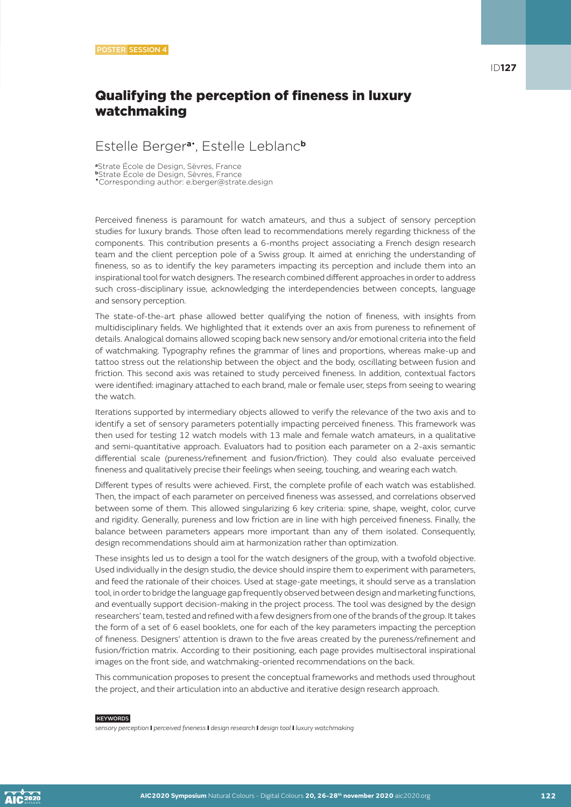# Qualifying the perception of fineness in luxury watchmaking

### Estelle Berger**a**• , Estelle Leblanc**<sup>b</sup>**

**<sup>a</sup>**Strate École de Design, Sèvres, France **<sup>b</sup>**Strate École de Design, Sèvres, France •Corresponding author: e.berger@strate.design

Perceived fineness is paramount for watch amateurs, and thus a subject of sensory perception studies for luxury brands. Those often lead to recommendations merely regarding thickness of the components. This contribution presents a 6-months project associating a French design research team and the client perception pole of a Swiss group. It aimed at enriching the understanding of fineness, so as to identify the key parameters impacting its perception and include them into an inspirational tool for watch designers. The research combined different approaches in order to address such cross-disciplinary issue, acknowledging the interdependencies between concepts, language and sensory perception.

The state-of-the-art phase allowed better qualifying the notion of fineness, with insights from multidisciplinary fields. We highlighted that it extends over an axis from pureness to refinement of details. Analogical domains allowed scoping back new sensory and/or emotional criteria into the field of watchmaking. Typography refines the grammar of lines and proportions, whereas make-up and tattoo stress out the relationship between the object and the body, oscillating between fusion and friction. This second axis was retained to study perceived fineness. In addition, contextual factors were identified: imaginary attached to each brand, male or female user, steps from seeing to wearing the watch.

Iterations supported by intermediary objects allowed to verify the relevance of the two axis and to identify a set of sensory parameters potentially impacting perceived fineness. This framework was then used for testing 12 watch models with 13 male and female watch amateurs, in a qualitative and semi-quantitative approach. Evaluators had to position each parameter on a 2-axis semantic differential scale (pureness/refinement and fusion/friction). They could also evaluate perceived fineness and qualitatively precise their feelings when seeing, touching, and wearing each watch.

Different types of results were achieved. First, the complete profile of each watch was established. Then, the impact of each parameter on perceived fineness was assessed, and correlations observed between some of them. This allowed singularizing 6 key criteria: spine, shape, weight, color, curve and rigidity. Generally, pureness and low friction are in line with high perceived fineness. Finally, the balance between parameters appears more important than any of them isolated. Consequently, design recommendations should aim at harmonization rather than optimization.

These insights led us to design a tool for the watch designers of the group, with a twofold objective. Used individually in the design studio, the device should inspire them to experiment with parameters, and feed the rationale of their choices. Used at stage-gate meetings, it should serve as a translation tool, in order to bridge the language gap frequently observed between design and marketing functions, and eventually support decision-making in the project process. The tool was designed by the design researchers' team, tested and refined with a few designers from one of the brands of the group. It takes the form of a set of 6 easel booklets, one for each of the key parameters impacting the perception of fineness. Designers' attention is drawn to the five areas created by the pureness/refinement and fusion/friction matrix. According to their positioning, each page provides multisectoral inspirational images on the front side, and watchmaking-oriented recommendations on the back.

This communication proposes to present the conceptual frameworks and methods used throughout the project, and their articulation into an abductive and iterative design research approach.

#### **KEYWORDS**

*sensory perception* I *perceived fineness* I *design research* I *design tool* I *luxury watchmaking*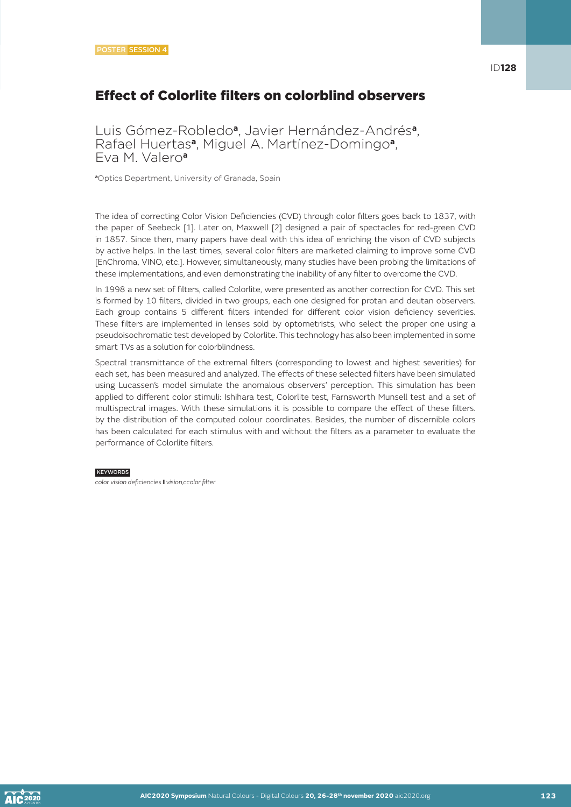# Effect of Colorlite filters on colorblind observers

Luis Gómez-Robledo**a**, Javier Hernández-Andrés**a**, Rafael Huertas**a**, Miguel A. Martínez-Domingo**a**, Eva M. Valero**<sup>a</sup>**

**<sup>a</sup>**Optics Department, University of Granada, Spain

The idea of correcting Color Vision Deficiencies (CVD) through color filters goes back to 1837, with the paper of Seebeck [1]. Later on, Maxwell [2] designed a pair of spectacles for red-green CVD in 1857. Since then, many papers have deal with this idea of enriching the vison of CVD subjects by active helps. In the last times, several color filters are marketed claiming to improve some CVD [EnChroma, VINO, etc.]. However, simultaneously, many studies have been probing the limitations of these implementations, and even demonstrating the inability of any filter to overcome the CVD.

In 1998 a new set of filters, called Colorlite, were presented as another correction for CVD. This set is formed by 10 filters, divided in two groups, each one designed for protan and deutan observers. Each group contains 5 different filters intended for different color vision deficiency severities. These filters are implemented in lenses sold by optometrists, who select the proper one using a pseudoisochromatic test developed by Colorlite. This technology has also been implemented in some smart TVs as a solution for colorblindness.

Spectral transmittance of the extremal filters (corresponding to lowest and highest severities) for each set, has been measured and analyzed. The effects of these selected filters have been simulated using Lucassen's model simulate the anomalous observers' perception. This simulation has been applied to different color stimuli: Ishihara test, Colorlite test, Farnsworth Munsell test and a set of multispectral images. With these simulations it is possible to compare the effect of these filters. by the distribution of the computed colour coordinates. Besides, the number of discernible colors has been calculated for each stimulus with and without the filters as a parameter to evaluate the performance of Colorlite filters.

#### **KEYWORDS**

*color vision deficiencies* I *vision,ccolor filter*

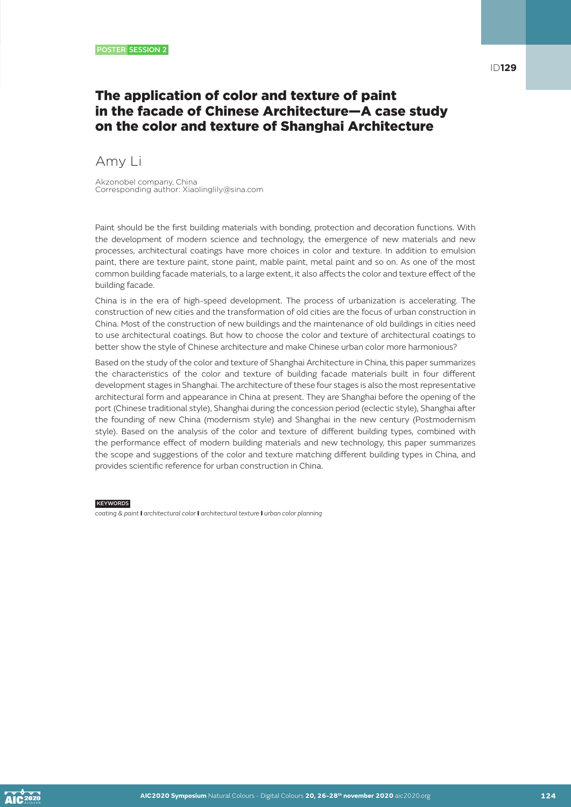# The application of color and texture of paint in the facade of Chinese Architecture—A case study on the color and texture of Shanghai Architecture

Amy Li

Akzonobel company, China Corresponding author: Xiaolinglily@sina.com

Paint should be the first building materials with bonding, protection and decoration functions. With the development of modern science and technology, the emergence of new materials and new processes, architectural coatings have more choices in color and texture. In addition to emulsion paint, there are texture paint, stone paint, mable paint, metal paint and so on. As one of the most common building facade materials, to a large extent, it also affects the color and texture effect of the building facade.

China is in the era of high-speed development. The process of urbanization is accelerating. The construction of new cities and the transformation of old cities are the focus of urban construction in China. Most of the construction of new buildings and the maintenance of old buildings in cities need to use architectural coatings. But how to choose the color and texture of architectural coatings to better show the style of Chinese architecture and make Chinese urban color more harmonious?

Based on the study of the color and texture of Shanghai Architecture in China, this paper summarizes the characteristics of the color and texture of building facade materials built in four different development stages in Shanghai. The architecture of these four stages is also the most representative architectural form and appearance in China at present. They are Shanghai before the opening of the port (Chinese traditional style), Shanghai during the concession period (eclectic style), Shanghai after the founding of new China (modernism style) and Shanghai in the new century (Postmodernism style). Based on the analysis of the color and texture of different building types, combined with the performance effect of modern building materials and new technology, this paper summarizes the scope and suggestions of the color and texture matching different building types in China, and provides scientific reference for urban construction in China.

KEYWORDS

*coating & paint* I *architectural color* I *architectural texture* I *urban color planning*

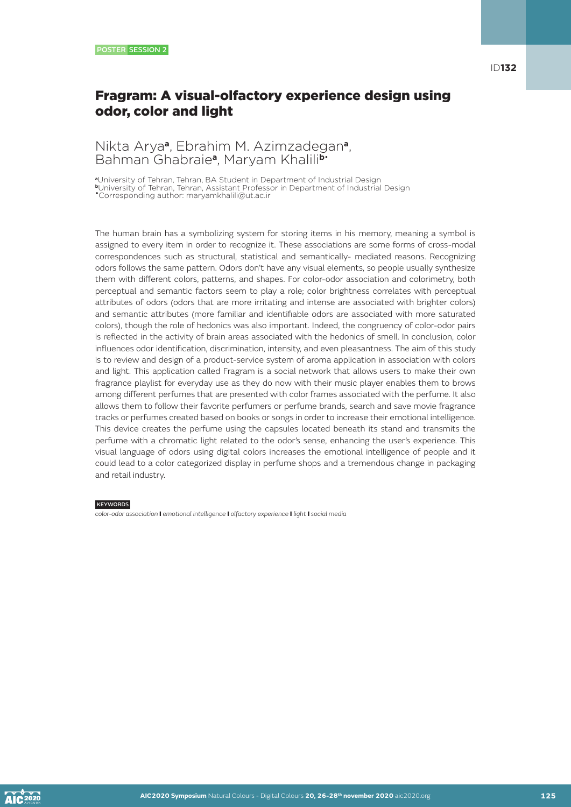# Fragram: A visual-olfactory experience design using odor, color and light

### Nikta Arya**a**, Ebrahim M. Azimzadegan**a**, Bahman Ghabraie**a**, Maryam Khalili**b**•

**<sup>a</sup>**University of Tehran, Tehran, BA Student in Department of Industrial Design **<sup>b</sup>**University of Tehran, Tehran, Assistant Professor in Department of Industrial Design

•Corresponding author: maryamkhalili@ut.ac.ir

The human brain has a symbolizing system for storing items in his memory, meaning a symbol is assigned to every item in order to recognize it. These associations are some forms of cross-modal correspondences such as structural, statistical and semantically- mediated reasons. Recognizing odors follows the same pattern. Odors don't have any visual elements, so people usually synthesize them with different colors, patterns, and shapes. For color-odor association and colorimetry, both perceptual and semantic factors seem to play a role; color brightness correlates with perceptual attributes of odors (odors that are more irritating and intense are associated with brighter colors) and semantic attributes (more familiar and identifiable odors are associated with more saturated colors), though the role of hedonics was also important. Indeed, the congruency of color-odor pairs is reflected in the activity of brain areas associated with the hedonics of smell. In conclusion, color influences odor identification, discrimination, intensity, and even pleasantness. The aim of this study is to review and design of a product-service system of aroma application in association with colors and light. This application called Fragram is a social network that allows users to make their own fragrance playlist for everyday use as they do now with their music player enables them to brows among different perfumes that are presented with color frames associated with the perfume. It also allows them to follow their favorite perfumers or perfume brands, search and save movie fragrance tracks or perfumes created based on books or songs in order to increase their emotional intelligence. This device creates the perfume using the capsules located beneath its stand and transmits the perfume with a chromatic light related to the odor's sense, enhancing the user's experience. This visual language of odors using digital colors increases the emotional intelligence of people and it could lead to a color categorized display in perfume shops and a tremendous change in packaging and retail industry.

### **KEYWORDS**

*color-odor association* I *emotional intelligence* I *olfactory experience* I *light* I *social media*

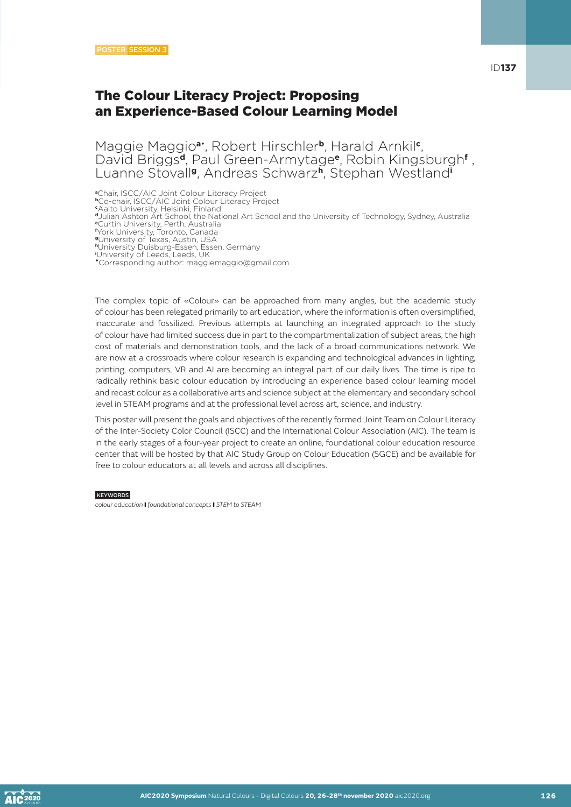Maggie Maggio**a**• , Robert Hirschler**b**, Harald Arnkil**<sup>c</sup>** , David Briggs**d**, Paul Green-Armytage**e**, Robin Kingsburgh**<sup>f</sup>** , Luanne Stovall**g**, Andreas Schwarz**h**, Stephan Westland**<sup>i</sup>**

**<sup>a</sup>**Chair, ISCC/AIC Joint Colour Literacy Project **<sup>b</sup>**Co-chair, ISCC/AIC Joint Colour Literacy Project **c** Aalto University, Helsinki, Finland **<sup>d</sup>**Julian Ashton Art School, the National Art School and the University of Technology, Sydney, Australia **<sup>e</sup>**Curtin University, Perth, Australia **f** York University, Toronto, Canada **<sup>g</sup>**University of Texas, Austin, USA **<sup>h</sup>**University Duisburg-Essen, Essen, Germany **i** University of Leeds, Leeds, UK

•Corresponding author: maggiemaggio@gmail.com

The complex topic of «Colour» can be approached from many angles, but the academic study of colour has been relegated primarily to art education, where the information is often oversimplified, inaccurate and fossilized. Previous attempts at launching an integrated approach to the study of colour have had limited success due in part to the compartmentalization of subject areas, the high cost of materials and demonstration tools, and the lack of a broad communications network. We are now at a crossroads where colour research is expanding and technological advances in lighting, printing, computers, VR and AI are becoming an integral part of our daily lives. The time is ripe to radically rethink basic colour education by introducing an experience based colour learning model and recast colour as a collaborative arts and science subject at the elementary and secondary school level in STEAM programs and at the professional level across art, science, and industry.

This poster will present the goals and objectives of the recently formed Joint Team on Colour Literacy of the Inter-Society Color Council (ISCC) and the International Colour Association (AIC). The team is in the early stages of a four-year project to create an online, foundational colour education resource center that will be hosted by that AIC Study Group on Colour Education (SGCE) and be available for free to colour educators at all levels and across all disciplines.

#### **KEYWORDS**

*colour education* I *foundational concepts* I *STEM to STEAM*

ID**137**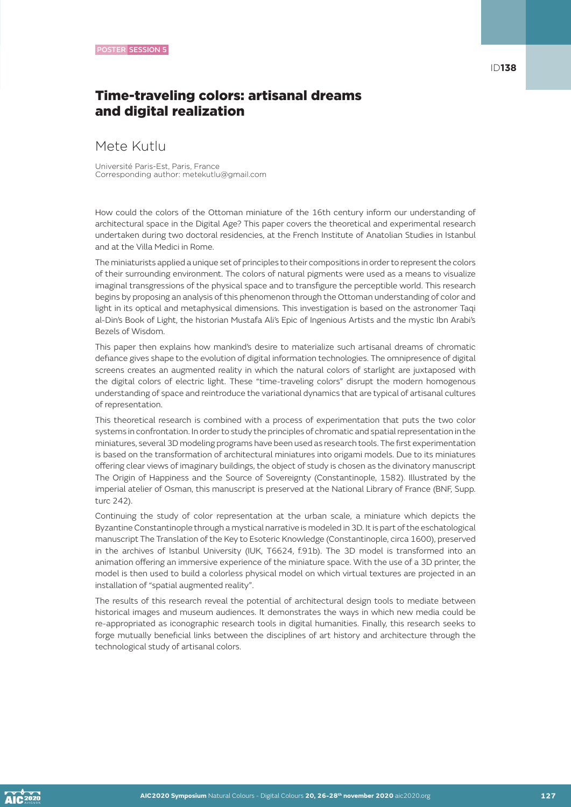# Time-traveling colors: artisanal dreams and digital realization

### Mete Kutlu

Université Paris-Est, Paris, France Corresponding author: metekutlu@gmail.com

How could the colors of the Ottoman miniature of the 16th century inform our understanding of architectural space in the Digital Age? This paper covers the theoretical and experimental research undertaken during two doctoral residencies, at the French Institute of Anatolian Studies in Istanbul and at the Villa Medici in Rome.

The miniaturists applied a unique set of principles to their compositions in order to represent the colors of their surrounding environment. The colors of natural pigments were used as a means to visualize imaginal transgressions of the physical space and to transfigure the perceptible world. This research begins by proposing an analysis of this phenomenon through the Ottoman understanding of color and light in its optical and metaphysical dimensions. This investigation is based on the astronomer Taqi al-Din's Book of Light, the historian Mustafa Ali's Epic of Ingenious Artists and the mystic Ibn Arabi's Bezels of Wisdom.

This paper then explains how mankind's desire to materialize such artisanal dreams of chromatic defiance gives shape to the evolution of digital information technologies. The omnipresence of digital screens creates an augmented reality in which the natural colors of starlight are juxtaposed with the digital colors of electric light. These "time-traveling colors" disrupt the modern homogenous understanding of space and reintroduce the variational dynamics that are typical of artisanal cultures of representation.

This theoretical research is combined with a process of experimentation that puts the two color systems in confrontation. In order to study the principles of chromatic and spatial representation in the miniatures, several 3D modeling programs have been used as research tools. The first experimentation is based on the transformation of architectural miniatures into origami models. Due to its miniatures offering clear views of imaginary buildings, the object of study is chosen as the divinatory manuscript The Origin of Happiness and the Source of Sovereignty (Constantinople, 1582). Illustrated by the imperial atelier of Osman, this manuscript is preserved at the National Library of France (BNF, Supp. turc 242).

Continuing the study of color representation at the urban scale, a miniature which depicts the Byzantine Constantinople through a mystical narrative is modeled in 3D. It is part of the eschatological manuscript The Translation of the Key to Esoteric Knowledge (Constantinople, circa 1600), preserved in the archives of Istanbul University (IUK, T6624, f.91b). The 3D model is transformed into an animation offering an immersive experience of the miniature space. With the use of a 3D printer, the model is then used to build a colorless physical model on which virtual textures are projected in an installation of "spatial augmented reality".

The results of this research reveal the potential of architectural design tools to mediate between historical images and museum audiences. It demonstrates the ways in which new media could be re-appropriated as iconographic research tools in digital humanities. Finally, this research seeks to forge mutually beneficial links between the disciplines of art history and architecture through the technological study of artisanal colors.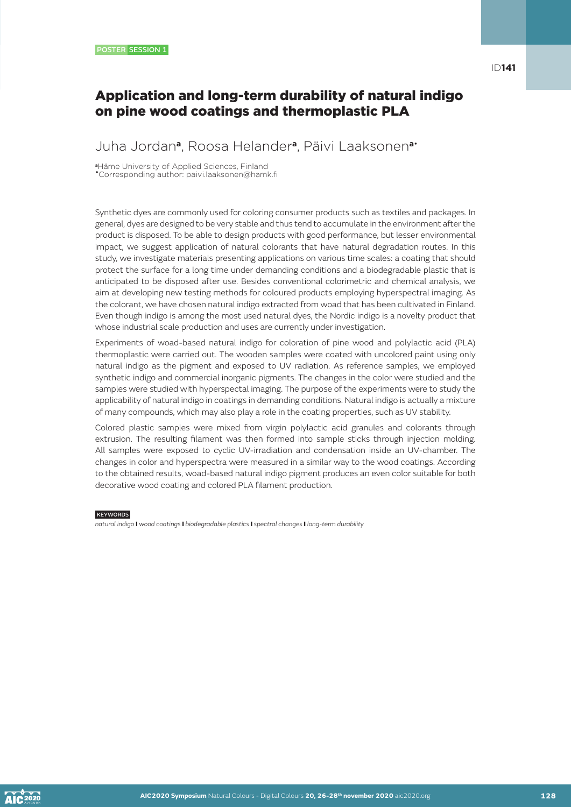### Application and long-term durability of natural indigo on pine wood coatings and thermoplastic PLA

### Juha Jordan**a**, Roosa Helander**a**, Päivi Laaksonen**a**•

**<sup>a</sup>**Häme University of Applied Sciences, Finland •Corresponding author: paivi.laaksonen@hamk.fi

Synthetic dyes are commonly used for coloring consumer products such as textiles and packages. In general, dyes are designed to be very stable and thus tend to accumulate in the environment after the product is disposed. To be able to design products with good performance, but lesser environmental impact, we suggest application of natural colorants that have natural degradation routes. In this study, we investigate materials presenting applications on various time scales: a coating that should protect the surface for a long time under demanding conditions and a biodegradable plastic that is anticipated to be disposed after use. Besides conventional colorimetric and chemical analysis, we aim at developing new testing methods for coloured products employing hyperspectral imaging. As the colorant, we have chosen natural indigo extracted from woad that has been cultivated in Finland. Even though indigo is among the most used natural dyes, the Nordic indigo is a novelty product that whose industrial scale production and uses are currently under investigation.

Experiments of woad-based natural indigo for coloration of pine wood and polylactic acid (PLA) thermoplastic were carried out. The wooden samples were coated with uncolored paint using only natural indigo as the pigment and exposed to UV radiation. As reference samples, we employed synthetic indigo and commercial inorganic pigments. The changes in the color were studied and the samples were studied with hyperspectal imaging. The purpose of the experiments were to study the applicability of natural indigo in coatings in demanding conditions. Natural indigo is actually a mixture of many compounds, which may also play a role in the coating properties, such as UV stability.

Colored plastic samples were mixed from virgin polylactic acid granules and colorants through extrusion. The resulting filament was then formed into sample sticks through injection molding. All samples were exposed to cyclic UV-irradiation and condensation inside an UV-chamber. The changes in color and hyperspectra were measured in a similar way to the wood coatings. According to the obtained results, woad-based natural indigo pigment produces an even color suitable for both decorative wood coating and colored PLA filament production.

#### **KEYWORDS**

*natural indigo* I *wood coatings* I *biodegradable plastics* I *spectral changes* I *long-term durability*

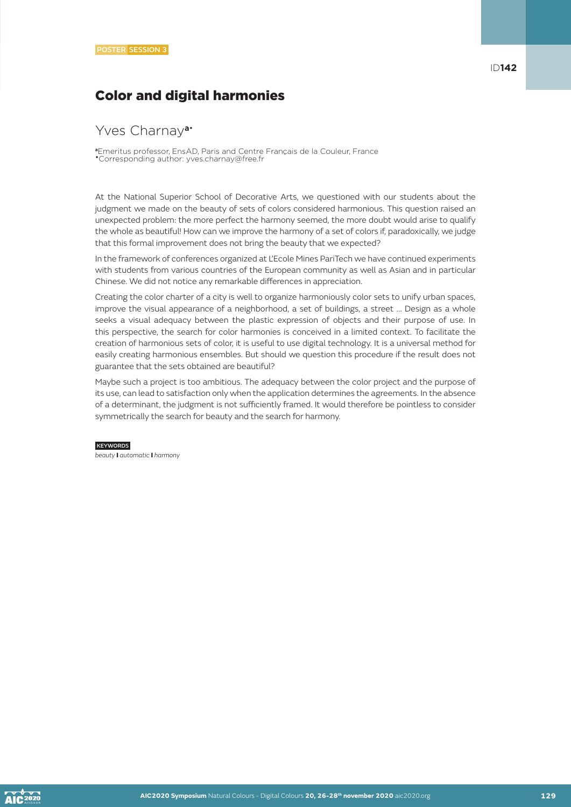# Color and digital harmonies

### Yves Charnay**a**•

**<sup>a</sup>**Emeritus professor, EnsAD, Paris and Centre Français de la Couleur, France •Corresponding author: yves.charnay@free.fr

At the National Superior School of Decorative Arts, we questioned with our students about the judgment we made on the beauty of sets of colors considered harmonious. This question raised an unexpected problem: the more perfect the harmony seemed, the more doubt would arise to qualify the whole as beautiful! How can we improve the harmony of a set of colors if, paradoxically, we judge that this formal improvement does not bring the beauty that we expected?

In the framework of conferences organized at L'Ecole Mines PariTech we have continued experiments with students from various countries of the European community as well as Asian and in particular Chinese. We did not notice any remarkable differences in appreciation.

Creating the color charter of a city is well to organize harmoniously color sets to unify urban spaces, improve the visual appearance of a neighborhood, a set of buildings, a street ... Design as a whole seeks a visual adequacy between the plastic expression of objects and their purpose of use. In this perspective, the search for color harmonies is conceived in a limited context. To facilitate the creation of harmonious sets of color, it is useful to use digital technology. It is a universal method for easily creating harmonious ensembles. But should we question this procedure if the result does not guarantee that the sets obtained are beautiful?

Maybe such a project is too ambitious. The adequacy between the color project and the purpose of its use, can lead to satisfaction only when the application determines the agreements. In the absence of a determinant, the judgment is not sufficiently framed. It would therefore be pointless to consider symmetrically the search for beauty and the search for harmony.

### **KEYWORDS**

*beauty* I *automatic* I *harmony*

ID**142**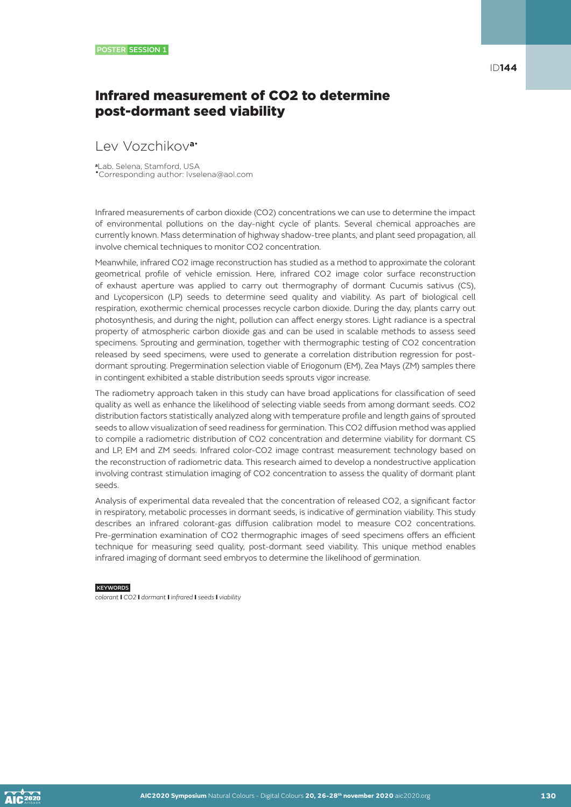# Infrared measurement of CO2 to determine post-dormant seed viability

### Lev Vozchikov**a**•

**<sup>a</sup>**Lab. Selena, Stamford, USA •Corresponding author: lvselena@aol.com

Infrared measurements of carbon dioxide (CO2) concentrations we can use to determine the impact of environmental pollutions on the day-night cycle of plants. Several chemical approaches are currently known. Mass determination of highway shadow-tree plants, and plant seed propagation, all involve chemical techniques to monitor CO2 concentration.

Meanwhile, infrared CO2 image reconstruction has studied as a method to approximate the colorant geometrical profile of vehicle emission. Here, infrared CO2 image color surface reconstruction of exhaust aperture was applied to carry out thermography of dormant Cucumis sativus (CS), and Lycopersicon (LP) seeds to determine seed quality and viability. As part of biological cell respiration, exothermic chemical processes recycle carbon dioxide. During the day, plants carry out photosynthesis, and during the night, pollution can affect energy stores. Light radiance is a spectral property of atmospheric carbon dioxide gas and can be used in scalable methods to assess seed specimens. Sprouting and germination, together with thermographic testing of CO2 concentration released by seed specimens, were used to generate a correlation distribution regression for postdormant sprouting. Pregermination selection viable of Eriogonum (EM), Zea Mays (ZM) samples there in contingent exhibited a stable distribution seeds sprouts vigor increase.

The radiometry approach taken in this study can have broad applications for classification of seed quality as well as enhance the likelihood of selecting viable seeds from among dormant seeds. CO2 distribution factors statistically analyzed along with temperature profile and length gains of sprouted seeds to allow visualization of seed readiness for germination. This CO2 diffusion method was applied to compile a radiometric distribution of CO2 concentration and determine viability for dormant CS and LP, EM and ZM seeds. Infrared color-CO2 image contrast measurement technology based on the reconstruction of radiometric data. This research aimed to develop a nondestructive application involving contrast stimulation imaging of CO2 concentration to assess the quality of dormant plant seeds.

Analysis of experimental data revealed that the concentration of released CO2, a significant factor in respiratory, metabolic processes in dormant seeds, is indicative of germination viability. This study describes an infrared colorant-gas diffusion calibration model to measure CO2 concentrations. Pre-germination examination of CO2 thermographic images of seed specimens offers an efficient technique for measuring seed quality, post-dormant seed viability. This unique method enables infrared imaging of dormant seed embryos to determine the likelihood of germination.

#### **KEYWORDS**

*colorant* I *CO2* I *dormant* I *infrared* I *seeds* I *viability*